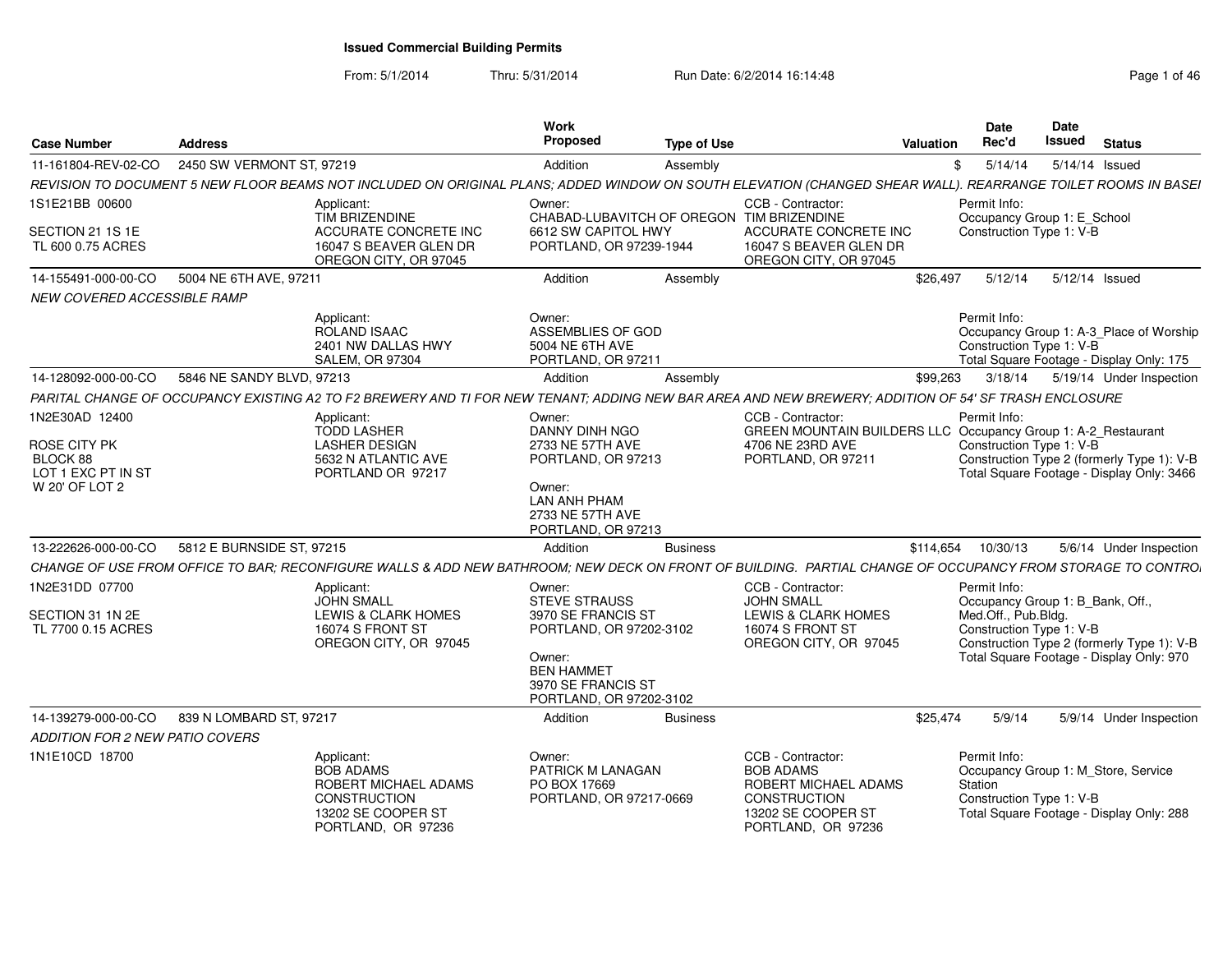From: 5/1/2014Thru: 5/31/2014 Run Date: 6/2/2014 16:14:48 Rege 1 of 46

| <b>Address</b><br><b>Case Number</b>                                               |                                                                                                                                                              | Work<br>Propose                                                                                                                        | <b>Type of Use</b> | Valuation                                                                                                                    | <b>Date</b><br>Rec'd                                | Date<br>Issued<br>Status                                                                |
|------------------------------------------------------------------------------------|--------------------------------------------------------------------------------------------------------------------------------------------------------------|----------------------------------------------------------------------------------------------------------------------------------------|--------------------|------------------------------------------------------------------------------------------------------------------------------|-----------------------------------------------------|-----------------------------------------------------------------------------------------|
| 11-161804-REV-02-CO 2450 SW VERMONT ST, 97219                                      |                                                                                                                                                              | Addition                                                                                                                               | Assembly           |                                                                                                                              |                                                     | 5/14/14   5/14/14   Sued                                                                |
|                                                                                    | REVISION TO DOCUMENT 5 NEW FLOOR BEAMS NOT INCLUDED ON ORIGINAL PLANS; ADDED WINDOW ON SOUTH ELEVATION (CHANGED SHEAR WALL). REARRANGE TOILET ROOMS IN BASEI |                                                                                                                                        |                    |                                                                                                                              |                                                     |                                                                                         |
| 1S1E21BB 00600                                                                     | Applicant:<br>TIM BRIZENDINE                                                                                                                                 | Owner:<br>CHABAD-LUBAVITCH OF OREGON TIM BRIZENDINE                                                                                    |                    | CCB - Contractor                                                                                                             | Permit Info:                                        | Occupancy Group 1: E School                                                             |
| SECTION 21 1S 1E<br>TL 600 0.75 ACRES                                              | ACCURATE CONCRETE INC<br>16047 S BEAVER GLEN DR<br>OREGON CITY, OR 97045                                                                                     | 6612 SW CAPITOL HWY<br>PORTLAND, OR 97239-1944                                                                                         |                    | ACCURATE CONCRETE INC<br>16047 S BEAVER GLEN DR<br>OREGON CITY, OR 97045                                                     | Construction Type 1: V-B                            |                                                                                         |
| 14-155491-000-00-CO 5004 NE 6TH AVE, 97211                                         |                                                                                                                                                              | Addition                                                                                                                               | Assembly           |                                                                                                                              | \$26,497<br>5/12/14                                 | 5/12/14 Issued                                                                          |
| <b>NEW COVERED ACCESSIBLE RAMP</b>                                                 |                                                                                                                                                              |                                                                                                                                        |                    |                                                                                                                              |                                                     |                                                                                         |
|                                                                                    | Applicant:<br>ROLAND ISAAC<br>2401 NW DALLAS HWY<br><b>SALEM, OR 97304</b>                                                                                   | Owner:<br>ASSEMBLIES OF GOD<br>5004 NE 6TH AVE<br>PORTLAND, OR 97211                                                                   |                    |                                                                                                                              | Permit Info:<br>Construction Type 1: V-B            | Occupancy Group 1: A-3_Place of Worship<br>Total Square Footage - Display Only: 175     |
| 14-128092-000-00-CO 5846 NE SANDY BLVD, 97213                                      |                                                                                                                                                              | Addition                                                                                                                               | Assembly           |                                                                                                                              | \$99.263 3/18/14                                    | 5/19/14 Under Inspection                                                                |
|                                                                                    | PARITAL CHANGE OF OCCUPANCY EXISTING A2 TO F2 BREWERY AND TI FOR NEW TENANT: ADDING NEW BAR AREA AND NEW BREWERY: ADDITION OF 54' SF TRASH ENCLOSURE         |                                                                                                                                        |                    |                                                                                                                              |                                                     |                                                                                         |
| 1N2E30AD 12400<br>ROSE CITY PK<br>BLOCK 88<br>LOT 1 EXC PT IN ST<br>W 20' OF LOT 2 | Applicant:<br><b>TODD LASHER</b><br><b>LASHER DESIGN</b><br>5632 N ATLANTIC AVE<br>PORTLAND OR 97217                                                         | Owner:<br>DANNY DINH NGO<br>2733 NE 57TH AVE<br>PORTLAND, OR 97213<br>Owner:<br>LAN ANH PHAM<br>2733 NE 57TH AVE<br>PORTLAND, OR 97213 |                    | CCB - Contractor:<br>GREEN MOUNTAIN BUILDERS LLC Occupancy Group 1: A-2_Restaurant<br>4706 NE 23RD AVE<br>PORTLAND, OR 97211 | Permit Info:<br>Construction Type 1: V-B            | Construction Type 2 (formerly Type 1): V-B<br>Total Square Footage - Display Only: 3466 |
| 13-222626-000-00-CO 5812 E BURNSIDE ST, 97215                                      |                                                                                                                                                              | Addition                                                                                                                               | <b>Business</b>    |                                                                                                                              | \$114.654<br>10/30/13                               | 5/6/14 Under Inspection                                                                 |
|                                                                                    | CHANGE OF USE FROM OFFICE TO BAR; RECONFIGURE WALLS & ADD NEW BATHROOM; NEW DECK ON FRONT OF BUILDING. PARTIAL CHANGE OF OCCUPANCY FROM STORAGE TO CONTRO.   |                                                                                                                                        |                    |                                                                                                                              |                                                     |                                                                                         |
| 1N2E31DD 07700<br>SECTION 31 1N 2E                                                 | Applicant:<br>JOHN SMALL<br><b>LEWIS &amp; CLARK HOMES</b>                                                                                                   | Owner:<br><b>STEVE STRAUSS</b><br>3970 SE FRANCIS ST                                                                                   |                    | CCB - Contractor:<br><b>JOHN SMALL</b><br><b>LEWIS &amp; CLARK HOMES</b>                                                     | Permit Info:<br>Med.Off., Pub.Bldg.                 | Occupancy Group 1: B Bank, Off.,                                                        |
| TL 7700 0.15 ACRES                                                                 | 16074 S FRONT ST<br>OREGON CITY, OR 97045                                                                                                                    | PORTLAND, OR 97202-3102<br>Owner:<br><b>BEN HAMMET</b><br>3970 SE FRANCIS ST<br>PORTLAND, OR 97202-3102                                |                    | 16074 S FRONT ST<br>OREGON CITY, OR 97045                                                                                    | Construction Type 1: V-B                            | Construction Type 2 (formerly Type 1): V-E<br>Total Square Footage - Display Only: 970  |
| 14-139279-000-00-CO 839 N LOMBARD ST, 97217                                        |                                                                                                                                                              | Addition                                                                                                                               | <b>Business</b>    |                                                                                                                              | \$25.474<br>5/9/14                                  | 5/9/14 Under Inspection                                                                 |
| ADDITION FOR 2 NEW PATIO COVERS                                                    |                                                                                                                                                              |                                                                                                                                        |                    |                                                                                                                              |                                                     |                                                                                         |
| 1N1E10CD 18700                                                                     | Applicant:<br><b>BOB ADAMS</b><br>ROBERT MICHAEL ADAMS<br><b>CONSTRUCTION</b><br>13202 SE COOPER ST<br>PORTLAND, OR 97236                                    | Owner:<br>PATRICK M LANAGAN<br>PO BOX 17669<br>PORTLAND, OR 97217-0669                                                                 |                    | CCB - Contractor:<br><b>BOB ADAMS</b><br>ROBERT MICHAEL ADAMS<br>CONSTRUCTION<br>13202 SE COOPER ST<br>PORTLAND, OR 97236    | Permit Info:<br>Station<br>Construction Type 1: V-B | Occupancy Group 1: M Store, Service<br>Total Square Footage - Display Only: 288         |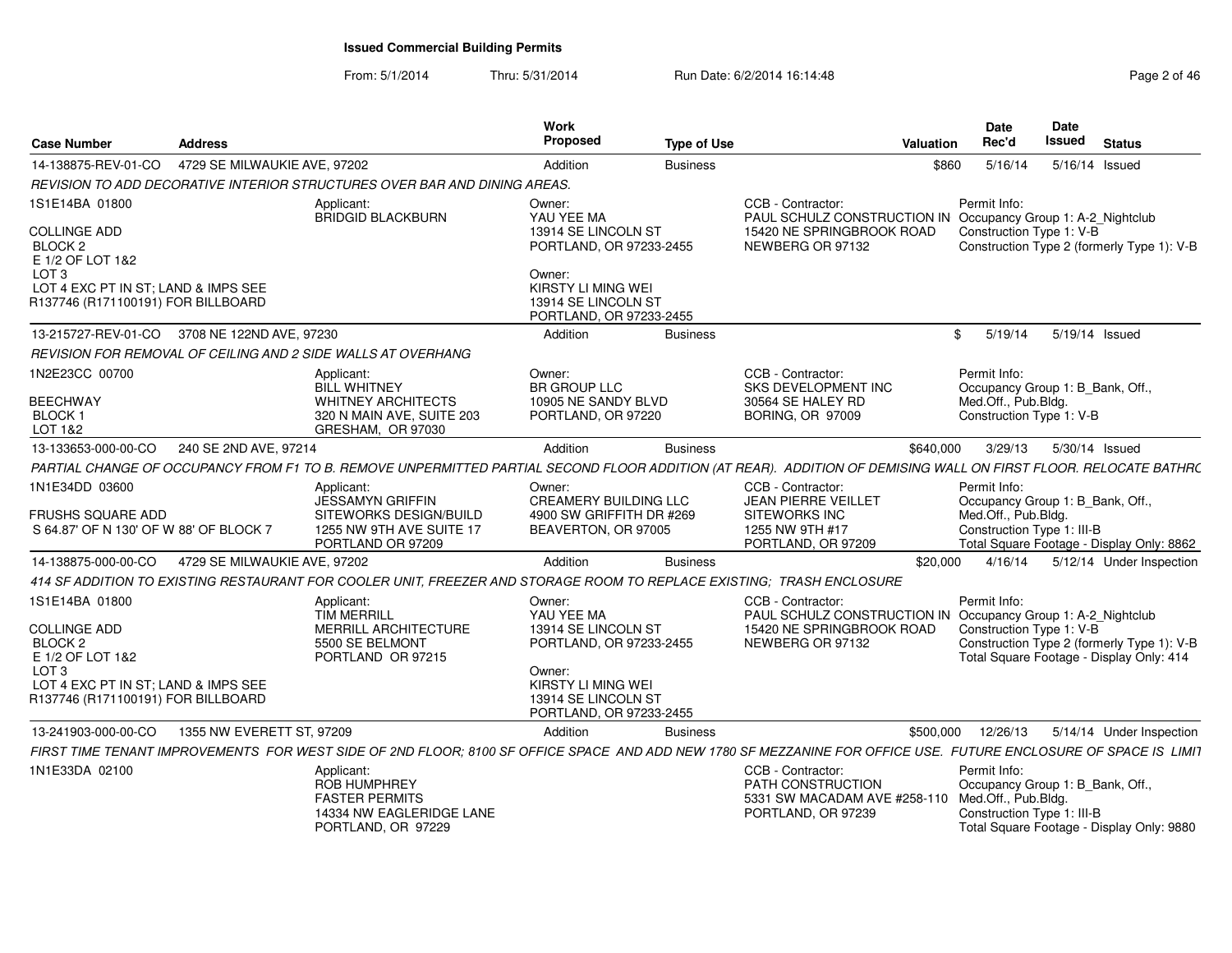### From: 5/1/2014Thru: 5/31/2014 Run Date: 6/2/2014 16:14:48 Rege 2 of 46

| <b>Case Number</b>                                                                            | <b>Address</b>               |                                                                                                                                                                      | Work<br>Proposed                                                               | <b>Type of Use</b> |                                                                                                                | Valuation    | <b>Date</b><br>Rec'd                                                                                  | <b>Date</b><br><b>Issued</b> | <b>Status</b>                                                                          |
|-----------------------------------------------------------------------------------------------|------------------------------|----------------------------------------------------------------------------------------------------------------------------------------------------------------------|--------------------------------------------------------------------------------|--------------------|----------------------------------------------------------------------------------------------------------------|--------------|-------------------------------------------------------------------------------------------------------|------------------------------|----------------------------------------------------------------------------------------|
| 14-138875-REV-01-CO                                                                           | 4729 SE MILWAUKIE AVE, 97202 |                                                                                                                                                                      | Addition                                                                       | <b>Business</b>    |                                                                                                                | \$860        | 5/16/14                                                                                               |                              | 5/16/14 Issued                                                                         |
|                                                                                               |                              | REVISION TO ADD DECORATIVE INTERIOR STRUCTURES OVER BAR AND DINING AREAS.                                                                                            |                                                                                |                    |                                                                                                                |              |                                                                                                       |                              |                                                                                        |
| 1S1E14BA 01800<br><b>COLLINGE ADD</b>                                                         |                              | Applicant:<br>BRIDGID BLACKBURN                                                                                                                                      | Owner:<br>YAU YEE MA<br>13914 SE LINCOLN ST                                    |                    | CCB - Contractor:<br>PAUL SCHULZ CONSTRUCTION IN Occupancy Group 1: A-2_Nightclub<br>15420 NE SPRINGBROOK ROAD |              | Permit Info:<br>Construction Type 1: V-B                                                              |                              |                                                                                        |
| BLOCK <sub>2</sub><br>E 1/2 OF LOT 1&2<br>LOT <sub>3</sub>                                    |                              |                                                                                                                                                                      | PORTLAND, OR 97233-2455<br>Owner:                                              |                    | NEWBERG OR 97132                                                                                               |              |                                                                                                       |                              | Construction Type 2 (formerly Type 1): V-B                                             |
| LOT 4 EXC PT IN ST: LAND & IMPS SEE<br>R137746 (R171100191) FOR BILLBOARD                     |                              |                                                                                                                                                                      | KIRSTY LI MING WEI<br>13914 SE LINCOLN ST<br>PORTLAND, OR 97233-2455           |                    |                                                                                                                |              |                                                                                                       |                              |                                                                                        |
| 13-215727-REV-01-CO 3708 NE 122ND AVE, 97230                                                  |                              |                                                                                                                                                                      | Addition                                                                       | <b>Business</b>    |                                                                                                                | $\mathbf{s}$ | 5/19/14                                                                                               |                              | 5/19/14 Issued                                                                         |
|                                                                                               |                              | REVISION FOR REMOVAL OF CEILING AND 2 SIDE WALLS AT OVERHANG                                                                                                         |                                                                                |                    |                                                                                                                |              |                                                                                                       |                              |                                                                                        |
| 1N2E23CC 00700<br><b>BEECHWAY</b><br>BLOCK <sub>1</sub><br>LOT 1&2                            |                              | Applicant:<br><b>BILL WHITNEY</b><br><b>WHITNEY ARCHITECTS</b><br>320 N MAIN AVE, SUITE 203<br>GRESHAM. OR 97030                                                     | Owner:<br><b>BR GROUP LLC</b><br>10905 NE SANDY BLVD<br>PORTLAND, OR 97220     |                    | CCB - Contractor:<br><b>SKS DEVELOPMENT INC</b><br>30564 SE HALEY RD<br><b>BORING, OR 97009</b>                |              | Permit Info:<br>Occupancy Group 1: B Bank, Off.,<br>Med.Off., Pub.Bldg.<br>Construction Type 1: V-B   |                              |                                                                                        |
| 13-133653-000-00-CO                                                                           | 240 SE 2ND AVE, 97214        |                                                                                                                                                                      | Addition                                                                       | <b>Business</b>    |                                                                                                                | \$640,000    | 3/29/13                                                                                               |                              | 5/30/14 Issued                                                                         |
|                                                                                               |                              | PARTIAL CHANGE OF OCCUPANCY FROM F1 TO B. REMOVE UNPERMITTED PARTIAL SECOND FLOOR ADDITION (AT REAR). ADDITION OF DEMISING WALL ON FIRST FLOOR. RELOCATE BATHRC      |                                                                                |                    |                                                                                                                |              |                                                                                                       |                              |                                                                                        |
| 1N1E34DD 03600                                                                                |                              | Applicant:<br>JESSAMYN GRIFFIN                                                                                                                                       | Owner:<br><b>CREAMERY BUILDING LLC</b>                                         |                    | CCB - Contractor:<br><b>JEAN PIERRE VEILLET</b>                                                                |              | Permit Info:<br>Occupancy Group 1: B_Bank, Off.,                                                      |                              |                                                                                        |
| FRUSHS SQUARE ADD<br>S 64.87' OF N 130' OF W 88' OF BLOCK 7                                   |                              | SITEWORKS DESIGN/BUILD<br>1255 NW 9TH AVE SUITE 17<br>PORTLAND OR 97209                                                                                              | 4900 SW GRIFFITH DR #269<br>BEAVERTON, OR 97005                                |                    | <b>SITEWORKS INC</b><br>1255 NW 9TH #17<br>PORTLAND, OR 97209                                                  |              | Med.Off., Pub.Bldg.<br>Construction Type 1: III-B                                                     |                              | Total Square Footage - Display Only: 8862                                              |
| 14-138875-000-00-CO                                                                           | 4729 SE MILWAUKIE AVE, 97202 |                                                                                                                                                                      | Addition                                                                       | <b>Business</b>    |                                                                                                                | \$20,000     | 4/16/14                                                                                               |                              | 5/12/14 Under Inspection                                                               |
|                                                                                               |                              | 414 SF ADDITION TO EXISTING RESTAURANT FOR COOLER UNIT, FREEZER AND STORAGE ROOM TO REPLACE EXISTING; TRASH ENCLOSURE                                                |                                                                                |                    |                                                                                                                |              |                                                                                                       |                              |                                                                                        |
| 1S1E14BA 01800                                                                                |                              | Applicant:<br><b>TIM MERRILL</b>                                                                                                                                     | Owner:<br>YAU YEE MA                                                           |                    | CCB - Contractor:<br>PAUL SCHULZ CONSTRUCTION IN Occupancy Group 1: A-2_Nightclub                              |              | Permit Info:                                                                                          |                              |                                                                                        |
| <b>COLLINGE ADD</b><br>BLOCK <sub>2</sub><br>E 1/2 OF LOT 1&2                                 |                              | MERRILL ARCHITECTURE<br>5500 SE BELMONT<br>PORTLAND OR 97215                                                                                                         | 13914 SE LINCOLN ST<br>PORTLAND, OR 97233-2455                                 |                    | 15420 NE SPRINGBROOK ROAD<br>NEWBERG OR 97132                                                                  |              | Construction Type 1: V-B                                                                              |                              | Construction Type 2 (formerly Type 1): V-B<br>Total Square Footage - Display Only: 414 |
| LOT <sub>3</sub><br>LOT 4 EXC PT IN ST: LAND & IMPS SEE<br>R137746 (R171100191) FOR BILLBOARD |                              |                                                                                                                                                                      | Owner:<br>KIRSTY LI MING WEI<br>13914 SE LINCOLN ST<br>PORTLAND, OR 97233-2455 |                    |                                                                                                                |              |                                                                                                       |                              |                                                                                        |
| 13-241903-000-00-CO                                                                           | 1355 NW EVERETT ST. 97209    |                                                                                                                                                                      | Addition                                                                       | <b>Business</b>    |                                                                                                                | \$500,000    | 12/26/13                                                                                              |                              | 5/14/14 Under Inspection                                                               |
|                                                                                               |                              | FIRST TIME TENANT IMPROVEMENTS  FOR WEST SIDE OF 2ND FLOOR: 8100 SF OFFICE SPACE  AND ADD NEW 1780 SF MEZZANINE FOR OFFICE USE.  FUTURE ENCLOSURE OF SPACE IS  LIMI1 |                                                                                |                    |                                                                                                                |              |                                                                                                       |                              |                                                                                        |
| 1N1E33DA 02100                                                                                |                              | Applicant:<br><b>ROB HUMPHREY</b><br><b>FASTER PERMITS</b><br>14334 NW EAGLERIDGE LANE<br>PORTLAND, OR 97229                                                         |                                                                                |                    | CCB - Contractor:<br>PATH CONSTRUCTION<br>5331 SW MACADAM AVE #258-110<br>PORTLAND, OR 97239                   |              | Permit Info:<br>Occupancy Group 1: B_Bank, Off.,<br>Med.Off., Pub.Bldg.<br>Construction Type 1: III-B |                              | Total Square Footage - Display Only: 9880                                              |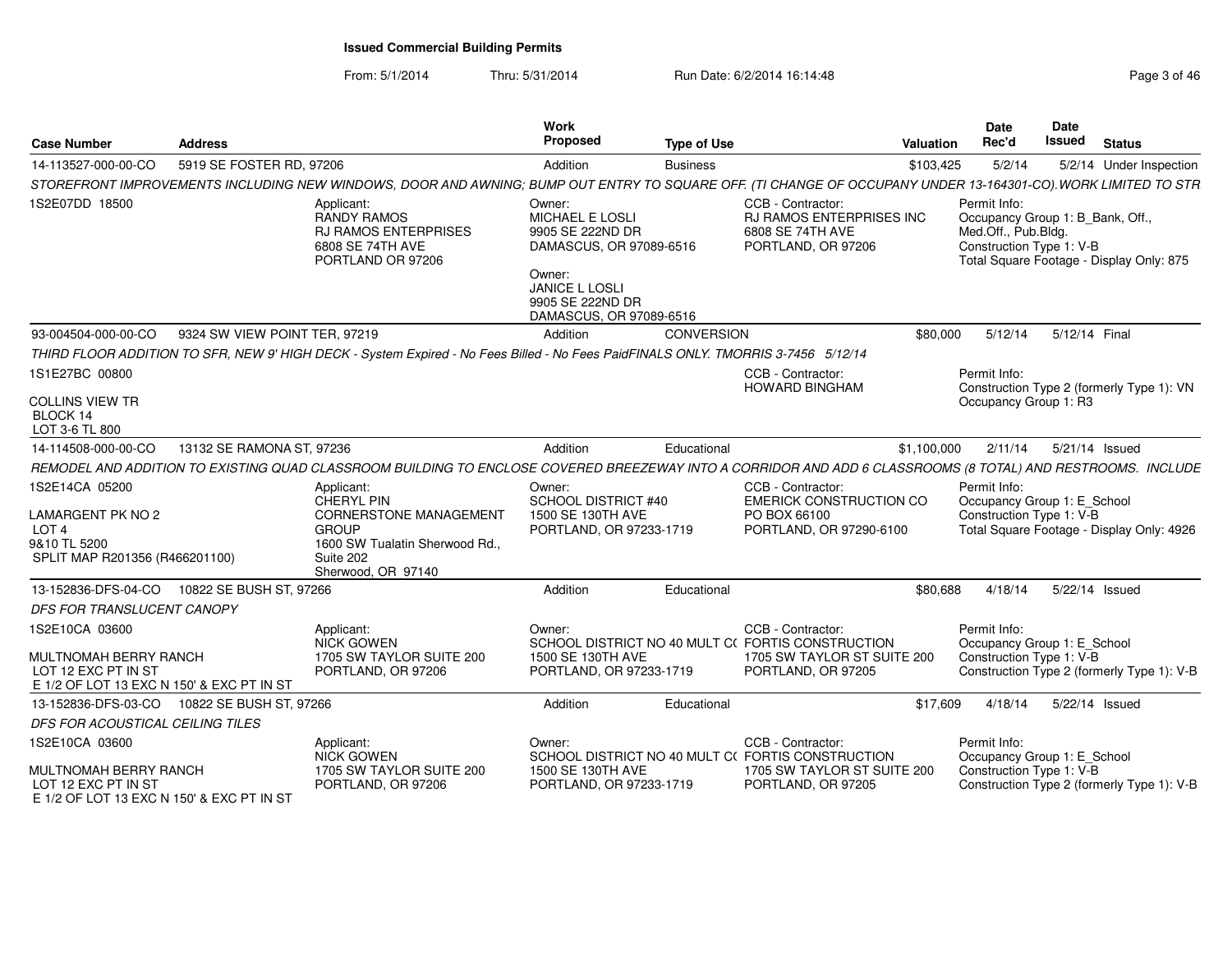From: 5/1/2014Thru: 5/31/2014 Run Date: 6/2/2014 16:14:48 Research 2010 12:04:48 Page 3 of 46

| <b>Case Number</b>                                                                             | Address                       |                                                                                                                                                               | Work<br><b>Proposed</b>                                                                   | <b>Type of Use</b> |                                                                                                | Valuation   | Date<br>Rec'd                                                                                       | Date<br>Issued | <b>Status</b>                              |
|------------------------------------------------------------------------------------------------|-------------------------------|---------------------------------------------------------------------------------------------------------------------------------------------------------------|-------------------------------------------------------------------------------------------|--------------------|------------------------------------------------------------------------------------------------|-------------|-----------------------------------------------------------------------------------------------------|----------------|--------------------------------------------|
| 14-113527-000-00-CO                                                                            | 5919 SE FOSTER RD, 97206      |                                                                                                                                                               | Addition                                                                                  | <b>Business</b>    |                                                                                                | \$103,425   | 5/2/14                                                                                              |                | 5/2/14 Under Inspection                    |
|                                                                                                |                               | STOREFRONT IMPROVEMENTS INCLUDING NEW WINDOWS, DOOR AND AWNING; BUMP OUT ENTRY TO SQUARE OFF. (TI CHANGE OF OCCUPANY UNDER 13-164301-CO). WORK LIMITED TO STR |                                                                                           |                    |                                                                                                |             |                                                                                                     |                |                                            |
| 1S2E07DD 18500                                                                                 |                               | Applicant:<br><b>RANDY RAMOS</b><br><b>RJ RAMOS ENTERPRISES</b><br>6808 SE 74TH AVE<br>PORTLAND OR 97206                                                      | Owner:<br><b>MICHAEL E LOSLI</b><br>9905 SE 222ND DR<br>DAMASCUS, OR 97089-6516<br>Owner: |                    | CCB - Contractor:<br><b>RJ RAMOS ENTERPRISES INC</b><br>6808 SE 74TH AVE<br>PORTLAND, OR 97206 |             | Permit Info:<br>Occupancy Group 1: B_Bank, Off.,<br>Med.Off., Pub.Bldg.<br>Construction Type 1: V-B |                | Total Square Footage - Display Only: 875   |
|                                                                                                |                               |                                                                                                                                                               | JANICE L LOSLI<br>9905 SE 222ND DR<br>DAMASCUS, OR 97089-6516                             |                    |                                                                                                |             |                                                                                                     |                |                                            |
| 93-004504-000-00-CO                                                                            | 9324 SW VIEW POINT TER, 97219 |                                                                                                                                                               | Addition                                                                                  | <b>CONVERSION</b>  |                                                                                                | \$80,000    | 5/12/14                                                                                             | 5/12/14 Final  |                                            |
|                                                                                                |                               | THIRD FLOOR ADDITION TO SFR, NEW 9' HIGH DECK - System Expired - No Fees Billed - No Fees PaidFINALS ONLY. TMORRIS 3-7456 5/12/14                             |                                                                                           |                    |                                                                                                |             |                                                                                                     |                |                                            |
| 1S1E27BC 00800                                                                                 |                               |                                                                                                                                                               |                                                                                           |                    | CCB - Contractor:<br><b>HOWARD BINGHAM</b>                                                     |             | Permit Info:                                                                                        |                | Construction Type 2 (formerly Type 1): VN  |
| COLLINS VIEW TR<br>BLOCK 14<br>LOT 3-6 TL 800                                                  |                               |                                                                                                                                                               |                                                                                           |                    |                                                                                                |             | Occupancy Group 1: R3                                                                               |                |                                            |
| 14-114508-000-00-CO                                                                            | 13132 SE RAMONA ST, 97236     |                                                                                                                                                               | Addition                                                                                  | Educational        |                                                                                                | \$1,100,000 | 2/11/14                                                                                             | 5/21/14 Issued |                                            |
|                                                                                                |                               | REMODEL AND ADDITION TO EXISTING QUAD CLASSROOM BUILDING TO ENCLOSE COVERED BREEZEWAY INTO A CORRIDOR AND ADD 6 CLASSROOMS (8 TOTAL) AND RESTROOMS. INCLUDE   |                                                                                           |                    |                                                                                                |             |                                                                                                     |                |                                            |
| 1S2E14CA 05200<br>LAMARGENT PK NO 2<br>LOT 4<br>9&10 TL 5200<br>SPLIT MAP R201356 (R466201100) |                               | Applicant:<br>CHERYL PIN<br><b>CORNERSTONE MANAGEMENT</b><br><b>GROUP</b><br>1600 SW Tualatin Sherwood Rd.,<br>Suite 202<br>Sherwood, OR 97140                | Owner:<br>SCHOOL DISTRICT #40<br>1500 SE 130TH AVE<br>PORTLAND, OR 97233-1719             |                    | CCB - Contractor:<br><b>EMERICK CONSTRUCTION CO</b><br>PO BOX 66100<br>PORTLAND, OR 97290-6100 |             | Permit Info:<br>Occupancy Group 1: E School<br>Construction Type 1: V-B                             |                | Total Square Footage - Display Only: 4926  |
| 13-152836-DFS-04-CO                                                                            | 10822 SE BUSH ST, 97266       |                                                                                                                                                               | Addition                                                                                  | Educational        |                                                                                                | \$80,688    | 4/18/14                                                                                             | 5/22/14 Issued |                                            |
| DFS FOR TRANSLUCENT CANOPY                                                                     |                               |                                                                                                                                                               |                                                                                           |                    |                                                                                                |             |                                                                                                     |                |                                            |
| 1S2E10CA 03600                                                                                 |                               | Applicant:<br>NICK GOWEN                                                                                                                                      | Owner:                                                                                    |                    | CCB - Contractor:<br>SCHOOL DISTRICT NO 40 MULT C(FORTIS CONSTRUCTION                          |             | Permit Info:                                                                                        |                |                                            |
| MULTNOMAH BERRY RANCH<br>LOT 12 EXC PT IN ST<br>E 1/2 OF LOT 13 EXC N 150' & EXC PT IN ST      |                               | 1705 SW TAYLOR SUITE 200<br>PORTLAND, OR 97206                                                                                                                | 1500 SE 130TH AVE<br>PORTLAND, OR 97233-1719                                              |                    | 1705 SW TAYLOR ST SUITE 200<br>PORTLAND, OR 97205                                              |             | Occupancy Group 1: E_School<br>Construction Type 1: V-B                                             |                | Construction Type 2 (formerly Type 1): V-B |
| 13-152836-DFS-03-CO                                                                            | 10822 SE BUSH ST, 97266       |                                                                                                                                                               | Addition                                                                                  | Educational        |                                                                                                | \$17,609    | 4/18/14                                                                                             | 5/22/14 Issued |                                            |
| DFS FOR ACOUSTICAL CEILING TILES                                                               |                               |                                                                                                                                                               |                                                                                           |                    |                                                                                                |             |                                                                                                     |                |                                            |
| 1S2E10CA 03600                                                                                 |                               | Applicant:<br>NICK GOWEN                                                                                                                                      | Owner:                                                                                    |                    | CCB - Contractor:<br>SCHOOL DISTRICT NO 40 MULT C(FORTIS CONSTRUCTION                          |             | Permit Info:<br>Occupancy Group 1: E School                                                         |                |                                            |
| MULTNOMAH BERRY RANCH<br>LOT 12 EXC PT IN ST<br>E 1/2 OF LOT 13 EXC N 150' & EXC PT IN ST      |                               | 1705 SW TAYLOR SUITE 200<br>PORTLAND, OR 97206                                                                                                                | 1500 SE 130TH AVE<br>PORTLAND, OR 97233-1719                                              |                    | 1705 SW TAYLOR ST SUITE 200<br>PORTLAND, OR 97205                                              |             | Construction Type 1: V-B                                                                            |                | Construction Type 2 (formerly Type 1): V-B |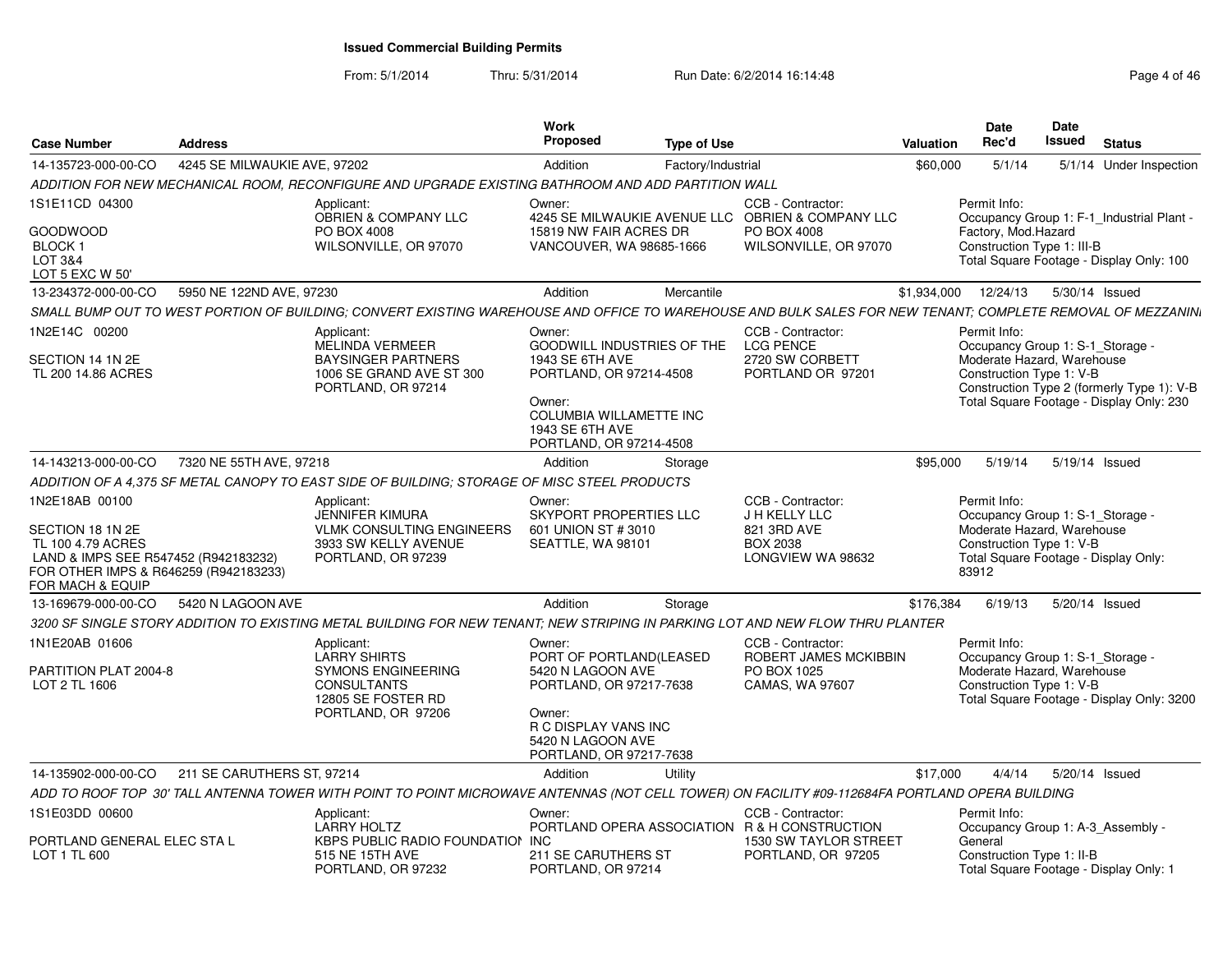From: 5/1/2014Thru: 5/31/2014 Run Date: 6/2/2014 16:14:48 Research 2010 12:48

| Case Number                                                                                                                                           | <b>Address</b>               |                                                                                                                                                             | Work<br><b>Proposed</b>                                                                                                       | <b>Type of Use</b> |                                                                                       | <b>Valuation</b> | <b>Date</b><br>Rec'd                                                                                                                        | <b>Date</b><br>Issued | <b>Status</b>                                                                          |
|-------------------------------------------------------------------------------------------------------------------------------------------------------|------------------------------|-------------------------------------------------------------------------------------------------------------------------------------------------------------|-------------------------------------------------------------------------------------------------------------------------------|--------------------|---------------------------------------------------------------------------------------|------------------|---------------------------------------------------------------------------------------------------------------------------------------------|-----------------------|----------------------------------------------------------------------------------------|
| 14-135723-000-00-CO                                                                                                                                   | 4245 SE MILWAUKIE AVE, 97202 |                                                                                                                                                             | Addition                                                                                                                      | Factory/Industrial |                                                                                       | \$60,000         | 5/1/14                                                                                                                                      |                       | 5/1/14 Under Inspection                                                                |
|                                                                                                                                                       |                              | ADDITION FOR NEW MECHANICAL ROOM. RECONFIGURE AND UPGRADE EXISTING BATHROOM AND ADD PARTITION WALL                                                          |                                                                                                                               |                    |                                                                                       |                  |                                                                                                                                             |                       |                                                                                        |
| 1S1E11CD 04300<br><b>GOODWOOD</b>                                                                                                                     |                              | Applicant:<br><b>OBRIEN &amp; COMPANY LLC</b><br>PO BOX 4008                                                                                                | Owner:<br>15819 NW FAIR ACRES DR                                                                                              |                    | CCB - Contractor:<br>4245 SE MILWAUKIE AVENUE LLC OBRIEN & COMPANY LLC<br>PO BOX 4008 |                  | Permit Info:<br>Factory, Mod.Hazard                                                                                                         |                       | Occupancy Group 1: F-1_Industrial Plant -                                              |
| BLOCK 1<br>LOT 3&4<br>LOT 5 EXC W 50'                                                                                                                 |                              | WILSONVILLE, OR 97070                                                                                                                                       | VANCOUVER, WA 98685-1666                                                                                                      |                    | WILSONVILLE, OR 97070                                                                 |                  | Construction Type 1: III-B                                                                                                                  |                       | Total Square Footage - Display Only: 100                                               |
| 13-234372-000-00-CO                                                                                                                                   | 5950 NE 122ND AVE, 97230     |                                                                                                                                                             | Addition                                                                                                                      | Mercantile         |                                                                                       | \$1.934.000      | 12/24/13                                                                                                                                    | 5/30/14 Issued        |                                                                                        |
|                                                                                                                                                       |                              | SMALL BUMP OUT TO WEST PORTION OF BUILDING; CONVERT EXISTING WAREHOUSE AND OFFICE TO WAREHOUSE AND BULK SALES FOR NEW TENANT; COMPLETE REMOVAL OF MEZZANINI |                                                                                                                               |                    |                                                                                       |                  |                                                                                                                                             |                       |                                                                                        |
| 1N2E14C 00200                                                                                                                                         |                              | Applicant:<br>MELINDA VERMEER                                                                                                                               | Owner:<br><b>GOODWILL INDUSTRIES OF THE</b>                                                                                   |                    | CCB - Contractor:<br><b>LCG PENCE</b>                                                 |                  | Permit Info:<br>Occupancy Group 1: S-1 Storage -                                                                                            |                       |                                                                                        |
| SECTION 14 1N 2E<br>TL 200 14.86 ACRES                                                                                                                |                              | <b>BAYSINGER PARTNERS</b><br>1006 SE GRAND AVE ST 300<br>PORTLAND, OR 97214                                                                                 | 1943 SE 6TH AVE<br>PORTLAND, OR 97214-4508<br>Owner:<br>COLUMBIA WILLAMETTE INC<br>1943 SE 6TH AVE<br>PORTLAND, OR 97214-4508 |                    | 2720 SW CORBETT<br>PORTLAND OR 97201                                                  |                  | Moderate Hazard, Warehouse<br>Construction Type 1: V-B                                                                                      |                       | Construction Type 2 (formerly Type 1): V-B<br>Total Square Footage - Display Only: 230 |
| 14-143213-000-00-CO                                                                                                                                   | 7320 NE 55TH AVE, 97218      |                                                                                                                                                             | Addition                                                                                                                      | Storage            |                                                                                       | \$95,000         | 5/19/14                                                                                                                                     | 5/19/14 Issued        |                                                                                        |
|                                                                                                                                                       |                              | ADDITION OF A 4.375 SF METAL CANOPY TO EAST SIDE OF BUILDING: STORAGE OF MISC STEEL PRODUCTS                                                                |                                                                                                                               |                    |                                                                                       |                  |                                                                                                                                             |                       |                                                                                        |
| 1N2E18AB 00100                                                                                                                                        |                              | Applicant:                                                                                                                                                  | Owner:                                                                                                                        |                    | CCB - Contractor:                                                                     |                  | Permit Info:                                                                                                                                |                       |                                                                                        |
| SECTION 18 1N 2E<br>TL 100 4.79 ACRES<br>LAND & IMPS SEE R547452 (R942183232)<br>FOR OTHER IMPS & R646259 (R942183233)<br><b>FOR MACH &amp; EQUIP</b> |                              | <b>JENNIFER KIMURA</b><br>VLMK CONSULTING ENGINEERS<br>3933 SW KELLY AVENUE<br>PORTLAND, OR 97239                                                           | SKYPORT PROPERTIES LLC<br>601 UNION ST # 3010<br>SEATTLE, WA 98101                                                            |                    | J H KELLY LLC<br>821 3RD AVE<br><b>BOX 2038</b><br>LONGVIEW WA 98632                  |                  | Occupancy Group 1: S-1_Storage -<br>Moderate Hazard, Warehouse<br>Construction Type 1: V-B<br>Total Square Footage - Display Only:<br>83912 |                       |                                                                                        |
| 13-169679-000-00-CO                                                                                                                                   | 5420 N LAGOON AVE            |                                                                                                                                                             | Addition                                                                                                                      | Storage            |                                                                                       | \$176,384        | 6/19/13                                                                                                                                     | 5/20/14 Issued        |                                                                                        |
|                                                                                                                                                       |                              | 3200 SF SINGLE STORY ADDITION TO EXISTING METAL BUILDING FOR NEW TENANT: NEW STRIPING IN PARKING LOT AND NEW FLOW THRU PLANTER                              |                                                                                                                               |                    |                                                                                       |                  |                                                                                                                                             |                       |                                                                                        |
| 1N1E20AB 01606<br>PARTITION PLAT 2004-8                                                                                                               |                              | Applicant:<br><b>LARRY SHIRTS</b><br><b>SYMONS ENGINEERING</b>                                                                                              | Owner:<br>PORT OF PORTLAND(LEASED<br>5420 N LAGOON AVE                                                                        |                    | CCB - Contractor:<br>ROBERT JAMES MCKIBBIN<br>PO BOX 1025                             |                  | Permit Info:<br>Occupancy Group 1: S-1_Storage -<br>Moderate Hazard, Warehouse                                                              |                       |                                                                                        |
| LOT 2 TL 1606                                                                                                                                         |                              | <b>CONSULTANTS</b><br>12805 SE FOSTER RD<br>PORTLAND, OR 97206                                                                                              | PORTLAND, OR 97217-7638<br>Owner:<br>R C DISPLAY VANS INC<br>5420 N LAGOON AVE<br>PORTLAND, OR 97217-7638                     |                    | CAMAS, WA 97607                                                                       |                  | Construction Type 1: V-B                                                                                                                    |                       | Total Square Footage - Display Only: 3200                                              |
| 14-135902-000-00-CO                                                                                                                                   | 211 SE CARUTHERS ST. 97214   |                                                                                                                                                             | Addition                                                                                                                      | Utility            |                                                                                       | \$17,000         | 4/4/14                                                                                                                                      | 5/20/14 Issued        |                                                                                        |
|                                                                                                                                                       |                              | ADD TO ROOF TOP 30' TALL ANTENNA TOWER WITH POINT TO POINT MICROWAVE ANTENNAS (NOT CELL TOWER) ON FACILITY #09-112684FA PORTLAND OPERA BUILDING             |                                                                                                                               |                    |                                                                                       |                  |                                                                                                                                             |                       |                                                                                        |
| 1S1E03DD 00600                                                                                                                                        |                              | Applicant:<br><b>LARRY HOLTZ</b>                                                                                                                            | Owner:                                                                                                                        |                    | CCB - Contractor:<br>PORTLAND OPERA ASSOCIATION R & H CONSTRUCTION                    |                  | Permit Info:<br>Occupancy Group 1: A-3 Assembly -                                                                                           |                       |                                                                                        |
| PORTLAND GENERAL ELEC STA L<br>LOT 1 TL 600                                                                                                           |                              | KBPS PUBLIC RADIO FOUNDATION INC<br>515 NE 15TH AVE<br>PORTLAND, OR 97232                                                                                   | 211 SE CARUTHERS ST<br>PORTLAND, OR 97214                                                                                     |                    | 1530 SW TAYLOR STREET<br>PORTLAND, OR 97205                                           |                  | General<br>Construction Type 1: II-B                                                                                                        |                       | Total Square Footage - Display Only: 1                                                 |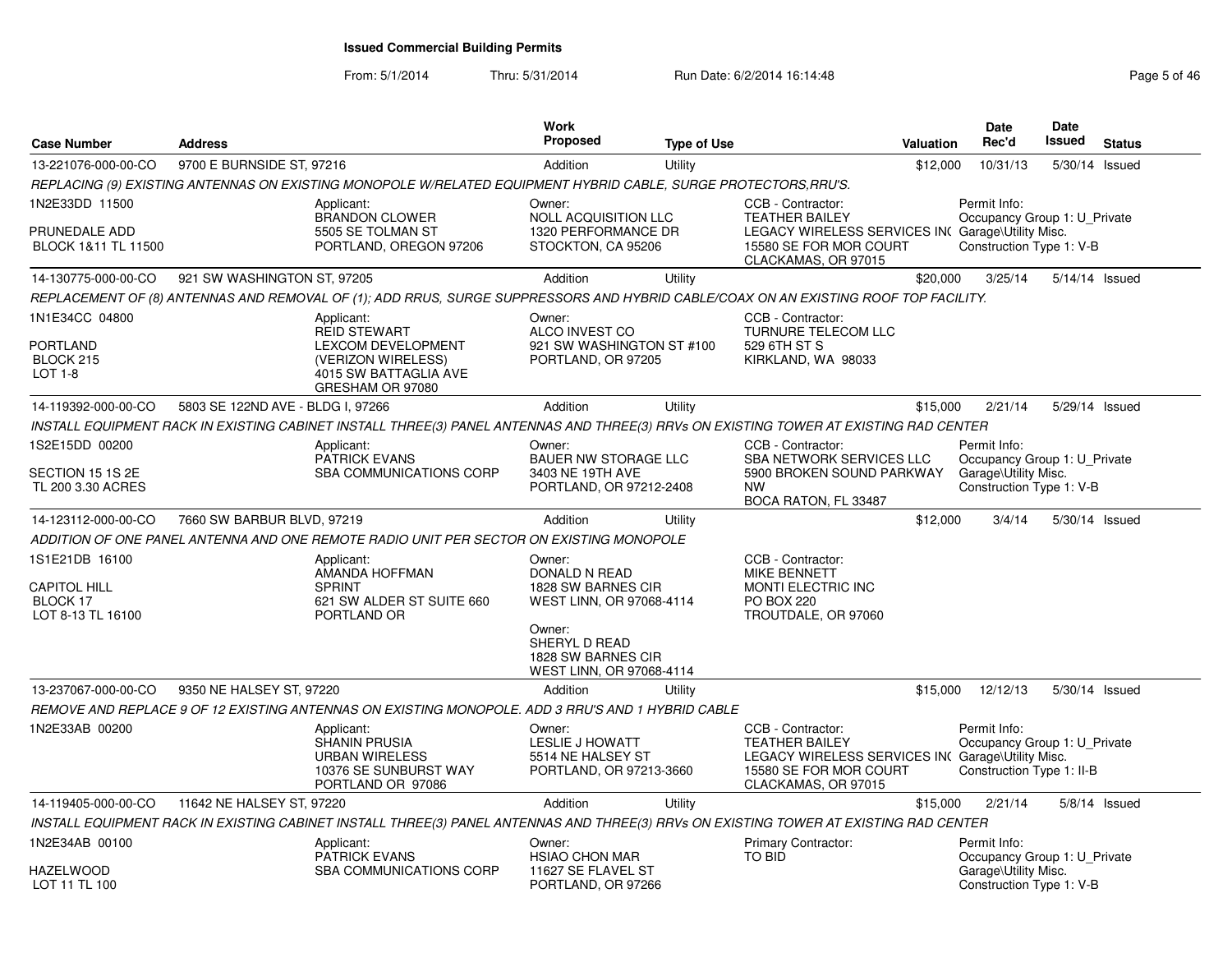From: 5/1/2014Thru: 5/31/2014 Run Date: 6/2/2014 16:14:48 Rege 5 of 46

| <b>Case Number</b>                                                     | <b>Address</b>                    |                                                                                                                                       | Work<br><b>Proposed</b>                                                                                                                                | <b>Type of Use</b> |                                                                                                                                                  | Valuation | <b>Date</b><br>Rec'd                                                                             | <b>Date</b><br><b>Issued</b> | <b>Status</b>  |
|------------------------------------------------------------------------|-----------------------------------|---------------------------------------------------------------------------------------------------------------------------------------|--------------------------------------------------------------------------------------------------------------------------------------------------------|--------------------|--------------------------------------------------------------------------------------------------------------------------------------------------|-----------|--------------------------------------------------------------------------------------------------|------------------------------|----------------|
| 13-221076-000-00-CO                                                    | 9700 E BURNSIDE ST, 97216         |                                                                                                                                       | Addition                                                                                                                                               | Utility            |                                                                                                                                                  | \$12,000  | 10/31/13                                                                                         | 5/30/14                      | Issued         |
|                                                                        |                                   | REPLACING (9) EXISTING ANTENNAS ON EXISTING MONOPOLE W/RELATED EQUIPMENT HYBRID CABLE, SURGE PROTECTORS, RRU'S.                       |                                                                                                                                                        |                    |                                                                                                                                                  |           |                                                                                                  |                              |                |
| 1N2E33DD 11500<br>PRUNEDALE ADD<br>BLOCK 1&11 TL 11500                 |                                   | Applicant:<br>BRANDON CLOWER<br>5505 SE TOLMAN ST<br>PORTLAND, OREGON 97206                                                           | Owner:<br><b>NOLL ACQUISITION LLC</b><br>1320 PERFORMANCE DR<br>STOCKTON, CA 95206                                                                     |                    | CCB - Contractor:<br><b>TEATHER BAILEY</b><br>LEGACY WIRELESS SERVICES IN( Garage\Utility Misc.<br>15580 SE FOR MOR COURT<br>CLACKAMAS, OR 97015 |           | Permit Info:<br>Occupancy Group 1: U Private<br>Construction Type 1: V-B                         |                              |                |
| 14-130775-000-00-CO                                                    | 921 SW WASHINGTON ST, 97205       |                                                                                                                                       | Addition                                                                                                                                               | Utility            |                                                                                                                                                  | \$20,000  | 3/25/14                                                                                          |                              | 5/14/14 Issued |
|                                                                        |                                   | REPLACEMENT OF (8) ANTENNAS AND REMOVAL OF (1); ADD RRUS, SURGE SUPPRESSORS AND HYBRID CABLE/COAX ON AN EXISTING ROOF TOP FACILITY.   |                                                                                                                                                        |                    |                                                                                                                                                  |           |                                                                                                  |                              |                |
| 1N1E34CC 04800<br>PORTLAND<br>BLOCK 215<br><b>LOT 1-8</b>              |                                   | Applicant:<br><b>REID STEWART</b><br>LEXCOM DEVELOPMENT<br>(VERIZON WIRELESS)<br>4015 SW BATTAGLIA AVE<br>GRESHAM OR 97080            | Owner:<br>ALCO INVEST CO<br>921 SW WASHINGTON ST #100<br>PORTLAND, OR 97205                                                                            |                    | CCB - Contractor:<br><b>TURNURE TELECOM LLC</b><br>529 6TH ST S<br>KIRKLAND, WA 98033                                                            |           |                                                                                                  |                              |                |
| 14-119392-000-00-CO                                                    | 5803 SE 122ND AVE - BLDG I, 97266 |                                                                                                                                       | Addition                                                                                                                                               | Utility            |                                                                                                                                                  | \$15,000  | 2/21/14                                                                                          |                              | 5/29/14 Issued |
|                                                                        |                                   | INSTALL EQUIPMENT RACK IN EXISTING CABINET INSTALL THREE(3) PANEL ANTENNAS AND THREE(3) RRVs ON EXISTING TOWER AT EXISTING RAD CENTER |                                                                                                                                                        |                    |                                                                                                                                                  |           |                                                                                                  |                              |                |
| 1S2E15DD 00200<br>SECTION 15 1S 2E<br>TL 200 3.30 ACRES                |                                   | Applicant:<br><b>PATRICK EVANS</b><br>SBA COMMUNICATIONS CORP                                                                         | Owner:<br><b>BAUER NW STORAGE LLC</b><br>3403 NE 19TH AVE<br>PORTLAND, OR 97212-2408                                                                   |                    | CCB - Contractor:<br>SBA NETWORK SERVICES LLC<br>5900 BROKEN SOUND PARKWAY<br><b>NW</b><br>BOCA RATON, FL 33487                                  |           | Permit Info:<br>Occupancy Group 1: U_Private<br>Garage\Utility Misc.<br>Construction Type 1: V-B |                              |                |
| 14-123112-000-00-CO                                                    | 7660 SW BARBUR BLVD, 97219        |                                                                                                                                       | Addition                                                                                                                                               | Utility            |                                                                                                                                                  | \$12,000  | 3/4/14                                                                                           |                              | 5/30/14 Issued |
|                                                                        |                                   | ADDITION OF ONE PANEL ANTENNA AND ONE REMOTE RADIO UNIT PER SECTOR ON EXISTING MONOPOLE                                               |                                                                                                                                                        |                    |                                                                                                                                                  |           |                                                                                                  |                              |                |
| 1S1E21DB 16100<br><b>CAPITOL HILL</b><br>BLOCK 17<br>LOT 8-13 TL 16100 |                                   | Applicant:<br>AMANDA HOFFMAN<br><b>SPRINT</b><br>621 SW ALDER ST SUITE 660<br>PORTLAND OR                                             | Owner:<br>DONALD N READ<br>1828 SW BARNES CIR<br>WEST LINN, OR 97068-4114<br>Owner:<br>SHERYL D READ<br>1828 SW BARNES CIR<br>WEST LINN, OR 97068-4114 |                    | CCB - Contractor:<br>MIKE BENNETT<br>MONTI ELECTRIC INC<br><b>PO BOX 220</b><br>TROUTDALE, OR 97060                                              |           |                                                                                                  |                              |                |
| 13-237067-000-00-CO                                                    | 9350 NE HALSEY ST, 97220          |                                                                                                                                       | Addition                                                                                                                                               | Utility            |                                                                                                                                                  | \$15,000  | 12/12/13                                                                                         |                              | 5/30/14 Issued |
|                                                                        |                                   | REMOVE AND REPLACE 9 OF 12 EXISTING ANTENNAS ON EXISTING MONOPOLE. ADD 3 RRU'S AND 1 HYBRID CABLE                                     |                                                                                                                                                        |                    |                                                                                                                                                  |           |                                                                                                  |                              |                |
| 1N2E33AB 00200                                                         |                                   | Applicant:<br><b>SHANIN PRUSIA</b><br><b>URBAN WIRELESS</b><br>10376 SE SUNBURST WAY<br>PORTLAND OR 97086                             | Owner:<br><b>LESLIE J HOWATT</b><br>5514 NE HALSEY ST<br>PORTLAND, OR 97213-3660                                                                       |                    | CCB - Contractor:<br><b>TEATHER BAILEY</b><br>LEGACY WIRELESS SERVICES IN( Garage\Utility Misc.<br>15580 SE FOR MOR COURT<br>CLACKAMAS, OR 97015 |           | Permit Info:<br>Occupancy Group 1: U Private<br>Construction Type 1: II-B                        |                              |                |
| 14-119405-000-00-CO                                                    | 11642 NE HALSEY ST, 97220         |                                                                                                                                       | Addition                                                                                                                                               | Utility            |                                                                                                                                                  | \$15,000  | 2/21/14                                                                                          |                              | 5/8/14 Issued  |
|                                                                        |                                   | INSTALL EQUIPMENT RACK IN EXISTING CABINET INSTALL THREE(3) PANEL ANTENNAS AND THREE(3) RRVs ON EXISTING TOWER AT EXISTING RAD CENTER |                                                                                                                                                        |                    |                                                                                                                                                  |           |                                                                                                  |                              |                |
| 1N2E34AB 00100<br>HAZELWOOD<br>LOT 11 TL 100                           |                                   | Applicant:<br>PATRICK EVANS<br><b>SBA COMMUNICATIONS CORP</b>                                                                         | Owner:<br><b>HSIAO CHON MAR</b><br>11627 SE FLAVEL ST<br>PORTLAND, OR 97266                                                                            |                    | <b>Primary Contractor:</b><br><b>TO BID</b>                                                                                                      |           | Permit Info:<br>Occupancy Group 1: U Private<br>Garage\Utility Misc.<br>Construction Type 1: V-B |                              |                |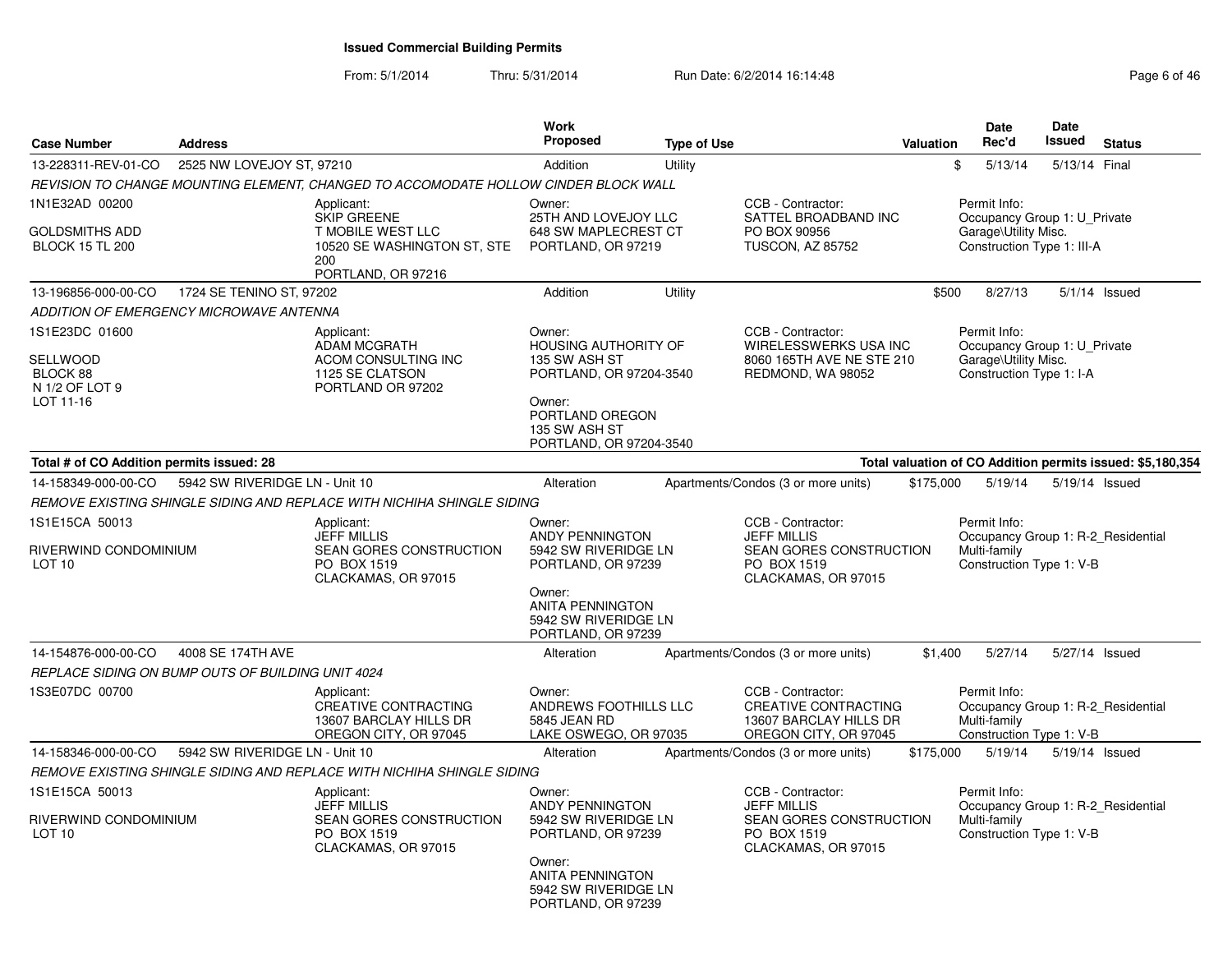From: 5/1/2014

Thru: 5/31/2014 Run Date: 6/2/2014 16:14:48 Rege 6 of 46

| <b>Case Number</b>                                                    | <b>Address</b>                 |                                                                                                                   | Work<br>Proposed                                                                                                                                                  | <b>Type of Use</b> |                                                                                                                 | <b>Valuation</b> | <b>Date</b><br>Rec'd                                                                               | <b>Date</b><br><b>Issued</b> | <b>Status</b>                                              |
|-----------------------------------------------------------------------|--------------------------------|-------------------------------------------------------------------------------------------------------------------|-------------------------------------------------------------------------------------------------------------------------------------------------------------------|--------------------|-----------------------------------------------------------------------------------------------------------------|------------------|----------------------------------------------------------------------------------------------------|------------------------------|------------------------------------------------------------|
| 13-228311-REV-01-CO                                                   | 2525 NW LOVEJOY ST, 97210      |                                                                                                                   | Addition                                                                                                                                                          | Utility            |                                                                                                                 | \$               | 5/13/14                                                                                            | 5/13/14 Final                |                                                            |
|                                                                       |                                | REVISION TO CHANGE MOUNTING ELEMENT, CHANGED TO ACCOMODATE HOLLOW CINDER BLOCK WALL                               |                                                                                                                                                                   |                    |                                                                                                                 |                  |                                                                                                    |                              |                                                            |
| 1N1E32AD 00200<br>GOLDSMITHS ADD<br><b>BLOCK 15 TL 200</b>            |                                | Applicant:<br><b>SKIP GREENE</b><br>T MOBILE WEST LLC<br>10520 SE WASHINGTON ST, STE<br>200<br>PORTLAND, OR 97216 | Owner:<br>25TH AND LOVEJOY LLC<br>648 SW MAPLECREST CT<br>PORTLAND, OR 97219                                                                                      |                    | CCB - Contractor:<br>SATTEL BROADBAND INC<br>PO BOX 90956<br><b>TUSCON, AZ 85752</b>                            |                  | Permit Info:<br>Occupancy Group 1: U_Private<br>Garage\Utility Misc.<br>Construction Type 1: III-A |                              |                                                            |
| 13-196856-000-00-CO                                                   | 1724 SE TENINO ST, 97202       |                                                                                                                   | Addition                                                                                                                                                          | Utility            |                                                                                                                 | \$500            | 8/27/13                                                                                            |                              | $5/1/14$ Issued                                            |
| ADDITION OF EMERGENCY MICROWAVE ANTENNA                               |                                |                                                                                                                   |                                                                                                                                                                   |                    |                                                                                                                 |                  |                                                                                                    |                              |                                                            |
| 1S1E23DC 01600<br>SELLWOOD<br>BLOCK 88<br>N 1/2 OF LOT 9<br>LOT 11-16 |                                | Applicant:<br><b>ADAM MCGRATH</b><br>ACOM CONSULTING INC<br>1125 SE CLATSON<br>PORTLAND OR 97202                  | Owner:<br><b>HOUSING AUTHORITY OF</b><br>135 SW ASH ST<br>PORTLAND, OR 97204-3540<br>Owner:<br>PORTLAND OREGON<br>135 SW ASH ST<br>PORTLAND, OR 97204-3540        |                    | CCB - Contractor:<br><b>WIRELESSWERKS USA INC</b><br>8060 165TH AVE NE STE 210<br>REDMOND, WA 98052             |                  | Permit Info:<br>Occupancy Group 1: U_Private<br>Garage\Utility Misc.<br>Construction Type 1: I-A   |                              |                                                            |
| Total # of CO Addition permits issued: 28                             |                                |                                                                                                                   |                                                                                                                                                                   |                    |                                                                                                                 |                  |                                                                                                    |                              | Total valuation of CO Addition permits issued: \$5,180,354 |
| 14-158349-000-00-CO                                                   | 5942 SW RIVERIDGE LN - Unit 10 |                                                                                                                   | Alteration                                                                                                                                                        |                    | Apartments/Condos (3 or more units)                                                                             | \$175,000        | 5/19/14                                                                                            |                              | 5/19/14 Issued                                             |
|                                                                       |                                | REMOVE EXISTING SHINGLE SIDING AND REPLACE WITH NICHIHA SHINGLE SIDING                                            |                                                                                                                                                                   |                    |                                                                                                                 |                  |                                                                                                    |                              |                                                            |
| 1S1E15CA 50013<br>RIVERWIND CONDOMINIUM<br>LOT <sub>10</sub>          |                                | Applicant:<br><b>JEFF MILLIS</b><br><b>SEAN GORES CONSTRUCTION</b><br>PO BOX 1519<br>CLACKAMAS, OR 97015          | Owner:<br><b>ANDY PENNINGTON</b><br>5942 SW RIVERIDGE LN<br>PORTLAND, OR 97239<br>Owner:<br><b>ANITA PENNINGTON</b><br>5942 SW RIVERIDGE LN<br>PORTLAND, OR 97239 |                    | CCB - Contractor:<br><b>JEFF MILLIS</b><br><b>SEAN GORES CONSTRUCTION</b><br>PO BOX 1519<br>CLACKAMAS, OR 97015 |                  | Permit Info:<br>Occupancy Group 1: R-2 Residential<br>Multi-family<br>Construction Type 1: V-B     |                              |                                                            |
| 14-154876-000-00-CO                                                   | 4008 SE 174TH AVE              |                                                                                                                   | Alteration                                                                                                                                                        |                    | Apartments/Condos (3 or more units)                                                                             | \$1,400          | 5/27/14                                                                                            |                              | 5/27/14 Issued                                             |
| REPLACE SIDING ON BUMP OUTS OF BUILDING UNIT 4024                     |                                |                                                                                                                   |                                                                                                                                                                   |                    |                                                                                                                 |                  |                                                                                                    |                              |                                                            |
| 1S3E07DC 00700                                                        |                                | Applicant:<br>CREATIVE CONTRACTING<br>13607 BARCLAY HILLS DR<br>OREGON CITY, OR 97045                             | Owner:<br>ANDREWS FOOTHILLS LLC<br>5845 JEAN RD<br>LAKE OSWEGO, OR 97035                                                                                          |                    | CCB - Contractor:<br>CREATIVE CONTRACTING<br>13607 BARCLAY HILLS DR<br>OREGON CITY, OR 97045                    |                  | Permit Info:<br>Occupancy Group 1: R-2_Residential<br>Multi-family<br>Construction Type 1: V-B     |                              |                                                            |
| 14-158346-000-00-CO                                                   | 5942 SW RIVERIDGE LN - Unit 10 |                                                                                                                   | Alteration                                                                                                                                                        |                    | Apartments/Condos (3 or more units)                                                                             | \$175,000        | 5/19/14                                                                                            |                              | 5/19/14 Issued                                             |
|                                                                       |                                | REMOVE EXISTING SHINGLE SIDING AND REPLACE WITH NICHIHA SHINGLE SIDING                                            |                                                                                                                                                                   |                    |                                                                                                                 |                  |                                                                                                    |                              |                                                            |
| 1S1E15CA 50013<br>RIVERWIND CONDOMINIUM<br>LOT <sub>10</sub>          |                                | Applicant:<br><b>JEFF MILLIS</b><br>SEAN GORES CONSTRUCTION<br>PO BOX 1519<br>CLACKAMAS, OR 97015                 | Owner:<br><b>ANDY PENNINGTON</b><br>5942 SW RIVERIDGE LN<br>PORTLAND, OR 97239<br>Owner:<br><b>ANITA PENNINGTON</b><br>5942 SW RIVERIDGE LN<br>PORTLAND, OR 97239 |                    | CCB - Contractor:<br><b>JEFF MILLIS</b><br>SEAN GORES CONSTRUCTION<br>PO BOX 1519<br>CLACKAMAS, OR 97015        |                  | Permit Info:<br>Occupancy Group 1: R-2 Residential<br>Multi-family<br>Construction Type 1: V-B     |                              |                                                            |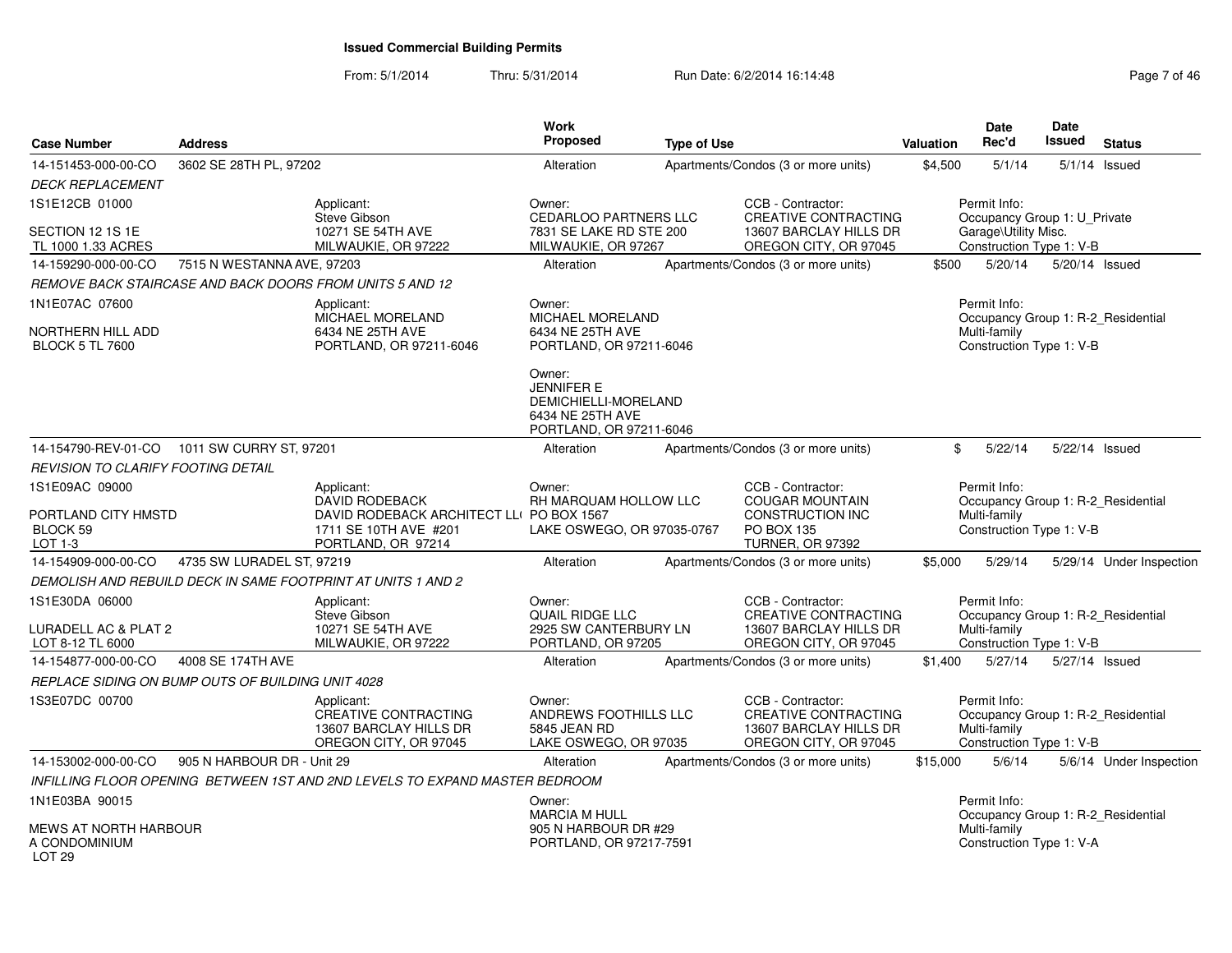### From: 5/1/2014Thru: 5/31/2014 Run Date: 6/2/2014 16:14:48 Research 2010 12:48

| <b>Case Number</b>                                         | <b>Address</b>             |                                                                                                          | Work<br><b>Proposed</b>                                                                            | <b>Type of Use</b> |                                                                                                     | Valuation | <b>Date</b><br>Rec'd                                     | <b>Date</b><br>Issued | <b>Status</b>                      |
|------------------------------------------------------------|----------------------------|----------------------------------------------------------------------------------------------------------|----------------------------------------------------------------------------------------------------|--------------------|-----------------------------------------------------------------------------------------------------|-----------|----------------------------------------------------------|-----------------------|------------------------------------|
| 14-151453-000-00-CO<br><b>DECK REPLACEMENT</b>             | 3602 SE 28TH PL, 97202     |                                                                                                          | Alteration                                                                                         |                    | Apartments/Condos (3 or more units)                                                                 | \$4,500   | 5/1/14                                                   |                       | $5/1/14$ Issued                    |
| 1S1E12CB 01000                                             |                            | Applicant:<br>Steve Gibson                                                                               | Owner:<br><b>CEDARLOO PARTNERS LLC</b>                                                             |                    | CCB - Contractor:<br><b>CREATIVE CONTRACTING</b>                                                    |           | Permit Info:<br>Occupancy Group 1: U_Private             |                       |                                    |
| SECTION 12 1S 1E<br>TL 1000 1.33 ACRES                     |                            | 10271 SE 54TH AVE<br>MILWAUKIE, OR 97222                                                                 | 7831 SE LAKE RD STE 200<br>MILWAUKIE, OR 97267                                                     |                    | 13607 BARCLAY HILLS DR<br>OREGON CITY, OR 97045                                                     |           | Garage\Utility Misc.<br>Construction Type 1: V-B         |                       |                                    |
| 14-159290-000-00-CO                                        | 7515 N WESTANNA AVE, 97203 |                                                                                                          | Alteration                                                                                         |                    | Apartments/Condos (3 or more units)                                                                 | \$500     | 5/20/14                                                  |                       | 5/20/14 Issued                     |
|                                                            |                            | REMOVE BACK STAIRCASE AND BACK DOORS FROM UNITS 5 AND 12                                                 |                                                                                                    |                    |                                                                                                     |           |                                                          |                       |                                    |
| 1N1E07AC 07600                                             |                            | Applicant:<br>MICHAEL MORELAND                                                                           | Owner:<br>MICHAEL MORELAND                                                                         |                    |                                                                                                     |           | Permit Info:                                             |                       | Occupancy Group 1: R-2 Residential |
| NORTHERN HILL ADD<br><b>BLOCK 5 TL 7600</b>                |                            | 6434 NE 25TH AVE<br>PORTLAND, OR 97211-6046                                                              | 6434 NE 25TH AVE<br>PORTLAND, OR 97211-6046                                                        |                    |                                                                                                     |           | Multi-family<br>Construction Type 1: V-B                 |                       |                                    |
|                                                            |                            |                                                                                                          | Owner:<br><b>JENNIFER E</b><br>DEMICHIELLI-MORELAND<br>6434 NE 25TH AVE<br>PORTLAND, OR 97211-6046 |                    |                                                                                                     |           |                                                          |                       |                                    |
| 14-154790-REV-01-CO                                        | 1011 SW CURRY ST, 97201    |                                                                                                          | Alteration                                                                                         |                    | Apartments/Condos (3 or more units)                                                                 | \$        | 5/22/14                                                  |                       | 5/22/14 Issued                     |
| REVISION TO CLARIFY FOOTING DETAIL                         |                            |                                                                                                          |                                                                                                    |                    |                                                                                                     |           |                                                          |                       |                                    |
| 1S1E09AC 09000<br>PORTLAND CITY HMSTD<br>BLOCK 59          |                            | Applicant:<br><b>DAVID RODEBACK</b><br>DAVID RODEBACK ARCHITECT LL( PO BOX 1567<br>1711 SE 10TH AVE #201 | Owner:<br>RH MARQUAM HOLLOW LLC<br>LAKE OSWEGO, OR 97035-0767                                      |                    | CCB - Contractor:<br><b>COUGAR MOUNTAIN</b><br>CONSTRUCTION INC<br>PO BOX 135                       |           | Permit Info:<br>Multi-family<br>Construction Type 1: V-B |                       | Occupancy Group 1: R-2_Residential |
| LOT $1-3$                                                  |                            | PORTLAND, OR 97214                                                                                       |                                                                                                    |                    | <b>TURNER, OR 97392</b>                                                                             |           |                                                          |                       |                                    |
| 14-154909-000-00-CO                                        | 4735 SW LURADEL ST, 97219  |                                                                                                          | Alteration                                                                                         |                    | Apartments/Condos (3 or more units)                                                                 | \$5,000   | 5/29/14                                                  |                       | 5/29/14 Under Inspection           |
|                                                            |                            | DEMOLISH AND REBUILD DECK IN SAME FOOTPRINT AT UNITS 1 AND 2                                             |                                                                                                    |                    |                                                                                                     |           |                                                          |                       |                                    |
| 1S1E30DA 06000<br>LURADELL AC & PLAT 2<br>LOT 8-12 TL 6000 |                            | Applicant:<br>Steve Gibson<br>10271 SE 54TH AVE<br>MILWAUKIE, OR 97222                                   | Owner:<br><b>QUAIL RIDGE LLC</b><br>2925 SW CANTERBURY LN<br>PORTLAND, OR 97205                    |                    | CCB - Contractor:<br><b>CREATIVE CONTRACTING</b><br>13607 BARCLAY HILLS DR<br>OREGON CITY, OR 97045 |           | Permit Info:<br>Multi-family<br>Construction Type 1: V-B |                       | Occupancy Group 1: R-2_Residential |
| 14-154877-000-00-CO                                        | 4008 SE 174TH AVE          |                                                                                                          | Alteration                                                                                         |                    | Apartments/Condos (3 or more units)                                                                 | \$1,400   | 5/27/14                                                  |                       | 5/27/14 Issued                     |
| REPLACE SIDING ON BUMP OUTS OF BUILDING UNIT 4028          |                            |                                                                                                          |                                                                                                    |                    |                                                                                                     |           |                                                          |                       |                                    |
| 1S3E07DC 00700                                             |                            | Applicant:<br><b>CREATIVE CONTRACTING</b><br>13607 BARCLAY HILLS DR<br>OREGON CITY, OR 97045             | Owner:<br>ANDREWS FOOTHILLS LLC<br>5845 JEAN RD<br>LAKE OSWEGO, OR 97035                           |                    | CCB - Contractor:<br>CREATIVE CONTRACTING<br>13607 BARCLAY HILLS DR<br>OREGON CITY, OR 97045        |           | Permit Info:<br>Multi-family<br>Construction Type 1: V-B |                       | Occupancy Group 1: R-2_Residential |
| 14-153002-000-00-CO                                        | 905 N HARBOUR DR - Unit 29 |                                                                                                          | Alteration                                                                                         |                    | Apartments/Condos (3 or more units)                                                                 | \$15,000  | 5/6/14                                                   |                       | 5/6/14 Under Inspection            |
|                                                            |                            | INFILLING FLOOR OPENING BETWEEN 1ST AND 2ND LEVELS TO EXPAND MASTER BEDROOM                              |                                                                                                    |                    |                                                                                                     |           |                                                          |                       |                                    |
| 1N1E03BA 90015                                             |                            |                                                                                                          | Owner:<br><b>MARCIA M HULL</b>                                                                     |                    |                                                                                                     |           | Permit Info:                                             |                       | Occupancy Group 1: R-2_Residential |
| MEWS AT NORTH HARBOUR<br>A CONDOMINIUM<br><b>LOT 29</b>    |                            |                                                                                                          | 905 N HARBOUR DR #29<br>PORTLAND, OR 97217-7591                                                    |                    |                                                                                                     |           | Multi-family<br>Construction Type 1: V-A                 |                       |                                    |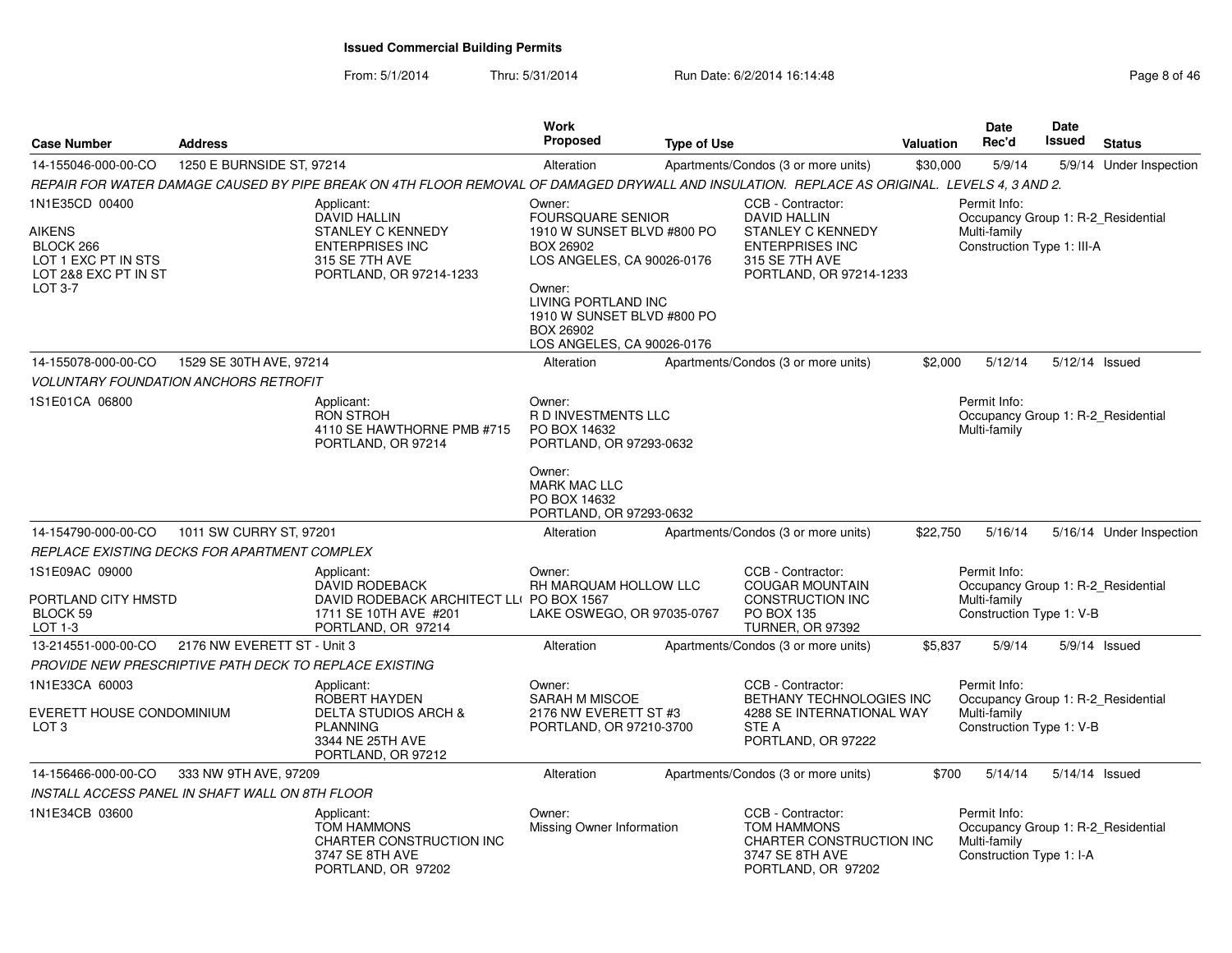From: 5/1/2014Thru: 5/31/2014 Run Date: 6/2/2014 16:14:48 Research 2010 12:48

| <b>Case Number</b>                                                                                     | <b>Address</b>              |                                                                                                                                              | <b>Work</b><br>Proposed                                                                                                                                                                 | <b>Type of Use</b> |                                                                                                                                             | <b>Valuation</b> | <b>Date</b><br>Rec'd                                                                             | <b>Date</b><br><b>Issued</b> | <b>Status</b>            |
|--------------------------------------------------------------------------------------------------------|-----------------------------|----------------------------------------------------------------------------------------------------------------------------------------------|-----------------------------------------------------------------------------------------------------------------------------------------------------------------------------------------|--------------------|---------------------------------------------------------------------------------------------------------------------------------------------|------------------|--------------------------------------------------------------------------------------------------|------------------------------|--------------------------|
| 14-155046-000-00-CO                                                                                    | 1250 E BURNSIDE ST. 97214   |                                                                                                                                              | Alteration                                                                                                                                                                              |                    | Apartments/Condos (3 or more units)                                                                                                         | \$30,000         | 5/9/14                                                                                           | 5/9/14                       | Under Inspection         |
|                                                                                                        |                             | REPAIR FOR WATER DAMAGE CAUSED BY PIPE BREAK ON 4TH FLOOR REMOVAL OF DAMAGED DRYWALL AND INSULATION. REPLACE AS ORIGINAL. LEVELS 4, 3 AND 2. |                                                                                                                                                                                         |                    |                                                                                                                                             |                  |                                                                                                  |                              |                          |
| 1N1E35CD 00400<br><b>AIKENS</b><br>BLOCK 266<br>LOT 1 EXC PT IN STS<br>LOT 2&8 EXC PT IN ST<br>LOT 3-7 |                             | Applicant:<br><b>DAVID HALLIN</b><br>STANLEY C KENNEDY<br><b>ENTERPRISES INC</b><br>315 SE 7TH AVE<br>PORTLAND, OR 97214-1233                | Owner:<br><b>FOURSQUARE SENIOR</b><br>1910 W SUNSET BLVD #800 PO<br>BOX 26902<br>LOS ANGELES, CA 90026-0176<br>Owner:<br>LIVING PORTLAND INC<br>1910 W SUNSET BLVD #800 PO<br>BOX 26902 |                    | CCB - Contractor:<br><b>DAVID HALLIN</b><br><b>STANLEY C KENNEDY</b><br><b>ENTERPRISES INC</b><br>315 SE 7TH AVE<br>PORTLAND, OR 97214-1233 |                  | Permit Info:<br>Occupancy Group 1: R-2_Residential<br>Multi-family<br>Construction Type 1: III-A |                              |                          |
|                                                                                                        |                             |                                                                                                                                              | LOS ANGELES, CA 90026-0176                                                                                                                                                              |                    |                                                                                                                                             |                  |                                                                                                  |                              |                          |
| 14-155078-000-00-CO                                                                                    | 1529 SE 30TH AVE, 97214     |                                                                                                                                              | Alteration                                                                                                                                                                              |                    | Apartments/Condos (3 or more units)                                                                                                         | \$2,000          | 5/12/14                                                                                          |                              | 5/12/14 Issued           |
| <b>VOLUNTARY FOUNDATION ANCHORS RETROFIT</b>                                                           |                             |                                                                                                                                              |                                                                                                                                                                                         |                    |                                                                                                                                             |                  |                                                                                                  |                              |                          |
| 1S1E01CA 06800                                                                                         |                             | Applicant:<br><b>RON STROH</b><br>4110 SE HAWTHORNE PMB #715<br>PORTLAND, OR 97214                                                           | Owner:<br>R D INVESTMENTS LLC<br>PO BOX 14632<br>PORTLAND, OR 97293-0632                                                                                                                |                    |                                                                                                                                             |                  | Permit Info:<br>Occupancy Group 1: R-2_Residential<br>Multi-family                               |                              |                          |
|                                                                                                        |                             |                                                                                                                                              | Owner:<br><b>MARK MAC LLC</b><br>PO BOX 14632<br>PORTLAND, OR 97293-0632                                                                                                                |                    |                                                                                                                                             |                  |                                                                                                  |                              |                          |
| 14-154790-000-00-CO                                                                                    | 1011 SW CURRY ST, 97201     |                                                                                                                                              | Alteration                                                                                                                                                                              |                    | Apartments/Condos (3 or more units)                                                                                                         | \$22,750         | 5/16/14                                                                                          |                              | 5/16/14 Under Inspection |
| REPLACE EXISTING DECKS FOR APARTMENT COMPLEX                                                           |                             |                                                                                                                                              |                                                                                                                                                                                         |                    |                                                                                                                                             |                  |                                                                                                  |                              |                          |
| 1S1E09AC 09000<br>PORTLAND CITY HMSTD<br>BLOCK 59<br>LOT 1-3                                           |                             | Applicant:<br><b>DAVID RODEBACK</b><br>DAVID RODEBACK ARCHITECT LL( PO BOX 1567<br>1711 SE 10TH AVE #201<br>PORTLAND, OR 97214               | Owner:<br>RH MARQUAM HOLLOW LLC<br>LAKE OSWEGO, OR 97035-0767                                                                                                                           |                    | CCB - Contractor:<br><b>COUGAR MOUNTAIN</b><br>CONSTRUCTION INC<br><b>PO BOX 135</b><br>TURNER, OR 97392                                    |                  | Permit Info:<br>Occupancy Group 1: R-2_Residential<br>Multi-family<br>Construction Type 1: V-B   |                              |                          |
| 13-214551-000-00-CO                                                                                    | 2176 NW EVERETT ST - Unit 3 |                                                                                                                                              | Alteration                                                                                                                                                                              |                    | Apartments/Condos (3 or more units)                                                                                                         | \$5,837          | 5/9/14                                                                                           |                              | 5/9/14 Issued            |
| PROVIDE NEW PRESCRIPTIVE PATH DECK TO REPLACE EXISTING                                                 |                             |                                                                                                                                              |                                                                                                                                                                                         |                    |                                                                                                                                             |                  |                                                                                                  |                              |                          |
| 1N1E33CA 60003<br>EVERETT HOUSE CONDOMINIUM<br>LOT <sub>3</sub>                                        |                             | Applicant:<br><b>ROBERT HAYDEN</b><br><b>DELTA STUDIOS ARCH &amp;</b><br><b>PLANNING</b><br>3344 NE 25TH AVE<br>PORTLAND, OR 97212           | Owner:<br>SARAH M MISCOE<br>2176 NW EVERETT ST #3<br>PORTLAND, OR 97210-3700                                                                                                            |                    | CCB - Contractor:<br>BETHANY TECHNOLOGIES INC<br>4288 SE INTERNATIONAL WAY<br><b>STE A</b><br>PORTLAND, OR 97222                            |                  | Permit Info:<br>Occupancy Group 1: R-2_Residential<br>Multi-family<br>Construction Type 1: V-B   |                              |                          |
| 14-156466-000-00-CO                                                                                    | 333 NW 9TH AVE, 97209       |                                                                                                                                              | Alteration                                                                                                                                                                              |                    | Apartments/Condos (3 or more units)                                                                                                         | \$700            | 5/14/14                                                                                          |                              | 5/14/14 Issued           |
| INSTALL ACCESS PANEL IN SHAFT WALL ON 8TH FLOOR                                                        |                             |                                                                                                                                              |                                                                                                                                                                                         |                    |                                                                                                                                             |                  |                                                                                                  |                              |                          |
| 1N1E34CB 03600                                                                                         |                             | Applicant:<br><b>TOM HAMMONS</b><br><b>CHARTER CONSTRUCTION INC</b><br>3747 SE 8TH AVE<br>PORTLAND, OR 97202                                 | Owner:<br>Missing Owner Information                                                                                                                                                     |                    | CCB - Contractor:<br><b>TOM HAMMONS</b><br><b>CHARTER CONSTRUCTION INC</b><br>3747 SE 8TH AVE<br>PORTLAND, OR 97202                         |                  | Permit Info:<br>Occupancy Group 1: R-2_Residential<br>Multi-family<br>Construction Type 1: I-A   |                              |                          |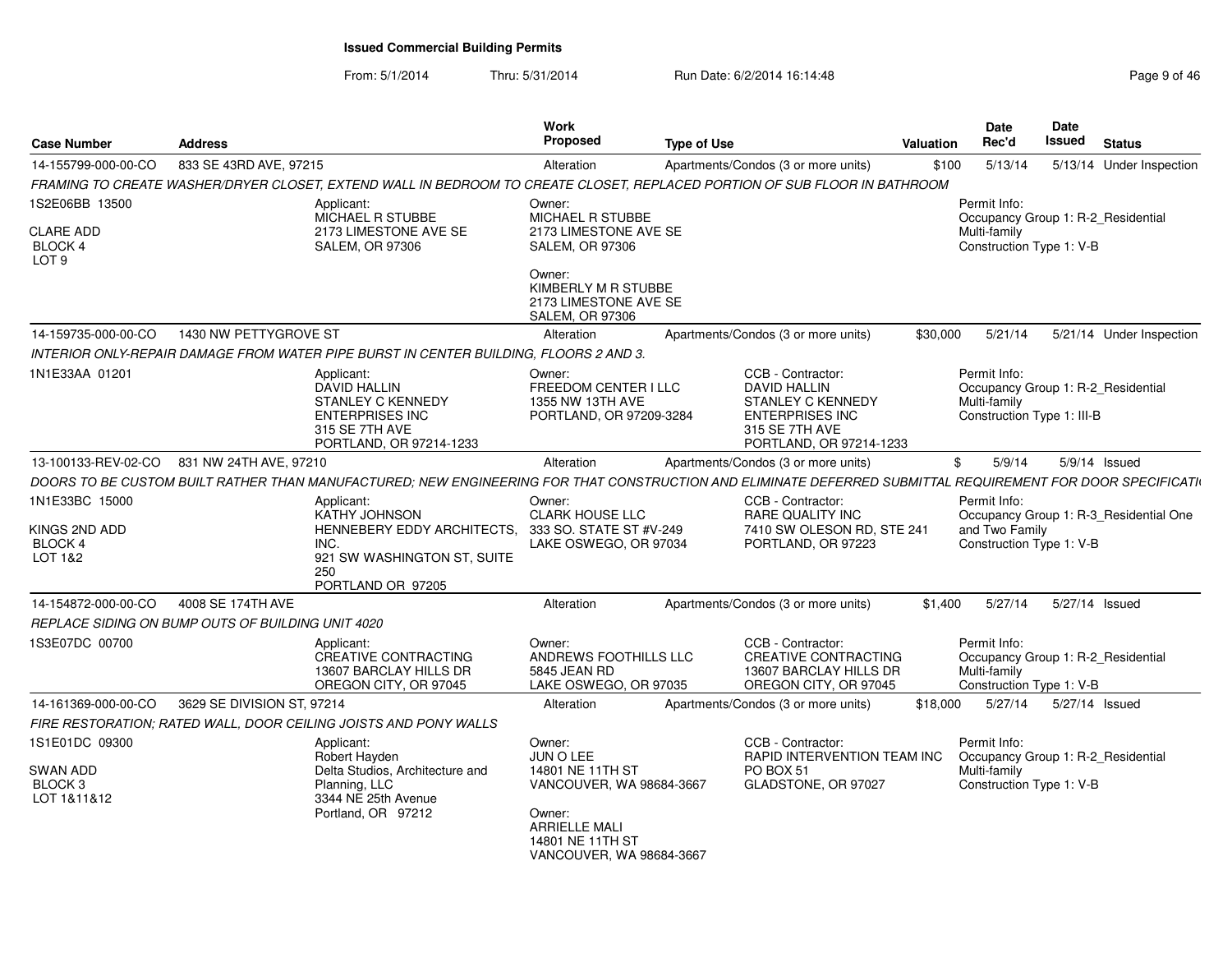From: 5/1/2014Thru: 5/31/2014 Run Date: 6/2/2014 16:14:48 Rege 9 of 46

| <b>Case Number</b>                                                | <b>Address</b>                                    |                                                                                                                                                                         | Work<br><b>Proposed</b>                                                                                                                                    | <b>Type of Use</b> |                                                                                                                                             | Valuation | Date<br>Rec'd                                                                                    | Date<br><b>Issued</b> | <b>Status</b>                          |
|-------------------------------------------------------------------|---------------------------------------------------|-------------------------------------------------------------------------------------------------------------------------------------------------------------------------|------------------------------------------------------------------------------------------------------------------------------------------------------------|--------------------|---------------------------------------------------------------------------------------------------------------------------------------------|-----------|--------------------------------------------------------------------------------------------------|-----------------------|----------------------------------------|
| 14-155799-000-00-CO                                               | 833 SE 43RD AVE, 97215                            |                                                                                                                                                                         | Alteration                                                                                                                                                 |                    | Apartments/Condos (3 or more units)                                                                                                         | \$100     | 5/13/14                                                                                          |                       | 5/13/14 Under Inspection               |
|                                                                   |                                                   | FRAMING TO CREATE WASHER/DRYER CLOSET, EXTEND WALL IN BEDROOM TO CREATE CLOSET, REPLACED PORTION OF SUB FLOOR IN BATHROOM                                               |                                                                                                                                                            |                    |                                                                                                                                             |           |                                                                                                  |                       |                                        |
| 1S2E06BB 13500<br><b>CLARE ADD</b><br>BLOCK 4<br>LOT <sub>9</sub> |                                                   | Applicant:<br>MICHAEL R STUBBE<br>2173 LIMESTONE AVE SE<br><b>SALEM, OR 97306</b>                                                                                       | Owner:<br>MICHAEL R STUBBE<br>2173 LIMESTONE AVE SE<br><b>SALEM, OR 97306</b><br>Owner:<br>KIMBERLY M R STUBBE<br>2173 LIMESTONE AVE SE<br>SALEM, OR 97306 |                    |                                                                                                                                             |           | Permit Info:<br>Occupancy Group 1: R-2_Residential<br>Multi-family<br>Construction Type 1: V-B   |                       |                                        |
| 14-159735-000-00-CO                                               | 1430 NW PETTYGROVE ST                             |                                                                                                                                                                         | Alteration                                                                                                                                                 |                    | Apartments/Condos (3 or more units)                                                                                                         | \$30,000  | 5/21/14                                                                                          |                       | 5/21/14 Under Inspection               |
|                                                                   |                                                   | INTERIOR ONLY-REPAIR DAMAGE FROM WATER PIPE BURST IN CENTER BUILDING, FLOORS 2 AND 3.                                                                                   |                                                                                                                                                            |                    |                                                                                                                                             |           |                                                                                                  |                       |                                        |
| 1N1E33AA 01201                                                    |                                                   | Applicant:<br><b>DAVID HALLIN</b><br><b>STANLEY C KENNEDY</b><br><b>ENTERPRISES INC</b><br>315 SE 7TH AVE<br>PORTLAND, OR 97214-1233                                    | Owner:<br>FREEDOM CENTER I LLC<br>1355 NW 13TH AVE<br>PORTLAND, OR 97209-3284                                                                              |                    | CCB - Contractor:<br><b>DAVID HALLIN</b><br><b>STANLEY C KENNEDY</b><br><b>ENTERPRISES INC</b><br>315 SE 7TH AVE<br>PORTLAND, OR 97214-1233 |           | Permit Info:<br>Occupancy Group 1: R-2_Residential<br>Multi-family<br>Construction Type 1: III-B |                       |                                        |
| 13-100133-REV-02-CO                                               | 831 NW 24TH AVE, 97210                            |                                                                                                                                                                         | Alteration                                                                                                                                                 |                    | Apartments/Condos (3 or more units)                                                                                                         | \$        | 5/9/14                                                                                           |                       | 5/9/14 Issued                          |
|                                                                   |                                                   | DOORS TO BE CUSTOM BUILT RATHER THAN MANUFACTURED; NEW ENGINEERING FOR THAT CONSTRUCTION AND ELIMINATE DEFERRED SUBMITTAL REQUIREMENT FOR DOOR SPECIFICATI <sub>'</sub> |                                                                                                                                                            |                    |                                                                                                                                             |           |                                                                                                  |                       |                                        |
| 1N1E33BC 15000<br>KINGS 2ND ADD<br><b>BLOCK 4</b><br>LOT 1&2      |                                                   | Applicant:<br>KATHY JOHNSON<br>HENNEBERY EDDY ARCHITECTS,<br>INC.<br>921 SW WASHINGTON ST, SUITE<br>250<br>PORTLAND OR 97205                                            | Owner:<br><b>CLARK HOUSE LLC</b><br>333 SO. STATE ST #V-249<br>LAKE OSWEGO, OR 97034                                                                       |                    | CCB - Contractor:<br>RARE QUALITY INC<br>7410 SW OLESON RD, STE 241<br>PORTLAND, OR 97223                                                   |           | Permit Info:<br>and Two Family<br>Construction Type 1: V-B                                       |                       | Occupancy Group 1: R-3_Residential One |
| 14-154872-000-00-CO                                               | 4008 SE 174TH AVE                                 |                                                                                                                                                                         | Alteration                                                                                                                                                 |                    | Apartments/Condos (3 or more units)                                                                                                         | \$1,400   | 5/27/14                                                                                          | 5/27/14 Issued        |                                        |
|                                                                   | REPLACE SIDING ON BUMP OUTS OF BUILDING UNIT 4020 |                                                                                                                                                                         |                                                                                                                                                            |                    |                                                                                                                                             |           |                                                                                                  |                       |                                        |
| 1S3E07DC 00700                                                    |                                                   | Applicant:<br><b>CREATIVE CONTRACTING</b><br>13607 BARCLAY HILLS DR<br>OREGON CITY, OR 97045                                                                            | Owner:<br>ANDREWS FOOTHILLS LLC<br>5845 JEAN RD<br>LAKE OSWEGO, OR 97035                                                                                   |                    | CCB - Contractor:<br><b>CREATIVE CONTRACTING</b><br>13607 BARCLAY HILLS DR<br>OREGON CITY, OR 97045                                         |           | Permit Info:<br>Occupancy Group 1: R-2_Residential<br>Multi-family<br>Construction Type 1: V-B   |                       |                                        |
| 14-161369-000-00-CO                                               | 3629 SE DIVISION ST, 97214                        |                                                                                                                                                                         | Alteration                                                                                                                                                 |                    | Apartments/Condos (3 or more units)                                                                                                         | \$18,000  | 5/27/14                                                                                          | 5/27/14 Issued        |                                        |
|                                                                   |                                                   | FIRE RESTORATION: RATED WALL, DOOR CEILING JOISTS AND PONY WALLS                                                                                                        |                                                                                                                                                            |                    |                                                                                                                                             |           |                                                                                                  |                       |                                        |
| 1S1E01DC 09300<br>SWAN ADD<br>BLOCK <sub>3</sub><br>LOT 1&11&12   |                                                   | Applicant:<br>Robert Hayden<br>Delta Studios, Architecture and<br>Planning, LLC<br>3344 NE 25th Avenue<br>Portland, OR 97212                                            | Owner:<br>JUN O LEE<br>14801 NE 11TH ST<br>VANCOUVER, WA 98684-3667<br>Owner:<br><b>ARRIELLE MALI</b><br>14801 NE 11TH ST<br>VANCOUVER, WA 98684-3667      |                    | CCB - Contractor:<br>RAPID INTERVENTION TEAM INC<br>PO BOX 51<br>GLADSTONE, OR 97027                                                        |           | Permit Info:<br>Occupancy Group 1: R-2_Residential<br>Multi-family<br>Construction Type 1: V-B   |                       |                                        |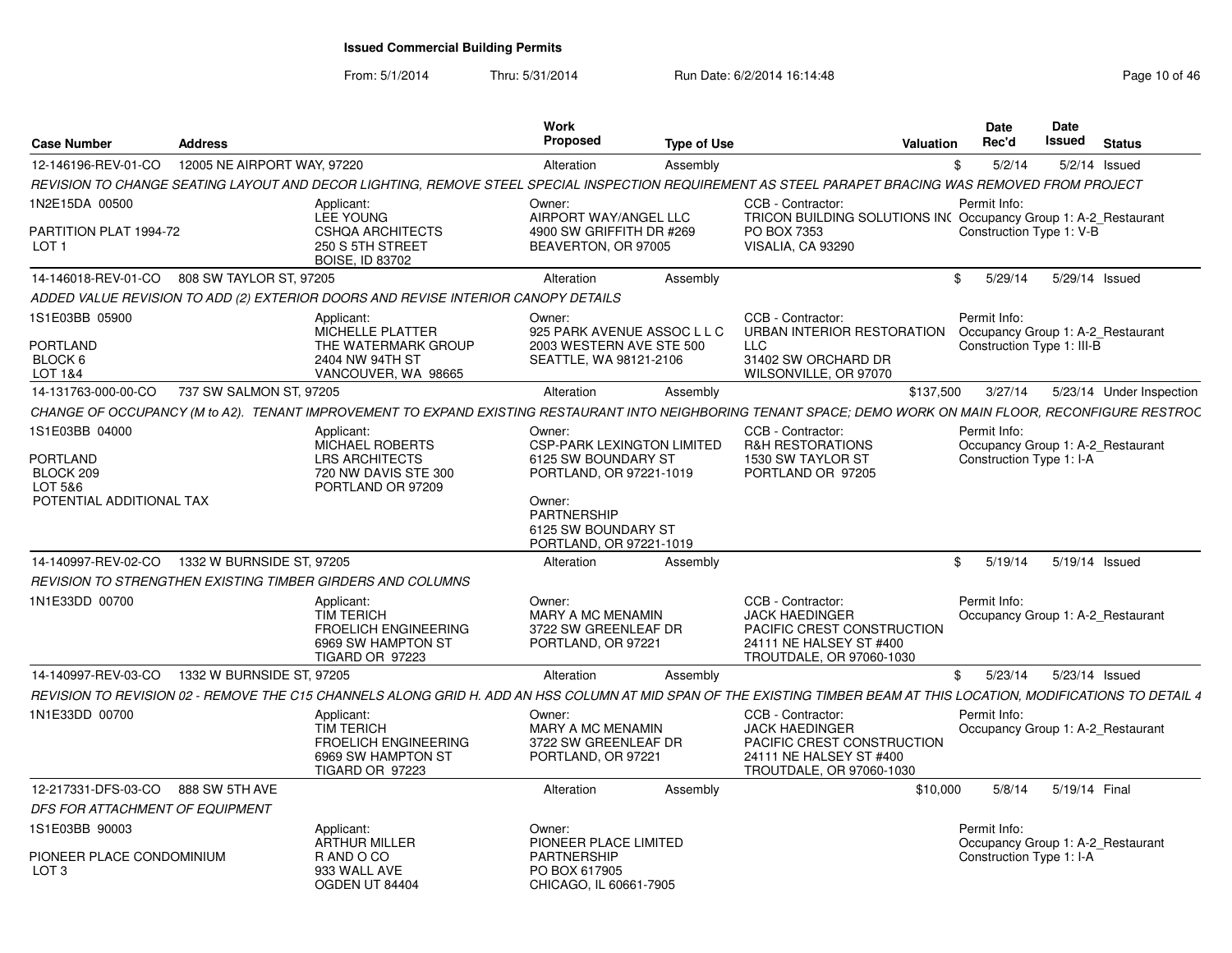From: 5/1/2014

| <b>Case Number</b>                             | <b>Address</b>              |                                                                                   | <b>Work</b><br>Proposed                         | <b>Type of Use</b> | Valuation                                                                                                                                                             | Date<br>Rec'd              | <b>Date</b><br><b>Issued</b> | <b>Status</b>                     |
|------------------------------------------------|-----------------------------|-----------------------------------------------------------------------------------|-------------------------------------------------|--------------------|-----------------------------------------------------------------------------------------------------------------------------------------------------------------------|----------------------------|------------------------------|-----------------------------------|
| 12-146196-REV-01-CO                            | 12005 NE AIRPORT WAY, 97220 |                                                                                   | Alteration                                      | Assembly           |                                                                                                                                                                       | 5/2/14<br>\$               |                              | $5/2/14$ Issued                   |
|                                                |                             |                                                                                   |                                                 |                    | REVISION TO CHANGE SEATING LAYOUT AND DECOR LIGHTING, REMOVE STEEL SPECIAL INSPECTION REQUIREMENT AS STEEL PARAPET BRACING WAS REMOVED FROM PROJECT                   |                            |                              |                                   |
| 1N2E15DA 00500                                 |                             | Applicant:                                                                        | Owner:                                          |                    | CCB - Contractor:                                                                                                                                                     | Permit Info:               |                              |                                   |
|                                                |                             | LEE YOUNG                                                                         | AIRPORT WAY/ANGEL LLC                           |                    | TRICON BUILDING SOLUTIONS INC Occupancy Group 1: A-2 Restaurant                                                                                                       |                            |                              |                                   |
| PARTITION PLAT 1994-72<br>LOT <sub>1</sub>     |                             | <b>CSHOA ARCHITECTS</b><br>250 S 5TH STREET                                       | 4900 SW GRIFFITH DR #269<br>BEAVERTON, OR 97005 |                    | PO BOX 7353<br>VISALIA, CA 93290                                                                                                                                      | Construction Type 1: V-B   |                              |                                   |
|                                                |                             | <b>BOISE, ID 83702</b>                                                            |                                                 |                    |                                                                                                                                                                       |                            |                              |                                   |
| 14-146018-REV-01-CO 808 SW TAYLOR ST, 97205    |                             |                                                                                   | Alteration                                      | Assembly           |                                                                                                                                                                       | \$ 5/29/14 5/29/14 Issued  |                              |                                   |
|                                                |                             | ADDED VALUE REVISION TO ADD (2) EXTERIOR DOORS AND REVISE INTERIOR CANOPY DETAILS |                                                 |                    |                                                                                                                                                                       |                            |                              |                                   |
| 1S1E03BB 05900                                 |                             | Applicant                                                                         | Owner:                                          |                    | CCB - Contractor:                                                                                                                                                     | Permit Info:               |                              |                                   |
|                                                |                             | MICHELLE PLATTER                                                                  | 925 PARK AVENUE ASSOC L L C                     |                    | URBAN INTERIOR RESTORATION Occupancy Group 1: A-2 Restaurant                                                                                                          |                            |                              |                                   |
| <b>PORTLAND</b>                                |                             | THE WATERMARK GROUP                                                               | 2003 WESTERN AVE STE 500                        |                    | <b>LLC</b>                                                                                                                                                            | Construction Type 1: III-B |                              |                                   |
| BLOCK 6                                        |                             | 2404 NW 94TH ST                                                                   | SEATTLE, WA 98121-2106                          |                    | 31402 SW ORCHARD DR                                                                                                                                                   |                            |                              |                                   |
| LOT 1&4                                        |                             | VANCOUVER, WA 98665                                                               |                                                 |                    | WILSONVILLE, OR 97070                                                                                                                                                 |                            |                              |                                   |
| 14-131763-000-00-CO                            | 737 SW SALMON ST, 97205     |                                                                                   | Alteration                                      | Assembly           | \$137.500                                                                                                                                                             | 3/27/14                    |                              | 5/23/14 Under Inspection          |
|                                                |                             |                                                                                   |                                                 |                    | CHANGE OF OCCUPANCY (M to A2). TENANT IMPROVEMENT TO EXPAND EXISTING RESTAURANT INTO NEIGHBORING TENANT SPACE; DEMO WORK ON MAIN FLOOR, RECONFIGURE RESTROC           |                            |                              |                                   |
| 1S1E03BB 04000                                 |                             | Applicant:                                                                        | Owner:                                          |                    | CCB - Contractor:                                                                                                                                                     | Permit Info:               |                              |                                   |
|                                                |                             | <b>MICHAEL ROBERTS</b>                                                            | <b>CSP-PARK LEXINGTON LIMITED</b>               |                    | <b>R&amp;H RESTORATIONS</b>                                                                                                                                           |                            |                              | Occupancy Group 1: A-2 Restaurant |
| PORTLAND                                       |                             | <b>LRS ARCHITECTS</b>                                                             | 6125 SW BOUNDARY ST                             |                    | 1530 SW TAYLOR ST                                                                                                                                                     | Construction Type 1: I-A   |                              |                                   |
| BLOCK 209                                      |                             | 720 NW DAVIS STE 300                                                              | PORTLAND, OR 97221-1019                         |                    | PORTLAND OR 97205                                                                                                                                                     |                            |                              |                                   |
| LOT 5&6                                        |                             | PORTLAND OR 97209                                                                 |                                                 |                    |                                                                                                                                                                       |                            |                              |                                   |
| POTENTIAL ADDITIONAL TAX                       |                             |                                                                                   | Owner:                                          |                    |                                                                                                                                                                       |                            |                              |                                   |
|                                                |                             |                                                                                   | <b>PARTNERSHIP</b><br>6125 SW BOUNDARY ST       |                    |                                                                                                                                                                       |                            |                              |                                   |
|                                                |                             |                                                                                   | PORTLAND, OR 97221-1019                         |                    |                                                                                                                                                                       |                            |                              |                                   |
| 14-140997-REV-02-CO                            | 1332 W BURNSIDE ST, 97205   |                                                                                   | Alteration                                      | Assembly           |                                                                                                                                                                       | \$5/19/14                  |                              | 5/19/14 Issued                    |
|                                                |                             | REVISION TO STRENGTHEN EXISTING TIMBER GIRDERS AND COLUMNS                        |                                                 |                    |                                                                                                                                                                       |                            |                              |                                   |
| 1N1E33DD 00700                                 |                             |                                                                                   | Owner:                                          |                    | CCB - Contractor:                                                                                                                                                     | Permit Info:               |                              |                                   |
|                                                |                             | Applicant:<br><b>TIM TERICH</b>                                                   | MARY A MC MENAMIN                               |                    | <b>JACK HAEDINGER</b>                                                                                                                                                 |                            |                              | Occupancy Group 1: A-2 Restaurant |
|                                                |                             | <b>FROELICH ENGINEERING</b>                                                       | 3722 SW GREENLEAF DR                            |                    | PACIFIC CREST CONSTRUCTION                                                                                                                                            |                            |                              |                                   |
|                                                |                             | 6969 SW HAMPTON ST                                                                | PORTLAND, OR 97221                              |                    | 24111 NE HALSEY ST #400                                                                                                                                               |                            |                              |                                   |
|                                                |                             | TIGARD OR 97223                                                                   |                                                 |                    | TROUTDALE, OR 97060-1030                                                                                                                                              |                            |                              |                                   |
| 14-140997-REV-03-CO  1332 W BURNSIDE ST, 97205 |                             |                                                                                   | Alteration                                      | Assembly           |                                                                                                                                                                       | \$ 5/23/14 5/23/14 Issued  |                              |                                   |
|                                                |                             |                                                                                   |                                                 |                    | REVISION TO REVISION 02 - REMOVE THE C15 CHANNELS ALONG GRID H. ADD AN HSS COLUMN AT MID SPAN OF THE EXISTING TIMBER BEAM AT THIS LOCATION, MODIFICATIONS TO DETAIL 4 |                            |                              |                                   |
| 1N1E33DD 00700                                 |                             | Applicant:                                                                        | Owner:                                          |                    | CCB - Contractor:                                                                                                                                                     | Permit Info:               |                              |                                   |
|                                                |                             | <b>TIM TERICH</b>                                                                 | <b>MARY A MC MENAMIN</b>                        |                    | <b>JACK HAEDINGER</b>                                                                                                                                                 |                            |                              | Occupancy Group 1: A-2 Restaurant |
|                                                |                             | <b>FROELICH ENGINEERING</b>                                                       | 3722 SW GREENLEAF DR                            |                    | PACIFIC CREST CONSTRUCTION                                                                                                                                            |                            |                              |                                   |
|                                                |                             | 6969 SW HAMPTON ST                                                                | PORTLAND, OR 97221                              |                    | 24111 NE HALSEY ST #400                                                                                                                                               |                            |                              |                                   |
|                                                |                             | TIGARD OR 97223                                                                   |                                                 |                    | TROUTDALE, OR 97060-1030                                                                                                                                              |                            |                              |                                   |
| 12-217331-DFS-03-CO 888 SW 5TH AVE             |                             |                                                                                   | Alteration                                      | Assembly           | \$10,000                                                                                                                                                              |                            |                              | 5/8/14  5/19/14  Final            |
| DFS FOR ATTACHMENT OF EQUIPMENT                |                             |                                                                                   |                                                 |                    |                                                                                                                                                                       |                            |                              |                                   |
| 1S1E03BB 90003                                 |                             | Applicant:                                                                        | Owner:                                          |                    |                                                                                                                                                                       | Permit Info:               |                              |                                   |
|                                                |                             | <b>ARTHUR MILLER</b>                                                              | PIONEER PLACE LIMITED                           |                    |                                                                                                                                                                       |                            |                              | Occupancy Group 1: A-2 Restaurant |
| PIONEER PLACE CONDOMINIUM                      |                             | R AND O CO                                                                        | <b>PARTNERSHIP</b>                              |                    |                                                                                                                                                                       | Construction Type 1: I-A   |                              |                                   |
| LOT 3                                          |                             | 933 WALL AVE                                                                      | PO BOX 617905                                   |                    |                                                                                                                                                                       |                            |                              |                                   |
|                                                |                             | OGDEN UT 84404                                                                    | CHICAGO, IL 60661-7905                          |                    |                                                                                                                                                                       |                            |                              |                                   |
|                                                |                             |                                                                                   |                                                 |                    |                                                                                                                                                                       |                            |                              |                                   |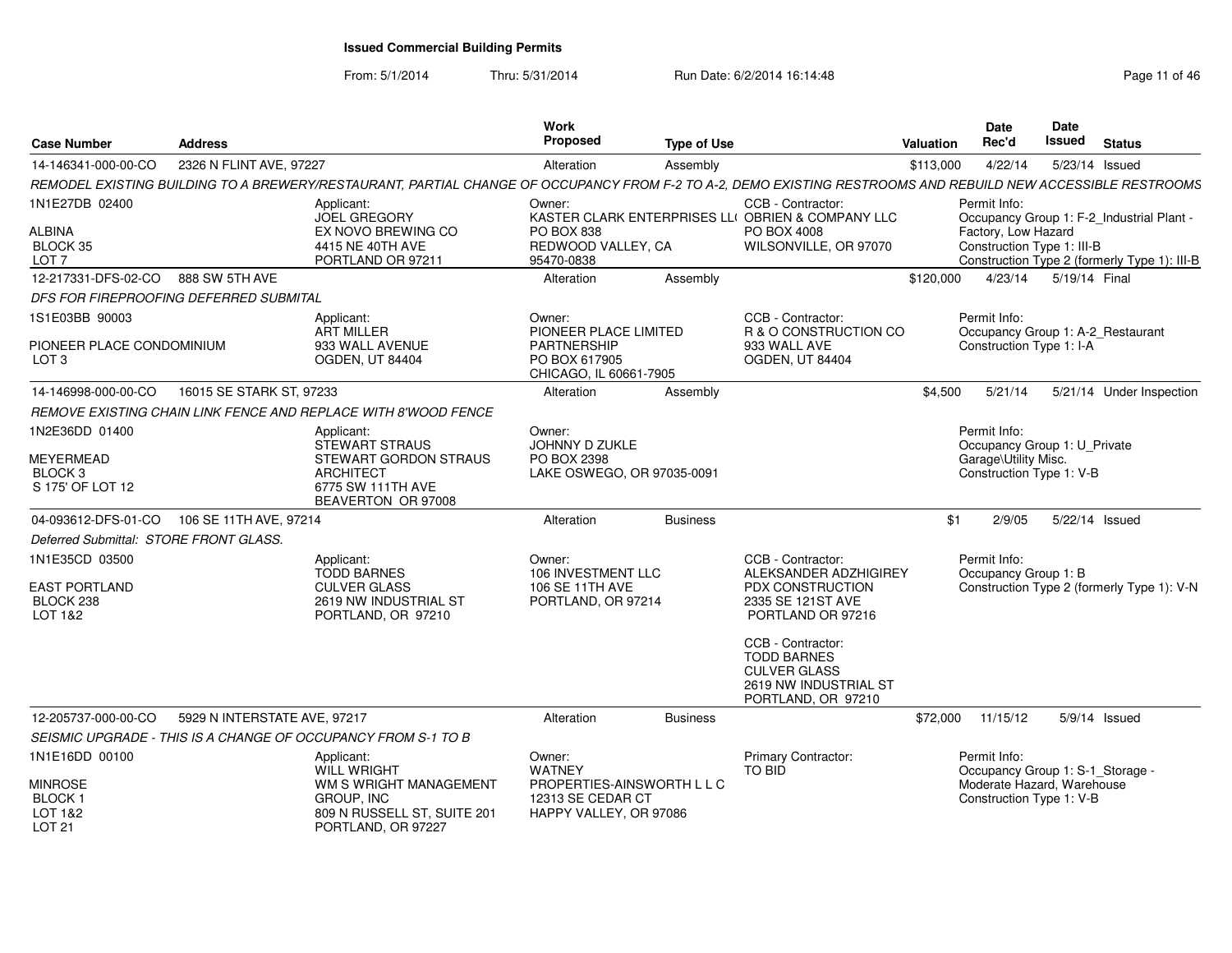| <b>Case Number</b>                                          | <b>Address</b> |                                                                                                                                                              | Work<br>Proposed                                                          | <b>Type of Use</b> |                                                                                                               | Date<br>Rec'd<br>Valuation      | <b>Date</b>                                       | Issued<br><b>Status</b>                      |
|-------------------------------------------------------------|----------------|--------------------------------------------------------------------------------------------------------------------------------------------------------------|---------------------------------------------------------------------------|--------------------|---------------------------------------------------------------------------------------------------------------|---------------------------------|---------------------------------------------------|----------------------------------------------|
| 14-146341-000-00-CO 2326 N FLINT AVE, 97227                 |                |                                                                                                                                                              | Alteration                                                                | Assembly           |                                                                                                               | \$113,000<br>4/22/14            |                                                   | 5/23/14 Issued                               |
|                                                             |                | REMODEL EXISTING BUILDING TO A BREWERY/RESTAURANT, PARTIAL CHANGE OF OCCUPANCY FROM F-2 TO A-2, DEMO EXISTING RESTROOMS AND REBUILD NEW ACCESSIBLE RESTROOMS |                                                                           |                    |                                                                                                               |                                 |                                                   |                                              |
| 1N1E27DB 02400                                              |                | Applicant:<br>JOEL GREGORY<br>EX NOVO BREWING CO                                                                                                             | Owner:                                                                    |                    | CCB - Contractor:<br>KASTER CLARK ENTERPRISES LLI OBRIEN & COMPANY LLC<br>PO BOX 4008                         | Permit Info:                    |                                                   | Occupancy Group 1: F-2_Industrial Plant -    |
| ALBINA<br>BLOCK 35<br>LOT <sub>7</sub>                      |                | 4415 NE 40TH AVE<br>PORTLAND OR 97211                                                                                                                        | PO BOX 838<br>REDWOOD VALLEY, CA<br>95470-0838                            |                    | WILSONVILLE, OR 97070                                                                                         |                                 | Factory, Low Hazard<br>Construction Type 1: III-B | Construction Type 2 (formerly Type 1): III-B |
| 12-217331-DFS-02-CO 888 SW 5TH AVE                          |                |                                                                                                                                                              | Alteration                                                                | Assembly           |                                                                                                               | \$120,000                       |                                                   | 4/23/14 5/19/14 Final                        |
| DFS FOR FIREPROOFING DEFERRED SUBMITAL                      |                |                                                                                                                                                              |                                                                           |                    |                                                                                                               |                                 |                                                   |                                              |
| 1S1E03BB 90003<br>PIONEER PLACE CONDOMINIUM                 |                | Applicant:<br>ART MILLER<br>933 WALL AVENUE                                                                                                                  | Owner:<br>PIONEER PLACE LIMITED<br>PARTNERSHIP                            |                    | CCB - Contractor:<br>R & O CONSTRUCTION CO<br>933 WALL AVE                                                    | Permit Info:                    | Construction Type 1: I-A                          | Occupancy Group 1: A-2 Restaurant            |
| LOT <sub>3</sub>                                            |                | <b>OGDEN, UT 84404</b>                                                                                                                                       | PO BOX 617905<br>CHICAGO, IL 60661-7905                                   |                    | OGDEN, UT 84404                                                                                               |                                 |                                                   |                                              |
| 14-146998-000-00-CO   16015 SE STARK ST, 97233              |                |                                                                                                                                                              | Alteration                                                                | Assembly           |                                                                                                               | \$4.500                         | 5/21/14                                           | 5/21/14 Under Inspection                     |
|                                                             |                | REMOVE EXISTING CHAIN LINK FENCE AND REPLACE WITH 8'WOOD FENCE                                                                                               |                                                                           |                    |                                                                                                               |                                 |                                                   |                                              |
| 1N2E36DD 01400                                              |                | Applicant:<br>STEWART STRAUS                                                                                                                                 | Owner:<br>JOHNNY D ZUKLE                                                  |                    |                                                                                                               | Permit Info:                    |                                                   | Occupancy Group 1: U_Private                 |
| MEYERMEAD<br>BLOCK 3<br>S 175' OF LOT 12                    |                | STEWART GORDON STRAUS<br><b>ARCHITECT</b><br>6775 SW 111TH AVE<br>BEAVERTON OR 97008                                                                         | PO BOX 2398<br>LAKE OSWEGO, OR 97035-0091                                 |                    |                                                                                                               |                                 | Garage\Utility Misc.<br>Construction Type 1: V-B  |                                              |
| 04-093612-DFS-01-CO 106 SE 11TH AVE, 97214                  |                |                                                                                                                                                              | Alteration                                                                | Business           |                                                                                                               | 2/9/05<br>\$1                   |                                                   | 5/22/14 Issued                               |
| Deferred Submittal: STORE FRONT GLASS.                      |                |                                                                                                                                                              |                                                                           |                    |                                                                                                               |                                 |                                                   |                                              |
| 1N1E35CD 03500                                              |                | Applicant:                                                                                                                                                   | Owner:                                                                    |                    | CCB - Contractor:                                                                                             | Permit Info:                    |                                                   |                                              |
|                                                             |                | TODD BARNES                                                                                                                                                  | 106 INVESTMENT LLC                                                        |                    | ALEKSANDER ADZHIGIREY                                                                                         |                                 | Occupancy Group 1: B                              |                                              |
| <b>EAST PORTLAND</b><br>BLOCK 238<br>LOT 1&2                |                | <b>CULVER GLASS</b><br>2619 NW INDUSTRIAL ST<br>PORTLAND, OR 97210                                                                                           | 106 SE 11TH AVE<br>PORTLAND, OR 97214                                     |                    | PDX CONSTRUCTION<br>2335 SE 121ST AVE<br>PORTLAND OR 97216                                                    |                                 |                                                   | Construction Type 2 (formerly Type 1): V-N   |
|                                                             |                |                                                                                                                                                              |                                                                           |                    | CCB - Contractor:<br><b>TODD BARNES</b><br><b>CULVER GLASS</b><br>2619 NW INDUSTRIAL ST<br>PORTLAND, OR 97210 |                                 |                                                   |                                              |
| 12-205737-000-00-CO 5929 N INTERSTATE AVE, 97217            |                |                                                                                                                                                              | Alteration                                                                | Business           |                                                                                                               | \$72,000 11/15/12 5/9/14 Issued |                                                   |                                              |
|                                                             |                | SEISMIC UPGRADE - THIS IS A CHANGE OF OCCUPANCY FROM S-1 TO B                                                                                                |                                                                           |                    |                                                                                                               |                                 |                                                   |                                              |
| 1N1E16DD 00100                                              |                | Applicant:<br><b>WILL WRIGHT</b>                                                                                                                             | Owner:<br>WATNEY                                                          |                    | <b>Primary Contractor:</b><br>TO BID                                                                          | Permit Info:                    |                                                   | Occupancy Group 1: S-1_Storage               |
| <b>MINROSE</b><br><b>BLOCK1</b><br>LOT 1&2<br><b>LOT 21</b> |                | WM S WRIGHT MANAGEMENT<br>GROUP, INC<br>809 N RUSSELL ST, SUITE 201<br>PORTLAND, OR 97227                                                                    | PROPERTIES-AINSWORTH L L C<br>12313 SE CEDAR CT<br>HAPPY VALLEY, OR 97086 |                    |                                                                                                               |                                 | Construction Type 1: V-B                          | Moderate Hazard, Warehouse                   |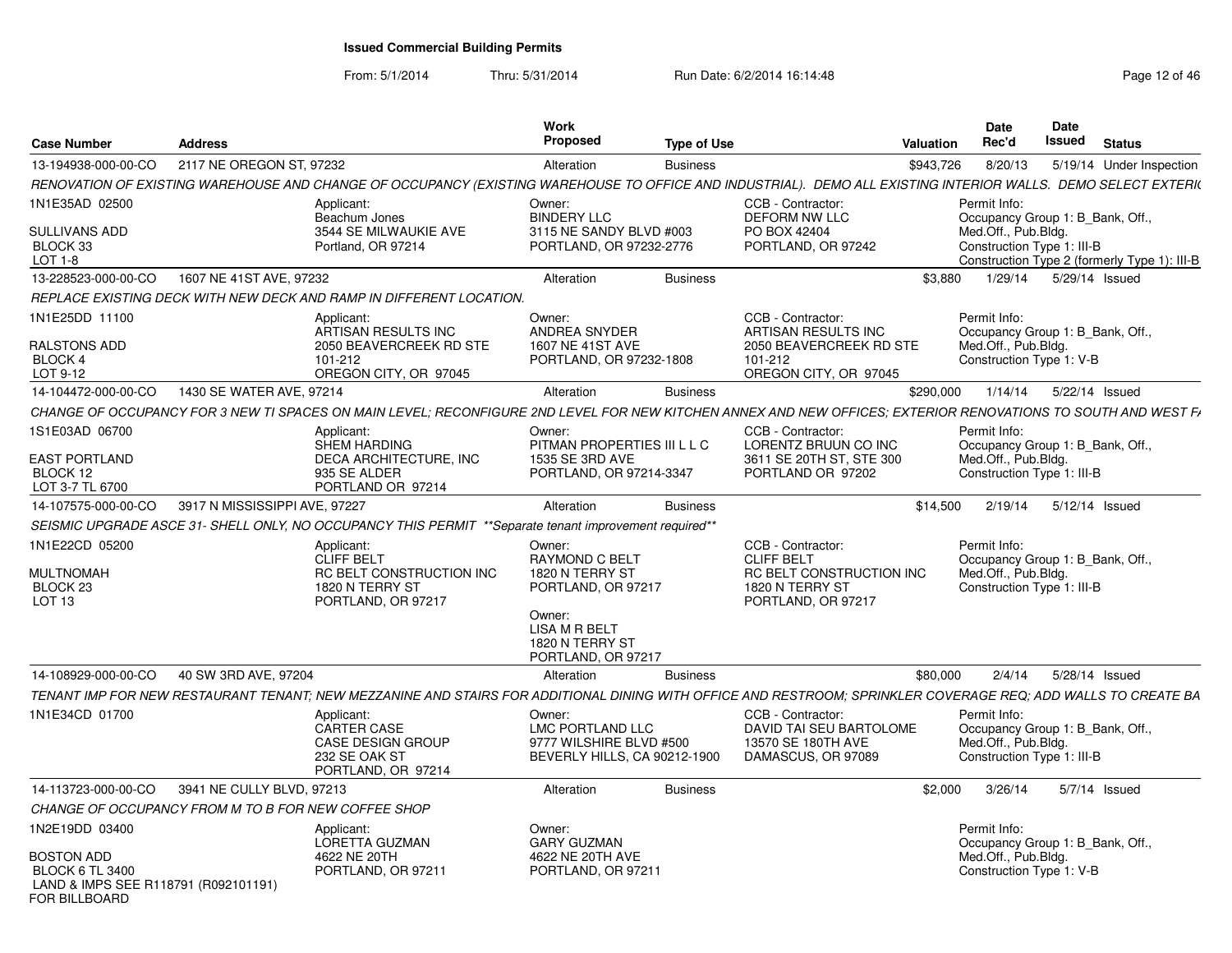From: 5/1/2014

| <b>Case Number</b>                                    | <b>Address</b>                                      |                                                                                                                                                               | <b>Work</b><br><b>Proposed</b>                                           | <b>Type of Use</b> |                                                            | Valuation | Date<br>Rec'd       | <b>Date</b><br>Issued<br><b>Status</b>                                                                         |
|-------------------------------------------------------|-----------------------------------------------------|---------------------------------------------------------------------------------------------------------------------------------------------------------------|--------------------------------------------------------------------------|--------------------|------------------------------------------------------------|-----------|---------------------|----------------------------------------------------------------------------------------------------------------|
| 13-194938-000-00-CO                                   | 2117 NE OREGON ST, 97232                            |                                                                                                                                                               | Alteration                                                               | <b>Business</b>    |                                                            | \$943,726 | 8/20/13             | 5/19/14 Under Inspection                                                                                       |
|                                                       |                                                     | RENOVATION OF EXISTING WAREHOUSE AND CHANGE OF OCCUPANCY (EXISTING WAREHOUSE TO OFFICE AND INDUSTRIAL). DEMO ALL EXISTING INTERIOR WALLS. DEMO SELECT EXTERIO |                                                                          |                    |                                                            |           |                     |                                                                                                                |
| 1N1E35AD 02500                                        |                                                     | Applicant:                                                                                                                                                    | Owner:                                                                   |                    | CCB - Contractor:                                          |           | Permit Info:        |                                                                                                                |
| <b>SULLIVANS ADD</b><br>BLOCK 33<br>$LOT 1-8$         |                                                     | Beachum Jones<br>3544 SE MILWAUKIE AVE<br>Portland, OR 97214                                                                                                  | <b>BINDERY LLC</b><br>3115 NE SANDY BLVD #003<br>PORTLAND, OR 97232-2776 |                    | <b>DEFORM NW LLC</b><br>PO BOX 42404<br>PORTLAND, OR 97242 |           | Med.Off., Pub.Bldg. | Occupancy Group 1: B Bank, Off.,<br>Construction Type 1: III-B<br>Construction Type 2 (formerly Type 1): III-B |
| 13-228523-000-00-CO                                   | 1607 NE 41ST AVE, 97232                             |                                                                                                                                                               | Alteration                                                               | <b>Business</b>    |                                                            | \$3,880   |                     | 1/29/14  5/29/14  Issued                                                                                       |
|                                                       |                                                     |                                                                                                                                                               |                                                                          |                    |                                                            |           |                     |                                                                                                                |
|                                                       |                                                     | REPLACE EXISTING DECK WITH NEW DECK AND RAMP IN DIFFERENT LOCATION.                                                                                           |                                                                          |                    |                                                            |           |                     |                                                                                                                |
| 1N1E25DD 11100                                        |                                                     | Applicant:<br>ARTISAN RESULTS INC                                                                                                                             | Owner:<br><b>ANDREA SNYDER</b>                                           |                    | CCB - Contractor:<br>ARTISAN RESULTS INC                   |           | Permit Info:        | Occupancy Group 1: B Bank, Off.,                                                                               |
| RALSTONS ADD                                          |                                                     | 2050 BEAVERCREEK RD STE                                                                                                                                       | 1607 NE 41ST AVE                                                         |                    | 2050 BEAVERCREEK RD STE                                    |           | Med.Off., Pub.Bldg. |                                                                                                                |
| BLOCK 4                                               |                                                     | 101-212                                                                                                                                                       | PORTLAND, OR 97232-1808                                                  |                    | 101-212                                                    |           |                     | Construction Type 1: V-B                                                                                       |
| LOT 9-12                                              |                                                     | OREGON CITY, OR 97045                                                                                                                                         |                                                                          |                    | OREGON CITY, OR 97045                                      |           |                     |                                                                                                                |
| 14-104472-000-00-CO                                   | 1430 SE WATER AVE, 97214                            |                                                                                                                                                               | Alteration                                                               | <b>Business</b>    |                                                            | \$290,000 |                     | 1/14/14  5/22/14  Issued                                                                                       |
|                                                       |                                                     | CHANGE OF OCCUPANCY FOR 3 NEW TI SPACES ON MAIN LEVEL; RECONFIGURE 2ND LEVEL FOR NEW KITCHEN ANNEX AND NEW OFFICES; EXTERIOR RENOVATIONS TO SOUTH AND WEST F  |                                                                          |                    |                                                            |           |                     |                                                                                                                |
| 1S1E03AD 06700                                        |                                                     | Applicant:<br><b>SHEM HARDING</b>                                                                                                                             | Owner:<br>PITMAN PROPERTIES III L L C                                    |                    | CCB - Contractor:<br>LORENTZ BRUUN CO INC                  |           | Permit Info:        | Occupancy Group 1: B Bank, Off.,                                                                               |
| <b>EAST PORTLAND</b>                                  |                                                     | <b>DECA ARCHITECTURE. INC</b>                                                                                                                                 | 1535 SE 3RD AVE                                                          |                    | 3611 SE 20TH ST, STE 300                                   |           | Med.Off., Pub.Bldg. |                                                                                                                |
| BLOCK 12                                              |                                                     | 935 SE ALDER                                                                                                                                                  | PORTLAND, OR 97214-3347                                                  |                    | PORTLAND OR 97202                                          |           |                     | Construction Type 1: III-B                                                                                     |
| LOT 3-7 TL 6700                                       |                                                     | PORTLAND OR 97214                                                                                                                                             |                                                                          |                    |                                                            |           |                     |                                                                                                                |
| 14-107575-000-00-CO                                   | 3917 N MISSISSIPPI AVE, 97227                       |                                                                                                                                                               | Alteration                                                               | <b>Business</b>    |                                                            | \$14,500  | 2/19/14             | 5/12/14 Issued                                                                                                 |
|                                                       |                                                     | SEISMIC UPGRADE ASCE 31- SHELL ONLY, NO OCCUPANCY THIS PERMIT ** Separate tenant improvement required**                                                       |                                                                          |                    |                                                            |           |                     |                                                                                                                |
| 1N1E22CD 05200                                        |                                                     | Applicant:<br><b>CLIFF BELT</b>                                                                                                                               | Owner:<br>RAYMOND C BELT                                                 |                    | CCB - Contractor:<br><b>CLIFF BELT</b>                     |           | Permit Info:        |                                                                                                                |
| MULTNOMAH                                             |                                                     | RC BELT CONSTRUCTION INC                                                                                                                                      | 1820 N TERRY ST                                                          |                    | RC BELT CONSTRUCTION INC                                   |           | Med.Off., Pub.Bldg. | Occupancy Group 1: B Bank, Off.,                                                                               |
| BLOCK 23                                              |                                                     | 1820 N TERRY ST                                                                                                                                               | PORTLAND, OR 97217                                                       |                    | 1820 N TERRY ST                                            |           |                     | Construction Type 1: III-B                                                                                     |
| LOT <sub>13</sub>                                     |                                                     | PORTLAND, OR 97217                                                                                                                                            |                                                                          |                    | PORTLAND, OR 97217                                         |           |                     |                                                                                                                |
|                                                       |                                                     |                                                                                                                                                               | Owner:<br>LISA M R BELT<br>1820 N TERRY ST                               |                    |                                                            |           |                     |                                                                                                                |
|                                                       |                                                     |                                                                                                                                                               | PORTLAND, OR 97217                                                       |                    |                                                            |           |                     |                                                                                                                |
| 14-108929-000-00-CO                                   | 40 SW 3RD AVE, 97204                                |                                                                                                                                                               | Alteration                                                               | <b>Business</b>    |                                                            | \$80,000  | 2/4/14              | 5/28/14 Issued                                                                                                 |
|                                                       |                                                     | TENANT IMP FOR NEW RESTAURANT TENANT; NEW MEZZANINE AND STAIRS FOR ADDITIONAL DINING WITH OFFICE AND RESTROOM; SPRINKLER COVERAGE REQ; ADD WALLS TO CREATE BA |                                                                          |                    |                                                            |           |                     |                                                                                                                |
| 1N1E34CD 01700                                        |                                                     | Applicant:                                                                                                                                                    | Owner:                                                                   |                    | CCB - Contractor:                                          |           | Permit Info:        |                                                                                                                |
|                                                       |                                                     | <b>CARTER CASE</b>                                                                                                                                            | LMC PORTLAND LLC                                                         |                    | DAVID TAI SEU BARTOLOME                                    |           |                     | Occupancy Group 1: B_Bank, Off.,                                                                               |
|                                                       |                                                     | <b>CASE DESIGN GROUP</b><br>232 SE OAK ST                                                                                                                     | 9777 WILSHIRE BLVD #500<br>BEVERLY HILLS, CA 90212-1900                  |                    | 13570 SE 180TH AVE<br>DAMASCUS, OR 97089                   |           | Med.Off., Pub.Bldg. | Construction Type 1: III-B                                                                                     |
|                                                       |                                                     | PORTLAND, OR 97214                                                                                                                                            |                                                                          |                    |                                                            |           |                     |                                                                                                                |
| 14-113723-000-00-CO                                   | 3941 NE CULLY BLVD, 97213                           |                                                                                                                                                               | Alteration                                                               | <b>Business</b>    |                                                            | \$2,000   | 3/26/14             | 5/7/14 Issued                                                                                                  |
|                                                       | CHANGE OF OCCUPANCY FROM M TO B FOR NEW COFFEE SHOP |                                                                                                                                                               |                                                                          |                    |                                                            |           |                     |                                                                                                                |
| 1N2E19DD 03400                                        |                                                     | Applicant:                                                                                                                                                    | Owner:                                                                   |                    |                                                            |           | Permit Info:        |                                                                                                                |
|                                                       |                                                     | LORETTA GUZMAN                                                                                                                                                | <b>GARY GUZMAN</b>                                                       |                    |                                                            |           |                     | Occupancy Group 1: B Bank, Off.,                                                                               |
| <b>BOSTON ADD</b><br><b>BLOCK 6 TL 3400</b>           |                                                     | 4622 NE 20TH<br>PORTLAND, OR 97211                                                                                                                            | 4622 NE 20TH AVE<br>PORTLAND, OR 97211                                   |                    |                                                            |           | Med.Off., Pub.Bldg. | Construction Type 1: V-B                                                                                       |
| LAND & IMPS SEE R118791 (R092101191)<br>FOR BILLBOARD |                                                     |                                                                                                                                                               |                                                                          |                    |                                                            |           |                     |                                                                                                                |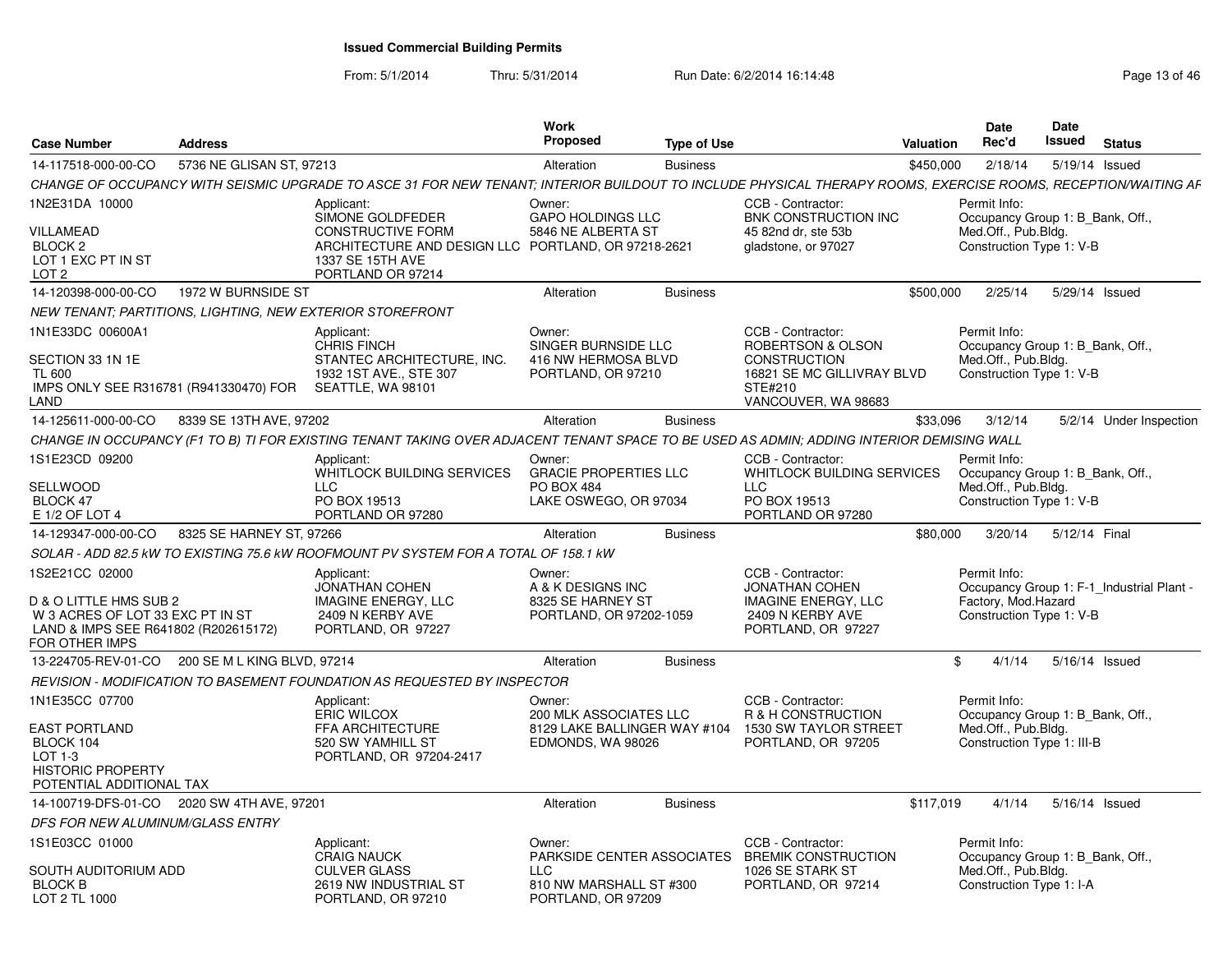| <b>Address</b><br><b>Case Number</b>                                                                                                   |                                                                                                                                                               | Work<br><b>Propose</b><br><b>Type of Use</b>                                                                | Valuation                                                                                                              | <b>Date</b><br>Date<br>Rec'd<br>Issued<br>Status                                                             |
|----------------------------------------------------------------------------------------------------------------------------------------|---------------------------------------------------------------------------------------------------------------------------------------------------------------|-------------------------------------------------------------------------------------------------------------|------------------------------------------------------------------------------------------------------------------------|--------------------------------------------------------------------------------------------------------------|
| 14-117518-000-00-CO                                                                                                                    | 5736 NE GLISAN ST, 97213                                                                                                                                      | Alteration<br><b>Business</b>                                                                               |                                                                                                                        | \$450,000<br>2/18/14  5/19/14  Issued                                                                        |
|                                                                                                                                        | CHANGE OF OCCUPANCY WITH SEISMIC UPGRADE TO ASCE 31 FOR NEW TENANT; INTERIOR BUILDOUT TO INCLUDE PHYSICAL THERAPY ROOMS, EXERCISE ROOMS, RECEPTION/WAITING AF |                                                                                                             |                                                                                                                        |                                                                                                              |
| IN2E31DA 10000<br>VILLAMEAD                                                                                                            | Applicant:<br>SIMONE GOLDFEDER<br><b>CONSTRUCTIVE FORM</b>                                                                                                    | Owner:<br><b>GAPO HOLDINGS LLC</b><br>5846 NE ALBERTA ST                                                    | CCB - Contractor:<br>BNK CONSTRUCTION INC<br>45 82nd dr. ste 53b                                                       | Permit Info:<br>Occupancy Group 1: B Bank, Off.,<br>Med.Off., Pub.Bldg.                                      |
| BLOCK 2<br>LOT 1 EXC PT IN ST<br>LOT 2                                                                                                 | ARCHITECTURE AND DESIGN LLC PORTLAND, OR 97218-2621<br>1337 SE 15TH AVE<br>PORTLAND OR 97214                                                                  |                                                                                                             | gladstone, or 97027                                                                                                    | Construction Type 1: V-B                                                                                     |
| 14-120398-000-00-CO  1972 W BURNSIDE ST                                                                                                |                                                                                                                                                               | Alteration<br><b>Business</b>                                                                               |                                                                                                                        | \$500,000<br>2/25/14<br>5/29/14 Issued                                                                       |
| NEW TENANT: PARTITIONS, LIGHTING, NEW EXTERIOR STOREFRONT                                                                              |                                                                                                                                                               |                                                                                                             |                                                                                                                        |                                                                                                              |
| IN1E33DC 00600A1<br><b>SECTION 33 1N 1E</b><br>TL 600<br>IMPS ONLY SEE R316781 (R941330470) FOR SEATTLE, WA 98101<br>LAND              | Applicant:<br><b>CHRIS FINCH</b><br>STANTEC ARCHITECTURE. INC.<br>1932 1ST AVE., STE 307                                                                      | Owner:<br>SINGER BURNSIDE LLC<br>416 NW HERMOSA BLVD<br>PORTLAND, OR 97210                                  | CCB - Contractor:<br>ROBERTSON & OLSON<br>CONSTRUCTION<br>16821 SE MC GILLIVRAY BLVD<br>STE#210<br>VANCOUVER, WA 98683 | Permit Info:<br>Occupancy Group 1: B_Bank, Off.,<br>Med.Off., Pub.Blda.<br>Construction Type 1: V-B          |
| 14-125611-000-00-CO 8339 SE 13TH AVE, 97202                                                                                            |                                                                                                                                                               | Alteration<br><b>Business</b>                                                                               |                                                                                                                        | \$33,096 3/12/14<br>5/2/14 Under Inspection                                                                  |
|                                                                                                                                        | CHANGE IN OCCUPANCY (F1 TO B) TI FOR EXISTING TENANT TAKING OVER ADJACENT TENANT SPACE TO BE USED AS ADMIN; ADDING INTERIOR DEMISING WALL                     |                                                                                                             |                                                                                                                        |                                                                                                              |
| 1S1E23CD 09200<br>SELLWOOD<br>BLOCK 47<br>E 1/2 OF LOT 4                                                                               | Applicant:<br>WHITLOCK BUILDING SERVICES<br>LLC<br>PO BOX 19513<br>PORTLAND OR 97280                                                                          | Owner:<br><b>GRACIE PROPERTIES LLC</b><br><b>PO BOX 484</b><br>LAKE OSWEGO, OR 97034                        | CCB - Contractor:<br>WHITLOCK BUILDING SERVICES<br><b>LLC</b><br>PO BOX 19513<br>PORTLAND OR 97280                     | Permit Info:<br>Occupancy Group 1: B_Bank, Off.,<br>Med.Off., Pub.Bldg.<br>Construction Type 1: V-B          |
| 14-129347-000-00-CO 8325 SE HARNEY ST, 97266                                                                                           |                                                                                                                                                               | Alteration<br>Business                                                                                      |                                                                                                                        | \$80,000 3/20/14 5/12/14 Final                                                                               |
|                                                                                                                                        | SOLAR - ADD 82.5 kW TO EXISTING 75.6 kW ROOFMOUNT PV SYSTEM FOR A TOTAL OF 158.1 kW                                                                           |                                                                                                             |                                                                                                                        |                                                                                                              |
| 1S2E21CC 02000<br>D & O LITTLE HMS SUB 2<br>W 3 ACRES OF LOT 33 EXC PT IN ST<br>LAND & IMPS SEE R641802 (R202615172)<br>FOR OTHER IMPS | Applicant:<br><b>JONATHAN COHEN</b><br><b>IMAGINE ENERGY, LLC</b><br>2409 N KERBY AVE<br>PORTLAND, OR 97227                                                   | Owner:<br>A & K DESIGNS INC<br>8325 SE HARNEY ST<br>PORTLAND, OR 97202-1059                                 | CCB - Contractor:<br><b>JONATHAN COHEN</b><br><b>IMAGINE ENERGY, LLC</b><br>2409 N KERBY AVE<br>PORTLAND, OR 97227     | Permit Info:<br>Occupancy Group 1: F-1 Industrial Plant -<br>Factory, Mod.Hazard<br>Construction Type 1: V-B |
| 13-224705-REV-01-CO  200 SE M L KING BLVD, 97214                                                                                       |                                                                                                                                                               | Alteration<br>Business                                                                                      |                                                                                                                        | $$4/1/14$ 5/16/14 Issued                                                                                     |
|                                                                                                                                        | REVISION - MODIFICATION TO BASEMENT FOUNDATION AS REQUESTED BY INSPECTOR                                                                                      |                                                                                                             |                                                                                                                        |                                                                                                              |
| 1N1E35CC 07700<br><b>EAST PORTLAND</b><br>BLOCK 104<br>$LOT 1-3$<br><b>HISTORIC PROPERTY</b><br>POTENTIAL ADDITIONAL TAX               | Applicant:<br><b>ERIC WILCOX</b><br>FFA ARCHITECTURE<br>520 SW YAMHILL ST<br>PORTLAND, OR 97204-2417                                                          | Owner:<br>200 MLK ASSOCIATES LLC<br>8129 LAKE BALLINGER WAY #104 1530 SW TAYLOR STREET<br>EDMONDS, WA 98026 | CCB - Contractor:<br>R & H CONSTRUCTION<br>PORTLAND, OR 97205                                                          | Permit Info:<br>Occupancy Group 1: B Bank, Off.,<br>Med.Off., Pub.Bldg.<br>Construction Type 1: III-B        |
| 14-100719-DFS-01-CO  2020 SW 4TH AVE, 97201                                                                                            |                                                                                                                                                               | Alteration<br>Business                                                                                      |                                                                                                                        | \$117.019<br>4/1/14  5/16/14  Issued                                                                         |
| DFS FOR NEW ALUMINUM/GLASS ENTRY                                                                                                       |                                                                                                                                                               |                                                                                                             |                                                                                                                        |                                                                                                              |
| IS1E03CC 01000                                                                                                                         | Applicant:<br><b>CRAIG NAUCK</b>                                                                                                                              | Owner:<br>PARKSIDE CENTER ASSOCIATES                                                                        | CCB - Contractor:<br><b>BREMIK CONSTRUCTION</b>                                                                        | Permit Info:<br>Occupancy Group 1: B Bank, Off.,                                                             |
| SOUTH AUDITORIUM ADD<br><b>BLOCK B</b><br>LOT 2 TL 1000                                                                                | <b>CULVER GLASS</b><br>2619 NW INDUSTRIAL ST<br>PORTLAND, OR 97210                                                                                            | <b>LLC</b><br>810 NW MARSHALL ST #300<br>PORTLAND, OR 97209                                                 | 1026 SE STARK ST<br>PORTLAND, OR 97214                                                                                 | Med.Off., Pub.Blda.<br>Construction Type 1: I-A                                                              |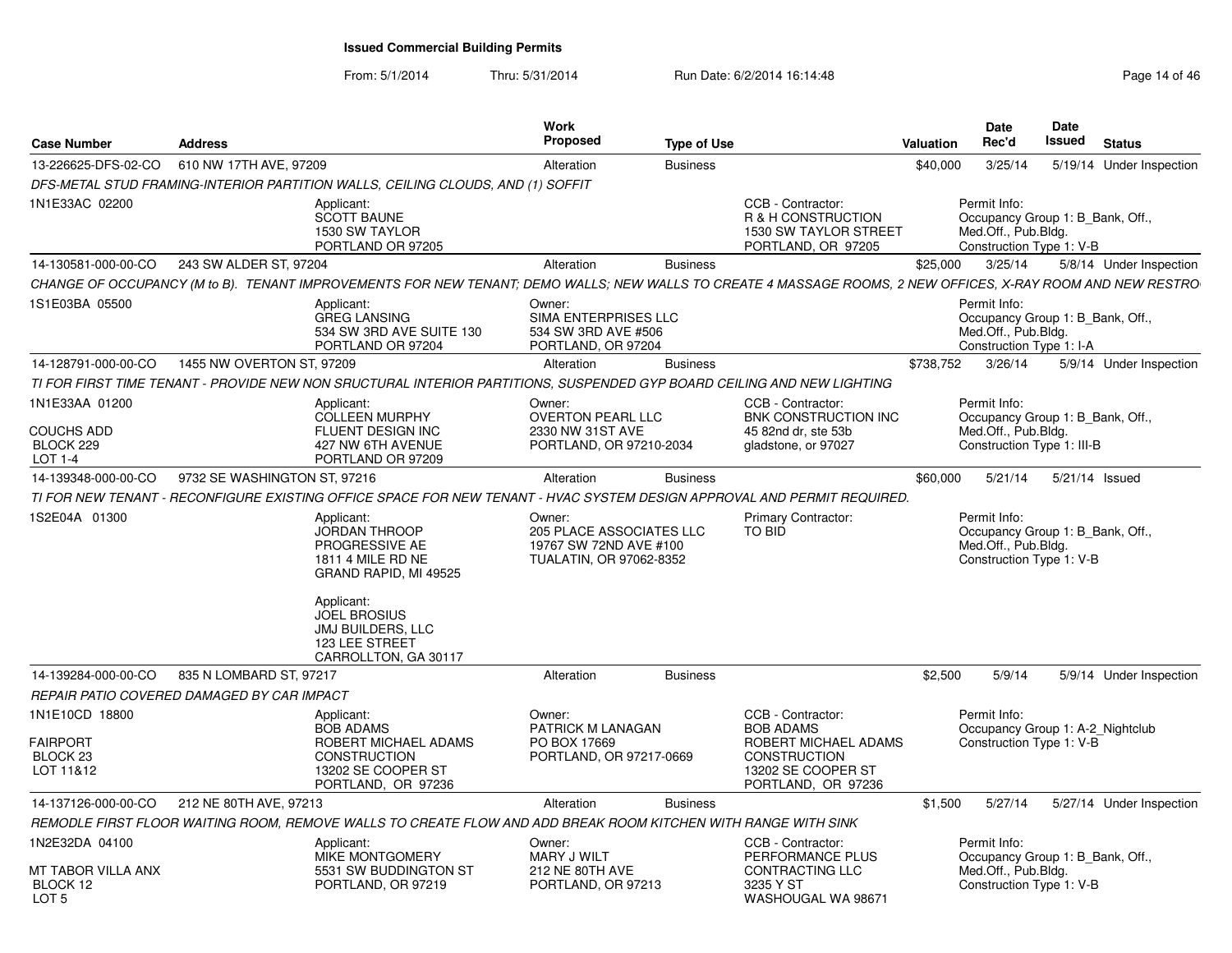| <b>Case Number</b>                                                    | <b>Address</b>               |                                                                                                                                                                     | <b>Work</b><br><b>Proposed</b>                                                                 | <b>Type of Use</b> |                                                                                                                                  | <b>Valuation</b> | Date<br>Rec'd                                                                                         | Date<br><b>Issued</b> | <b>Status</b>            |
|-----------------------------------------------------------------------|------------------------------|---------------------------------------------------------------------------------------------------------------------------------------------------------------------|------------------------------------------------------------------------------------------------|--------------------|----------------------------------------------------------------------------------------------------------------------------------|------------------|-------------------------------------------------------------------------------------------------------|-----------------------|--------------------------|
| 13-226625-DFS-02-CO                                                   | 610 NW 17TH AVE, 97209       |                                                                                                                                                                     | Alteration                                                                                     | <b>Business</b>    |                                                                                                                                  | \$40,000         | 3/25/14                                                                                               |                       | 5/19/14 Under Inspection |
|                                                                       |                              | DFS-METAL STUD FRAMING-INTERIOR PARTITION WALLS, CEILING CLOUDS, AND (1) SOFFIT                                                                                     |                                                                                                |                    |                                                                                                                                  |                  |                                                                                                       |                       |                          |
| 1N1E33AC 02200                                                        |                              | Applicant:<br><b>SCOTT BAUNE</b><br>1530 SW TAYLOR<br>PORTLAND OR 97205                                                                                             |                                                                                                |                    | CCB - Contractor:<br>R & H CONSTRUCTION<br>1530 SW TAYLOR STREET<br>PORTLAND, OR 97205                                           |                  | Permit Info:<br>Occupancy Group 1: B_Bank, Off.,<br>Med.Off., Pub.Bldg.<br>Construction Type 1: V-B   |                       |                          |
| 14-130581-000-00-CO                                                   | 243 SW ALDER ST, 97204       |                                                                                                                                                                     | Alteration                                                                                     | <b>Business</b>    |                                                                                                                                  | \$25,000         | 3/25/14                                                                                               |                       | 5/8/14 Under Inspection  |
|                                                                       |                              | CHANGE OF OCCUPANCY (M to B). TENANT IMPROVEMENTS FOR NEW TENANT; DEMO WALLS; NEW WALLS TO CREATE 4 MASSAGE ROOMS, 2 NEW OFFICES, X-RAY ROOM AND NEW RESTRO         |                                                                                                |                    |                                                                                                                                  |                  |                                                                                                       |                       |                          |
| 1S1E03BA 05500                                                        |                              | Applicant:<br><b>GREG LANSING</b><br>534 SW 3RD AVE SUITE 130<br>PORTLAND OR 97204                                                                                  | Owner:<br>SIMA ENTERPRISES LLC<br>534 SW 3RD AVE #506<br>PORTLAND, OR 97204                    |                    |                                                                                                                                  |                  | Permit Info:<br>Occupancy Group 1: B Bank, Off.,<br>Med.Off., Pub.Bldg.<br>Construction Type 1: I-A   |                       |                          |
| 14-128791-000-00-CO                                                   | 1455 NW OVERTON ST, 97209    |                                                                                                                                                                     | Alteration                                                                                     | <b>Business</b>    |                                                                                                                                  | \$738,752        | 3/26/14                                                                                               |                       | 5/9/14 Under Inspection  |
|                                                                       |                              | TI FOR FIRST TIME TENANT - PROVIDE NEW NON SRUCTURAL INTERIOR PARTITIONS, SUSPENDED GYP BOARD CEILING AND NEW LIGHTING                                              |                                                                                                |                    |                                                                                                                                  |                  |                                                                                                       |                       |                          |
| 1N1E33AA 01200<br><b>COUCHS ADD</b><br>BLOCK 229<br>$LOT 1-4$         |                              | Applicant:<br><b>COLLEEN MURPHY</b><br>FLUENT DESIGN INC<br>427 NW 6TH AVENUE<br>PORTLAND OR 97209                                                                  | Owner:<br><b>OVERTON PEARL LLC</b><br>2330 NW 31ST AVE<br>PORTLAND, OR 97210-2034              |                    | CCB - Contractor:<br><b>BNK CONSTRUCTION INC</b><br>45 82nd dr, ste 53b<br>gladstone, or 97027                                   |                  | Permit Info:<br>Occupancy Group 1: B_Bank, Off.,<br>Med.Off., Pub.Bldg.<br>Construction Type 1: III-B |                       |                          |
| 14-139348-000-00-CO                                                   | 9732 SE WASHINGTON ST, 97216 |                                                                                                                                                                     | Alteration                                                                                     | <b>Business</b>    |                                                                                                                                  | \$60,000         | 5/21/14                                                                                               | 5/21/14 Issued        |                          |
|                                                                       |                              | TI FOR NEW TENANT - RECONFIGURE EXISTING OFFICE SPACE FOR NEW TENANT - HVAC SYSTEM DESIGN APPROVAL AND PERMIT REQUIRED.                                             |                                                                                                |                    |                                                                                                                                  |                  |                                                                                                       |                       |                          |
| 1S2E04A 01300                                                         |                              | Applicant:<br><b>JORDAN THROOP</b><br>PROGRESSIVE AE<br>1811 4 MILE RD NE<br>GRAND RAPID, MI 49525<br>Applicant:<br><b>JOEL BROSIUS</b><br><b>JMJ BUILDERS, LLC</b> | Owner:<br><b>205 PLACE ASSOCIATES LLC</b><br>19767 SW 72ND AVE #100<br>TUALATIN, OR 97062-8352 |                    | Primary Contractor:<br>TO BID                                                                                                    |                  | Permit Info:<br>Occupancy Group 1: B_Bank, Off.,<br>Med.Off., Pub.Bldg.<br>Construction Type 1: V-B   |                       |                          |
|                                                                       |                              | 123 LEE STREET<br>CARROLLTON, GA 30117                                                                                                                              |                                                                                                |                    |                                                                                                                                  |                  |                                                                                                       |                       |                          |
| 14-139284-000-00-CO                                                   | 835 N LOMBARD ST, 97217      |                                                                                                                                                                     | Alteration                                                                                     | <b>Business</b>    |                                                                                                                                  | \$2,500          | 5/9/14                                                                                                |                       | 5/9/14 Under Inspection  |
| REPAIR PATIO COVERED DAMAGED BY CAR IMPACT                            |                              |                                                                                                                                                                     |                                                                                                |                    |                                                                                                                                  |                  |                                                                                                       |                       |                          |
| 1N1E10CD 18800<br><b>FAIRPORT</b><br>BLOCK <sub>23</sub><br>LOT 11&12 |                              | Applicant:<br><b>BOB ADAMS</b><br>ROBERT MICHAEL ADAMS<br><b>CONSTRUCTION</b><br>13202 SE COOPER ST<br>PORTLAND, OR 97236                                           | Owner:<br>PATRICK M LANAGAN<br>PO BOX 17669<br>PORTLAND, OR 97217-0669                         |                    | CCB - Contractor:<br><b>BOB ADAMS</b><br>ROBERT MICHAEL ADAMS<br><b>CONSTRUCTION</b><br>13202 SE COOPER ST<br>PORTLAND, OR 97236 |                  | Permit Info:<br>Occupancy Group 1: A-2_Nightclub<br>Construction Type 1: V-B                          |                       |                          |
| 14-137126-000-00-CO                                                   | 212 NE 80TH AVE, 97213       |                                                                                                                                                                     | Alteration                                                                                     | <b>Business</b>    |                                                                                                                                  | \$1,500          | 5/27/14                                                                                               |                       | 5/27/14 Under Inspection |
|                                                                       |                              | REMODLE FIRST FLOOR WAITING ROOM, REMOVE WALLS TO CREATE FLOW AND ADD BREAK ROOM KITCHEN WITH RANGE WITH SINK                                                       |                                                                                                |                    |                                                                                                                                  |                  |                                                                                                       |                       |                          |
| 1N2E32DA 04100<br>MT TABOR VILLA ANX<br>BLOCK 12<br>LOT <sub>5</sub>  |                              | Applicant:<br>MIKE MONTGOMERY<br>5531 SW BUDDINGTON ST<br>PORTLAND, OR 97219                                                                                        | Owner:<br>MARY J WILT<br>212 NE 80TH AVE<br>PORTLAND, OR 97213                                 |                    | CCB - Contractor:<br>PERFORMANCE PLUS<br>CONTRACTING LLC<br>3235 Y ST<br>WASHOUGAL WA 98671                                      |                  | Permit Info:<br>Occupancy Group 1: B_Bank, Off.,<br>Med.Off., Pub.Bldg.<br>Construction Type 1: V-B   |                       |                          |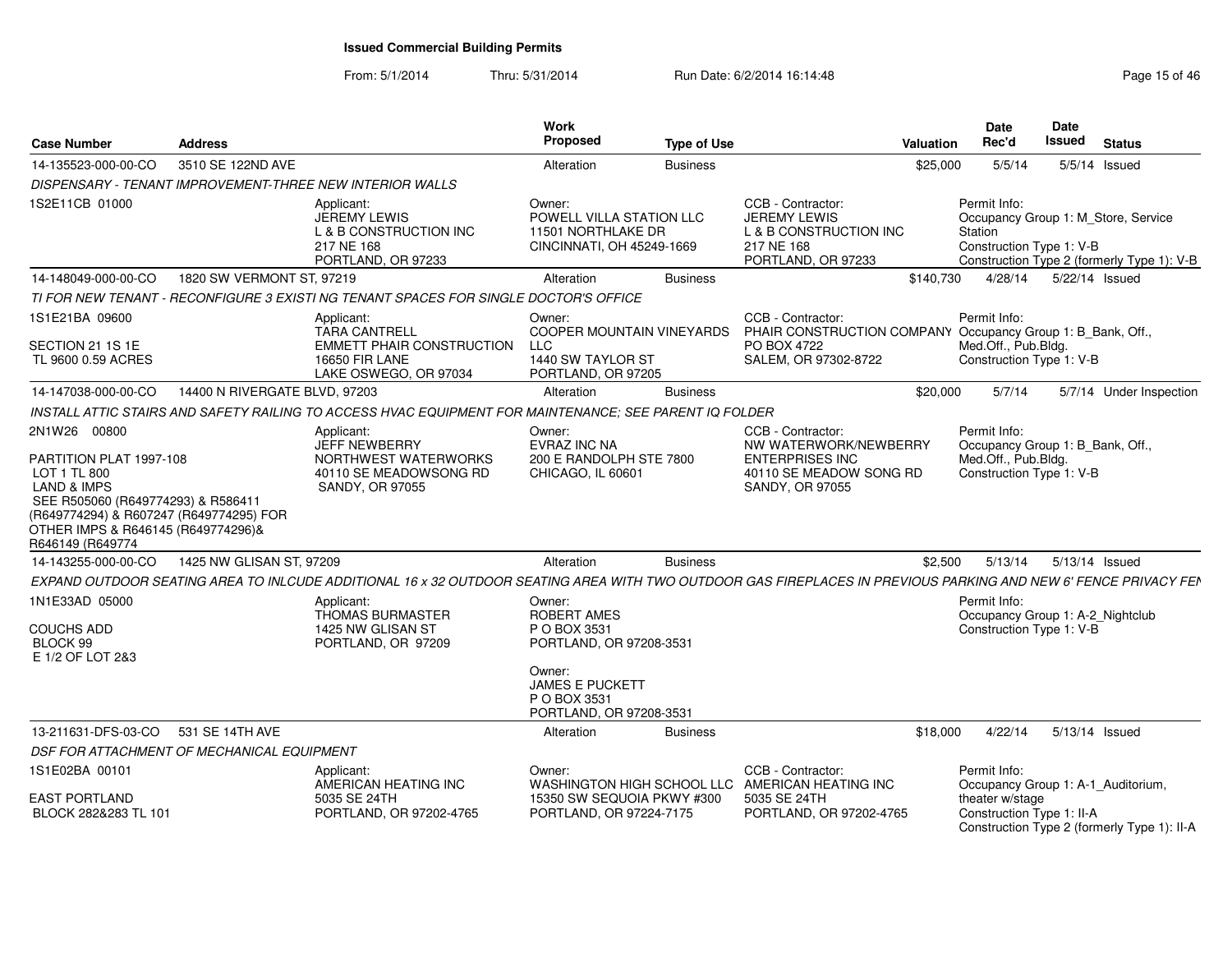| <b>Case Number</b>                                                                                                                                                                                                           | <b>Address</b>                |                                                                                                                                                                 | Work<br><b>Proposed</b>                                                                      | <b>Type of Use</b> |                                                                                                                           | <b>Valuation</b> | Date<br>Rec'd                                                                                       | <b>Date</b><br><b>Issued</b> | <b>Status</b>                                                                     |
|------------------------------------------------------------------------------------------------------------------------------------------------------------------------------------------------------------------------------|-------------------------------|-----------------------------------------------------------------------------------------------------------------------------------------------------------------|----------------------------------------------------------------------------------------------|--------------------|---------------------------------------------------------------------------------------------------------------------------|------------------|-----------------------------------------------------------------------------------------------------|------------------------------|-----------------------------------------------------------------------------------|
| 14-135523-000-00-CO                                                                                                                                                                                                          | 3510 SE 122ND AVE             |                                                                                                                                                                 | Alteration                                                                                   | <b>Business</b>    |                                                                                                                           | \$25,000         | 5/5/14                                                                                              |                              | 5/5/14 Issued                                                                     |
|                                                                                                                                                                                                                              |                               | DISPENSARY - TENANT IMPROVEMENT-THREE NEW INTERIOR WALLS                                                                                                        |                                                                                              |                    |                                                                                                                           |                  |                                                                                                     |                              |                                                                                   |
| 1S2E11CB 01000                                                                                                                                                                                                               |                               | Applicant:<br><b>JEREMY LEWIS</b><br>L & B CONSTRUCTION INC<br>217 NE 168<br>PORTLAND, OR 97233                                                                 | Owner:<br>POWELL VILLA STATION LLC<br>11501 NORTHLAKE DR<br>CINCINNATI, OH 45249-1669        |                    | CCB - Contractor:<br><b>JEREMY LEWIS</b><br>L & B CONSTRUCTION INC<br>217 NE 168<br>PORTLAND, OR 97233                    |                  | Permit Info:<br>Station<br>Construction Type 1: V-B                                                 |                              | Occupancy Group 1: M Store, Service<br>Construction Type 2 (formerly Type 1): V-B |
| 14-148049-000-00-CO                                                                                                                                                                                                          | 1820 SW VERMONT ST, 97219     |                                                                                                                                                                 | Alteration                                                                                   | <b>Business</b>    |                                                                                                                           | \$140,730        | 4/28/14                                                                                             | 5/22/14 Issued               |                                                                                   |
|                                                                                                                                                                                                                              |                               | TI FOR NEW TENANT - RECONFIGURE 3 EXISTI NG TENANT SPACES FOR SINGLE DOCTOR'S OFFICE                                                                            |                                                                                              |                    |                                                                                                                           |                  |                                                                                                     |                              |                                                                                   |
| 1S1E21BA 09600<br>SECTION 21 1S 1E<br>TL 9600 0.59 ACRES                                                                                                                                                                     |                               | Applicant:<br><b>TARA CANTRELL</b><br><b>EMMETT PHAIR CONSTRUCTION</b><br><b>16650 FIR LANE</b><br>LAKE OSWEGO, OR 97034                                        | Owner:<br>COOPER MOUNTAIN VINEYARDS<br><b>LLC</b><br>1440 SW TAYLOR ST<br>PORTLAND, OR 97205 |                    | CCB - Contractor:<br>PHAIR CONSTRUCTION COMPANY Occupancy Group 1: B_Bank, Off.,<br>PO BOX 4722<br>SALEM, OR 97302-8722   |                  | Permit Info:<br>Med.Off., Pub.Bldg.<br>Construction Type 1: V-B                                     |                              |                                                                                   |
| 14-147038-000-00-CO                                                                                                                                                                                                          | 14400 N RIVERGATE BLVD, 97203 |                                                                                                                                                                 | Alteration                                                                                   | <b>Business</b>    |                                                                                                                           | \$20,000         | 5/7/14                                                                                              |                              | 5/7/14 Under Inspection                                                           |
|                                                                                                                                                                                                                              |                               | INSTALL ATTIC STAIRS AND SAFETY RAILING TO ACCESS HVAC EQUIPMENT FOR MAINTENANCE; SEE PARENT IQ FOLDER                                                          |                                                                                              |                    |                                                                                                                           |                  |                                                                                                     |                              |                                                                                   |
| 2N1W26 00800<br>PARTITION PLAT 1997-108<br>LOT 1 TL 800<br><b>LAND &amp; IMPS</b><br>SEE R505060 (R649774293) & R586411<br>(R649774294) & R607247 (R649774295) FOR<br>OTHER IMPS & R646145 (R649774296)&<br>R646149 (R649774 |                               | Applicant:<br><b>JEFF NEWBERRY</b><br>NORTHWEST WATERWORKS<br>40110 SE MEADOWSONG RD<br>SANDY, OR 97055                                                         | Owner:<br><b>EVRAZ INC NA</b><br>200 E RANDOLPH STE 7800<br>CHICAGO, IL 60601                |                    | CCB - Contractor:<br>NW WATERWORK/NEWBERRY<br><b>ENTERPRISES INC</b><br>40110 SE MEADOW SONG RD<br><b>SANDY, OR 97055</b> |                  | Permit Info:<br>Occupancy Group 1: B_Bank, Off.,<br>Med.Off., Pub.Bldg.<br>Construction Type 1: V-B |                              |                                                                                   |
| 14-143255-000-00-CO                                                                                                                                                                                                          | 1425 NW GLISAN ST, 97209      |                                                                                                                                                                 | Alteration                                                                                   | <b>Business</b>    |                                                                                                                           | \$2,500          | 5/13/14                                                                                             | 5/13/14 Issued               |                                                                                   |
|                                                                                                                                                                                                                              |                               | EXPAND OUTDOOR SEATING AREA TO INLCUDE ADDITIONAL 16 x 32 OUTDOOR SEATING AREA WITH TWO OUTDOOR GAS FIREPLACES IN PREVIOUS PARKING AND NEW 6' FENCE PRIVACY FEN |                                                                                              |                    |                                                                                                                           |                  |                                                                                                     |                              |                                                                                   |
| 1N1E33AD 05000<br><b>COUCHS ADD</b><br>BLOCK 99<br>E 1/2 OF LOT 2&3                                                                                                                                                          |                               | Applicant:<br><b>THOMAS BURMASTER</b><br>1425 NW GLISAN ST<br>PORTLAND, OR 97209                                                                                | Owner:<br>ROBERT AMES<br>P O BOX 3531<br>PORTLAND, OR 97208-3531<br>Owner:                   |                    |                                                                                                                           |                  | Permit Info:<br>Occupancy Group 1: A-2_Nightclub<br>Construction Type 1: V-B                        |                              |                                                                                   |
|                                                                                                                                                                                                                              |                               |                                                                                                                                                                 | <b>JAMES E PUCKETT</b><br>P O BOX 3531<br>PORTLAND, OR 97208-3531                            |                    |                                                                                                                           |                  |                                                                                                     |                              |                                                                                   |
| 13-211631-DFS-03-CO                                                                                                                                                                                                          | 531 SE 14TH AVE               |                                                                                                                                                                 | Alteration                                                                                   | <b>Business</b>    |                                                                                                                           | \$18,000         | 4/22/14                                                                                             | 5/13/14 Issued               |                                                                                   |
| DSF FOR ATTACHMENT OF MECHANICAL EQUIPMENT                                                                                                                                                                                   |                               |                                                                                                                                                                 |                                                                                              |                    |                                                                                                                           |                  |                                                                                                     |                              |                                                                                   |
| 1S1E02BA 00101<br>EAST PORTLAND                                                                                                                                                                                              |                               | Applicant:<br>AMERICAN HEATING INC<br>5035 SE 24TH                                                                                                              | Owner:<br>WASHINGTON HIGH SCHOOL LLC<br>15350 SW SEQUOIA PKWY #300                           |                    | CCB - Contractor:<br>AMERICAN HEATING INC<br>5035 SE 24TH                                                                 |                  | Permit Info:<br>Occupancy Group 1: A-1_Auditorium,<br>theater w/stage                               |                              |                                                                                   |
| BLOCK 282&283 TL 101                                                                                                                                                                                                         |                               | PORTLAND, OR 97202-4765                                                                                                                                         | PORTLAND, OR 97224-7175                                                                      |                    | PORTLAND, OR 97202-4765                                                                                                   |                  | Construction Type 1: II-A                                                                           |                              | Construction Type 2 (formerly Type 1): II-A                                       |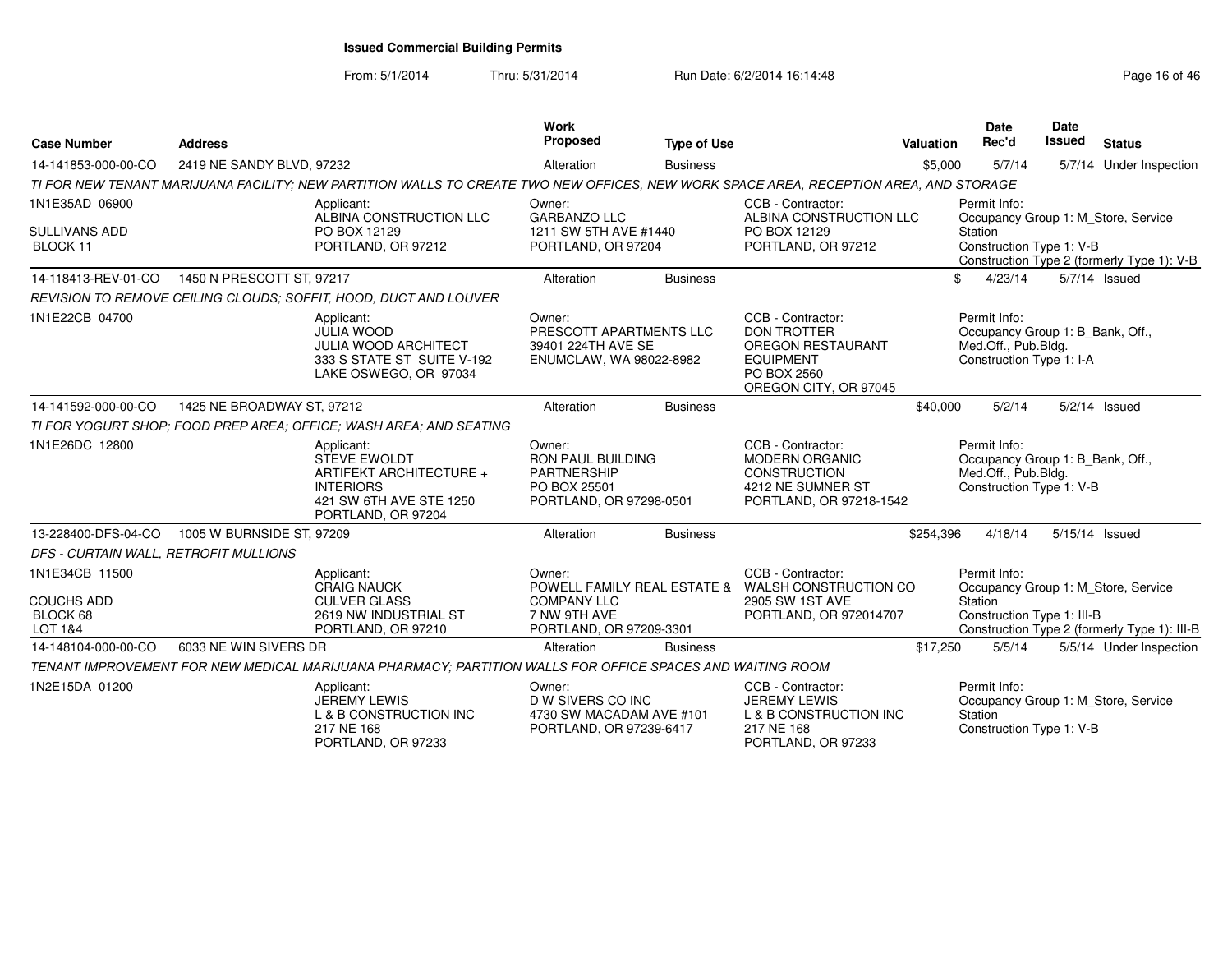| <b>Case Number</b>                                         | <b>Address</b>             |                                                                                                                                       | <b>Work</b><br>Proposed                                                                             | <b>Type of Use</b> |                                                                                                                                 | <b>Valuation</b> | <b>Date</b><br>Rec'd                                                                                | <b>Date</b><br><b>Issued</b> | <b>Status</b>                                                                       |
|------------------------------------------------------------|----------------------------|---------------------------------------------------------------------------------------------------------------------------------------|-----------------------------------------------------------------------------------------------------|--------------------|---------------------------------------------------------------------------------------------------------------------------------|------------------|-----------------------------------------------------------------------------------------------------|------------------------------|-------------------------------------------------------------------------------------|
| 14-141853-000-00-CO                                        | 2419 NE SANDY BLVD, 97232  |                                                                                                                                       | Alteration                                                                                          | <b>Business</b>    |                                                                                                                                 | \$5,000          | 5/7/14                                                                                              |                              | 5/7/14 Under Inspection                                                             |
|                                                            |                            | TI FOR NEW TENANT MARIJUANA FACILITY; NEW PARTITION WALLS TO CREATE TWO NEW OFFICES, NEW WORK SPACE AREA, RECEPTION AREA, AND STORAGE |                                                                                                     |                    |                                                                                                                                 |                  |                                                                                                     |                              |                                                                                     |
| 1N1E35AD 06900<br><b>SULLIVANS ADD</b><br>BLOCK 11         |                            | Applicant:<br>ALBINA CONSTRUCTION LLC<br>PO BOX 12129<br>PORTLAND, OR 97212                                                           | Owner:<br><b>GARBANZO LLC</b><br>1211 SW 5TH AVE #1440<br>PORTLAND, OR 97204                        |                    | CCB - Contractor:<br>ALBINA CONSTRUCTION LLC<br>PO BOX 12129<br>PORTLAND, OR 97212                                              |                  | Permit Info:<br>Station<br>Construction Type 1: V-B                                                 |                              | Occupancy Group 1: M_Store, Service<br>Construction Type 2 (formerly Type 1): V-B   |
| 14-118413-REV-01-CO                                        | 1450 N PRESCOTT ST, 97217  |                                                                                                                                       | Alteration                                                                                          | <b>Business</b>    |                                                                                                                                 |                  | \$<br>4/23/14                                                                                       |                              | 5/7/14 Issued                                                                       |
|                                                            |                            | REVISION TO REMOVE CEILING CLOUDS: SOFFIT, HOOD, DUCT AND LOUVER                                                                      |                                                                                                     |                    |                                                                                                                                 |                  |                                                                                                     |                              |                                                                                     |
| 1N1E22CB 04700                                             |                            | Applicant:<br><b>JULIA WOOD</b><br><b>JULIA WOOD ARCHITECT</b><br>333 S STATE ST SUITE V-192<br>LAKE OSWEGO, OR 97034                 | Owner:<br>PRESCOTT APARTMENTS LLC<br>39401 224TH AVE SE<br>ENUMCLAW, WA 98022-8982                  |                    | CCB - Contractor:<br><b>DON TROTTER</b><br><b>OREGON RESTAURANT</b><br><b>EQUIPMENT</b><br>PO BOX 2560<br>OREGON CITY, OR 97045 |                  | Permit Info:<br>Occupancy Group 1: B_Bank, Off.,<br>Med.Off., Pub.Bldg.<br>Construction Type 1: I-A |                              |                                                                                     |
| 14-141592-000-00-CO                                        | 1425 NE BROADWAY ST, 97212 |                                                                                                                                       | Alteration                                                                                          | <b>Business</b>    |                                                                                                                                 | \$40,000         | 5/2/14                                                                                              |                              | $5/2/14$ Issued                                                                     |
|                                                            |                            | TI FOR YOGURT SHOP: FOOD PREP AREA: OFFICE: WASH AREA: AND SEATING                                                                    |                                                                                                     |                    |                                                                                                                                 |                  |                                                                                                     |                              |                                                                                     |
| 1N1E26DC 12800                                             |                            | Applicant:<br><b>STEVE EWOLDT</b><br>ARTIFEKT ARCHITECTURE +<br><b>INTERIORS</b><br>421 SW 6TH AVE STE 1250<br>PORTLAND, OR 97204     | Owner:<br><b>RON PAUL BUILDING</b><br><b>PARTNERSHIP</b><br>PO BOX 25501<br>PORTLAND, OR 97298-0501 |                    | CCB - Contractor:<br><b>MODERN ORGANIC</b><br><b>CONSTRUCTION</b><br>4212 NE SUMNER ST<br>PORTLAND, OR 97218-1542               |                  | Permit Info:<br>Occupancy Group 1: B_Bank, Off.,<br>Med.Off., Pub.Bldg.<br>Construction Type 1: V-B |                              |                                                                                     |
| 13-228400-DFS-04-CO                                        | 1005 W BURNSIDE ST, 97209  |                                                                                                                                       | Alteration                                                                                          | <b>Business</b>    |                                                                                                                                 | \$254,396        | 4/18/14                                                                                             |                              | 5/15/14 Issued                                                                      |
| DFS - CURTAIN WALL, RETROFIT MULLIONS                      |                            |                                                                                                                                       |                                                                                                     |                    |                                                                                                                                 |                  |                                                                                                     |                              |                                                                                     |
| 1N1E34CB 11500<br><b>COUCHS ADD</b><br>BLOCK 68<br>LOT 1&4 |                            | Applicant:<br><b>CRAIG NAUCK</b><br><b>CULVER GLASS</b><br>2619 NW INDUSTRIAL ST<br>PORTLAND, OR 97210                                | Owner:<br><b>COMPANY LLC</b><br>7 NW 9TH AVE<br>PORTLAND, OR 97209-3301                             |                    | CCB - Contractor:<br>POWELL FAMILY REAL ESTATE & WALSH CONSTRUCTION CO<br>2905 SW 1ST AVE<br>PORTLAND, OR 972014707             |                  | Permit Info:<br>Station<br>Construction Type 1: III-B                                               |                              | Occupancy Group 1: M_Store, Service<br>Construction Type 2 (formerly Type 1): III-B |
| 14-148104-000-00-CO                                        | 6033 NE WIN SIVERS DR      |                                                                                                                                       | Alteration                                                                                          | <b>Business</b>    |                                                                                                                                 | \$17,250         | 5/5/14                                                                                              |                              | 5/5/14 Under Inspection                                                             |
|                                                            |                            | TENANT IMPROVEMENT FOR NEW MEDICAL MARIJUANA PHARMACY: PARTITION WALLS FOR OFFICE SPACES AND WAITING ROOM                             |                                                                                                     |                    |                                                                                                                                 |                  |                                                                                                     |                              |                                                                                     |
| 1N2E15DA 01200                                             |                            | Applicant:<br>JEREMY LEWIS<br>L & B CONSTRUCTION INC<br>217 NE 168<br>PORTLAND, OR 97233                                              | Owner:<br>D W SIVERS CO INC<br>4730 SW MACADAM AVE #101<br>PORTLAND, OR 97239-6417                  |                    | CCB - Contractor:<br><b>JEREMY LEWIS</b><br>L & B CONSTRUCTION INC<br>217 NE 168<br>PORTLAND, OR 97233                          |                  | Permit Info:<br>Station<br>Construction Type 1: V-B                                                 |                              | Occupancy Group 1: M Store, Service                                                 |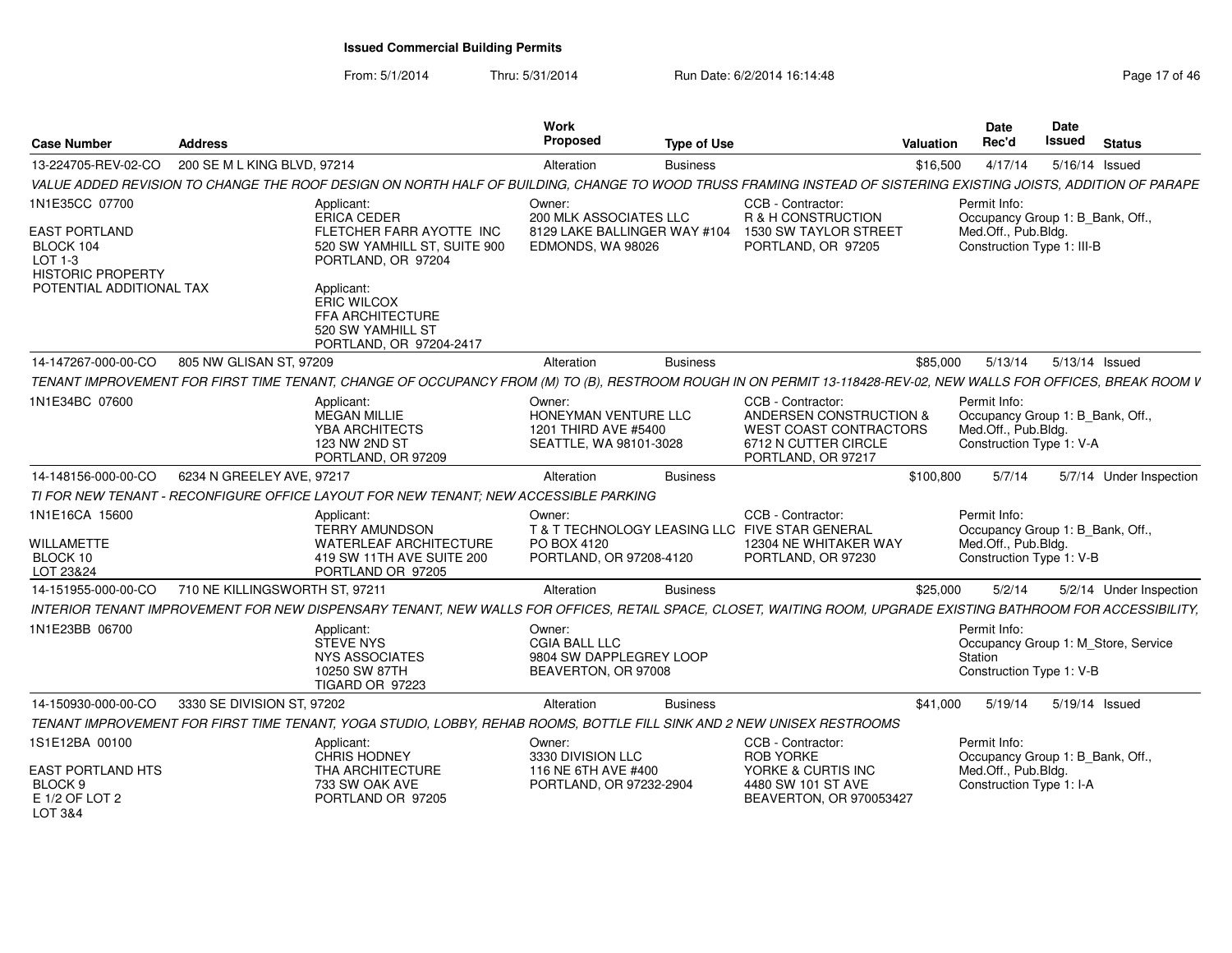| <b>Case Number</b>                                                                                                     | <b>Address</b>                 |                                                                                                                                                                                                                     | Work<br><b>Proposed</b>                                                                      | Type of Use     |                                                                                                                             | Valuation | Date<br>Rec'd                                                                                         | Date<br>Issued | <b>Status</b>                       |
|------------------------------------------------------------------------------------------------------------------------|--------------------------------|---------------------------------------------------------------------------------------------------------------------------------------------------------------------------------------------------------------------|----------------------------------------------------------------------------------------------|-----------------|-----------------------------------------------------------------------------------------------------------------------------|-----------|-------------------------------------------------------------------------------------------------------|----------------|-------------------------------------|
| 13-224705-REV-02-CO                                                                                                    | 200 SE M L KING BLVD, 97214    |                                                                                                                                                                                                                     | Alteration                                                                                   | <b>Business</b> |                                                                                                                             | \$16,500  | 4/17/14                                                                                               | 5/16/14 Issued |                                     |
|                                                                                                                        |                                | VALUE ADDED REVISION TO CHANGE THE ROOF DESIGN ON NORTH HALF OF BUILDING, CHANGE TO WOOD TRUSS FRAMING INSTEAD OF SISTERING EXISTING JOISTS, ADDITION OF PARAPE                                                     |                                                                                              |                 |                                                                                                                             |           |                                                                                                       |                |                                     |
| 1N1E35CC 07700<br><b>EAST PORTLAND</b><br>BLOCK 104<br>LOT 1-3<br><b>HISTORIC PROPERTY</b><br>POTENTIAL ADDITIONAL TAX |                                | Applicant:<br>ERICA CEDER<br>FLETCHER FARR AYOTTE INC<br>520 SW YAMHILL ST, SUITE 900<br>PORTLAND, OR 97204<br>Applicant:<br><b>ERIC WILCOX</b><br>FFA ARCHITECTURE<br>520 SW YAMHILL ST<br>PORTLAND, OR 97204-2417 | Owner:<br><b>200 MLK ASSOCIATES LLC</b><br>8129 LAKE BALLINGER WAY #104<br>EDMONDS, WA 98026 |                 | CCB - Contractor:<br>R & H CONSTRUCTION<br>1530 SW TAYLOR STREET<br>PORTLAND, OR 97205                                      |           | Permit Info:<br>Occupancy Group 1: B_Bank, Off.,<br>Med.Off., Pub.Bldg.<br>Construction Type 1: III-B |                |                                     |
| 14-147267-000-00-CO                                                                                                    | 805 NW GLISAN ST, 97209        |                                                                                                                                                                                                                     | Alteration                                                                                   | <b>Business</b> |                                                                                                                             | \$85,000  | 5/13/14                                                                                               | 5/13/14 Issued |                                     |
|                                                                                                                        |                                | TENANT IMPROVEMENT FOR FIRST TIME TENANT, CHANGE OF OCCUPANCY FROM (M) TO (B), RESTROOM ROUGH IN ON PERMIT 13-118428-REV-02, NEW WALLS FOR OFFICES, BREAK ROOM V                                                    |                                                                                              |                 |                                                                                                                             |           |                                                                                                       |                |                                     |
| 1N1E34BC 07600                                                                                                         |                                | Applicant:<br>MEGAN MILLIE<br>YBA ARCHITECTS<br>123 NW 2ND ST<br>PORTLAND, OR 97209                                                                                                                                 | Owner:<br>HONEYMAN VENTURE LLC<br>1201 THIRD AVE #5400<br>SEATTLE, WA 98101-3028             |                 | CCB - Contractor:<br>ANDERSEN CONSTRUCTION &<br><b>WEST COAST CONTRACTORS</b><br>6712 N CUTTER CIRCLE<br>PORTLAND, OR 97217 |           | Permit Info:<br>Occupancy Group 1: B_Bank, Off.,<br>Med.Off., Pub.Bldg.<br>Construction Type 1: V-A   |                |                                     |
| 14-148156-000-00-CO                                                                                                    | 6234 N GREELEY AVE, 97217      |                                                                                                                                                                                                                     | Alteration                                                                                   | <b>Business</b> |                                                                                                                             | \$100,800 | 5/7/14                                                                                                |                | 5/7/14 Under Inspection             |
|                                                                                                                        |                                | TI FOR NEW TENANT - RECONFIGURE OFFICE LAYOUT FOR NEW TENANT: NEW ACCESSIBLE PARKING                                                                                                                                |                                                                                              |                 |                                                                                                                             |           |                                                                                                       |                |                                     |
| 1N1E16CA 15600<br>WILLAMETTE<br>BLOCK 10<br>LOT 23&24                                                                  |                                | Applicant:<br><b>TERRY AMUNDSON</b><br>WATERLEAF ARCHITECTURE<br>419 SW 11TH AVE SUITE 200<br>PORTLAND OR 97205                                                                                                     | Owner:<br>PO BOX 4120<br>PORTLAND, OR 97208-4120                                             |                 | CCB - Contractor:<br>T & T TECHNOLOGY LEASING LLC FIVE STAR GENERAL<br>12304 NE WHITAKER WAY<br>PORTLAND, OR 97230          |           | Permit Info:<br>Occupancy Group 1: B Bank, Off.,<br>Med.Off., Pub.Bldg.<br>Construction Type 1: V-B   |                |                                     |
| 14-151955-000-00-CO                                                                                                    | 710 NE KILLINGSWORTH ST, 97211 |                                                                                                                                                                                                                     | Alteration                                                                                   | <b>Business</b> |                                                                                                                             | \$25,000  | 5/2/14                                                                                                |                | 5/2/14 Under Inspection             |
|                                                                                                                        |                                | INTERIOR TENANT IMPROVEMENT FOR NEW DISPENSARY TENANT, NEW WALLS FOR OFFICES, RETAIL SPACE, CLOSET, WAITING ROOM, UPGRADE EXISTING BATHROOM FOR ACCESSIBILITY,                                                      |                                                                                              |                 |                                                                                                                             |           |                                                                                                       |                |                                     |
| 1N1E23BB 06700                                                                                                         |                                | Applicant:<br><b>STEVE NYS</b><br>NYS ASSOCIATES<br>10250 SW 87TH<br><b>TIGARD OR 97223</b>                                                                                                                         | Owner:<br><b>CGIA BALL LLC</b><br>9804 SW DAPPLEGREY LOOP<br>BEAVERTON, OR 97008             |                 |                                                                                                                             |           | Permit Info:<br>Station<br>Construction Type 1: V-B                                                   |                | Occupancy Group 1: M_Store, Service |
| 14-150930-000-00-CO                                                                                                    | 3330 SE DIVISION ST, 97202     |                                                                                                                                                                                                                     | Alteration                                                                                   | <b>Business</b> |                                                                                                                             | \$41,000  | 5/19/14                                                                                               | 5/19/14 Issued |                                     |
|                                                                                                                        |                                | TENANT IMPROVEMENT FOR FIRST TIME TENANT, YOGA STUDIO, LOBBY, REHAB ROOMS, BOTTLE FILL SINK AND 2 NEW UNISEX RESTROOMS                                                                                              |                                                                                              |                 |                                                                                                                             |           |                                                                                                       |                |                                     |
| 1S1E12BA 00100<br><b>EAST PORTLAND HTS</b><br>BLOCK 9                                                                  |                                | Applicant:<br><b>CHRIS HODNEY</b><br>THA ARCHITECTURE<br>733 SW OAK AVE                                                                                                                                             | Owner:<br>3330 DIVISION LLC<br>116 NE 6TH AVE #400<br>PORTLAND, OR 97232-2904                |                 | CCB - Contractor:<br><b>ROB YORKE</b><br>YORKE & CURTIS INC<br>4480 SW 101 ST AVE                                           |           | Permit Info:<br>Occupancy Group 1: B_Bank, Off.,<br>Med.Off., Pub.Bldg.<br>Construction Type 1: I-A   |                |                                     |
| E 1/2 OF LOT 2<br>LOT 3&4                                                                                              |                                | PORTLAND OR 97205                                                                                                                                                                                                   |                                                                                              |                 | BEAVERTON, OR 970053427                                                                                                     |           |                                                                                                       |                |                                     |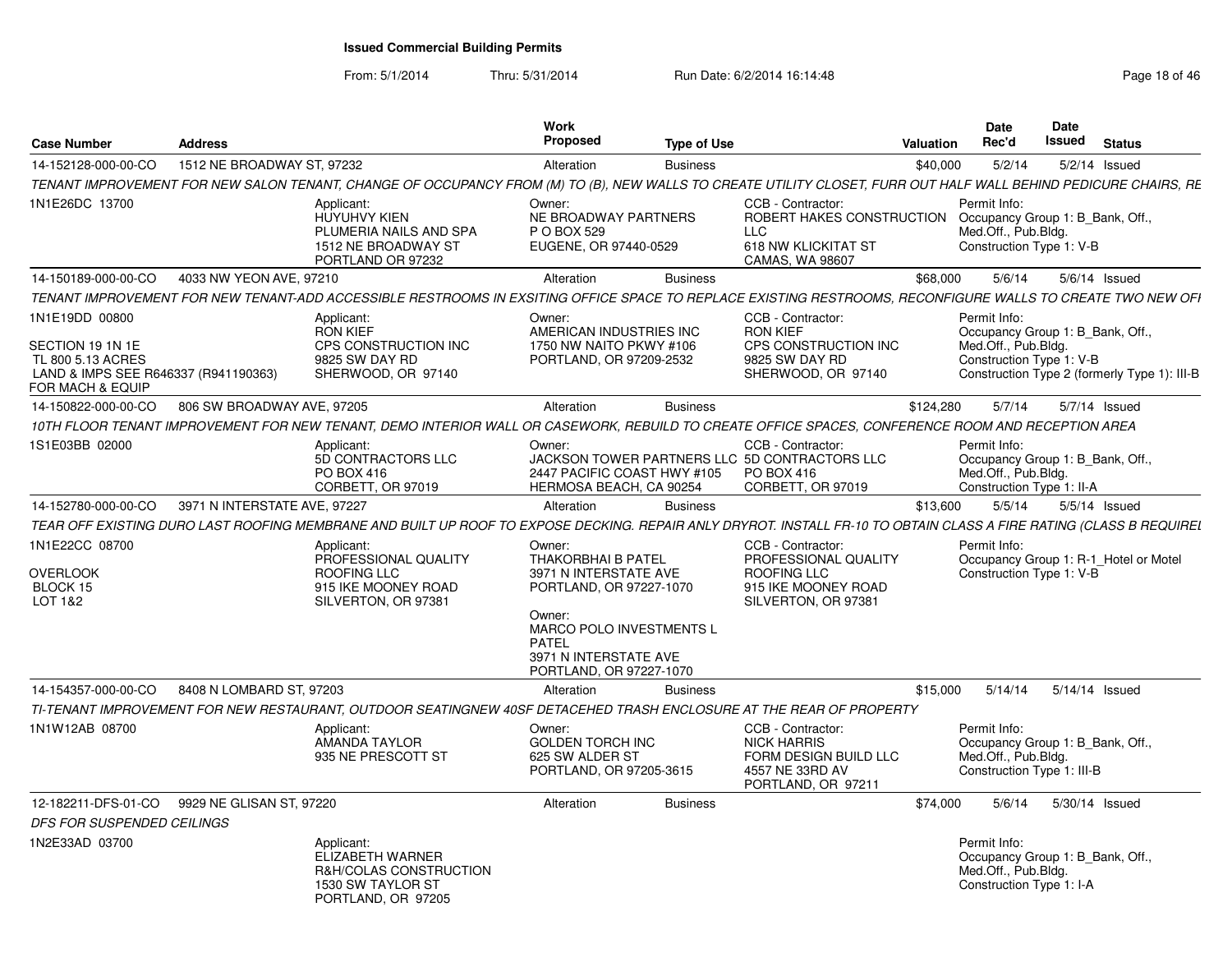From: 5/1/2014

| <b>Case Number</b>                                                            | <b>Address</b>               |                                                                                                                                                                     | Work<br>Proposed                                                                                    | <b>Type of Use</b> |                                                                                                               | Valuation | <b>Date</b><br>Rec'd                                                                                  | Date<br>Issued | <b>Status</b>                                |
|-------------------------------------------------------------------------------|------------------------------|---------------------------------------------------------------------------------------------------------------------------------------------------------------------|-----------------------------------------------------------------------------------------------------|--------------------|---------------------------------------------------------------------------------------------------------------|-----------|-------------------------------------------------------------------------------------------------------|----------------|----------------------------------------------|
| 14-152128-000-00-CO                                                           | 1512 NE BROADWAY ST, 97232   |                                                                                                                                                                     | Alteration                                                                                          | <b>Business</b>    |                                                                                                               | \$40,000  | 5/2/14                                                                                                |                | $5/2/14$ Issued                              |
|                                                                               |                              | TENANT IMPROVEMENT FOR NEW SALON TENANT, CHANGE OF OCCUPANCY FROM (M) TO (B), NEW WALLS TO CREATE UTILITY CLOSET, FURR OUT HALF WALL BEHIND PEDICURE CHAIRS, RE     |                                                                                                     |                    |                                                                                                               |           |                                                                                                       |                |                                              |
| 1N1E26DC 13700                                                                |                              | Applicant:<br><b>HUYUHVY KIEN</b><br>PLUMERIA NAILS AND SPA<br>1512 NE BROADWAY ST<br>PORTLAND OR 97232                                                             | Owner:<br>NE BROADWAY PARTNERS<br>P O BOX 529<br>EUGENE, OR 97440-0529                              |                    | CCB - Contractor:<br>ROBERT HAKES CONSTRUCTION<br><b>LLC</b><br>618 NW KLICKITAT ST<br><b>CAMAS, WA 98607</b> |           | Permit Info:<br>Occupancy Group 1: B_Bank, Off.,<br>Med.Off., Pub.Bldg.<br>Construction Type 1: V-B   |                |                                              |
| 14-150189-000-00-CO                                                           | 4033 NW YEON AVE, 97210      |                                                                                                                                                                     | Alteration                                                                                          | <b>Business</b>    |                                                                                                               | \$68,000  | 5/6/14                                                                                                |                | 5/6/14 Issued                                |
|                                                                               |                              | TENANT IMPROVEMENT FOR NEW TENANT-ADD ACCESSIBLE RESTROOMS IN EXSITING OFFICE SPACE TO REPLACE EXISTING RESTROOMS. RECONFIGURE WALLS TO CREATE TWO NEW OFI          |                                                                                                     |                    |                                                                                                               |           |                                                                                                       |                |                                              |
| 1N1E19DD 00800<br>SECTION 19 1N 1E                                            |                              | Applicant:<br><b>RON KIEF</b><br>CPS CONSTRUCTION INC                                                                                                               | Owner:<br>AMERICAN INDUSTRIES INC<br>1750 NW NAITO PKWY #106                                        |                    | CCB - Contractor:<br><b>RON KIEF</b><br>CPS CONSTRUCTION INC                                                  |           | Permit Info:<br>Occupancy Group 1: B_Bank, Off.,<br>Med.Off., Pub.Bldg.                               |                |                                              |
| TL 800 5.13 ACRES<br>LAND & IMPS SEE R646337 (R941190363)<br>FOR MACH & EQUIP |                              | 9825 SW DAY RD<br>SHERWOOD, OR 97140                                                                                                                                | PORTLAND, OR 97209-2532                                                                             |                    | 9825 SW DAY RD<br>SHERWOOD, OR 97140                                                                          |           | Construction Type 1: V-B                                                                              |                | Construction Type 2 (formerly Type 1): III-B |
| 14-150822-000-00-CO                                                           | 806 SW BROADWAY AVE, 97205   |                                                                                                                                                                     | Alteration                                                                                          | <b>Business</b>    |                                                                                                               | \$124,280 | 5/7/14                                                                                                |                | 5/7/14 Issued                                |
|                                                                               |                              | 10TH FLOOR TENANT IMPROVEMENT FOR NEW TENANT, DEMO INTERIOR WALL OR CASEWORK, REBUILD TO CREATE OFFICE SPACES, CONFERENCE ROOM AND RECEPTION AREA                   |                                                                                                     |                    |                                                                                                               |           |                                                                                                       |                |                                              |
| 1S1E03BB 02000                                                                |                              | Applicant:<br>5D CONTRACTORS LLC<br>PO BOX 416<br>CORBETT, OR 97019                                                                                                 | Owner:<br>2447 PACIFIC COAST HWY #105<br>HERMOSA BEACH, CA 90254                                    |                    | CCB - Contractor:<br>JACKSON TOWER PARTNERS LLC 5D CONTRACTORS LLC<br>PO BOX 416<br>CORBETT, OR 97019         |           | Permit Info:<br>Occupancy Group 1: B Bank, Off<br>Med.Off., Pub.Bldg.<br>Construction Type 1: II-A    |                |                                              |
| 14-152780-000-00-CO                                                           | 3971 N INTERSTATE AVE, 97227 |                                                                                                                                                                     | Alteration                                                                                          | <b>Business</b>    |                                                                                                               | \$13,600  | 5/5/14                                                                                                |                | 5/5/14 Issued                                |
|                                                                               |                              | TEAR OFF EXISTING DURO LAST ROOFING MEMBRANE AND BUILT UP ROOF TO EXPOSE DECKING. REPAIR ANLY DRYROT. INSTALL FR-10 TO OBTAIN CLASS A FIRE RATING (CLASS B REQUIREL |                                                                                                     |                    |                                                                                                               |           |                                                                                                       |                |                                              |
| 1N1E22CC 08700<br><b>OVERLOOK</b>                                             |                              | Applicant:<br>PROFESSIONAL QUALITY<br>ROOFING LLC                                                                                                                   | Owner:<br><b>THAKORBHAI B PATEL</b><br>3971 N INTERSTATE AVE                                        |                    | CCB - Contractor:<br>PROFESSIONAL QUALITY<br><b>ROOFING LLC</b>                                               |           | Permit Info:<br>Construction Type 1: V-B                                                              |                | Occupancy Group 1: R-1_Hotel or Motel        |
| BLOCK 15<br>LOT 1&2                                                           |                              | 915 IKE MOONEY ROAD<br>SILVERTON, OR 97381                                                                                                                          | PORTLAND, OR 97227-1070<br>Owner:                                                                   |                    | 915 IKE MOONEY ROAD<br>SILVERTON, OR 97381                                                                    |           |                                                                                                       |                |                                              |
|                                                                               |                              |                                                                                                                                                                     | <b>MARCO POLO INVESTMENTS L</b><br><b>PATEL</b><br>3971 N INTERSTATE AVE<br>PORTLAND, OR 97227-1070 |                    |                                                                                                               |           |                                                                                                       |                |                                              |
| 14-154357-000-00-CO                                                           | 8408 N LOMBARD ST, 97203     |                                                                                                                                                                     | Alteration                                                                                          | <b>Business</b>    |                                                                                                               | \$15,000  | 5/14/14                                                                                               |                | 5/14/14 Issued                               |
|                                                                               |                              | TI-TENANT IMPROVEMENT FOR NEW RESTAURANT, OUTDOOR SEATINGNEW 40SF DETACEHED TRASH ENCLOSURE AT THE REAR OF PROPERTY                                                 |                                                                                                     |                    |                                                                                                               |           |                                                                                                       |                |                                              |
| 1N1W12AB 08700                                                                |                              | Applicant:<br><b>AMANDA TAYLOR</b><br>935 NE PRESCOTT ST                                                                                                            | Owner:<br><b>GOLDEN TORCH INC</b><br>625 SW ALDER ST<br>PORTLAND, OR 97205-3615                     |                    | CCB - Contractor:<br><b>NICK HARRIS</b><br>FORM DESIGN BUILD LLC<br>4557 NE 33RD AV<br>PORTLAND, OR 97211     |           | Permit Info:<br>Occupancy Group 1: B_Bank, Off.,<br>Med.Off., Pub.Bldg.<br>Construction Type 1: III-B |                |                                              |
| 12-182211-DFS-01-CO 9929 NE GLISAN ST, 97220                                  |                              |                                                                                                                                                                     | Alteration                                                                                          | <b>Business</b>    |                                                                                                               | \$74.000  | 5/6/14                                                                                                |                | 5/30/14 Issued                               |
| DFS FOR SUSPENDED CEILINGS                                                    |                              |                                                                                                                                                                     |                                                                                                     |                    |                                                                                                               |           |                                                                                                       |                |                                              |
| 1N2E33AD 03700                                                                |                              | Applicant:<br>ELIZABETH WARNER<br>R&H/COLAS CONSTRUCTION<br>1530 SW TAYLOR ST<br>PORTLAND, OR 97205                                                                 |                                                                                                     |                    |                                                                                                               |           | Permit Info:<br>Occupancy Group 1: B Bank, Off.,<br>Med.Off., Pub.Bldg.<br>Construction Type 1: I-A   |                |                                              |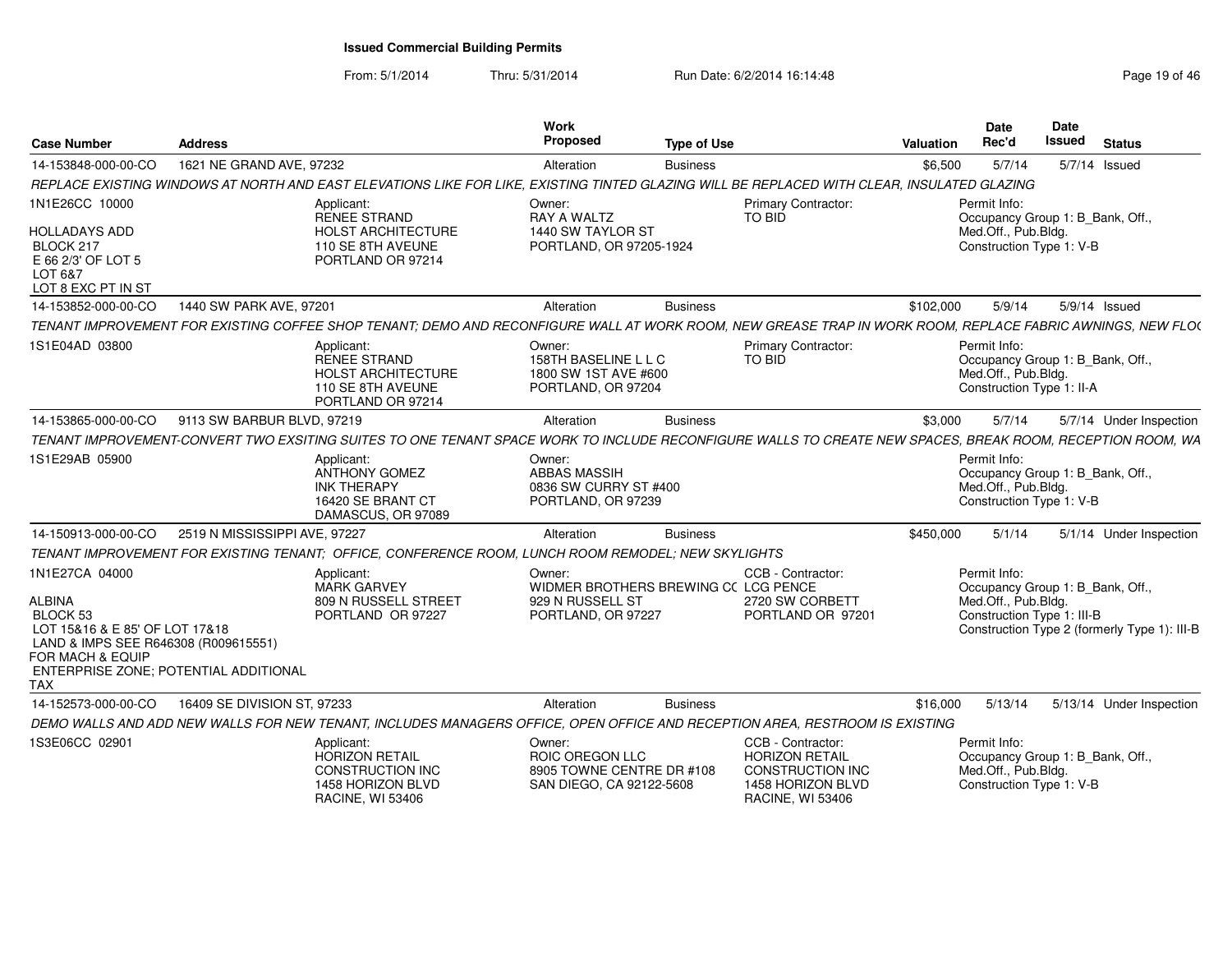From: 5/1/2014

| <b>Case Number</b>                                                                                                                                                                        | <b>Address</b>                                                                                                                                             | Work<br>Proposed                                                                         | <b>Type of Use</b> |                                                                                                                | <b>Valuation</b> | <b>Date</b><br>Rec'd                                                                                  | <b>Date</b><br>Issued | <b>Status</b>                                |
|-------------------------------------------------------------------------------------------------------------------------------------------------------------------------------------------|------------------------------------------------------------------------------------------------------------------------------------------------------------|------------------------------------------------------------------------------------------|--------------------|----------------------------------------------------------------------------------------------------------------|------------------|-------------------------------------------------------------------------------------------------------|-----------------------|----------------------------------------------|
| 14-153848-000-00-CO                                                                                                                                                                       | 1621 NE GRAND AVE, 97232                                                                                                                                   | Alteration                                                                               | <b>Business</b>    |                                                                                                                | \$6,500          | 5/7/14                                                                                                |                       | 5/7/14 Issued                                |
|                                                                                                                                                                                           | REPLACE EXISTING WINDOWS AT NORTH AND EAST ELEVATIONS LIKE FOR LIKE, EXISTING TINTED GLAZING WILL BE REPLACED WITH CLEAR, INSULATED GLAZING                |                                                                                          |                    |                                                                                                                |                  |                                                                                                       |                       |                                              |
| 1N1E26CC 10000<br><b>HOLLADAYS ADD</b><br>BLOCK 217<br>E 66 2/3' OF LOT 5                                                                                                                 | Applicant:<br><b>RENEE STRAND</b><br><b>HOLST ARCHITECTURE</b><br>110 SE 8TH AVEUNE<br>PORTLAND OR 97214                                                   | Owner:<br>RAY A WALTZ<br>1440 SW TAYLOR ST<br>PORTLAND, OR 97205-1924                    |                    | <b>Primary Contractor:</b><br>TO BID                                                                           |                  | Permit Info:<br>Occupancy Group 1: B_Bank, Off.,<br>Med.Off., Pub.Bldg.<br>Construction Type 1: V-B   |                       |                                              |
| LOT 6&7<br>LOT 8 EXC PT IN ST                                                                                                                                                             |                                                                                                                                                            |                                                                                          |                    |                                                                                                                |                  |                                                                                                       |                       |                                              |
| 14-153852-000-00-CO                                                                                                                                                                       | 1440 SW PARK AVE, 97201                                                                                                                                    | Alteration                                                                               | <b>Business</b>    |                                                                                                                | \$102,000        | 5/9/14                                                                                                |                       | 5/9/14 Issued                                |
|                                                                                                                                                                                           | TENANT IMPROVEMENT FOR EXISTING COFFEE SHOP TENANT; DEMO AND RECONFIGURE WALL AT WORK ROOM, NEW GREASE TRAP IN WORK ROOM, REPLACE FABRIC AWNINGS, NEW FLO( |                                                                                          |                    |                                                                                                                |                  |                                                                                                       |                       |                                              |
| 1S1E04AD 03800                                                                                                                                                                            | Applicant:<br><b>RENEE STRAND</b><br><b>HOLST ARCHITECTURE</b><br>110 SE 8TH AVEUNE<br>PORTLAND OR 97214                                                   | Owner:<br>158TH BASELINE L L C<br>1800 SW 1ST AVE #600<br>PORTLAND, OR 97204             |                    | Primary Contractor:<br>TO BID                                                                                  |                  | Permit Info:<br>Occupancy Group 1: B_Bank, Off.,<br>Med.Off., Pub.Bldg.<br>Construction Type 1: II-A  |                       |                                              |
| 14-153865-000-00-CO                                                                                                                                                                       | 9113 SW BARBUR BLVD, 97219                                                                                                                                 | Alteration                                                                               | <b>Business</b>    |                                                                                                                | \$3,000          | 5/7/14                                                                                                |                       | 5/7/14 Under Inspection                      |
|                                                                                                                                                                                           | TENANT IMPROVEMENT-CONVERT TWO EXSITING SUITES TO ONE TENANT SPACE WORK TO INCLUDE RECONFIGURE WALLS TO CREATE NEW SPACES, BREAK ROOM, RECEPTION ROOM, WA  |                                                                                          |                    |                                                                                                                |                  |                                                                                                       |                       |                                              |
| 1S1E29AB 05900                                                                                                                                                                            | Applicant:<br><b>ANTHONY GOMEZ</b><br><b>INK THERAPY</b><br>16420 SE BRANT CT<br>DAMASCUS, OR 97089                                                        | Owner:<br><b>ABBAS MASSIH</b><br>0836 SW CURRY ST #400<br>PORTLAND, OR 97239             |                    |                                                                                                                |                  | Permit Info:<br>Occupancy Group 1: B_Bank, Off.,<br>Med.Off., Pub.Bldg.<br>Construction Type 1: V-B   |                       |                                              |
| 14-150913-000-00-CO                                                                                                                                                                       | 2519 N MISSISSIPPI AVE, 97227                                                                                                                              | Alteration                                                                               | <b>Business</b>    |                                                                                                                | \$450,000        | 5/1/14                                                                                                |                       | 5/1/14 Under Inspection                      |
|                                                                                                                                                                                           | TENANT IMPROVEMENT FOR EXISTING TENANT; OFFICE, CONFERENCE ROOM, LUNCH ROOM REMODEL; NEW SKYLIGHTS                                                         |                                                                                          |                    |                                                                                                                |                  |                                                                                                       |                       |                                              |
| 1N1E27CA 04000<br><b>ALBINA</b><br>BLOCK 53<br>LOT 15&16 & E 85' OF LOT 17&18<br>LAND & IMPS SEE R646308 (R009615551)<br>FOR MACH & EQUIP<br>ENTERPRISE ZONE; POTENTIAL ADDITIONAL<br>TAX | Applicant:<br><b>MARK GARVEY</b><br>809 N RUSSELL STREET<br>PORTLAND OR 97227                                                                              | Owner:<br>WIDMER BROTHERS BREWING CC LCG PENCE<br>929 N RUSSELL ST<br>PORTLAND, OR 97227 |                    | CCB - Contractor:<br>2720 SW CORBETT<br>PORTLAND OR 97201                                                      |                  | Permit Info:<br>Occupancy Group 1: B_Bank, Off.,<br>Med.Off., Pub.Bldg.<br>Construction Type 1: III-B |                       | Construction Type 2 (formerly Type 1): III-B |
| 14-152573-000-00-CO                                                                                                                                                                       | 16409 SE DIVISION ST, 97233                                                                                                                                | Alteration                                                                               | <b>Business</b>    |                                                                                                                | \$16,000         | 5/13/14                                                                                               |                       | 5/13/14 Under Inspection                     |
|                                                                                                                                                                                           | DEMO WALLS AND ADD NEW WALLS FOR NEW TENANT, INCLUDES MANAGERS OFFICE, OPEN OFFICE AND RECEPTION AREA, RESTROOM IS EXISTING                                |                                                                                          |                    |                                                                                                                |                  |                                                                                                       |                       |                                              |
| 1S3E06CC 02901                                                                                                                                                                            | Applicant:<br><b>HORIZON RETAIL</b><br>CONSTRUCTION INC<br>1458 HORIZON BLVD<br><b>RACINE, WI 53406</b>                                                    | Owner:<br>ROIC OREGON LLC<br>8905 TOWNE CENTRE DR #108<br>SAN DIEGO, CA 92122-5608       |                    | CCB - Contractor:<br><b>HORIZON RETAIL</b><br>CONSTRUCTION INC<br>1458 HORIZON BLVD<br><b>RACINE, WI 53406</b> |                  | Permit Info:<br>Occupancy Group 1: B Bank, Off.,<br>Med.Off., Pub.Bldg.<br>Construction Type 1: V-B   |                       |                                              |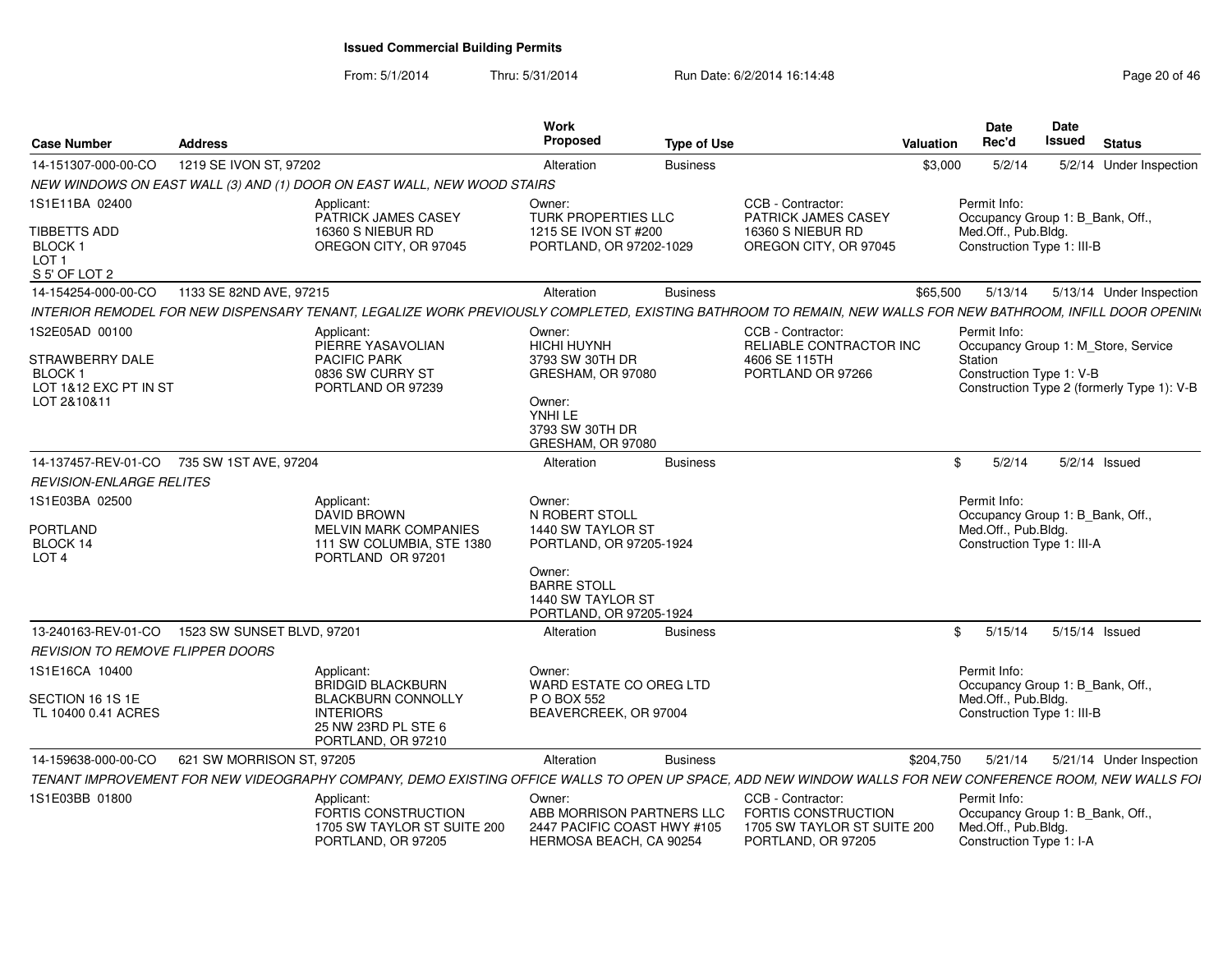| <b>Case Number</b>                                                              | <b>Address</b>             |                                                                                                                                                              | Work<br><b>Proposed</b>                                                                                                                                  | <b>Type of Use</b> |                                                                                                      | Valuation | <b>Date</b><br>Rec'd                                                                                  | Date<br>Issued | <b>Status</b> |                          |
|---------------------------------------------------------------------------------|----------------------------|--------------------------------------------------------------------------------------------------------------------------------------------------------------|----------------------------------------------------------------------------------------------------------------------------------------------------------|--------------------|------------------------------------------------------------------------------------------------------|-----------|-------------------------------------------------------------------------------------------------------|----------------|---------------|--------------------------|
| 14-151307-000-00-CO                                                             | 1219 SE IVON ST, 97202     |                                                                                                                                                              | Alteration                                                                                                                                               | <b>Business</b>    |                                                                                                      | \$3,000   | 5/2/14                                                                                                |                |               | 5/2/14 Under Inspection  |
|                                                                                 |                            | NEW WINDOWS ON EAST WALL (3) AND (1) DOOR ON EAST WALL, NEW WOOD STAIRS                                                                                      |                                                                                                                                                          |                    |                                                                                                      |           |                                                                                                       |                |               |                          |
| 1S1E11BA 02400                                                                  |                            | Applicant:<br>PATRICK JAMES CASEY                                                                                                                            | Owner:<br>TURK PROPERTIES LLC                                                                                                                            |                    | CCB - Contractor:<br>PATRICK JAMES CASEY                                                             |           | Permit Info:<br>Occupancy Group 1: B Bank, Off.,                                                      |                |               |                          |
| <b>TIBBETTS ADD</b><br>BLOCK <sub>1</sub><br>LOT <sub>1</sub><br>S 5' OF LOT 2  |                            | 16360 S NIEBUR RD<br>OREGON CITY, OR 97045                                                                                                                   | 1215 SE IVON ST #200<br>PORTLAND, OR 97202-1029                                                                                                          |                    | 16360 S NIEBUR RD<br>OREGON CITY, OR 97045                                                           |           | Med.Off., Pub.Bldg.<br>Construction Type 1: III-B                                                     |                |               |                          |
| 14-154254-000-00-CO                                                             | 1133 SE 82ND AVE, 97215    |                                                                                                                                                              | Alteration                                                                                                                                               | <b>Business</b>    |                                                                                                      | \$65,500  | 5/13/14                                                                                               |                |               | 5/13/14 Under Inspection |
|                                                                                 |                            | INTERIOR REMODEL FOR NEW DISPENSARY TENANT, LEGALIZE WORK PREVIOUSLY COMPLETED, EXISTING BATHROOM TO REMAIN, NEW WALLS FOR NEW BATHROOM, INFILL DOOR OPENIN( |                                                                                                                                                          |                    |                                                                                                      |           |                                                                                                       |                |               |                          |
| 1S2E05AD 00100                                                                  |                            | Applicant:<br>PIERRE YASAVOLIAN                                                                                                                              | Owner:<br>HICHI HUYNH                                                                                                                                    |                    | CCB - Contractor:<br>RELIABLE CONTRACTOR INC                                                         |           | Permit Info:<br>Occupancy Group 1: M_Store, Service                                                   |                |               |                          |
| <b>STRAWBERRY DALE</b><br><b>BLOCK1</b><br>LOT 1&12 EXC PT IN ST<br>LOT 2&10&11 |                            | <b>PACIFIC PARK</b><br>0836 SW CURRY ST<br>PORTLAND OR 97239                                                                                                 | 3793 SW 30TH DR<br>GRESHAM, OR 97080<br>Owner:<br>YNHI LE<br>3793 SW 30TH DR<br>GRESHAM, OR 97080                                                        |                    | 4606 SE 115TH<br>PORTLAND OR 97266                                                                   |           | Station<br>Construction Type 1: V-B<br>Construction Type 2 (formerly Type 1): V-B                     |                |               |                          |
| 14-137457-REV-01-CO 735 SW 1ST AVE, 97204                                       |                            |                                                                                                                                                              | Alteration                                                                                                                                               | <b>Business</b>    |                                                                                                      | \$        | 5/2/14                                                                                                |                | 5/2/14 Issued |                          |
| <b>REVISION-ENLARGE RELITES</b>                                                 |                            |                                                                                                                                                              |                                                                                                                                                          |                    |                                                                                                      |           |                                                                                                       |                |               |                          |
| 1S1E03BA 02500<br><b>PORTLAND</b><br>BLOCK 14<br>LOT <sub>4</sub>               |                            | Applicant:<br><b>DAVID BROWN</b><br><b>MELVIN MARK COMPANIES</b><br>111 SW COLUMBIA, STE 1380<br>PORTLAND OR 97201                                           | Owner:<br>N ROBERT STOLL<br>1440 SW TAYLOR ST<br>PORTLAND, OR 97205-1924<br>Owner:<br><b>BARRE STOLL</b><br>1440 SW TAYLOR ST<br>PORTLAND, OR 97205-1924 |                    |                                                                                                      |           | Permit Info:<br>Occupancy Group 1: B Bank, Off.,<br>Med.Off., Pub.Bldg.<br>Construction Type 1: III-A |                |               |                          |
| 13-240163-REV-01-CO                                                             | 1523 SW SUNSET BLVD, 97201 |                                                                                                                                                              | Alteration                                                                                                                                               | <b>Business</b>    |                                                                                                      |           | 5/15/14<br>$\mathbb{S}$                                                                               | 5/15/14 Issued |               |                          |
| REVISION TO REMOVE FLIPPER DOORS                                                |                            |                                                                                                                                                              |                                                                                                                                                          |                    |                                                                                                      |           |                                                                                                       |                |               |                          |
| 1S1E16CA 10400                                                                  |                            | Applicant:<br><b>BRIDGID BLACKBURN</b>                                                                                                                       | Owner:<br>WARD ESTATE CO OREG LTD                                                                                                                        |                    |                                                                                                      |           | Permit Info:<br>Occupancy Group 1: B_Bank, Off.,                                                      |                |               |                          |
| SECTION 16 1S 1E<br>TL 10400 0.41 ACRES                                         |                            | <b>BLACKBURN CONNOLLY</b><br><b>INTERIORS</b><br>25 NW 23RD PL STE 6<br>PORTLAND, OR 97210                                                                   | P O BOX 552<br>BEAVERCREEK, OR 97004                                                                                                                     |                    |                                                                                                      |           | Med.Off., Pub.Bldg.<br>Construction Type 1: III-B                                                     |                |               |                          |
| 14-159638-000-00-CO                                                             | 621 SW MORRISON ST, 97205  |                                                                                                                                                              | Alteration                                                                                                                                               | <b>Business</b>    |                                                                                                      | \$204,750 | 5/21/14                                                                                               |                |               | 5/21/14 Under Inspection |
|                                                                                 |                            | TENANT IMPROVEMENT FOR NEW VIDEOGRAPHY COMPANY. DEMO EXISTING OFFICE WALLS TO OPEN UP SPACE. ADD NEW WINDOW WALLS FOR NEW CONFERENCE ROOM. NEW WALLS FOI     |                                                                                                                                                          |                    |                                                                                                      |           |                                                                                                       |                |               |                          |
| 1S1E03BB 01800                                                                  |                            | Applicant:<br>FORTIS CONSTRUCTION<br>1705 SW TAYLOR ST SUITE 200<br>PORTLAND, OR 97205                                                                       | Owner:<br>ABB MORRISON PARTNERS LLC<br>2447 PACIFIC COAST HWY #105<br>HERMOSA BEACH, CA 90254                                                            |                    | CCB - Contractor:<br><b>FORTIS CONSTRUCTION</b><br>1705 SW TAYLOR ST SUITE 200<br>PORTLAND, OR 97205 |           | Permit Info:<br>Occupancy Group 1: B Bank, Off.,<br>Med.Off., Pub.Bldg.<br>Construction Type 1: I-A   |                |               |                          |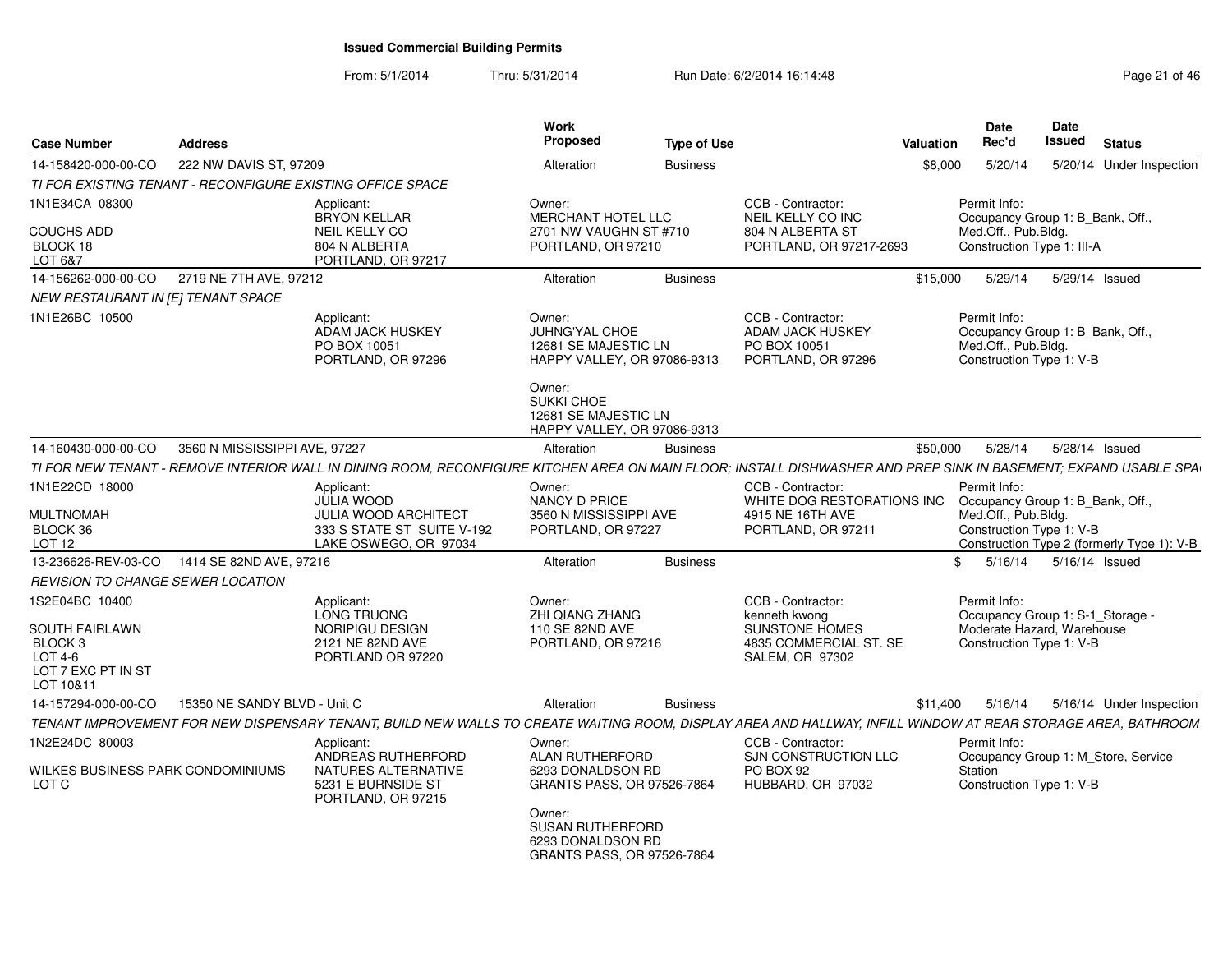| <b>Case Number</b>                                                                 | <b>Address</b>                |                                                                                                                                                                  | <b>Work</b><br>Proposed                                                                                               | <b>Type of Use</b> |                                                                                    | Valuation  | Date<br>Rec'd                                                                                       | <b>Date</b><br>Issued | <b>Status</b>                              |
|------------------------------------------------------------------------------------|-------------------------------|------------------------------------------------------------------------------------------------------------------------------------------------------------------|-----------------------------------------------------------------------------------------------------------------------|--------------------|------------------------------------------------------------------------------------|------------|-----------------------------------------------------------------------------------------------------|-----------------------|--------------------------------------------|
| 14-158420-000-00-CO                                                                | 222 NW DAVIS ST, 97209        |                                                                                                                                                                  | Alteration                                                                                                            | <b>Business</b>    |                                                                                    | \$8,000    | 5/20/14                                                                                             |                       | 5/20/14 Under Inspection                   |
| TI FOR EXISTING TENANT - RECONFIGURE EXISTING OFFICE SPACE                         |                               |                                                                                                                                                                  |                                                                                                                       |                    |                                                                                    |            |                                                                                                     |                       |                                            |
| 1N1E34CA 08300                                                                     |                               | Applicant:<br><b>BRYON KELLAR</b>                                                                                                                                | Owner:<br><b>MERCHANT HOTEL LLC</b>                                                                                   |                    | CCB - Contractor:<br>NEIL KELLY CO INC                                             |            | Permit Info:<br>Occupancy Group 1: B Bank, Off.,                                                    |                       |                                            |
| <b>COUCHS ADD</b><br>BLOCK 18<br>LOT 6&7                                           |                               | <b>NEIL KELLY CO</b><br>804 N ALBERTA<br>PORTLAND, OR 97217                                                                                                      | 2701 NW VAUGHN ST #710<br>PORTLAND, OR 97210                                                                          |                    | 804 N ALBERTA ST<br>PORTLAND, OR 97217-2693                                        |            | Med.Off., Pub.Bldg.<br>Construction Type 1: III-A                                                   |                       |                                            |
| 14-156262-000-00-CO                                                                | 2719 NE 7TH AVE, 97212        |                                                                                                                                                                  | Alteration                                                                                                            | <b>Business</b>    |                                                                                    | \$15,000   | 5/29/14                                                                                             | 5/29/14 Issued        |                                            |
| NEW RESTAURANT IN [E] TENANT SPACE                                                 |                               |                                                                                                                                                                  |                                                                                                                       |                    |                                                                                    |            |                                                                                                     |                       |                                            |
| 1N1E26BC 10500                                                                     |                               | Applicant:<br><b>ADAM JACK HUSKEY</b><br>PO BOX 10051<br>PORTLAND, OR 97296                                                                                      | Owner:<br><b>JUHNG'YAL CHOE</b><br>12681 SE MAJESTIC LN<br>HAPPY VALLEY, OR 97086-9313<br>Owner:<br><b>SUKKI CHOE</b> |                    | CCB - Contractor:<br><b>ADAM JACK HUSKEY</b><br>PO BOX 10051<br>PORTLAND, OR 97296 |            | Permit Info:<br>Occupancy Group 1: B Bank, Off.,<br>Med.Off., Pub.Bldg.<br>Construction Type 1: V-B |                       |                                            |
|                                                                                    |                               |                                                                                                                                                                  | 12681 SE MAJESTIC LN<br>HAPPY VALLEY, OR 97086-9313                                                                   |                    |                                                                                    |            |                                                                                                     |                       |                                            |
| 14-160430-000-00-CO                                                                | 3560 N MISSISSIPPI AVE, 97227 |                                                                                                                                                                  | Alteration                                                                                                            | <b>Business</b>    |                                                                                    | \$50,000   | 5/28/14                                                                                             | 5/28/14 Issued        |                                            |
|                                                                                    |                               | TI FOR NEW TENANT - REMOVE INTERIOR WALL IN DINING ROOM, RECONFIGURE KITCHEN AREA ON MAIN FLOOR; INSTALL DISHWASHER AND PREP SINK IN BASEMENT; EXPAND USABLE SPA |                                                                                                                       |                    |                                                                                    |            |                                                                                                     |                       |                                            |
| 1N1E22CD 18000<br><b>MULTNOMAH</b>                                                 |                               | Applicant:<br><b>JULIA WOOD</b><br>JULIA WOOD ARCHITECT                                                                                                          | Owner:<br>NANCY D PRICE<br>3560 N MISSISSIPPI AVE                                                                     |                    | CCB - Contractor:<br>WHITE DOG RESTORATIONS INC<br>4915 NE 16TH AVE                |            | Permit Info:<br>Occupancy Group 1: B_Bank, Off.,<br>Med.Off., Pub.Bldg.                             |                       |                                            |
| BLOCK 36<br><b>LOT 12</b>                                                          |                               | 333 S STATE ST SUITE V-192<br>LAKE OSWEGO, OR 97034                                                                                                              | PORTLAND, OR 97227                                                                                                    |                    | PORTLAND, OR 97211                                                                 |            | Construction Type 1: V-B                                                                            |                       | Construction Type 2 (formerly Type 1): V-B |
| 13-236626-REV-03-CO 1414 SE 82ND AVE, 97216                                        |                               |                                                                                                                                                                  | Alteration                                                                                                            | <b>Business</b>    |                                                                                    | $^{\circ}$ | 5/16/14                                                                                             | 5/16/14 Issued        |                                            |
| REVISION TO CHANGE SEWER LOCATION                                                  |                               |                                                                                                                                                                  |                                                                                                                       |                    |                                                                                    |            |                                                                                                     |                       |                                            |
| 1S2E04BC 10400                                                                     |                               | Applicant:<br>LONG TRUONG                                                                                                                                        | Owner:<br><b>ZHI QIANG ZHANG</b>                                                                                      |                    | CCB - Contractor:<br>kenneth kwong                                                 |            | Permit Info:<br>Occupancy Group 1: S-1_Storage -                                                    |                       |                                            |
| SOUTH FAIRLAWN<br>BLOCK <sub>3</sub><br>LOT 4-6<br>LOT 7 EXC PT IN ST<br>LOT 10&11 |                               | NORIPIGU DESIGN<br>2121 NE 82ND AVE<br>PORTLAND OR 97220                                                                                                         | 110 SE 82ND AVE<br>PORTLAND, OR 97216                                                                                 |                    | SUNSTONE HOMES<br>4835 COMMERCIAL ST. SE<br>SALEM, OR 97302                        |            | Moderate Hazard, Warehouse<br>Construction Type 1: V-B                                              |                       |                                            |
| 14-157294-000-00-CO                                                                | 15350 NE SANDY BLVD - Unit C  |                                                                                                                                                                  | Alteration                                                                                                            | <b>Business</b>    |                                                                                    | \$11,400   | 5/16/14                                                                                             |                       | 5/16/14 Under Inspection                   |
|                                                                                    |                               | TENANT IMPROVEMENT FOR NEW DISPENSARY TENANT. BUILD NEW WALLS TO CREATE WAITING ROOM. DISPLAY AREA AND HALLWAY. INFILL WINDOW AT REAR STORAGE AREA. BATHROOM     |                                                                                                                       |                    |                                                                                    |            |                                                                                                     |                       |                                            |
| 1N2E24DC 80003                                                                     |                               | Applicant:<br>ANDREAS RUTHERFORD                                                                                                                                 | Owner:<br><b>ALAN RUTHERFORD</b>                                                                                      |                    | CCB - Contractor:<br>SJN CONSTRUCTION LLC                                          |            | Permit Info:                                                                                        |                       | Occupancy Group 1: M_Store, Service        |
| WILKES BUSINESS PARK CONDOMINIUMS<br>LOT C                                         |                               | NATURES ALTERNATIVE<br>5231 E BURNSIDE ST<br>PORTLAND, OR 97215                                                                                                  | 6293 DONALDSON RD<br><b>GRANTS PASS, OR 97526-7864</b>                                                                |                    | PO BOX 92<br>HUBBARD, OR 97032                                                     |            | Station<br>Construction Type 1: V-B                                                                 |                       |                                            |
|                                                                                    |                               |                                                                                                                                                                  | Owner:<br><b>SUSAN RUTHERFORD</b><br>6293 DONALDSON RD<br><b>GRANTS PASS, OR 97526-7864</b>                           |                    |                                                                                    |            |                                                                                                     |                       |                                            |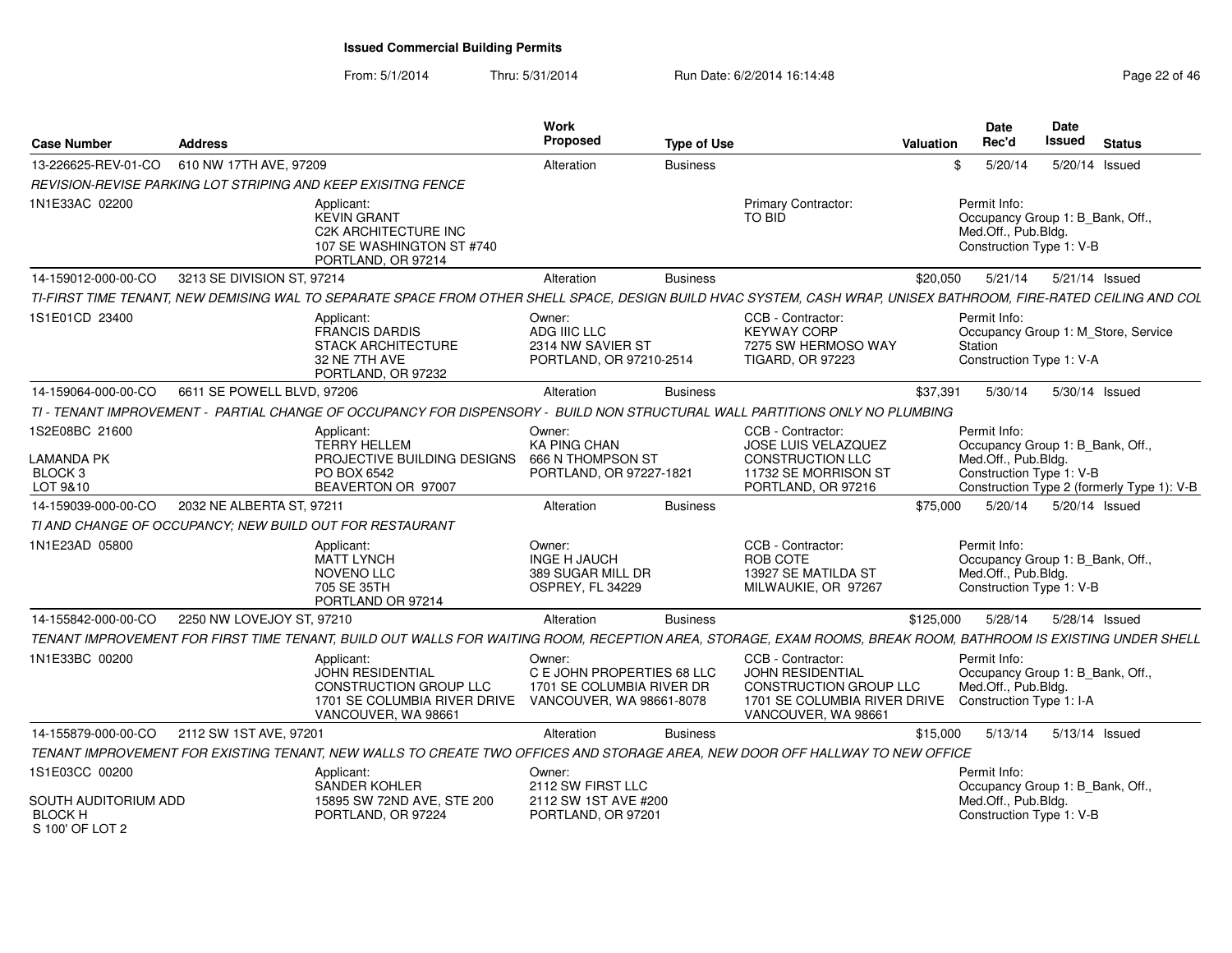| <b>Case Number</b>                                                            | <b>Address</b>             |                                                                                                                                                                   | <b>Work</b><br>Proposed                                                                       | <b>Type of Use</b> |                                                                                                                               | Valuation | <b>Date</b><br>Rec'd                                                                                | Date<br><b>Issued</b> | <b>Status</b>                              |
|-------------------------------------------------------------------------------|----------------------------|-------------------------------------------------------------------------------------------------------------------------------------------------------------------|-----------------------------------------------------------------------------------------------|--------------------|-------------------------------------------------------------------------------------------------------------------------------|-----------|-----------------------------------------------------------------------------------------------------|-----------------------|--------------------------------------------|
| 13-226625-REV-01-CO                                                           | 610 NW 17TH AVE, 97209     |                                                                                                                                                                   | Alteration                                                                                    | <b>Business</b>    |                                                                                                                               | \$        | 5/20/14                                                                                             |                       | 5/20/14 Issued                             |
|                                                                               |                            | REVISION-REVISE PARKING LOT STRIPING AND KEEP EXISITNG FENCE                                                                                                      |                                                                                               |                    |                                                                                                                               |           |                                                                                                     |                       |                                            |
| 1N1E33AC 02200                                                                |                            | Applicant:<br><b>KEVIN GRANT</b><br>C2K ARCHITECTURE INC<br>107 SE WASHINGTON ST #740<br>PORTLAND, OR 97214                                                       |                                                                                               |                    | Primary Contractor:<br>TO BID                                                                                                 |           | Permit Info:<br>Occupancy Group 1: B_Bank, Off.,<br>Med.Off., Pub.Bldg.<br>Construction Type 1: V-B |                       |                                            |
| 14-159012-000-00-CO                                                           | 3213 SE DIVISION ST, 97214 |                                                                                                                                                                   | Alteration                                                                                    | <b>Business</b>    |                                                                                                                               | \$20,050  | 5/21/14                                                                                             |                       | 5/21/14 Issued                             |
|                                                                               |                            | TI-FIRST TIME TENANT, NEW DEMISING WAL TO SEPARATE SPACE FROM OTHER SHELL SPACE, DESIGN BUILD HVAC SYSTEM, CASH WRAP, UNISEX BATHROOM, FIRE-RATED CEILING AND COL |                                                                                               |                    |                                                                                                                               |           |                                                                                                     |                       |                                            |
| 1S1E01CD 23400                                                                |                            | Applicant:<br><b>FRANCIS DARDIS</b><br>STACK ARCHITECTURE<br>32 NE 7TH AVE<br>PORTLAND, OR 97232                                                                  | Owner:<br>ADG IIIC LLC<br>2314 NW SAVIER ST<br>PORTLAND, OR 97210-2514                        |                    | CCB - Contractor:<br><b>KEYWAY CORP</b><br>7275 SW HERMOSO WAY<br><b>TIGARD, OR 97223</b>                                     |           | Permit Info:<br>Station<br>Construction Type 1: V-A                                                 |                       | Occupancy Group 1: M_Store, Service        |
| 14-159064-000-00-CO                                                           | 6611 SE POWELL BLVD, 97206 |                                                                                                                                                                   | Alteration                                                                                    | <b>Business</b>    |                                                                                                                               | \$37.391  | 5/30/14                                                                                             |                       | 5/30/14 Issued                             |
|                                                                               |                            | TI - TENANT IMPROVEMENT - PARTIAL CHANGE OF OCCUPANCY FOR DISPENSORY - BUILD NON STRUCTURAL WALL PARTITIONS ONLY NO PLUMBING                                      |                                                                                               |                    |                                                                                                                               |           |                                                                                                     |                       |                                            |
| 1S2E08BC 21600<br>LAMANDA PK<br>BLOCK <sub>3</sub><br>LOT 9&10                |                            | Applicant:<br><b>TERRY HELLEM</b><br>PROJECTIVE BUILDING DESIGNS<br>PO BOX 6542<br>BEAVERTON OR 97007                                                             | Owner:<br><b>KA PING CHAN</b><br>666 N THOMPSON ST<br>PORTLAND, OR 97227-1821                 |                    | CCB - Contractor:<br>JOSE LUIS VELAZQUEZ<br><b>CONSTRUCTION LLC</b><br>11732 SE MORRISON ST<br>PORTLAND, OR 97216             |           | Permit Info:<br>Occupancy Group 1: B_Bank, Off.,<br>Med.Off., Pub.Bldg.<br>Construction Type 1: V-B |                       | Construction Type 2 (formerly Type 1): V-B |
| 14-159039-000-00-CO                                                           | 2032 NE ALBERTA ST, 97211  |                                                                                                                                                                   | Alteration                                                                                    | <b>Business</b>    |                                                                                                                               | \$75,000  | 5/20/14                                                                                             |                       | 5/20/14 Issued                             |
|                                                                               |                            | TI AND CHANGE OF OCCUPANCY; NEW BUILD OUT FOR RESTAURANT                                                                                                          |                                                                                               |                    |                                                                                                                               |           |                                                                                                     |                       |                                            |
| 1N1E23AD 05800                                                                |                            | Applicant:<br><b>MATT LYNCH</b><br>NOVENO LLC<br>705 SE 35TH<br>PORTLAND OR 97214                                                                                 | Owner:<br><b>INGE H JAUCH</b><br>389 SUGAR MILL DR<br>OSPREY, FL 34229                        |                    | CCB - Contractor:<br>ROB COTE<br>13927 SE MATILDA ST<br>MILWAUKIE, OR 97267                                                   |           | Permit Info:<br>Occupancy Group 1: B_Bank, Off.,<br>Med.Off., Pub.Bldg.<br>Construction Type 1: V-B |                       |                                            |
| 14-155842-000-00-CO                                                           | 2250 NW LOVEJOY ST, 97210  |                                                                                                                                                                   | Alteration                                                                                    | <b>Business</b>    |                                                                                                                               | \$125,000 | 5/28/14                                                                                             |                       | 5/28/14 Issued                             |
|                                                                               |                            | TENANT IMPROVEMENT FOR FIRST TIME TENANT, BUILD OUT WALLS FOR WAITING ROOM, RECEPTION AREA, STORAGE, EXAM ROOMS, BREAK ROOM, BATHROOM IS EXISTING UNDER SHELL     |                                                                                               |                    |                                                                                                                               |           |                                                                                                     |                       |                                            |
| 1N1E33BC 00200                                                                |                            | Applicant:<br><b>JOHN RESIDENTIAL</b><br><b>CONSTRUCTION GROUP LLC</b><br>1701 SE COLUMBIA RIVER DRIVE<br>VANCOUVER, WA 98661                                     | Owner:<br>C E JOHN PROPERTIES 68 LLC<br>1701 SE COLUMBIA RIVER DR<br>VANCOUVER, WA 98661-8078 |                    | CCB - Contractor:<br><b>JOHN RESIDENTIAL</b><br>CONSTRUCTION GROUP LLC<br>1701 SE COLUMBIA RIVER DRIVE<br>VANCOUVER, WA 98661 |           | Permit Info:<br>Occupancy Group 1: B_Bank, Off.,<br>Med.Off., Pub.Bldg.<br>Construction Type 1: I-A |                       |                                            |
| 14-155879-000-00-CO                                                           | 2112 SW 1ST AVE, 97201     |                                                                                                                                                                   | Alteration                                                                                    | <b>Business</b>    |                                                                                                                               | \$15,000  | 5/13/14                                                                                             |                       | 5/13/14 Issued                             |
|                                                                               |                            | TENANT IMPROVEMENT FOR EXISTING TENANT, NEW WALLS TO CREATE TWO OFFICES AND STORAGE AREA, NEW DOOR OFF HALLWAY TO NEW OFFICE                                      |                                                                                               |                    |                                                                                                                               |           |                                                                                                     |                       |                                            |
| 1S1E03CC 00200<br>SOUTH AUDITORIUM ADD<br><b>BLOCK H</b><br>$S$ 100' OF LOT 2 |                            | Applicant:<br>SANDER KOHLER<br>15895 SW 72ND AVE, STE 200<br>PORTLAND, OR 97224                                                                                   | Owner:<br>2112 SW FIRST LLC<br>2112 SW 1ST AVE #200<br>PORTLAND, OR 97201                     |                    |                                                                                                                               |           | Permit Info:<br>Occupancy Group 1: B_Bank, Off.,<br>Med.Off., Pub.Blda.<br>Construction Type 1: V-B |                       |                                            |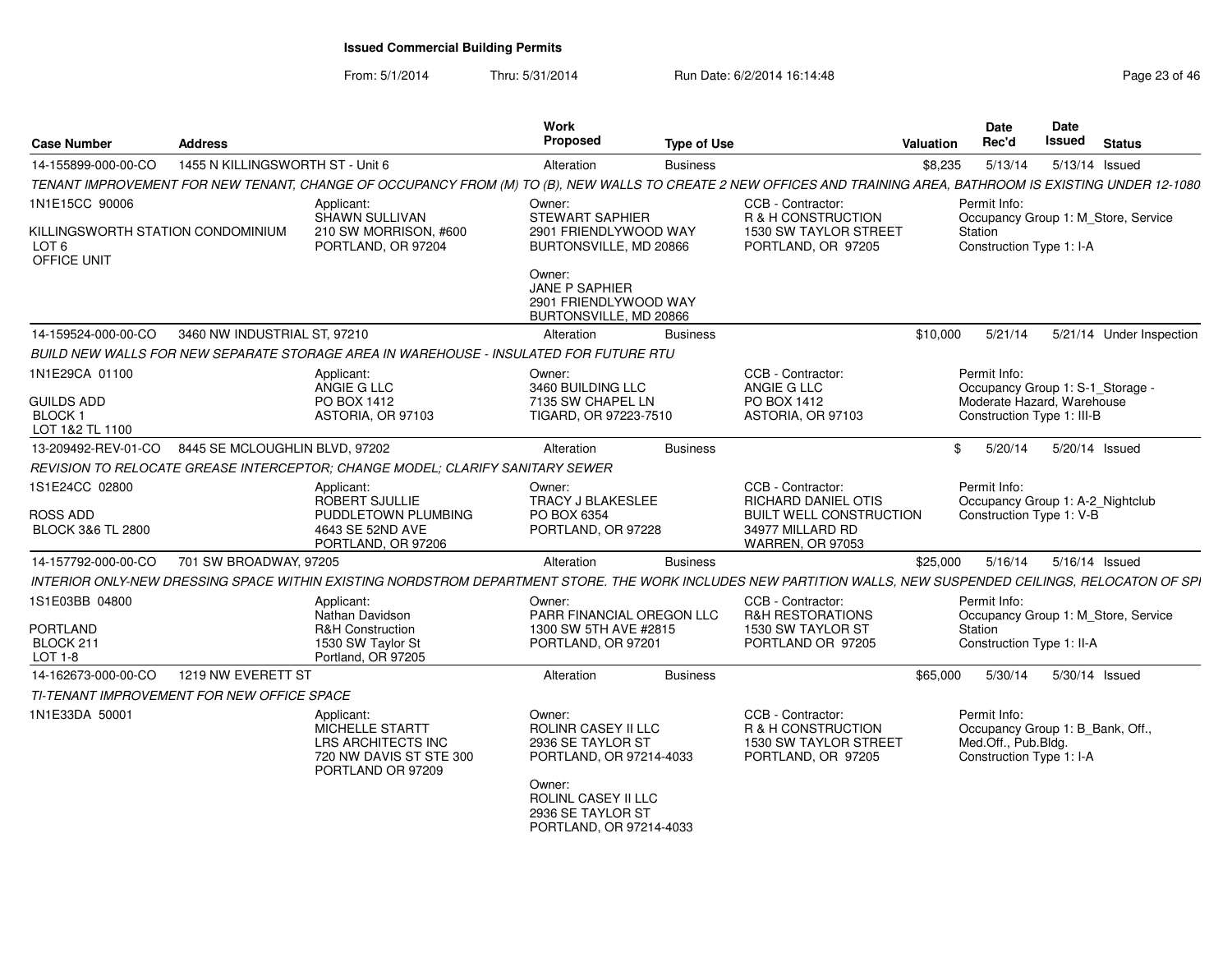| <b>Case Number</b>                                                   | <b>Address</b>                   |                                                                                                                                                                 | Work<br><b>Proposed</b>                                                              | <b>Type of Use</b> |                                                                                                                           | <b>Valuation</b> | <b>Date</b><br>Rec'd                                                                                | Date<br><b>Issued</b> | <b>Status</b>                       |
|----------------------------------------------------------------------|----------------------------------|-----------------------------------------------------------------------------------------------------------------------------------------------------------------|--------------------------------------------------------------------------------------|--------------------|---------------------------------------------------------------------------------------------------------------------------|------------------|-----------------------------------------------------------------------------------------------------|-----------------------|-------------------------------------|
| 14-155899-000-00-CO                                                  | 1455 N KILLINGSWORTH ST - Unit 6 |                                                                                                                                                                 | Alteration                                                                           | <b>Business</b>    |                                                                                                                           | \$8,235          | 5/13/14                                                                                             |                       | 5/13/14 Issued                      |
|                                                                      |                                  | TENANT IMPROVEMENT FOR NEW TENANT, CHANGE OF OCCUPANCY FROM (M) TO (B), NEW WALLS TO CREATE 2 NEW OFFICES AND TRAINING AREA, BATHROOM IS EXISTING UNDER 12-1080 |                                                                                      |                    |                                                                                                                           |                  |                                                                                                     |                       |                                     |
| 1N1E15CC 90006                                                       |                                  | Applicant:                                                                                                                                                      | Owner:                                                                               |                    | CCB - Contractor:                                                                                                         |                  | Permit Info:                                                                                        |                       |                                     |
| KILLINGSWORTH STATION CONDOMINIUM<br>LOT <sub>6</sub><br>OFFICE UNIT |                                  | SHAWN SULLIVAN<br>210 SW MORRISON, #600<br>PORTLAND, OR 97204                                                                                                   | STEWART SAPHIER<br>2901 FRIENDLYWOOD WAY<br>BURTONSVILLE, MD 20866                   |                    | R & H CONSTRUCTION<br>1530 SW TAYLOR STREET<br>PORTLAND, OR 97205                                                         |                  | Station<br>Construction Type 1: I-A                                                                 |                       | Occupancy Group 1: M_Store, Service |
|                                                                      |                                  |                                                                                                                                                                 | Owner:<br>JANE P SAPHIER<br>2901 FRIENDLYWOOD WAY<br>BURTONSVILLE, MD 20866          |                    |                                                                                                                           |                  |                                                                                                     |                       |                                     |
| 14-159524-000-00-CO                                                  | 3460 NW INDUSTRIAL ST, 97210     |                                                                                                                                                                 | Alteration                                                                           | <b>Business</b>    |                                                                                                                           | \$10,000         | 5/21/14                                                                                             |                       | 5/21/14 Under Inspection            |
|                                                                      |                                  | BUILD NEW WALLS FOR NEW SEPARATE STORAGE AREA IN WAREHOUSE - INSULATED FOR FUTURE RTU                                                                           |                                                                                      |                    |                                                                                                                           |                  |                                                                                                     |                       |                                     |
| 1N1E29CA 01100                                                       |                                  | Applicant:<br>ANGIE G LLC                                                                                                                                       | Owner:<br>3460 BUILDING LLC                                                          |                    | CCB - Contractor:<br>ANGIE G LLC                                                                                          |                  | Permit Info:<br>Occupancy Group 1: S-1_Storage -                                                    |                       |                                     |
| <b>GUILDS ADD</b><br><b>BLOCK1</b><br>LOT 1&2 TL 1100                |                                  | PO BOX 1412<br>ASTORIA, OR 97103                                                                                                                                | 7135 SW CHAPEL LN<br>TIGARD, OR 97223-7510                                           |                    | PO BOX 1412<br>ASTORIA, OR 97103                                                                                          |                  | Moderate Hazard, Warehouse<br>Construction Type 1: III-B                                            |                       |                                     |
| 13-209492-REV-01-CO                                                  | 8445 SE MCLOUGHLIN BLVD, 97202   |                                                                                                                                                                 | Alteration                                                                           | <b>Business</b>    |                                                                                                                           | \$               | 5/20/14                                                                                             | 5/20/14 Issued        |                                     |
|                                                                      |                                  | REVISION TO RELOCATE GREASE INTERCEPTOR: CHANGE MODEL: CLARIFY SANITARY SEWER                                                                                   |                                                                                      |                    |                                                                                                                           |                  |                                                                                                     |                       |                                     |
| 1S1E24CC 02800<br><b>ROSS ADD</b><br><b>BLOCK 3&amp;6 TL 2800</b>    |                                  | Applicant:<br>ROBERT SJULLIE<br>PUDDLETOWN PLUMBING<br>4643 SE 52ND AVE<br>PORTLAND, OR 97206                                                                   | Owner:<br><b>TRACY J BLAKESLEE</b><br>PO BOX 6354<br>PORTLAND, OR 97228              |                    | CCB - Contractor:<br><b>RICHARD DANIEL OTIS</b><br><b>BUILT WELL CONSTRUCTION</b><br>34977 MILLARD RD<br>WARREN, OR 97053 |                  | Permit Info:<br>Occupancy Group 1: A-2_Nightclub<br>Construction Type 1: V-B                        |                       |                                     |
| 14-157792-000-00-CO                                                  | 701 SW BROADWAY, 97205           |                                                                                                                                                                 | Alteration                                                                           | <b>Business</b>    |                                                                                                                           | \$25,000         | 5/16/14                                                                                             | 5/16/14 Issued        |                                     |
|                                                                      |                                  | INTERIOR ONLY-NEW DRESSING SPACE WITHIN EXISTING NORDSTROM DEPARTMENT STORE. THE WORK INCLUDES NEW PARTITION WALLS, NEW SUSPENDED CEILINGS, RELOCATON OF SPI    |                                                                                      |                    |                                                                                                                           |                  |                                                                                                     |                       |                                     |
| 1S1E03BB 04800<br>PORTLAND<br>BLOCK 211<br>LOT 1-8                   |                                  | Applicant:<br>Nathan Davidson<br>R&H Construction<br>1530 SW Taylor St<br>Portland, OR 97205                                                                    | Owner:<br>PARR FINANCIAL OREGON LLC<br>1300 SW 5TH AVE #2815<br>PORTLAND, OR 97201   |                    | CCB - Contractor:<br><b>R&amp;H RESTORATIONS</b><br>1530 SW TAYLOR ST<br>PORTLAND OR 97205                                |                  | Permit Info:<br>Station<br>Construction Type 1: II-A                                                |                       | Occupancy Group 1: M Store, Service |
| 14-162673-000-00-CO                                                  | 1219 NW EVERETT ST               |                                                                                                                                                                 | Alteration                                                                           | <b>Business</b>    |                                                                                                                           | \$65,000         | 5/30/14                                                                                             | 5/30/14 Issued        |                                     |
| TI-TENANT IMPROVEMENT FOR NEW OFFICE SPACE                           |                                  |                                                                                                                                                                 |                                                                                      |                    |                                                                                                                           |                  |                                                                                                     |                       |                                     |
| 1N1E33DA 50001                                                       |                                  | Applicant:<br>MICHELLE STARTT<br>LRS ARCHITECTS INC<br>720 NW DAVIS ST STE 300<br>PORTLAND OR 97209                                                             | Owner:<br><b>ROLINR CASEY II LLC</b><br>2936 SE TAYLOR ST<br>PORTLAND, OR 97214-4033 |                    | CCB - Contractor:<br>R & H CONSTRUCTION<br>1530 SW TAYLOR STREET<br>PORTLAND, OR 97205                                    |                  | Permit Info:<br>Occupancy Group 1: B_Bank, Off.,<br>Med.Off., Pub.Bldg.<br>Construction Type 1: I-A |                       |                                     |
|                                                                      |                                  |                                                                                                                                                                 | Owner:<br>ROLINL CASEY II LLC<br>2936 SE TAYLOR ST<br>PORTLAND, OR 97214-4033        |                    |                                                                                                                           |                  |                                                                                                     |                       |                                     |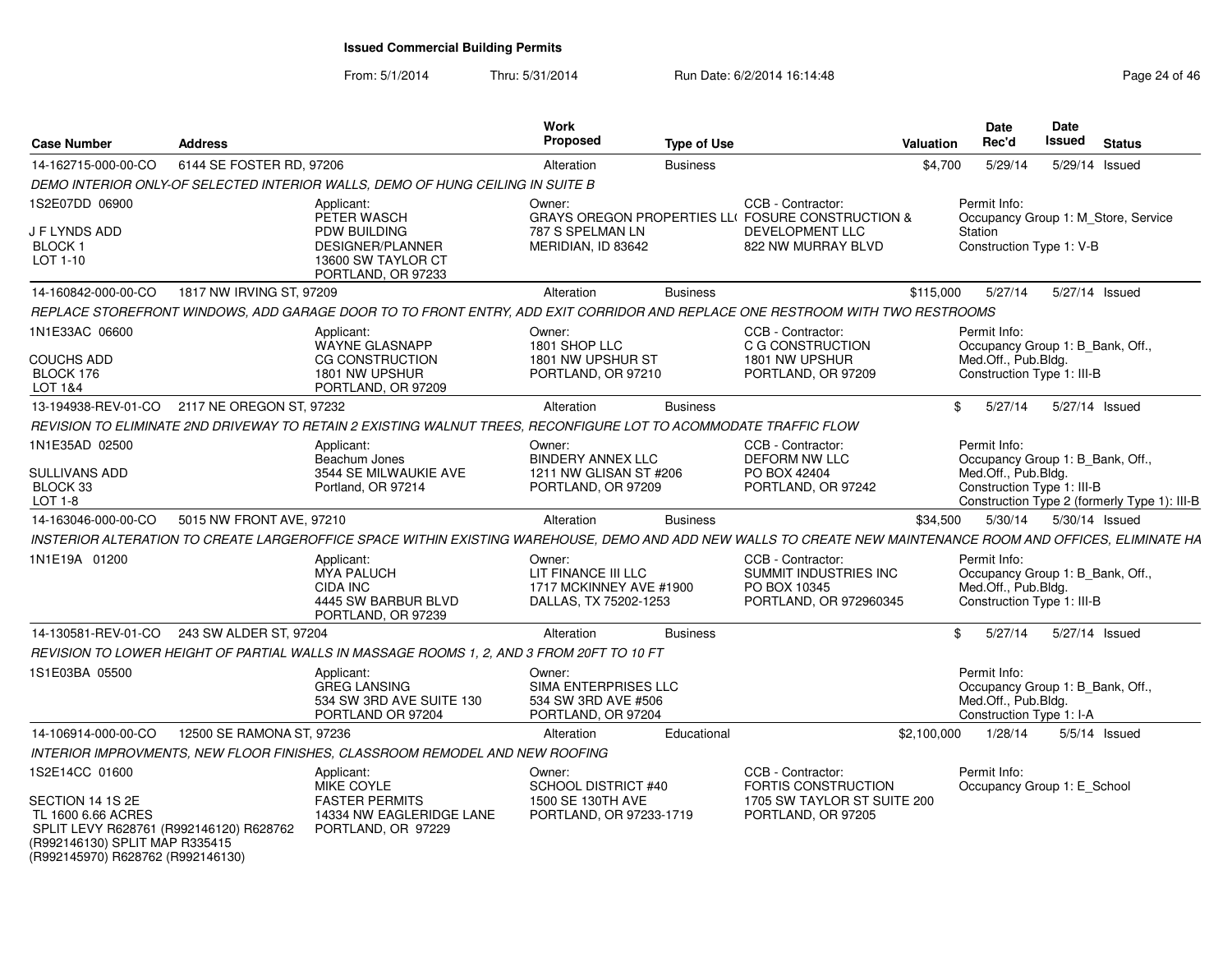| <b>Case Number</b>                                                                                                                                       | <b>Address</b>            |                                                                                                                                                              | <b>Work</b><br><b>Proposed</b>                                                    | <b>Type of Use</b> |                                                                                      | <b>Valuation</b> | <b>Date</b><br>Rec'd                                                                                  | <b>Date</b><br>Issued | <b>Status</b>                                |  |
|----------------------------------------------------------------------------------------------------------------------------------------------------------|---------------------------|--------------------------------------------------------------------------------------------------------------------------------------------------------------|-----------------------------------------------------------------------------------|--------------------|--------------------------------------------------------------------------------------|------------------|-------------------------------------------------------------------------------------------------------|-----------------------|----------------------------------------------|--|
| 14-162715-000-00-CO                                                                                                                                      | 6144 SE FOSTER RD, 97206  |                                                                                                                                                              | Alteration                                                                        | <b>Business</b>    |                                                                                      | \$4.700          | 5/29/14                                                                                               |                       | 5/29/14 Issued                               |  |
|                                                                                                                                                          |                           | DEMO INTERIOR ONLY-OF SELECTED INTERIOR WALLS, DEMO OF HUNG CEILING IN SUITE B                                                                               |                                                                                   |                    |                                                                                      |                  |                                                                                                       |                       |                                              |  |
| 1S2E07DD 06900                                                                                                                                           |                           | Applicant:<br>PETER WASCH                                                                                                                                    | Owner:                                                                            |                    | CCB - Contractor:<br>GRAYS OREGON PROPERTIES LLI FOSURE CONSTRUCTION &               |                  | Permit Info:                                                                                          |                       | Occupancy Group 1: M Store, Service          |  |
| <b>J F LYNDS ADD</b><br>BLOCK 1<br>LOT 1-10                                                                                                              |                           | PDW BUILDING<br>DESIGNER/PLANNER<br>13600 SW TAYLOR CT<br>PORTLAND, OR 97233                                                                                 | 787 S SPELMAN LN<br>MERIDIAN, ID 83642                                            |                    | DEVELOPMENT LLC<br>822 NW MURRAY BLVD                                                |                  | Station<br>Construction Type 1: V-B                                                                   |                       |                                              |  |
| 14-160842-000-00-CO                                                                                                                                      | 1817 NW IRVING ST, 97209  |                                                                                                                                                              | Alteration                                                                        | <b>Business</b>    |                                                                                      | \$115,000        | 5/27/14                                                                                               |                       | 5/27/14 Issued                               |  |
|                                                                                                                                                          |                           | REPLACE STOREFRONT WINDOWS, ADD GARAGE DOOR TO TO FRONT ENTRY, ADD EXIT CORRIDOR AND REPLACE ONE RESTROOM WITH TWO RESTROOMS                                 |                                                                                   |                    |                                                                                      |                  |                                                                                                       |                       |                                              |  |
| 1N1E33AC 06600                                                                                                                                           |                           | Applicant:<br><b>WAYNE GLASNAPP</b>                                                                                                                          | Owner:<br>1801 SHOP LLC                                                           |                    | CCB - Contractor:<br>C G CONSTRUCTION                                                |                  | Permit Info:<br>Occupancy Group 1: B_Bank, Off.,                                                      |                       |                                              |  |
| <b>COUCHS ADD</b><br>BLOCK 176<br>LOT 1&4                                                                                                                |                           | CG CONSTRUCTION<br>1801 NW UPSHUR<br>PORTLAND, OR 97209                                                                                                      | 1801 NW UPSHUR ST<br>PORTLAND, OR 97210                                           |                    | 1801 NW UPSHUR<br>PORTLAND, OR 97209                                                 |                  | Med.Off., Pub.Bldg.<br>Construction Type 1: III-B                                                     |                       |                                              |  |
| 13-194938-REV-01-CO                                                                                                                                      | 2117 NE OREGON ST, 97232  |                                                                                                                                                              | Alteration                                                                        | <b>Business</b>    |                                                                                      | \$               | 5/27/14                                                                                               |                       | 5/27/14 Issued                               |  |
|                                                                                                                                                          |                           | REVISION TO ELIMINATE 2ND DRIVEWAY TO RETAIN 2 EXISTING WALNUT TREES. RECONFIGURE LOT TO ACOMMODATE TRAFFIC FLOW                                             |                                                                                   |                    |                                                                                      |                  |                                                                                                       |                       |                                              |  |
| 1N1E35AD 02500                                                                                                                                           |                           | Applicant:<br>Beachum Jones                                                                                                                                  | Owner:<br><b>BINDERY ANNEX LLC</b>                                                |                    | CCB - Contractor:<br><b>DEFORM NW LLC</b>                                            |                  | Permit Info:<br>Occupancy Group 1: B_Bank, Off.,                                                      |                       |                                              |  |
| <b>SULLIVANS ADD</b><br>BLOCK 33<br>$LOT 1-8$                                                                                                            |                           | 3544 SE MILWAUKIE AVE<br>Portland, OR 97214                                                                                                                  | 1211 NW GLISAN ST #206<br>PORTLAND, OR 97209                                      |                    | PO BOX 42404<br>PORTLAND, OR 97242                                                   |                  | Med.Off., Pub.Bldg.<br>Construction Type 1: III-B                                                     |                       | Construction Type 2 (formerly Type 1): III-B |  |
| 14-163046-000-00-CO                                                                                                                                      | 5015 NW FRONT AVE, 97210  |                                                                                                                                                              | Alteration                                                                        | <b>Business</b>    |                                                                                      | \$34,500         | 5/30/14                                                                                               |                       | 5/30/14 Issued                               |  |
|                                                                                                                                                          |                           | INSTERIOR ALTERATION TO CREATE LARGEROFFICE SPACE WITHIN EXISTING WAREHOUSE, DEMO AND ADD NEW WALLS TO CREATE NEW MAINTENANCE ROOM AND OFFICES, ELIMINATE HA |                                                                                   |                    |                                                                                      |                  |                                                                                                       |                       |                                              |  |
| 1N1E19A 01200                                                                                                                                            |                           | Applicant:<br>MYA PALUCH<br>CIDA INC<br>4445 SW BARBUR BLVD<br>PORTLAND, OR 97239                                                                            | Owner:<br>LIT FINANCE III LLC<br>1717 MCKINNEY AVE #1900<br>DALLAS, TX 75202-1253 |                    | CCB - Contractor:<br>SUMMIT INDUSTRIES INC<br>PO BOX 10345<br>PORTLAND, OR 972960345 |                  | Permit Info:<br>Occupancy Group 1: B_Bank, Off.,<br>Med.Off., Pub.Bldg.<br>Construction Type 1: III-B |                       |                                              |  |
| 14-130581-REV-01-CO                                                                                                                                      | 243 SW ALDER ST, 97204    |                                                                                                                                                              | Alteration                                                                        | <b>Business</b>    |                                                                                      | \$               | 5/27/14                                                                                               |                       | 5/27/14 Issued                               |  |
|                                                                                                                                                          |                           | REVISION TO LOWER HEIGHT OF PARTIAL WALLS IN MASSAGE ROOMS 1, 2, AND 3 FROM 20FT TO 10 FT                                                                    |                                                                                   |                    |                                                                                      |                  |                                                                                                       |                       |                                              |  |
| 1S1E03BA 05500                                                                                                                                           |                           | Applicant:<br><b>GREG LANSING</b><br>534 SW 3RD AVE SUITE 130<br>PORTLAND OR 97204                                                                           | Owner:<br>SIMA ENTERPRISES LLC<br>534 SW 3RD AVE #506<br>PORTLAND, OR 97204       |                    |                                                                                      |                  | Permit Info:<br>Occupancy Group 1: B Bank, Off.,<br>Med.Off., Pub.Bldg.<br>Construction Type 1: I-A   |                       |                                              |  |
| 14-106914-000-00-CO                                                                                                                                      | 12500 SE RAMONA ST, 97236 |                                                                                                                                                              | Alteration                                                                        | Educational        |                                                                                      | \$2,100,000      | 1/28/14                                                                                               |                       | $5/5/14$ Issued                              |  |
|                                                                                                                                                          |                           | INTERIOR IMPROVMENTS, NEW FLOOR FINISHES, CLASSROOM REMODEL AND NEW ROOFING                                                                                  |                                                                                   |                    |                                                                                      |                  |                                                                                                       |                       |                                              |  |
| 1S2E14CC 01600                                                                                                                                           |                           | Applicant:<br>MIKE COYLE                                                                                                                                     | Owner:<br>SCHOOL DISTRICT #40                                                     |                    | CCB - Contractor:<br><b>FORTIS CONSTRUCTION</b>                                      |                  | Permit Info:<br>Occupancy Group 1: E_School                                                           |                       |                                              |  |
| SECTION 14 1S 2E<br>TL 1600 6.66 ACRES<br>SPLIT LEVY R628761 (R992146120) R628762<br>(R992146130) SPLIT MAP R335415<br>(R992145970) R628762 (R992146130) |                           | <b>FASTER PERMITS</b><br>14334 NW EAGLERIDGE LANE<br>PORTLAND, OR 97229                                                                                      | 1500 SE 130TH AVE<br>PORTLAND, OR 97233-1719                                      |                    | 1705 SW TAYLOR ST SUITE 200<br>PORTLAND, OR 97205                                    |                  |                                                                                                       |                       |                                              |  |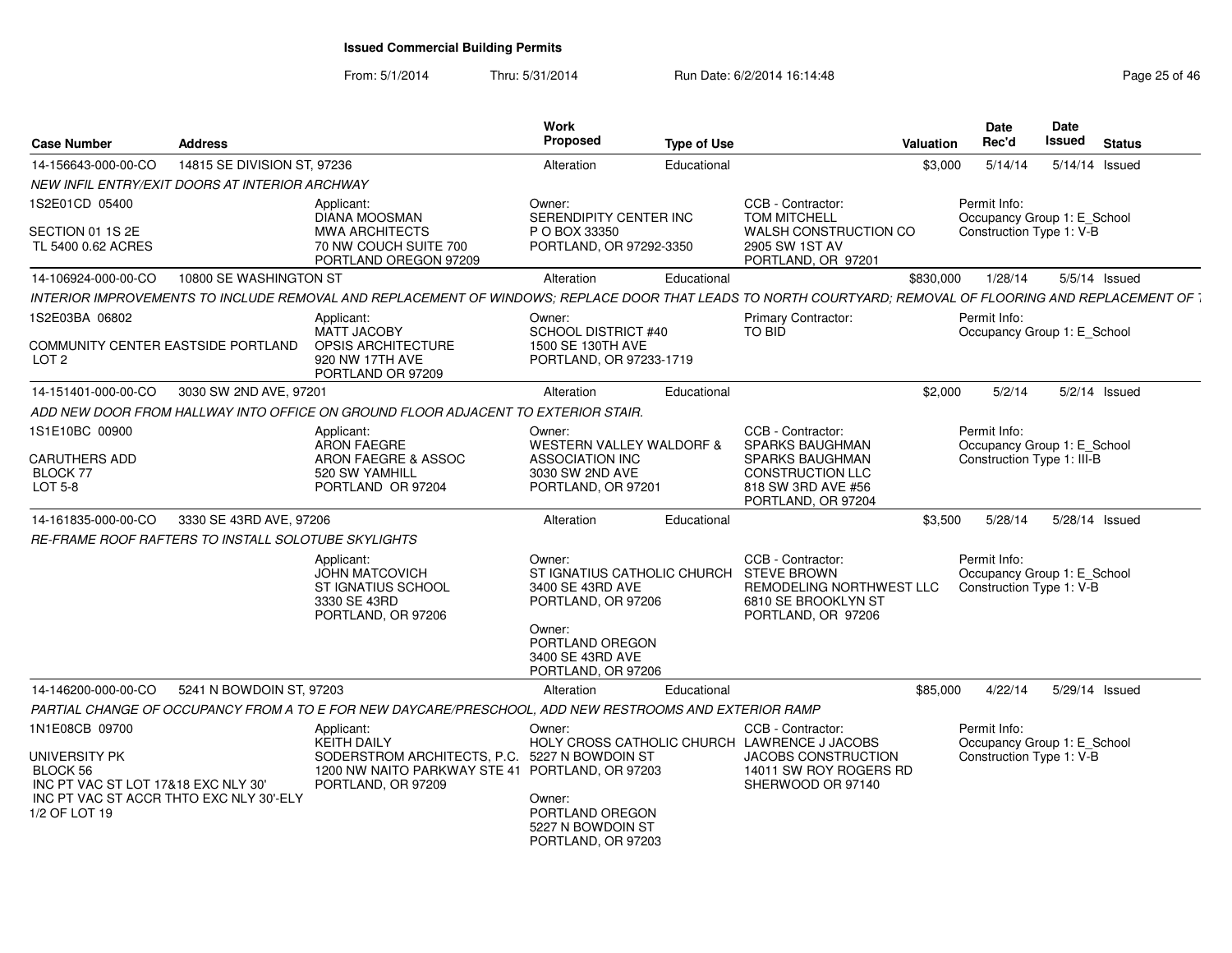| <b>Case Number</b>                                                                                                           | <b>Address</b>              |                                                                                                                                                           | <b>Work</b><br><b>Proposed</b>                                                                        | <b>Type of Use</b> |                                                                                               | Valuation | Date<br>Rec'd                                                           | <b>Date</b><br><b>Issued</b> | <b>Status</b>   |
|------------------------------------------------------------------------------------------------------------------------------|-----------------------------|-----------------------------------------------------------------------------------------------------------------------------------------------------------|-------------------------------------------------------------------------------------------------------|--------------------|-----------------------------------------------------------------------------------------------|-----------|-------------------------------------------------------------------------|------------------------------|-----------------|
| 14-156643-000-00-CO                                                                                                          | 14815 SE DIVISION ST, 97236 |                                                                                                                                                           | Alteration                                                                                            | Educational        |                                                                                               | \$3,000   | 5/14/14                                                                 | 5/14/14 Issued               |                 |
| NEW INFIL ENTRY/EXIT DOORS AT INTERIOR ARCHWAY                                                                               |                             |                                                                                                                                                           |                                                                                                       |                    |                                                                                               |           |                                                                         |                              |                 |
| 1S2E01CD 05400                                                                                                               |                             | Applicant:<br><b>DIANA MOOSMAN</b>                                                                                                                        | Owner:<br>SERENDIPITY CENTER INC                                                                      |                    | CCB - Contractor:<br>TOM MITCHELL                                                             |           | Permit Info:<br>Occupancy Group 1: E_School                             |                              |                 |
| SECTION 01 1S 2E<br>TL 5400 0.62 ACRES                                                                                       |                             | <b>MWA ARCHITECTS</b><br>70 NW COUCH SUITE 700                                                                                                            | P O BOX 33350<br>PORTLAND, OR 97292-3350                                                              |                    | WALSH CONSTRUCTION CO<br>2905 SW 1ST AV                                                       |           | Construction Type 1: V-B                                                |                              |                 |
|                                                                                                                              |                             | PORTLAND OREGON 97209                                                                                                                                     |                                                                                                       |                    | PORTLAND, OR 97201                                                                            |           |                                                                         |                              |                 |
| 14-106924-000-00-CO                                                                                                          | 10800 SE WASHINGTON ST      |                                                                                                                                                           | Alteration                                                                                            | Educational        |                                                                                               | \$830,000 | 1/28/14                                                                 |                              | 5/5/14 Issued   |
|                                                                                                                              |                             | INTERIOR IMPROVEMENTS TO INCLUDE REMOVAL AND REPLACEMENT OF WINDOWS; REPLACE DOOR THAT LEADS TO NORTH COURTYARD; REMOVAL OF FLOORING AND REPLACEMENT OF 1 |                                                                                                       |                    |                                                                                               |           |                                                                         |                              |                 |
| 1S2E03BA 06802                                                                                                               |                             | Applicant:                                                                                                                                                | Owner:                                                                                                |                    | Primary Contractor:                                                                           |           | Permit Info:                                                            |                              |                 |
| COMMUNITY CENTER EASTSIDE PORTLAND<br>LOT <sub>2</sub>                                                                       |                             | <b>MATT JACOBY</b><br>OPSIS ARCHITECTURE<br>920 NW 17TH AVE<br>PORTLAND OR 97209                                                                          | SCHOOL DISTRICT #40<br>1500 SE 130TH AVE<br>PORTLAND, OR 97233-1719                                   |                    | <b>TO BID</b>                                                                                 |           | Occupancy Group 1: E_School                                             |                              |                 |
| 14-151401-000-00-CO                                                                                                          | 3030 SW 2ND AVE, 97201      |                                                                                                                                                           | Alteration                                                                                            | Educational        |                                                                                               | \$2,000   | 5/2/14                                                                  |                              | $5/2/14$ Issued |
|                                                                                                                              |                             | ADD NEW DOOR FROM HALLWAY INTO OFFICE ON GROUND FLOOR ADJACENT TO EXTERIOR STAIR.                                                                         |                                                                                                       |                    |                                                                                               |           |                                                                         |                              |                 |
| 1S1E10BC 00900                                                                                                               |                             | Applicant:<br><b>ARON FAEGRE</b>                                                                                                                          | Owner:<br><b>WESTERN VALLEY WALDORF &amp;</b>                                                         |                    | CCB - Contractor:<br>SPARKS BAUGHMAN                                                          |           | Permit Info:<br>Occupancy Group 1: E_School                             |                              |                 |
| <b>CARUTHERS ADD</b><br><b>BLOCK 77</b><br>LOT 5-8                                                                           |                             | ARON FAEGRE & ASSOC<br>520 SW YAMHILL<br>PORTLAND OR 97204                                                                                                | <b>ASSOCIATION INC</b><br>3030 SW 2ND AVE<br>PORTLAND, OR 97201                                       |                    | <b>SPARKS BAUGHMAN</b><br><b>CONSTRUCTION LLC</b><br>818 SW 3RD AVE #56<br>PORTLAND, OR 97204 |           | Construction Type 1: III-B                                              |                              |                 |
| 14-161835-000-00-CO                                                                                                          | 3330 SE 43RD AVE, 97206     |                                                                                                                                                           | Alteration                                                                                            | Educational        |                                                                                               | \$3,500   | 5/28/14                                                                 | 5/28/14 Issued               |                 |
| RE-FRAME ROOF RAFTERS TO INSTALL SOLOTUBE SKYLIGHTS                                                                          |                             |                                                                                                                                                           |                                                                                                       |                    |                                                                                               |           |                                                                         |                              |                 |
|                                                                                                                              |                             | Applicant:<br><b>JOHN MATCOVICH</b><br>ST IGNATIUS SCHOOL<br>3330 SE 43RD<br>PORTLAND, OR 97206                                                           | Owner:<br>ST IGNATIUS CATHOLIC CHURCH STEVE BROWN<br>3400 SE 43RD AVE<br>PORTLAND, OR 97206<br>Owner: |                    | CCB - Contractor:<br>REMODELING NORTHWEST LLC<br>6810 SE BROOKLYN ST<br>PORTLAND, OR 97206    |           | Permit Info:<br>Occupancy Group 1: E_School<br>Construction Type 1: V-B |                              |                 |
|                                                                                                                              |                             |                                                                                                                                                           | PORTLAND OREGON<br>3400 SE 43RD AVE<br>PORTLAND, OR 97206                                             |                    |                                                                                               |           |                                                                         |                              |                 |
| 14-146200-000-00-CO                                                                                                          | 5241 N BOWDOIN ST, 97203    |                                                                                                                                                           | Alteration                                                                                            | Educational        |                                                                                               | \$85.000  | 4/22/14                                                                 | 5/29/14 Issued               |                 |
|                                                                                                                              |                             | PARTIAL CHANGE OF OCCUPANCY FROM A TO E FOR NEW DAYCARE/PRESCHOOL, ADD NEW RESTROOMS AND EXTERIOR RAMP                                                    |                                                                                                       |                    |                                                                                               |           |                                                                         |                              |                 |
| 1N1E08CB 09700                                                                                                               |                             | Applicant:<br><b>KEITH DAILY</b>                                                                                                                          | Owner:                                                                                                |                    | CCB - Contractor:<br>HOLY CROSS CATHOLIC CHURCH LAWRENCE J JACOBS                             |           | Permit Info:<br>Occupancy Group 1: E_School                             |                              |                 |
| UNIVERSITY PK<br>BLOCK 56<br>INC PT VAC ST LOT 17&18 EXC NLY 30'<br>INC PT VAC ST ACCR THTO EXC NLY 30'-ELY<br>1/2 OF LOT 19 |                             | SODERSTROM ARCHITECTS, P.C. 5227 N BOWDOIN ST<br>1200 NW NAITO PARKWAY STE 41 PORTLAND, OR 97203<br>PORTLAND, OR 97209                                    | Owner:<br>PORTLAND OREGON                                                                             |                    | JACOBS CONSTRUCTION<br>14011 SW ROY ROGERS RD<br>SHERWOOD OR 97140                            |           | Construction Type 1: V-B                                                |                              |                 |
|                                                                                                                              |                             |                                                                                                                                                           | 5227 N BOWDOIN ST<br>PORTLAND, OR 97203                                                               |                    |                                                                                               |           |                                                                         |                              |                 |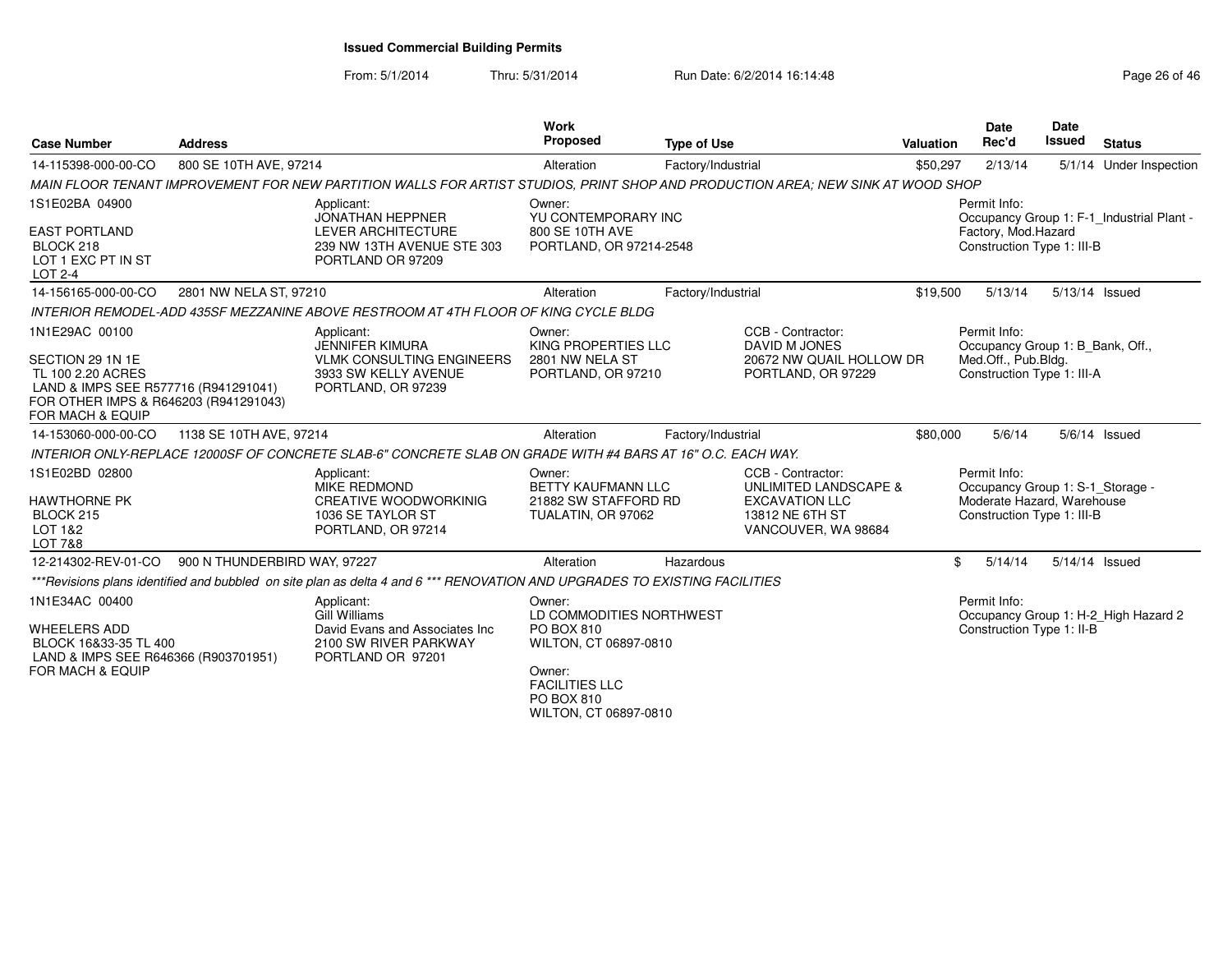From: 5/1/2014Thru: 5/31/2014 Run Date: 6/2/2014 16:14:48 Run Date: 6/2/2014 16:14:48

| <b>Case Number</b>                                                                                                                                    | <b>Address</b>               |                                                                                                                                 | <b>Work</b><br><b>Proposed</b>                                                                                             | <b>Type of Use</b> |                                                                                                               | <b>Valuation</b> | Date<br>Rec'd                                                                                                | Date<br><b>Issued</b> | <b>Status</b>                             |
|-------------------------------------------------------------------------------------------------------------------------------------------------------|------------------------------|---------------------------------------------------------------------------------------------------------------------------------|----------------------------------------------------------------------------------------------------------------------------|--------------------|---------------------------------------------------------------------------------------------------------------|------------------|--------------------------------------------------------------------------------------------------------------|-----------------------|-------------------------------------------|
| 14-115398-000-00-CO                                                                                                                                   | 800 SE 10TH AVE, 97214       |                                                                                                                                 | Alteration                                                                                                                 | Factory/Industrial |                                                                                                               | \$50,297         | 2/13/14                                                                                                      |                       | 5/1/14 Under Inspection                   |
|                                                                                                                                                       |                              | MAIN FLOOR TENANT IMPROVEMENT FOR NEW PARTITION WALLS FOR ARTIST STUDIOS, PRINT SHOP AND PRODUCTION AREA; NEW SINK AT WOOD SHOP |                                                                                                                            |                    |                                                                                                               |                  |                                                                                                              |                       |                                           |
| 1S1E02BA 04900<br><b>EAST PORTLAND</b><br>BLOCK 218<br>LOT 1 EXC PT IN ST<br><b>LOT 2-4</b>                                                           |                              | Applicant:<br><b>JONATHAN HEPPNER</b><br><b>LEVER ARCHITECTURE</b><br>239 NW 13TH AVENUE STE 303<br>PORTLAND OR 97209           | Owner:<br>YU CONTEMPORARY INC<br>800 SE 10TH AVE<br>PORTLAND, OR 97214-2548                                                |                    |                                                                                                               |                  | Permit Info:<br>Factory, Mod.Hazard<br>Construction Type 1: III-B                                            |                       | Occupancy Group 1: F-1_Industrial Plant - |
| 14-156165-000-00-CO                                                                                                                                   | 2801 NW NELA ST, 97210       |                                                                                                                                 | Alteration                                                                                                                 | Factory/Industrial |                                                                                                               | \$19,500         | 5/13/14                                                                                                      | 5/13/14 Issued        |                                           |
|                                                                                                                                                       |                              | INTERIOR REMODEL-ADD 435SF MEZZANINE ABOVE RESTROOM AT 4TH FLOOR OF KING CYCLE BLDG                                             |                                                                                                                            |                    |                                                                                                               |                  |                                                                                                              |                       |                                           |
| 1N1E29AC 00100                                                                                                                                        |                              | Applicant:                                                                                                                      | Owner:                                                                                                                     |                    | CCB - Contractor:                                                                                             |                  | Permit Info:                                                                                                 |                       |                                           |
| SECTION 29 1N 1E<br>TL 100 2.20 ACRES<br>LAND & IMPS SEE R577716 (R941291041)<br>FOR OTHER IMPS & R646203 (R941291043)<br><b>FOR MACH &amp; EQUIP</b> |                              | <b>JENNIFER KIMURA</b><br><b>VLMK CONSULTING ENGINEERS</b><br>3933 SW KELLY AVENUE<br>PORTLAND, OR 97239                        | KING PROPERTIES LLC<br>2801 NW NELA ST<br>PORTLAND, OR 97210                                                               |                    | DAVID M JONES<br>20672 NW QUAIL HOLLOW DR<br>PORTLAND, OR 97229                                               |                  | Occupancy Group 1: B_Bank, Off.,<br>Med.Off., Pub.Bldg.<br>Construction Type 1: III-A                        |                       |                                           |
| 14-153060-000-00-CO                                                                                                                                   | 1138 SE 10TH AVE, 97214      |                                                                                                                                 | Alteration                                                                                                                 | Factory/Industrial |                                                                                                               | \$80,000         | 5/6/14                                                                                                       |                       | $5/6/14$ Issued                           |
|                                                                                                                                                       |                              | INTERIOR ONLY-REPLACE 12000SF OF CONCRETE SLAB-6" CONCRETE SLAB ON GRADE WITH #4 BARS AT 16" O.C. EACH WAY.                     |                                                                                                                            |                    |                                                                                                               |                  |                                                                                                              |                       |                                           |
| 1S1E02BD 02800<br><b>HAWTHORNE PK</b><br>BLOCK 215<br>LOT 1&2<br><b>LOT 7&amp;8</b>                                                                   |                              | Applicant:<br>MIKE REDMOND<br><b>CREATIVE WOODWORKINIG</b><br>1036 SE TAYLOR ST<br>PORTLAND, OR 97214                           | Owner:<br><b>BETTY KAUFMANN LLC</b><br>21882 SW STAFFORD RD<br>TUALATIN, OR 97062                                          |                    | CCB - Contractor:<br>UNLIMITED LANDSCAPE &<br><b>EXCAVATION LLC</b><br>13812 NE 6TH ST<br>VANCOUVER, WA 98684 |                  | Permit Info:<br>Occupancy Group 1: S-1_Storage -<br>Moderate Hazard, Warehouse<br>Construction Type 1: III-B |                       |                                           |
| 12-214302-REV-01-CO                                                                                                                                   | 900 N THUNDERBIRD WAY, 97227 |                                                                                                                                 | Alteration                                                                                                                 | Hazardous          |                                                                                                               | \$               | 5/14/14                                                                                                      | 5/14/14 Issued        |                                           |
|                                                                                                                                                       |                              | ***Revisions plans identified and bubbled on site plan as delta 4 and 6 *** RENOVATION AND UPGRADES TO EXISTING FACILITIES      |                                                                                                                            |                    |                                                                                                               |                  |                                                                                                              |                       |                                           |
| 1N1E34AC 00400<br><b>WHEELERS ADD</b><br>BLOCK 16&33-35 TL 400<br>LAND & IMPS SEE R646366 (R903701951)<br>FOR MACH & EQUIP                            |                              | Applicant:<br><b>Gill Williams</b><br>David Evans and Associates Inc<br>2100 SW RIVER PARKWAY<br>PORTLAND OR 97201              | Owner:<br>LD COMMODITIES NORTHWEST<br>PO BOX 810<br>WILTON, CT 06897-0810<br>Owner:<br><b>FACILITIES LLC</b><br>DO ROY 910 |                    |                                                                                                               |                  | Permit Info:<br>Construction Type 1: II-B                                                                    |                       | Occupancy Group 1: H-2_High Hazard 2      |

PO BOX 810 WILTON, CT 06897-0810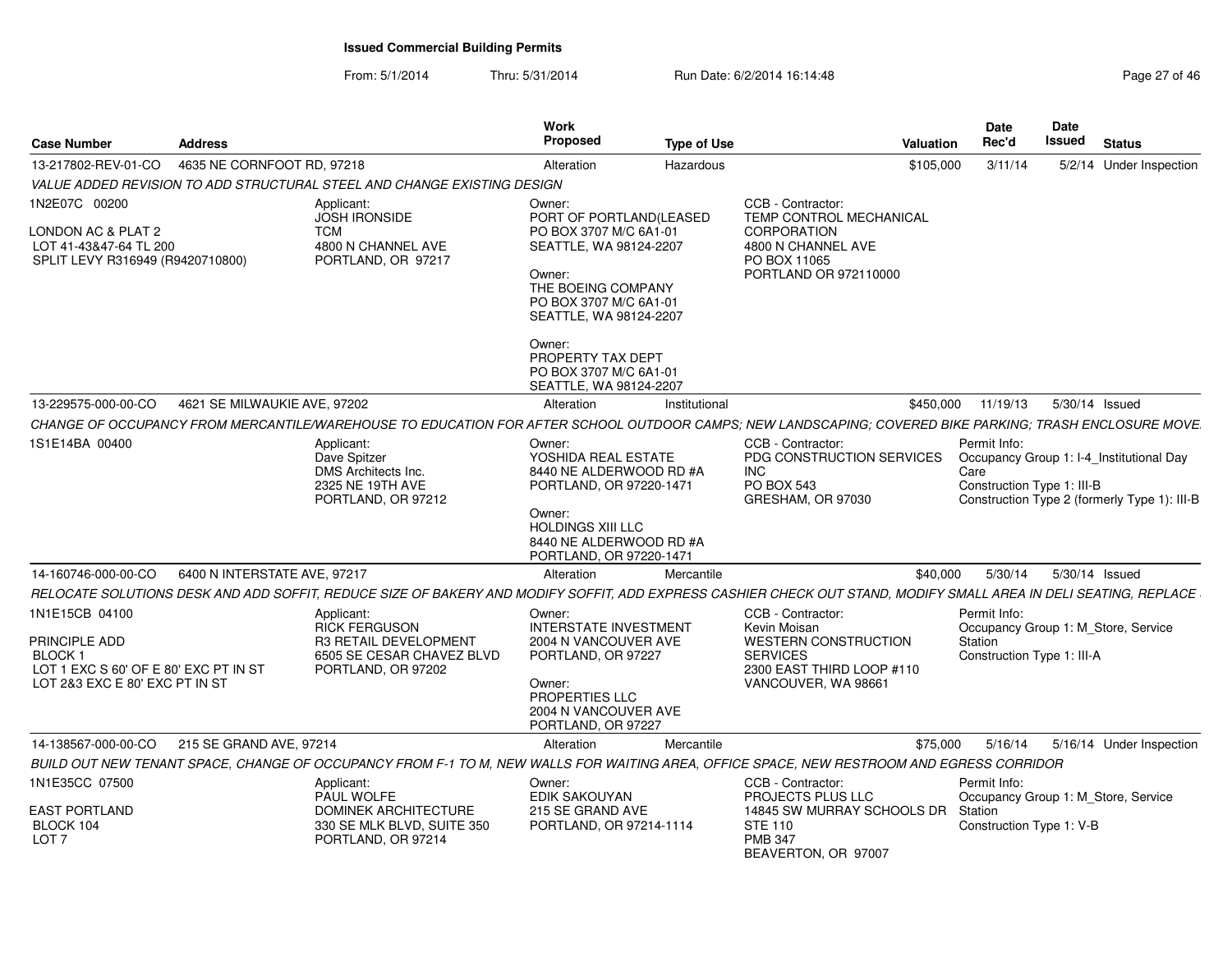| <b>Address</b><br><b>Case Number</b>                                                                                                                             |                                                                                             | Work<br>Proposed                                                                    | <b>Type of Use</b> |                                                                                           | Valuation | Date<br>Rec'd                                      | <b>Date</b><br>Issued<br><b>Status</b>                                                   |
|------------------------------------------------------------------------------------------------------------------------------------------------------------------|---------------------------------------------------------------------------------------------|-------------------------------------------------------------------------------------|--------------------|-------------------------------------------------------------------------------------------|-----------|----------------------------------------------------|------------------------------------------------------------------------------------------|
| 13-217802-REV-01-CO  4635 NE CORNFOOT RD, 97218                                                                                                                  |                                                                                             | Alteration                                                                          | Hazardous          |                                                                                           | \$105,000 | 3/11/14                                            | 5/2/14 Under Inspection                                                                  |
| VALUE ADDED REVISION TO ADD STRUCTURAL STEEL AND CHANGE EXISTING DESIGN                                                                                          |                                                                                             |                                                                                     |                    |                                                                                           |           |                                                    |                                                                                          |
| 1N2E07C 00200                                                                                                                                                    | Applicant:                                                                                  | Owner:                                                                              |                    | CCB - Contractor:                                                                         |           |                                                    |                                                                                          |
| LONDON AC & PLAT 2<br>LOT 41-43&47-64 TL 200<br>SPLIT LEVY R316949 (R9420710800)                                                                                 | <b>JOSH IRONSIDE</b><br><b>TCM</b><br>4800 N CHANNEL AVE<br>PORTLAND, OR 97217              | PORT OF PORTLAND(LEASED<br>PO BOX 3707 M/C 6A1-01<br>SEATTLE, WA 98124-2207         |                    | TEMP CONTROL MECHANICAL<br>CORPORATION<br>4800 N CHANNEL AVE<br>PO BOX 11065              |           |                                                    |                                                                                          |
|                                                                                                                                                                  |                                                                                             | Owner:<br>THE BOEING COMPANY<br>PO BOX 3707 M/C 6A1-01<br>SEATTLE, WA 98124-2207    |                    | PORTLAND OR 972110000                                                                     |           |                                                    |                                                                                          |
|                                                                                                                                                                  |                                                                                             | Owner:<br>PROPERTY TAX DEPT<br>PO BOX 3707 M/C 6A1-01<br>SEATTLE, WA 98124-2207     |                    |                                                                                           |           |                                                    |                                                                                          |
| 13-229575-000-00-CO 4621 SE MILWAUKIE AVE, 97202                                                                                                                 |                                                                                             | Alteration                                                                          | Institutional      |                                                                                           |           |                                                    | \$450,000 11/19/13 5/30/14 Issued                                                        |
| CHANGE OF OCCUPANCY FROM MERCANTILE/WAREHOUSE TO EDUCATION FOR AFTER SCHOOL OUTDOOR CAMPS; NEW LANDSCAPING; COVERED BIKE PARKING; TRASH ENCLOSURE MOVE.          |                                                                                             |                                                                                     |                    |                                                                                           |           |                                                    |                                                                                          |
| 1S1E14BA 00400                                                                                                                                                   | Applicant:<br>Dave Spitzer<br>DMS Architects Inc.<br>2325 NE 19TH AVE<br>PORTLAND, OR 97212 | Owner:<br>YOSHIDA REAL ESTATE<br>8440 NE ALDERWOOD RD #A<br>PORTLAND, OR 97220-1471 |                    | CCB - Contractor:<br>PDG CONSTRUCTION SERVICES<br>INC.<br>PO BOX 543<br>GRESHAM, OR 97030 |           | Permit Info:<br>Care<br>Construction Type 1: III-B | Occupancy Group 1: I-4_Institutional Day<br>Construction Type 2 (formerly Type 1): III-B |
|                                                                                                                                                                  |                                                                                             | Owner:<br>HOLDINGS XIII LLC<br>8440 NE ALDERWOOD RD #A<br>PORTLAND, OR 97220-1471   |                    |                                                                                           |           |                                                    |                                                                                          |
| 14-160746-000-00-CO   6400 N INTERSTATE AVE, 97217                                                                                                               |                                                                                             | Alteration                                                                          | Mercantile         |                                                                                           | \$40,000  | 5/30/14                                            | 5/30/14 Issued                                                                           |
| RELOCATE SOLUTIONS DESK AND ADD SOFFIT, REDUCE SIZE OF BAKERY AND MODIFY SOFFIT, ADD EXPRESS CASHIER CHECK OUT STAND, MODIFY SMALL AREA IN DELI SEATING, REPLACE |                                                                                             |                                                                                     |                    |                                                                                           |           |                                                    |                                                                                          |
| 1N1E15CB 04100                                                                                                                                                   | Applicant:<br><b>RICK FERGUSON</b>                                                          | Owner:<br><b>INTERSTATE INVESTMENT</b>                                              |                    | CCB - Contractor:<br>Kevin Moisan                                                         |           | Permit Info:                                       | Occupancy Group 1: M_Store, Service                                                      |
| PRINCIPLE ADD<br><b>BLOCK1</b><br>LOT 1 EXC S 60' OF E 80' EXC PT IN ST                                                                                          | R3 RETAIL DEVELOPMENT<br>6505 SE CESAR CHAVEZ BLVD<br>PORTLAND, OR 97202                    | 2004 N VANCOUVER AVE<br>PORTLAND, OR 97227                                          |                    | <b>WESTERN CONSTRUCTION</b><br><b>SERVICES</b><br>2300 EAST THIRD LOOP #110               |           | Station<br>Construction Type 1: III-A              |                                                                                          |
| LOT 2&3 EXC E 80' EXC PT IN ST                                                                                                                                   |                                                                                             | Owner:<br>PROPERTIES LLC<br>2004 N VANCOUVER AVE<br>PORTLAND, OR 97227              |                    | VANCOUVER, WA 98661                                                                       |           |                                                    |                                                                                          |
| 14-138567-000-00-CO 215 SE GRAND AVE, 97214                                                                                                                      |                                                                                             | Alteration                                                                          | Mercantile         |                                                                                           |           |                                                    | \$75,000 5/16/14 5/16/14 Under Inspection                                                |
| BUILD OUT NEW TENANT SPACE, CHANGE OF OCCUPANCY FROM F-1 TO M, NEW WALLS FOR WAITING AREA, OFFICE SPACE, NEW RESTROOM AND EGRESS CORRIDOR                        |                                                                                             |                                                                                     |                    |                                                                                           |           |                                                    |                                                                                          |
| 1N1E35CC 07500<br><b>EAST PORTLAND</b>                                                                                                                           | Applicant:<br>PAUL WOLFE<br><b>DOMINEK ARCHITECTURE</b>                                     | Owner:<br>EDIK SAKOUYAN<br>215 SE GRAND AVE                                         |                    | CCB - Contractor:<br>PROJECTS PLUS LLC<br>14845 SW MURRAY SCHOOLS DR Station              |           | Permit Info:                                       | Occupancy Group 1: M_Store, Service                                                      |
| BLOCK 104<br>LOT <sub>7</sub>                                                                                                                                    | 330 SE MLK BLVD, SUITE 350<br>PORTLAND, OR 97214                                            | PORTLAND, OR 97214-1114                                                             |                    | <b>STE 110</b><br><b>PMB 347</b><br>BEAVERTON, OR 97007                                   |           | Construction Type 1: V-B                           |                                                                                          |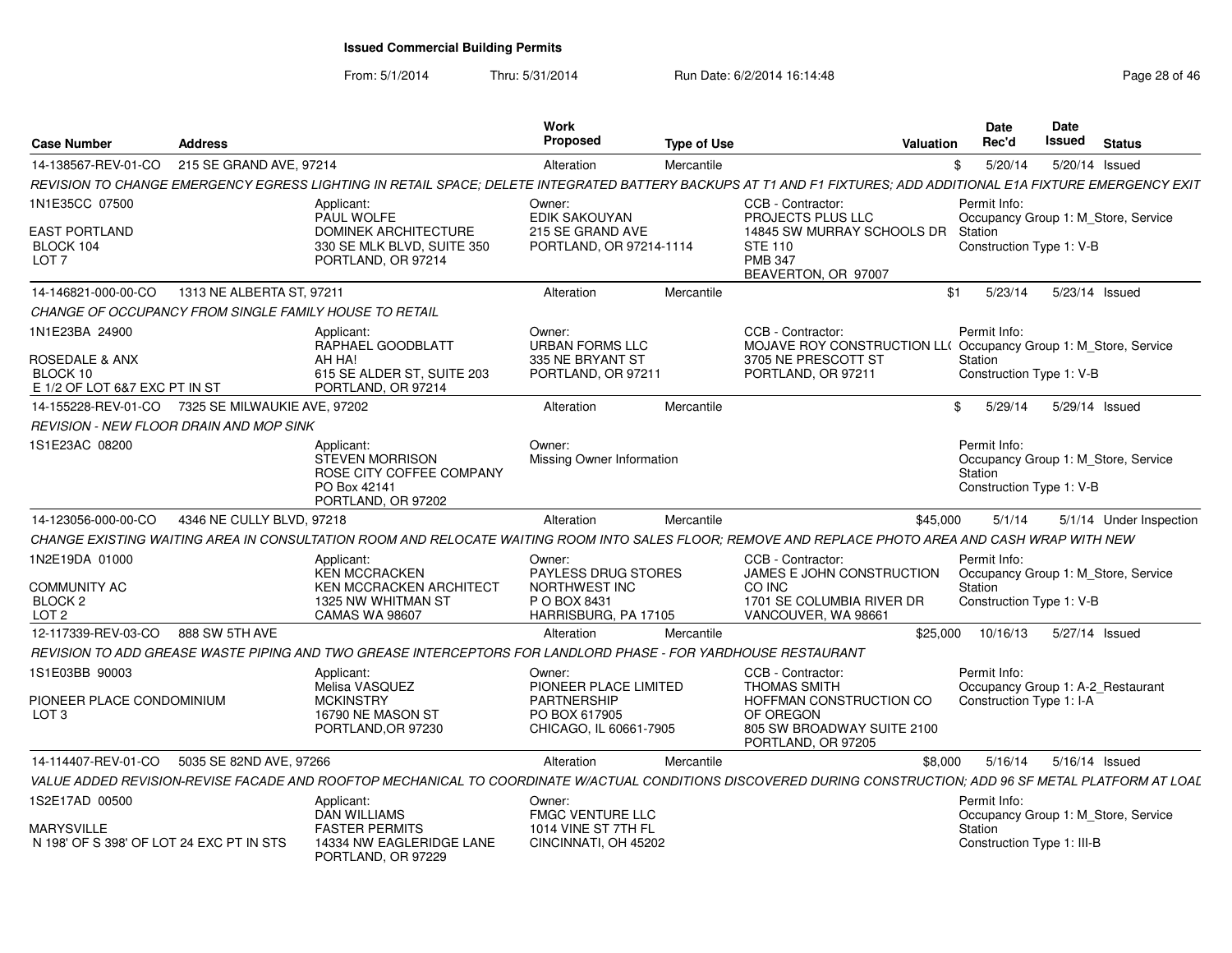| <b>Case Number</b>                                            | <b>Address</b>               |                                                                                                               | Work<br><b>Proposed</b>                                | <b>Type of Use</b> | <b>Valuation</b>                                                                                                                                                 | <b>Date</b><br>Rec'd                                                                       | Date<br><b>Issued</b> | <b>Status</b>  |                         |
|---------------------------------------------------------------|------------------------------|---------------------------------------------------------------------------------------------------------------|--------------------------------------------------------|--------------------|------------------------------------------------------------------------------------------------------------------------------------------------------------------|--------------------------------------------------------------------------------------------|-----------------------|----------------|-------------------------|
| 14-138567-REV-01-CO                                           | 215 SE GRAND AVE, 97214      |                                                                                                               | Alteration                                             | Mercantile         |                                                                                                                                                                  | 5/20/14<br>\$                                                                              |                       | 5/20/14 Issued |                         |
|                                                               |                              |                                                                                                               |                                                        |                    | REVISION TO CHANGE EMERGENCY EGRESS LIGHTING IN RETAIL SPACE: DELETE INTEGRATED BATTERY BACKUPS AT T1 AND F1 FIXTURES: ADD ADDITIONAL E1A FIXTURE EMERGENCY EXIT |                                                                                            |                       |                |                         |
| 1N1E35CC 07500                                                |                              | Applicant:<br>PAUL WOLFE                                                                                      | Owner:<br><b>EDIK SAKOUYAN</b>                         |                    | CCB - Contractor:<br>PROJECTS PLUS LLC                                                                                                                           | Permit Info:<br>Occupancy Group 1: M Store, Service                                        |                       |                |                         |
| <b>EAST PORTLAND</b><br>BLOCK 104                             |                              | <b>DOMINEK ARCHITECTURE</b><br>330 SE MLK BLVD, SUITE 350                                                     | 215 SE GRAND AVE<br>PORTLAND, OR 97214-1114            |                    | 14845 SW MURRAY SCHOOLS DR Station<br><b>STE 110</b>                                                                                                             | Construction Type 1: V-B                                                                   |                       |                |                         |
| LOT <sub>7</sub>                                              |                              | PORTLAND, OR 97214                                                                                            |                                                        |                    | <b>PMB 347</b><br>BEAVERTON, OR 97007                                                                                                                            |                                                                                            |                       |                |                         |
| 14-146821-000-00-CO                                           | 1313 NE ALBERTA ST, 97211    |                                                                                                               | Alteration                                             | Mercantile         |                                                                                                                                                                  | \$1<br>5/23/14                                                                             |                       | 5/23/14 Issued |                         |
| CHANGE OF OCCUPANCY FROM SINGLE FAMILY HOUSE TO RETAIL        |                              |                                                                                                               |                                                        |                    |                                                                                                                                                                  |                                                                                            |                       |                |                         |
| 1N1E23BA 24900<br>ROSEDALE & ANX                              |                              | Applicant:<br>RAPHAEL GOODBLATT<br>AH HA!                                                                     | Owner:<br>URBAN FORMS LLC<br>335 NE BRYANT ST          |                    | CCB - Contractor:<br>MOJAVE ROY CONSTRUCTION LL( Occupancy Group 1: M_Store, Service<br>3705 NE PRESCOTT ST                                                      | Permit Info:<br>Station                                                                    |                       |                |                         |
| BLOCK 10<br>E 1/2 OF LOT 6&7 EXC PT IN ST                     |                              | 615 SE ALDER ST, SUITE 203<br>PORTLAND, OR 97214                                                              | PORTLAND, OR 97211                                     |                    | PORTLAND, OR 97211                                                                                                                                               | Construction Type 1: V-B                                                                   |                       |                |                         |
| 14-155228-REV-01-CO                                           | 7325 SE MILWAUKIE AVE, 97202 |                                                                                                               | Alteration                                             | Mercantile         |                                                                                                                                                                  | $\mathbb{S}$<br>5/29/14                                                                    |                       | 5/29/14 Issued |                         |
| <b>REVISION - NEW FLOOR DRAIN AND MOP SINK</b>                |                              |                                                                                                               |                                                        |                    |                                                                                                                                                                  |                                                                                            |                       |                |                         |
| 1S1E23AC 08200                                                |                              | Applicant:<br><b>STEVEN MORRISON</b><br>ROSE CITY COFFEE COMPANY<br>PO Box 42141<br>PORTLAND, OR 97202        | Owner:<br>Missing Owner Information                    |                    |                                                                                                                                                                  | Permit Info:<br>Occupancy Group 1: M Store, Service<br>Station<br>Construction Type 1: V-B |                       |                |                         |
| 14-123056-000-00-CO                                           | 4346 NE CULLY BLVD, 97218    |                                                                                                               | Alteration                                             | Mercantile         | \$45,000                                                                                                                                                         | 5/1/14                                                                                     |                       |                | 5/1/14 Under Inspection |
|                                                               |                              |                                                                                                               |                                                        |                    | CHANGE EXISTING WAITING AREA IN CONSULTATION ROOM AND RELOCATE WAITING ROOM INTO SALES FLOOR; REMOVE AND REPLACE PHOTO AREA AND CASH WRAP WITH NEW               |                                                                                            |                       |                |                         |
| 1N2E19DA 01000                                                |                              | Applicant:<br><b>KEN MCCRACKEN</b>                                                                            | Owner:<br>PAYLESS DRUG STORES                          |                    | CCB - Contractor:<br><b>JAMES E JOHN CONSTRUCTION</b>                                                                                                            | Permit Info:<br>Occupancy Group 1: M Store, Service                                        |                       |                |                         |
| <b>COMMUNITY AC</b><br>BLOCK <sub>2</sub><br>LOT <sub>2</sub> |                              | <b>KEN MCCRACKEN ARCHITECT</b><br>1325 NW WHITMAN ST<br><b>CAMAS WA 98607</b>                                 | NORTHWEST INC<br>P O BOX 8431<br>HARRISBURG, PA 17105  |                    | CO INC<br>1701 SE COLUMBIA RIVER DR<br>VANCOUVER, WA 98661                                                                                                       | Station<br>Construction Type 1: V-B                                                        |                       |                |                         |
| 12-117339-REV-03-CO                                           | 888 SW 5TH AVE               |                                                                                                               | Alteration                                             | Mercantile         | \$25,000                                                                                                                                                         | 10/16/13                                                                                   |                       | 5/27/14 Issued |                         |
|                                                               |                              | REVISION TO ADD GREASE WASTE PIPING AND TWO GREASE INTERCEPTORS FOR LANDLORD PHASE - FOR YARDHOUSE RESTAURANT |                                                        |                    |                                                                                                                                                                  |                                                                                            |                       |                |                         |
| 1S1E03BB 90003                                                |                              | Applicant:<br>Melisa VASQUEZ                                                                                  | Owner:<br>PIONEER PLACE LIMITED                        |                    | CCB - Contractor:<br><b>THOMAS SMITH</b>                                                                                                                         | Permit Info:<br>Occupancy Group 1: A-2_Restaurant                                          |                       |                |                         |
| PIONEER PLACE CONDOMINIUM<br>LOT <sub>3</sub>                 |                              | <b>MCKINSTRY</b><br>16790 NE MASON ST<br>PORTLAND, OR 97230                                                   | PARTNERSHIP<br>PO BOX 617905<br>CHICAGO, IL 60661-7905 |                    | HOFFMAN CONSTRUCTION CO<br>OF OREGON<br>805 SW BROADWAY SUITE 2100<br>PORTLAND, OR 97205                                                                         | Construction Type 1: I-A                                                                   |                       |                |                         |
| 14-114407-REV-01-CO                                           | 5035 SE 82ND AVE, 97266      |                                                                                                               | Alteration                                             | Mercantile         | \$8,000                                                                                                                                                          | 5/16/14                                                                                    |                       | 5/16/14 Issued |                         |
|                                                               |                              |                                                                                                               |                                                        |                    | VALUE ADDED REVISION-REVISE FACADE AND ROOFTOP MECHANICAL TO COORDINATE W/ACTUAL CONDITIONS DISCOVERED DURING CONSTRUCTION: ADD 96 SF METAL PLATFORM AT LOAL     |                                                                                            |                       |                |                         |
| 1S2E17AD 00500                                                |                              | Applicant:<br>DAN WILLIAMS                                                                                    | Owner:<br><b>FMGC VENTURE LLC</b>                      |                    |                                                                                                                                                                  | Permit Info:<br>Occupancy Group 1: M Store, Service                                        |                       |                |                         |
| MARYSVILLE<br>N 198' OF S 398' OF LOT 24 EXC PT IN STS        |                              | <b>FASTER PERMITS</b><br>14334 NW EAGLERIDGE LANE<br>PORTLAND, OR 97229                                       | 1014 VINE ST 7TH FL<br>CINCINNATI. OH 45202            |                    |                                                                                                                                                                  | Station<br>Construction Type 1: III-B                                                      |                       |                |                         |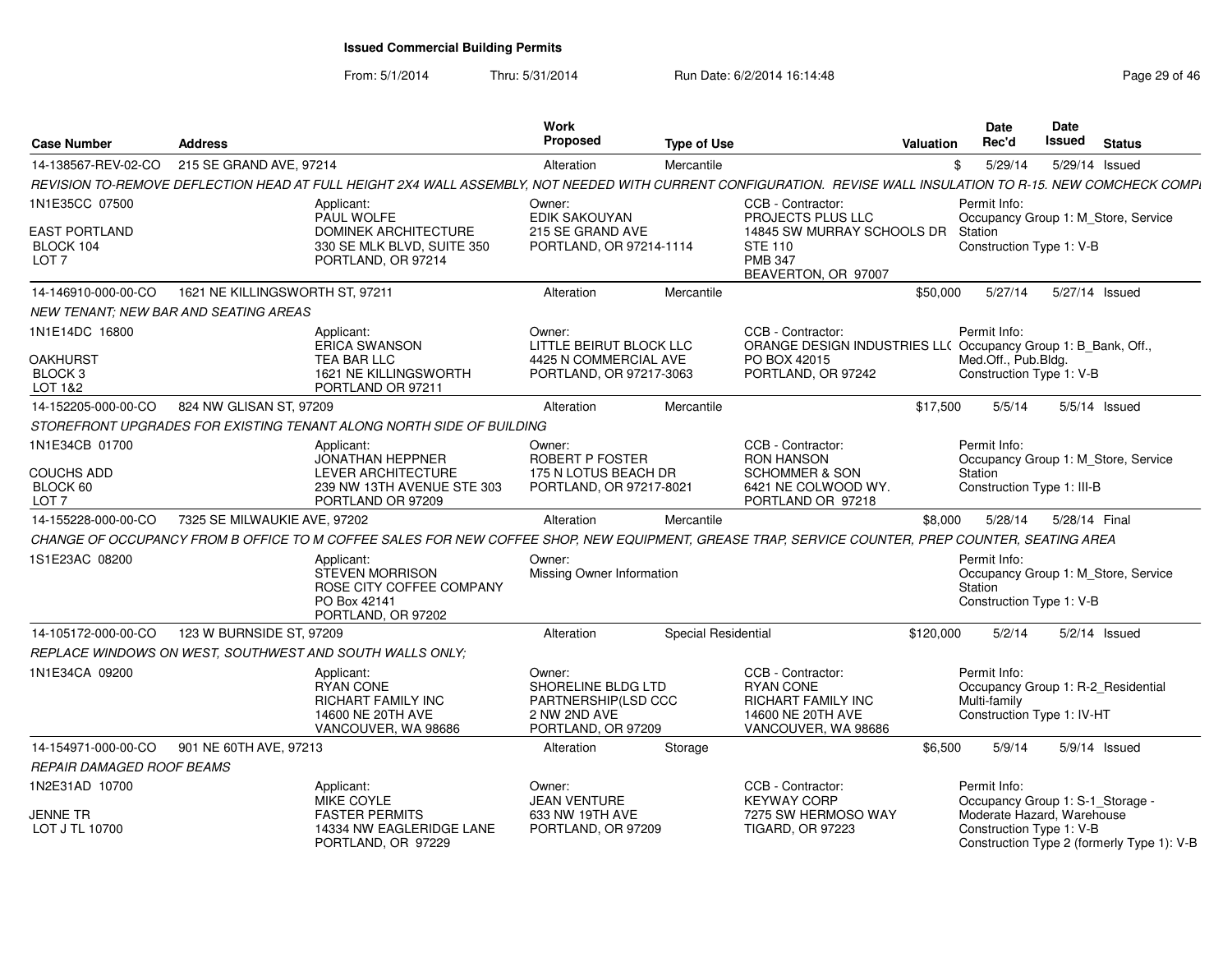|                                                       |                                       |                                                                                                                                                                | <b>Work</b>                                                                               |                     |                                                                                                         |                  | Date                                                                                             | Date          |                                            |
|-------------------------------------------------------|---------------------------------------|----------------------------------------------------------------------------------------------------------------------------------------------------------------|-------------------------------------------------------------------------------------------|---------------------|---------------------------------------------------------------------------------------------------------|------------------|--------------------------------------------------------------------------------------------------|---------------|--------------------------------------------|
| <b>Case Number</b>                                    | <b>Address</b>                        |                                                                                                                                                                | Proposed                                                                                  | <b>Type of Use</b>  |                                                                                                         | <b>Valuation</b> | Rec'd                                                                                            | <b>Issued</b> | <b>Status</b>                              |
| 14-138567-REV-02-CO                                   | 215 SE GRAND AVE, 97214               |                                                                                                                                                                | Alteration                                                                                | Mercantile          |                                                                                                         |                  | \$<br>5/29/14                                                                                    |               | 5/29/14 Issued                             |
|                                                       |                                       | REVISION TO-REMOVE DEFLECTION HEAD AT FULL HEIGHT 2X4 WALL ASSEMBLY, NOT NEEDED WITH CURRENT CONFIGURATION. REVISE WALL INSULATION TO R-15. NEW COMCHECK COMPI |                                                                                           |                     |                                                                                                         |                  |                                                                                                  |               |                                            |
| 1N1E35CC 07500                                        |                                       | Applicant:<br>PAUL WOLFE                                                                                                                                       | Owner:<br>EDIK SAKOUYAN                                                                   |                     | CCB - Contractor:<br>PROJECTS PLUS LLC                                                                  |                  | Permit Info:                                                                                     |               | Occupancy Group 1: M_Store, Service        |
| <b>EAST PORTLAND</b><br>BLOCK 104<br>LOT <sub>7</sub> |                                       | DOMINEK ARCHITECTURE<br>330 SE MLK BLVD, SUITE 350<br>PORTLAND, OR 97214                                                                                       | 215 SE GRAND AVE<br>PORTLAND, OR 97214-1114                                               |                     | 14845 SW MURRAY SCHOOLS DR<br><b>STE 110</b><br><b>PMB 347</b><br>BEAVERTON, OR 97007                   |                  | Station<br>Construction Type 1: V-B                                                              |               |                                            |
| 14-146910-000-00-CO                                   | 1621 NE KILLINGSWORTH ST, 97211       |                                                                                                                                                                | Alteration                                                                                | Mercantile          |                                                                                                         | \$50,000         | 5/27/14                                                                                          |               | 5/27/14 Issued                             |
|                                                       | NEW TENANT: NEW BAR AND SEATING AREAS |                                                                                                                                                                |                                                                                           |                     |                                                                                                         |                  |                                                                                                  |               |                                            |
| 1N1E14DC 16800                                        |                                       | Applicant:<br><b>ERICA SWANSON</b>                                                                                                                             | Owner:<br>LITTLE BEIRUT BLOCK LLC                                                         |                     | CCB - Contractor:<br>ORANGE DESIGN INDUSTRIES LL( Occupancy Group 1: B_Bank, Off.,                      |                  | Permit Info:                                                                                     |               |                                            |
| <b>OAKHURST</b>                                       |                                       | <b>TEA BAR LLC</b>                                                                                                                                             | 4425 N COMMERCIAL AVE                                                                     |                     | PO BOX 42015                                                                                            |                  | Med.Off., Pub.Bldg.                                                                              |               |                                            |
| BLOCK 3<br>LOT 1&2                                    |                                       | 1621 NE KILLINGSWORTH<br>PORTLAND OR 97211                                                                                                                     | PORTLAND, OR 97217-3063                                                                   |                     | PORTLAND, OR 97242                                                                                      |                  | Construction Type 1: V-B                                                                         |               |                                            |
| 14-152205-000-00-CO                                   | 824 NW GLISAN ST, 97209               |                                                                                                                                                                | Alteration                                                                                | Mercantile          |                                                                                                         | \$17,500         | 5/5/14                                                                                           |               | 5/5/14 Issued                              |
|                                                       |                                       | STOREFRONT UPGRADES FOR EXISTING TENANT ALONG NORTH SIDE OF BUILDING                                                                                           |                                                                                           |                     |                                                                                                         |                  |                                                                                                  |               |                                            |
| 1N1E34CB 01700                                        |                                       | Applicant:<br><b>JONATHAN HEPPNER</b>                                                                                                                          | Owner:<br>ROBERT P FOSTER                                                                 |                     | CCB - Contractor:<br><b>RON HANSON</b>                                                                  |                  | Permit Info:                                                                                     |               | Occupancy Group 1: M_Store, Service        |
| <b>COUCHS ADD</b>                                     |                                       | <b>LEVER ARCHITECTURE</b>                                                                                                                                      | 175 N LOTUS BEACH DR                                                                      |                     | <b>SCHOMMER &amp; SON</b>                                                                               |                  | Station                                                                                          |               |                                            |
| BLOCK 60<br>LOT <sub>7</sub>                          |                                       | 239 NW 13TH AVENUE STE 303<br>PORTLAND OR 97209                                                                                                                | PORTLAND, OR 97217-8021                                                                   |                     | 6421 NE COLWOOD WY.<br>PORTLAND OR 97218                                                                |                  | Construction Type 1: III-B                                                                       |               |                                            |
| 14-155228-000-00-CO                                   | 7325 SE MILWAUKIE AVE, 97202          |                                                                                                                                                                | Alteration                                                                                | Mercantile          |                                                                                                         | \$8,000          | 5/28/14                                                                                          | 5/28/14 Final |                                            |
|                                                       |                                       | CHANGE OF OCCUPANCY FROM B OFFICE TO M COFFEE SALES FOR NEW COFFEE SHOP. NEW EQUIPMENT. GREASE TRAP. SERVICE COUNTER. PREP COUNTER. SEATING AREA               |                                                                                           |                     |                                                                                                         |                  |                                                                                                  |               |                                            |
| 1S1E23AC 08200                                        |                                       | Applicant:<br><b>STEVEN MORRISON</b><br>ROSE CITY COFFEE COMPANY<br>PO Box 42141<br>PORTLAND, OR 97202                                                         | Owner:<br>Missing Owner Information                                                       |                     |                                                                                                         |                  | Permit Info:<br>Station<br>Construction Type 1: V-B                                              |               | Occupancy Group 1: M_Store, Service        |
| 14-105172-000-00-CO                                   | 123 W BURNSIDE ST, 97209              |                                                                                                                                                                | Alteration                                                                                | Special Residential |                                                                                                         | \$120,000        | 5/2/14                                                                                           |               | 5/2/14 Issued                              |
|                                                       |                                       | REPLACE WINDOWS ON WEST, SOUTHWEST AND SOUTH WALLS ONLY;                                                                                                       |                                                                                           |                     |                                                                                                         |                  |                                                                                                  |               |                                            |
| 1N1E34CA 09200                                        |                                       | Applicant:<br><b>RYAN CONE</b><br>RICHART FAMILY INC<br>14600 NE 20TH AVE<br>VANCOUVER, WA 98686                                                               | Owner:<br>SHORELINE BLDG LTD<br>PARTNERSHIP(LSD CCC<br>2 NW 2ND AVE<br>PORTLAND, OR 97209 |                     | CCB - Contractor:<br><b>RYAN CONE</b><br>RICHART FAMILY INC<br>14600 NE 20TH AVE<br>VANCOUVER, WA 98686 |                  | Permit Info:<br>Occupancy Group 1: R-2 Residential<br>Multi-family<br>Construction Type 1: IV-HT |               |                                            |
| 14-154971-000-00-CO                                   | 901 NE 60TH AVE, 97213                |                                                                                                                                                                | Alteration                                                                                | Storage             |                                                                                                         | \$6,500          | 5/9/14                                                                                           |               | 5/9/14 Issued                              |
| REPAIR DAMAGED ROOF BEAMS                             |                                       |                                                                                                                                                                |                                                                                           |                     |                                                                                                         |                  |                                                                                                  |               |                                            |
| 1N2E31AD 10700                                        |                                       | Applicant:<br>MIKE COYLE                                                                                                                                       | Owner:<br><b>JEAN VENTURE</b>                                                             |                     | CCB - Contractor:<br><b>KEYWAY CORP</b>                                                                 |                  | Permit Info:<br>Occupancy Group 1: S-1_Storage -                                                 |               |                                            |
| JENNE TR<br>LOT J TL 10700                            |                                       | <b>FASTER PERMITS</b><br>14334 NW EAGLERIDGE LANE<br>PORTLAND, OR 97229                                                                                        | 633 NW 19TH AVE<br>PORTLAND, OR 97209                                                     |                     | 7275 SW HERMOSO WAY<br><b>TIGARD, OR 97223</b>                                                          |                  | Moderate Hazard, Warehouse<br>Construction Type 1: V-B                                           |               | Construction Type 2 (formerly Type 1): V-B |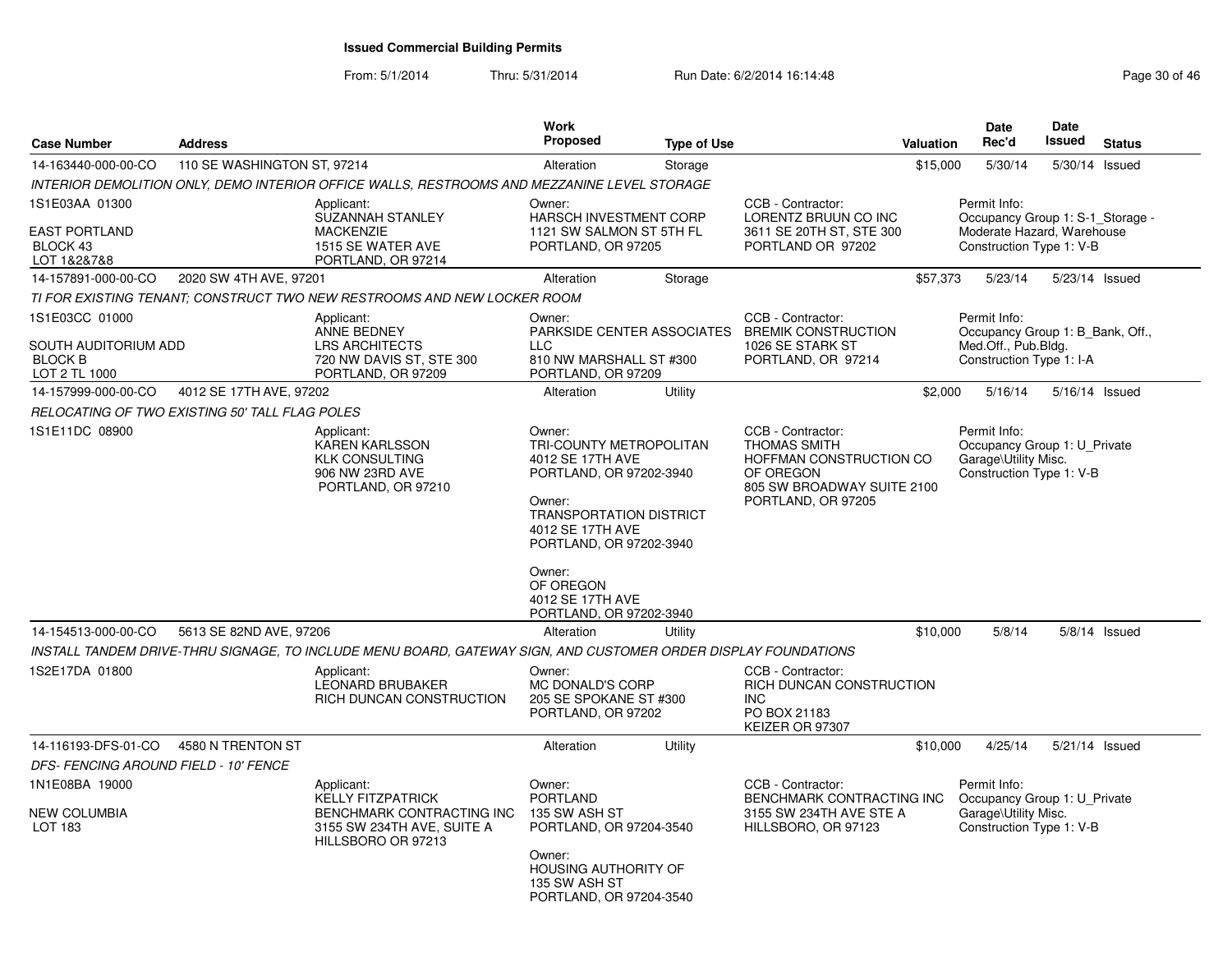From: 5/1/2014

| <b>Case Number</b>                                                        | <b>Address</b>              |                                                                                                                         | Work<br>Proposed                                                                                                                                                                                                                                  | <b>Type of Use</b> |                                                                                                                                      | Valuation | <b>Date</b><br>Rec'd                                                                                       | Date<br>Issued | <b>Status</b>  |
|---------------------------------------------------------------------------|-----------------------------|-------------------------------------------------------------------------------------------------------------------------|---------------------------------------------------------------------------------------------------------------------------------------------------------------------------------------------------------------------------------------------------|--------------------|--------------------------------------------------------------------------------------------------------------------------------------|-----------|------------------------------------------------------------------------------------------------------------|----------------|----------------|
| 14-163440-000-00-CO                                                       | 110 SE WASHINGTON ST, 97214 |                                                                                                                         | Alteration                                                                                                                                                                                                                                        | Storage            |                                                                                                                                      | \$15,000  | 5/30/14                                                                                                    | 5/30/14 Issued |                |
|                                                                           |                             | INTERIOR DEMOLITION ONLY, DEMO INTERIOR OFFICE WALLS, RESTROOMS AND MEZZANINE LEVEL STORAGE                             |                                                                                                                                                                                                                                                   |                    |                                                                                                                                      |           |                                                                                                            |                |                |
| 1S1E03AA 01300<br><b>EAST PORTLAND</b><br>BLOCK 43<br>LOT 1&2&7&8         |                             | Applicant:<br><b>SUZANNAH STANLEY</b><br><b>MACKENZIE</b><br>1515 SE WATER AVE<br>PORTLAND, OR 97214                    | Owner:<br><b>HARSCH INVESTMENT CORP</b><br>1121 SW SALMON ST 5TH FL<br>PORTLAND, OR 97205                                                                                                                                                         |                    | CCB - Contractor:<br>LORENTZ BRUUN CO INC<br>3611 SE 20TH ST, STE 300<br>PORTLAND OR 97202                                           |           | Permit Info:<br>Occupancy Group 1: S-1_Storage -<br>Moderate Hazard, Warehouse<br>Construction Type 1: V-B |                |                |
| 14-157891-000-00-CO                                                       | 2020 SW 4TH AVE, 97201      |                                                                                                                         | Alteration                                                                                                                                                                                                                                        | Storage            |                                                                                                                                      | \$57,373  | 5/23/14                                                                                                    |                | 5/23/14 Issued |
|                                                                           |                             | TI FOR EXISTING TENANT: CONSTRUCT TWO NEW RESTROOMS AND NEW LOCKER ROOM                                                 |                                                                                                                                                                                                                                                   |                    |                                                                                                                                      |           |                                                                                                            |                |                |
| 1S1E03CC 01000<br>SOUTH AUDITORIUM ADD<br><b>BLOCK B</b><br>LOT 2 TL 1000 |                             | Applicant:<br><b>ANNE BEDNEY</b><br><b>LRS ARCHITECTS</b><br>720 NW DAVIS ST, STE 300<br>PORTLAND, OR 97209             | Owner:<br>$\sqcup$ C<br>810 NW MARSHALL ST #300<br>PORTLAND, OR 97209                                                                                                                                                                             |                    | CCB - Contractor:<br>PARKSIDE CENTER ASSOCIATES BREMIK CONSTRUCTION<br>1026 SE STARK ST<br>PORTLAND, OR 97214                        |           | Permit Info:<br>Occupancy Group 1: B Bank, Off.,<br>Med.Off., Pub.Bldg.<br>Construction Type 1: I-A        |                |                |
| 14-157999-000-00-CO                                                       | 4012 SE 17TH AVE, 97202     |                                                                                                                         | Alteration                                                                                                                                                                                                                                        | Utility            |                                                                                                                                      | \$2,000   | 5/16/14                                                                                                    | 5/16/14 Issued |                |
| RELOCATING OF TWO EXISTING 50' TALL FLAG POLES                            |                             |                                                                                                                         |                                                                                                                                                                                                                                                   |                    |                                                                                                                                      |           |                                                                                                            |                |                |
| 1S1E11DC 08900                                                            |                             | Applicant:<br>KAREN KARLSSON<br><b>KLK CONSULTING</b><br>906 NW 23RD AVE<br>PORTLAND, OR 97210                          | Owner:<br>TRI-COUNTY METROPOLITAN<br>4012 SE 17TH AVE<br>PORTLAND, OR 97202-3940<br>Owner:<br><b>TRANSPORTATION DISTRICT</b><br>4012 SE 17TH AVE<br>PORTLAND, OR 97202-3940<br>Owner:<br>OF OREGON<br>4012 SE 17TH AVE<br>PORTLAND, OR 97202-3940 |                    | CCB - Contractor:<br><b>THOMAS SMITH</b><br>HOFFMAN CONSTRUCTION CO<br>OF OREGON<br>805 SW BROADWAY SUITE 2100<br>PORTLAND, OR 97205 |           | Permit Info:<br>Occupancy Group 1: U Private<br>Garage\Utility Misc.<br>Construction Type 1: V-B           |                |                |
| 14-154513-000-00-CO                                                       | 5613 SE 82ND AVE, 97206     |                                                                                                                         | Alteration                                                                                                                                                                                                                                        | Utility            |                                                                                                                                      | \$10,000  | 5/8/14                                                                                                     |                | 5/8/14 Issued  |
|                                                                           |                             | INSTALL TANDEM DRIVE-THRU SIGNAGE, TO INCLUDE MENU BOARD, GATEWAY SIGN, AND CUSTOMER ORDER DISPLAY FOUNDATIONS          |                                                                                                                                                                                                                                                   |                    |                                                                                                                                      |           |                                                                                                            |                |                |
| 1S2E17DA 01800                                                            |                             | Applicant:<br><b>LEONARD BRUBAKER</b><br>RICH DUNCAN CONSTRUCTION                                                       | Owner:<br>MC DONALD'S CORP<br>205 SE SPOKANE ST #300<br>PORTLAND, OR 97202                                                                                                                                                                        |                    | CCB - Contractor:<br>RICH DUNCAN CONSTRUCTION<br>INC.<br>PO BOX 21183<br>KEIZER OR 97307                                             |           |                                                                                                            |                |                |
| 14-116193-DFS-01-CO<br>DFS- FENCING AROUND FIELD - 10' FENCE              | 4580 N TRENTON ST           |                                                                                                                         | Alteration                                                                                                                                                                                                                                        | Utility            |                                                                                                                                      | \$10,000  | 4/25/14                                                                                                    | 5/21/14 Issued |                |
| 1N1E08BA 19000<br>NEW COLUMBIA<br>LOT 183                                 |                             | Applicant:<br><b>KELLY FITZPATRICK</b><br>BENCHMARK CONTRACTING INC<br>3155 SW 234TH AVE, SUITE A<br>HILLSBORO OR 97213 | Owner:<br><b>PORTLAND</b><br>135 SW ASH ST<br>PORTLAND, OR 97204-3540<br>Owner:<br>HOUSING AUTHORITY OF<br>135 SW ASH ST<br>PORTLAND, OR 97204-3540                                                                                               |                    | CCB - Contractor:<br>BENCHMARK CONTRACTING INC<br>3155 SW 234TH AVE STE A<br>HILLSBORO, OR 97123                                     |           | Permit Info:<br>Occupancy Group 1: U_Private<br>Garage\Utility Misc.<br>Construction Type 1: V-B           |                |                |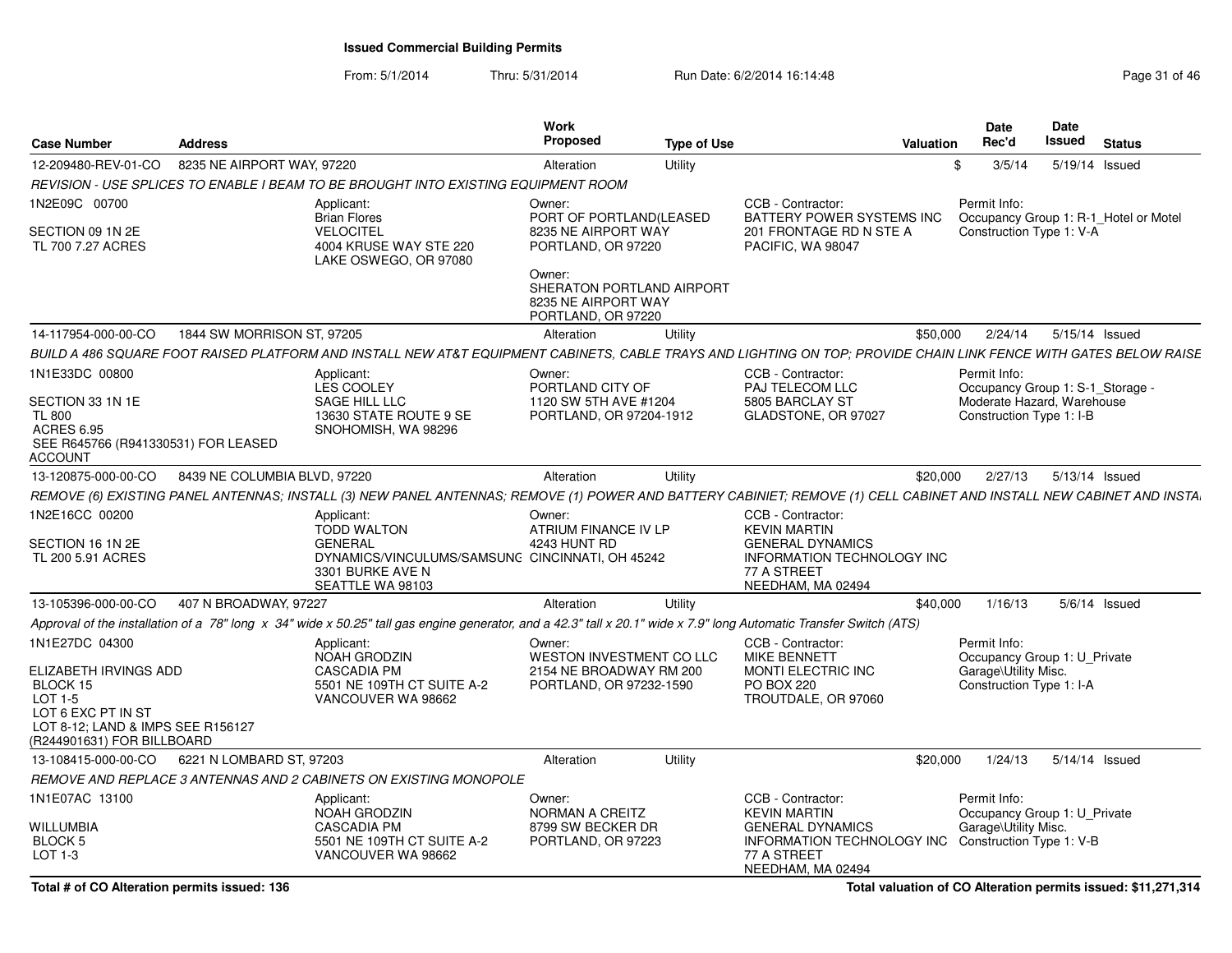From: 5/1/2014Thru: 5/31/2014 Run Date: 6/2/2014 16:14:48 Run Date: 6/2/2014 16:14:48

|                                                                                       |                                                                                                                                                                       | Work                                                                             |                                                                                | <b>Date</b>              | Date                                  |
|---------------------------------------------------------------------------------------|-----------------------------------------------------------------------------------------------------------------------------------------------------------------------|----------------------------------------------------------------------------------|--------------------------------------------------------------------------------|--------------------------|---------------------------------------|
| <b>Case Number</b><br><b>Address</b>                                                  |                                                                                                                                                                       | Proposed<br><b>Type of Use</b>                                                   | Valuation                                                                      | Rec'd                    | Issued<br><b>Status</b>               |
| 12-209480-REV-01-CO 8235 NE AIRPORT WAY, 97220                                        |                                                                                                                                                                       | Alteration<br>Utility                                                            |                                                                                | 3/5/14                   | 5/19/14 Issued                        |
|                                                                                       | REVISION - USE SPLICES TO ENABLE I BEAM TO BE BROUGHT INTO EXISTING EQUIPMENT ROOM                                                                                    |                                                                                  |                                                                                |                          |                                       |
| 1N2E09C 00700                                                                         | Applicant:                                                                                                                                                            | Owner:                                                                           | CCB - Contractor:                                                              | Permit Info:             |                                       |
| SECTION 09 1N 2E<br>TL 700 7.27 ACRES                                                 | <b>Brian Flores</b><br><b>VELOCITEL</b><br>4004 KRUSE WAY STE 220<br>LAKE OSWEGO, OR 97080                                                                            | PORT OF PORTLAND(LEASED<br>8235 NE AIRPORT WAY<br>PORTLAND, OR 97220             | BATTERY POWER SYSTEMS INC<br>201 FRONTAGE RD N STE A<br>PACIFIC, WA 98047      | Construction Type 1: V-A | Occupancy Group 1: R-1_Hotel or Motel |
|                                                                                       |                                                                                                                                                                       | Owner:<br>SHERATON PORTLAND AIRPORT<br>8235 NE AIRPORT WAY<br>PORTLAND, OR 97220 |                                                                                |                          |                                       |
| 14-117954-000-00-CO                                                                   | 1844 SW MORRISON ST, 97205                                                                                                                                            | Alteration<br>Utility                                                            |                                                                                | \$50,000                 | 2/24/14  5/15/14  Issued              |
|                                                                                       | BUILD A 486 SQUARE FOOT RAISED PLATFORM AND INSTALL NEW AT&T EQUIPMENT CABINETS, CABLE TRAYS AND LIGHTING ON TOP; PROVIDE CHAIN LINK FENCE WITH GATES BELOW RAISE     |                                                                                  |                                                                                |                          |                                       |
| 1N1E33DC 00800                                                                        | Applicant:                                                                                                                                                            | Owner:                                                                           | CCB - Contractor:                                                              | Permit Info:             |                                       |
| SECTION 33 1N 1E                                                                      | LES COOLEY<br>SAGE HILL LLC                                                                                                                                           | PORTLAND CITY OF                                                                 | PAJ TELECOM LLC                                                                |                          | Occupancy Group 1: S-1_Storage -      |
| <b>TL 800</b>                                                                         | 13630 STATE ROUTE 9 SE                                                                                                                                                | 1120 SW 5TH AVE #1204<br>PORTLAND, OR 97204-1912                                 | 5805 BARCLAY ST<br>GLADSTONE, OR 97027                                         | Construction Type 1: I-B | Moderate Hazard, Warehouse            |
| <b>ACRES 6.95</b>                                                                     | SNOHOMISH, WA 98296                                                                                                                                                   |                                                                                  |                                                                                |                          |                                       |
| SEE R645766 (R941330531) FOR LEASED<br><b>ACCOUNT</b>                                 |                                                                                                                                                                       |                                                                                  |                                                                                |                          |                                       |
| 13-120875-000-00-CO 8439 NE COLUMBIA BLVD, 97220                                      |                                                                                                                                                                       | Utility<br>Alteration                                                            |                                                                                |                          | \$20,000  2/27/13  5/13/14  Issued    |
|                                                                                       | REMOVE (6) EXISTING PANEL ANTENNAS; INSTALL (3) NEW PANEL ANTENNAS; REMOVE (1) POWER AND BATTERY CABINIET; REMOVE (1) CELL CABINET AND INSTALL NEW CABINET AND INSTAL |                                                                                  |                                                                                |                          |                                       |
| 1N2E16CC 00200                                                                        | Applicant:                                                                                                                                                            | Owner:                                                                           | CCB - Contractor:                                                              |                          |                                       |
| SECTION 16 1N 2E                                                                      | <b>TODD WALTON</b><br>GENERAL                                                                                                                                         | ATRIUM FINANCE IV LP<br>4243 HUNT RD                                             | <b>KEVIN MARTIN</b><br><b>GENERAL DYNAMICS</b>                                 |                          |                                       |
| TL 200 5.91 ACRES                                                                     | DYNAMICS/VINCULUMS/SAMSUNC CINCINNATI, OH 45242                                                                                                                       |                                                                                  | INFORMATION TECHNOLOGY INC                                                     |                          |                                       |
|                                                                                       | 3301 BURKE AVE N                                                                                                                                                      |                                                                                  | 77 A STREET                                                                    |                          |                                       |
|                                                                                       | SEATTLE WA 98103                                                                                                                                                      |                                                                                  | NEEDHAM, MA 02494                                                              |                          |                                       |
| 407 N BROADWAY, 97227<br>13-105396-000-00-CO                                          |                                                                                                                                                                       | Alteration<br>Utility                                                            |                                                                                | 1/16/13<br>\$40,000      | 5/6/14 Issued                         |
|                                                                                       | Approval of the installation of a 78" long x 34" wide x 50.25" tall gas engine generator, and a 42.3" tall x 20.1" wide x 7.9" long Automatic Transfer Switch (ATS)   |                                                                                  |                                                                                |                          |                                       |
| 1N1E27DC 04300                                                                        | Applicant:<br>NOAH GRODZIN                                                                                                                                            | Owner:<br>WESTON INVESTMENT CO LLC                                               | CCB - Contractor:<br>MIKE BENNETT                                              | Permit Info:             | Occupancy Group 1: U_Private          |
| ELIZABETH IRVINGS ADD                                                                 | <b>CASCADIA PM</b>                                                                                                                                                    | 2154 NE BROADWAY RM 200                                                          | MONTI ELECTRIC INC                                                             | Garage\Utility Misc.     |                                       |
| BLOCK 15<br>LOT 1-5                                                                   | 5501 NE 109TH CT SUITE A-2<br>VANCOUVER WA 98662                                                                                                                      | PORTLAND, OR 97232-1590                                                          | PO BOX 220<br>TROUTDALE, OR 97060                                              | Construction Type 1: I-A |                                       |
| LOT 6 EXC PT IN ST<br>LOT 8-12; LAND & IMPS SEE R156127<br>(R244901631) FOR BILLBOARD |                                                                                                                                                                       |                                                                                  |                                                                                |                          |                                       |
| 13-108415-000-00-CO   6221 N LOMBARD ST, 97203                                        |                                                                                                                                                                       | Alteration<br>Utility                                                            |                                                                                | 1/24/13<br>\$20.000      | 5/14/14 Issued                        |
|                                                                                       | REMOVE AND REPLACE 3 ANTENNAS AND 2 CABINETS ON EXISTING MONOPOLE                                                                                                     |                                                                                  |                                                                                |                          |                                       |
| 1N1E07AC 13100                                                                        | Applicant:                                                                                                                                                            | Owner:                                                                           | CCB - Contractor:                                                              | Permit Info:             |                                       |
|                                                                                       | NOAH GRODZIN                                                                                                                                                          | NORMAN A CREITZ                                                                  | <b>KEVIN MARTIN</b>                                                            |                          | Occupancy Group 1: U Private          |
| <b>WILLUMBIA</b><br><b>BLOCK 5</b>                                                    | <b>CASCADIA PM</b><br>5501 NE 109TH CT SUITE A-2                                                                                                                      | 8799 SW BECKER DR<br>PORTLAND, OR 97223                                          | <b>GENERAL DYNAMICS</b><br>INFORMATION TECHNOLOGY INC Construction Type 1: V-B | Garage\Utility Misc.     |                                       |
| LOT 1-3                                                                               | VANCOUVER WA 98662                                                                                                                                                    |                                                                                  | 77 A STREET<br>NEEDHAM, MA 02494                                               |                          |                                       |

**Total valuation of CO Alteration permits issued: \$11,271,314**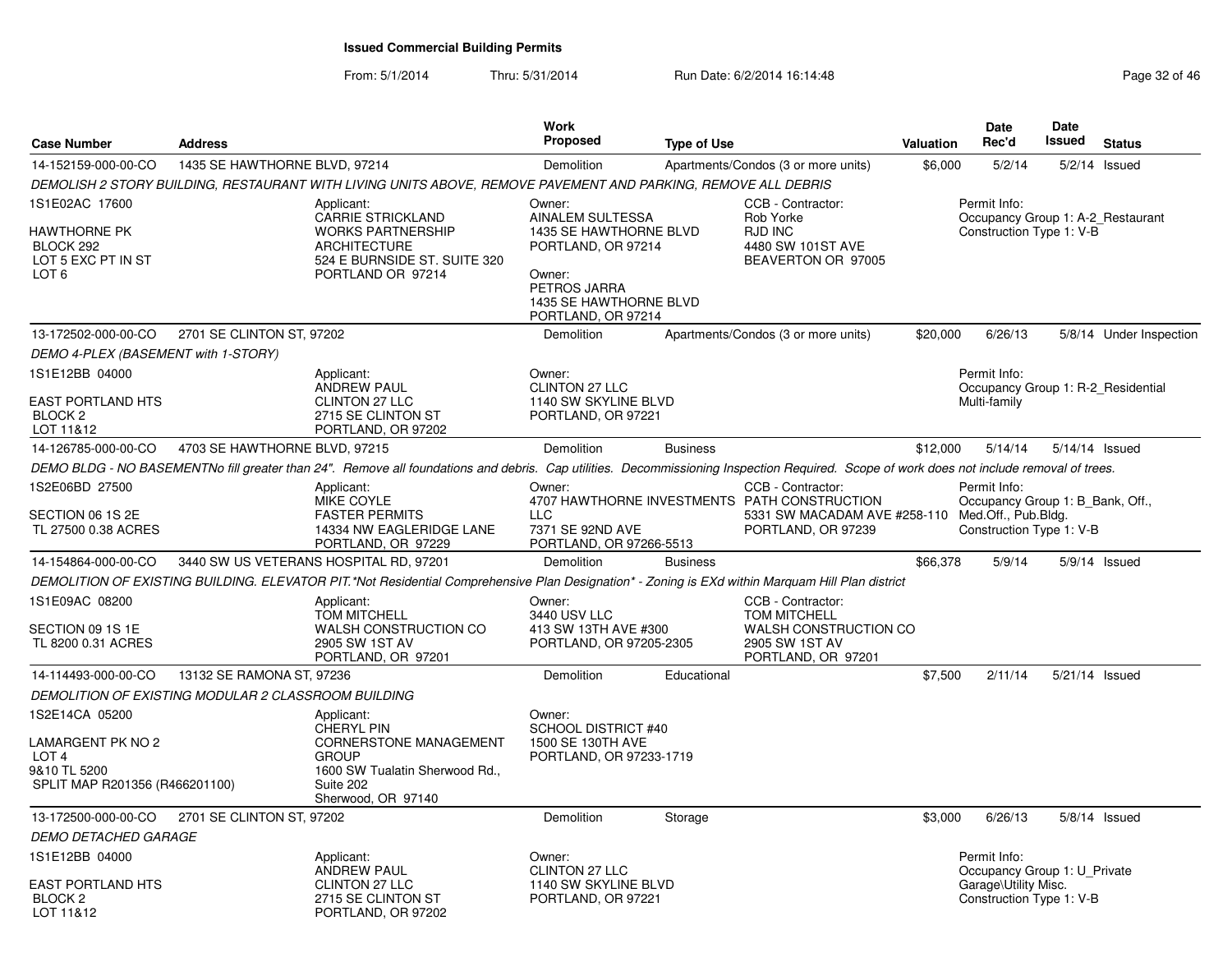| <b>Case Number</b>                                                                                        | <b>Address</b>                                      |                                                                                                                                                                                          | <b>Work</b><br>Proposed                                                                                                                              | <b>Type of Use</b> |                                                                                                                                             | <b>Valuation</b> | <b>Date</b><br>Rec'd                                                                             | Date<br><b>Issued</b> | <b>Status</b>           |
|-----------------------------------------------------------------------------------------------------------|-----------------------------------------------------|------------------------------------------------------------------------------------------------------------------------------------------------------------------------------------------|------------------------------------------------------------------------------------------------------------------------------------------------------|--------------------|---------------------------------------------------------------------------------------------------------------------------------------------|------------------|--------------------------------------------------------------------------------------------------|-----------------------|-------------------------|
| 14-152159-000-00-CO                                                                                       | 1435 SE HAWTHORNE BLVD, 97214                       |                                                                                                                                                                                          | Demolition                                                                                                                                           |                    | Apartments/Condos (3 or more units)                                                                                                         | \$6,000          | 5/2/14                                                                                           |                       | 5/2/14 Issued           |
|                                                                                                           |                                                     | DEMOLISH 2 STORY BUILDING, RESTAURANT WITH LIVING UNITS ABOVE, REMOVE PAVEMENT AND PARKING, REMOVE ALL DEBRIS                                                                            |                                                                                                                                                      |                    |                                                                                                                                             |                  |                                                                                                  |                       |                         |
| 1S1E02AC 17600<br><b>HAWTHORNE PK</b><br>BLOCK 292<br>LOT 5 EXC PT IN ST<br>LOT <sub>6</sub>              |                                                     | Applicant:<br>CARRIE STRICKLAND<br><b>WORKS PARTNERSHIP</b><br><b>ARCHITECTURE</b><br>524 E BURNSIDE ST. SUITE 320<br>PORTLAND OR 97214                                                  | Owner:<br>AINALEM SULTESSA<br>1435 SE HAWTHORNE BLVD<br>PORTLAND, OR 97214<br>Owner:<br>PETROS JARRA<br>1435 SE HAWTHORNE BLVD<br>PORTLAND, OR 97214 |                    | CCB - Contractor:<br>Rob Yorke<br><b>RJD INC</b><br>4480 SW 101ST AVE<br>BEAVERTON OR 97005                                                 |                  | Permit Info:<br>Occupancy Group 1: A-2_Restaurant<br>Construction Type 1: V-B                    |                       |                         |
| 13-172502-000-00-CO                                                                                       | 2701 SE CLINTON ST, 97202                           |                                                                                                                                                                                          | Demolition                                                                                                                                           |                    | Apartments/Condos (3 or more units)                                                                                                         | \$20,000         | 6/26/13                                                                                          |                       | 5/8/14 Under Inspection |
| DEMO 4-PLEX (BASEMENT with 1-STORY)                                                                       |                                                     |                                                                                                                                                                                          |                                                                                                                                                      |                    |                                                                                                                                             |                  |                                                                                                  |                       |                         |
| 1S1E12BB 04000<br><b>EAST PORTLAND HTS</b><br>BLOCK <sub>2</sub><br>LOT 11&12                             |                                                     | Applicant:<br><b>ANDREW PAUL</b><br><b>CLINTON 27 LLC</b><br>2715 SE CLINTON ST<br>PORTLAND, OR 97202                                                                                    | Owner:<br><b>CLINTON 27 LLC</b><br>1140 SW SKYLINE BLVD<br>PORTLAND, OR 97221                                                                        |                    |                                                                                                                                             |                  | Permit Info:<br>Occupancy Group 1: R-2_Residential<br>Multi-family                               |                       |                         |
| 14-126785-000-00-CO                                                                                       | 4703 SE HAWTHORNE BLVD, 97215                       |                                                                                                                                                                                          | Demolition                                                                                                                                           | <b>Business</b>    |                                                                                                                                             | \$12,000         | 5/14/14                                                                                          |                       | 5/14/14 Issued          |
|                                                                                                           |                                                     | DEMO BLDG - NO BASEMENTNo fill greater than 24". Remove all foundations and debris. Cap utilities. Decommissioning Inspection Required. Scope of work does not include removal of trees. |                                                                                                                                                      |                    |                                                                                                                                             |                  |                                                                                                  |                       |                         |
| 1S2E06BD 27500<br>SECTION 06 1S 2E<br>TL 27500 0.38 ACRES                                                 |                                                     | Applicant:<br>MIKE COYLE<br><b>FASTER PERMITS</b><br>14334 NW EAGLERIDGE LANE<br>PORTLAND, OR 97229                                                                                      | Owner:<br>LLC<br>7371 SE 92ND AVE<br>PORTLAND, OR 97266-5513                                                                                         |                    | CCB - Contractor:<br>4707 HAWTHORNE INVESTMENTS PATH CONSTRUCTION<br>5331 SW MACADAM AVE #258-110 Med.Off., Pub.Bldg.<br>PORTLAND, OR 97239 |                  | Permit Info:<br>Occupancy Group 1: B Bank, Off.,<br>Construction Type 1: V-B                     |                       |                         |
| 14-154864-000-00-CO                                                                                       |                                                     | 3440 SW US VETERANS HOSPITAL RD, 97201                                                                                                                                                   | Demolition                                                                                                                                           | <b>Business</b>    |                                                                                                                                             | \$66,378         | 5/9/14                                                                                           |                       | 5/9/14 Issued           |
|                                                                                                           |                                                     | DEMOLITION OF EXISTING BUILDING. ELEVATOR PIT.*Not Residential Comprehensive Plan Designation* - Zoning is EXd within Marquam Hill Plan district                                         |                                                                                                                                                      |                    |                                                                                                                                             |                  |                                                                                                  |                       |                         |
| 1S1E09AC 08200<br>SECTION 09 1S 1E<br>TL 8200 0.31 ACRES                                                  |                                                     | Applicant:<br><b>TOM MITCHELL</b><br>WALSH CONSTRUCTION CO<br>2905 SW 1ST AV<br>PORTLAND, OR 97201                                                                                       | Owner:<br>3440 USV LLC<br>413 SW 13TH AVE #300<br>PORTLAND, OR 97205-2305                                                                            |                    | CCB - Contractor:<br><b>TOM MITCHELL</b><br>WALSH CONSTRUCTION CO<br>2905 SW 1ST AV<br>PORTLAND, OR 97201                                   |                  |                                                                                                  |                       |                         |
| 14-114493-000-00-CO                                                                                       | 13132 SE RAMONA ST, 97236                           |                                                                                                                                                                                          | Demolition                                                                                                                                           | Educational        |                                                                                                                                             | \$7,500          | 2/11/14                                                                                          |                       | 5/21/14 Issued          |
|                                                                                                           | DEMOLITION OF EXISTING MODULAR 2 CLASSROOM BUILDING |                                                                                                                                                                                          |                                                                                                                                                      |                    |                                                                                                                                             |                  |                                                                                                  |                       |                         |
| 1S2E14CA 05200<br>LAMARGENT PK NO 2<br>LOT <sub>4</sub><br>9&10 TL 5200<br>SPLIT MAP R201356 (R466201100) |                                                     | Applicant:<br><b>CHERYL PIN</b><br><b>CORNERSTONE MANAGEMENT</b><br><b>GROUP</b><br>1600 SW Tualatin Sherwood Rd.,<br>Suite 202<br>Sherwood, OR 97140                                    | Owner:<br><b>SCHOOL DISTRICT #40</b><br>1500 SE 130TH AVE<br>PORTLAND, OR 97233-1719                                                                 |                    |                                                                                                                                             |                  |                                                                                                  |                       |                         |
| 13-172500-000-00-CO                                                                                       | 2701 SE CLINTON ST, 97202                           |                                                                                                                                                                                          | Demolition                                                                                                                                           | Storage            |                                                                                                                                             | \$3,000          | 6/26/13                                                                                          |                       | 5/8/14 Issued           |
| DEMO DETACHED GARAGE                                                                                      |                                                     |                                                                                                                                                                                          |                                                                                                                                                      |                    |                                                                                                                                             |                  |                                                                                                  |                       |                         |
| 1S1E12BB 04000<br>EAST PORTLAND HTS<br>BLOCK <sub>2</sub><br>LOT 11&12                                    |                                                     | Applicant:<br><b>ANDREW PAUL</b><br><b>CLINTON 27 LLC</b><br>2715 SE CLINTON ST<br>PORTLAND, OR 97202                                                                                    | Owner:<br><b>CLINTON 27 LLC</b><br>1140 SW SKYLINE BLVD<br>PORTLAND, OR 97221                                                                        |                    |                                                                                                                                             |                  | Permit Info:<br>Occupancy Group 1: U Private<br>Garage\Utility Misc.<br>Construction Type 1: V-B |                       |                         |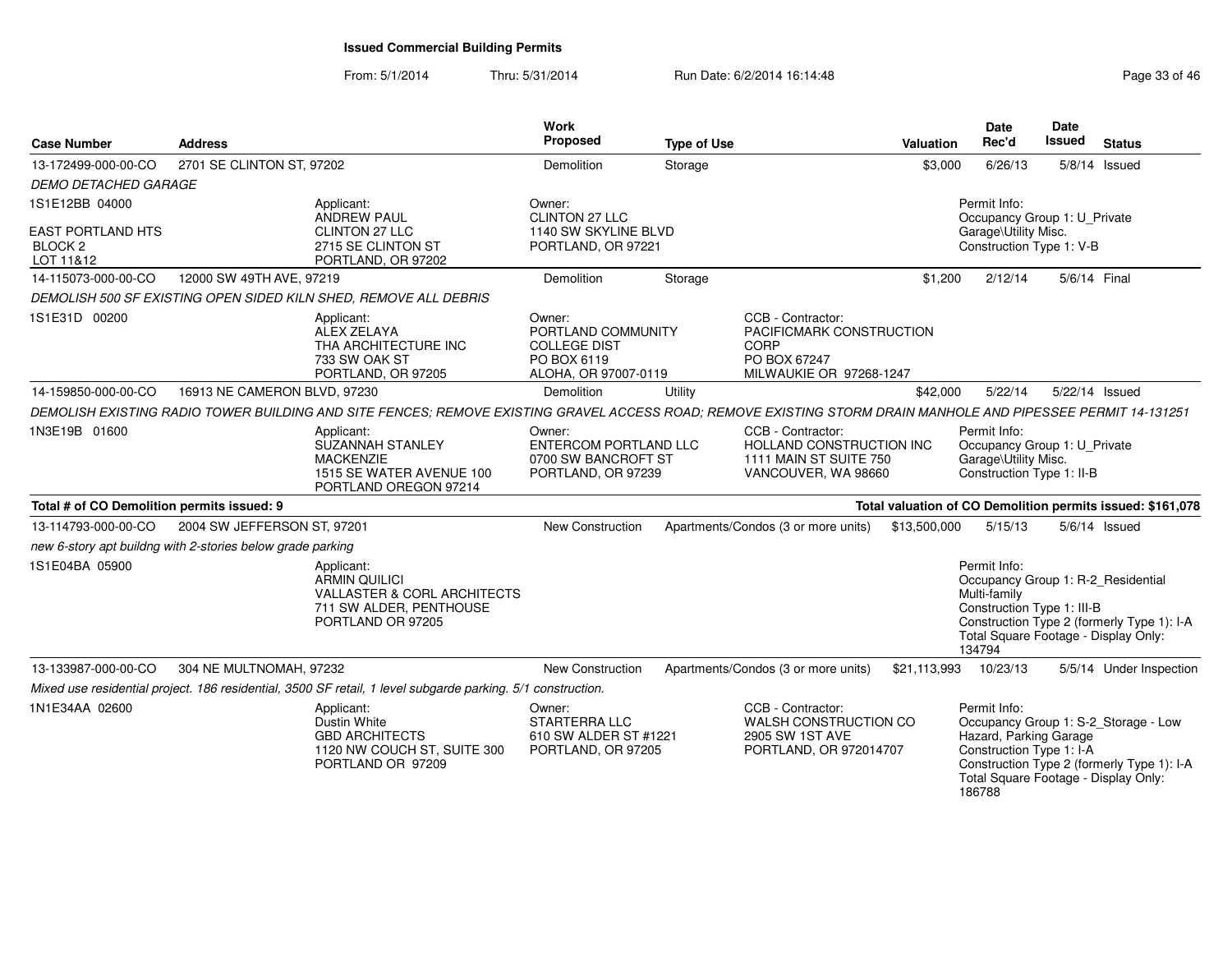| <b>Case Number</b>                                                            | <b>Address</b>                                             |                                                                                                                                                               | <b>Work</b><br><b>Proposed</b>                                                             | <b>Type of Use</b> |                                                                                                         | <b>Valuation</b> | <b>Date</b><br>Rec'd                                                                                                                               | Date<br><b>Issued</b> | <b>Status</b>                                                                      |
|-------------------------------------------------------------------------------|------------------------------------------------------------|---------------------------------------------------------------------------------------------------------------------------------------------------------------|--------------------------------------------------------------------------------------------|--------------------|---------------------------------------------------------------------------------------------------------|------------------|----------------------------------------------------------------------------------------------------------------------------------------------------|-----------------------|------------------------------------------------------------------------------------|
| 13-172499-000-00-CO                                                           | 2701 SE CLINTON ST, 97202                                  |                                                                                                                                                               | Demolition                                                                                 | Storage            |                                                                                                         | \$3,000          | 6/26/13                                                                                                                                            |                       | $5/8/14$ Issued                                                                    |
| <i>DEMO DETACHED GARAGE</i>                                                   |                                                            |                                                                                                                                                               |                                                                                            |                    |                                                                                                         |                  |                                                                                                                                                    |                       |                                                                                    |
| 1S1E12BB 04000<br><b>EAST PORTLAND HTS</b><br>BLOCK <sub>2</sub><br>LOT 11&12 |                                                            | Applicant:<br><b>ANDREW PAUL</b><br><b>CLINTON 27 LLC</b><br>2715 SE CLINTON ST<br>PORTLAND, OR 97202                                                         | Owner:<br><b>CLINTON 27 LLC</b><br>1140 SW SKYLINE BLVD<br>PORTLAND, OR 97221              |                    |                                                                                                         |                  | Permit Info:<br>Occupancy Group 1: U Private<br>Garage\Utility Misc.<br>Construction Type 1: V-B                                                   |                       |                                                                                    |
| 14-115073-000-00-CO                                                           | 12000 SW 49TH AVE, 97219                                   |                                                                                                                                                               | Demolition                                                                                 | Storage            |                                                                                                         | \$1,200          | 2/12/14                                                                                                                                            | 5/6/14 Final          |                                                                                    |
|                                                                               |                                                            | DEMOLISH 500 SF EXISTING OPEN SIDED KILN SHED, REMOVE ALL DEBRIS                                                                                              |                                                                                            |                    |                                                                                                         |                  |                                                                                                                                                    |                       |                                                                                    |
| 1S1E31D 00200                                                                 |                                                            | Applicant:<br>ALEX ZELAYA<br>THA ARCHITECTURE INC<br>733 SW OAK ST<br>PORTLAND, OR 97205                                                                      | Owner:<br>PORTLAND COMMUNITY<br><b>COLLEGE DIST</b><br>PO BOX 6119<br>ALOHA, OR 97007-0119 |                    | CCB - Contractor:<br>PACIFICMARK CONSTRUCTION<br><b>CORP</b><br>PO BOX 67247<br>MILWAUKIE OR 97268-1247 |                  |                                                                                                                                                    |                       |                                                                                    |
| 14-159850-000-00-CO                                                           | 16913 NE CAMERON BLVD, 97230                               |                                                                                                                                                               | Demolition                                                                                 | Utility            |                                                                                                         | \$42,000         | 5/22/14                                                                                                                                            | 5/22/14 Issued        |                                                                                    |
|                                                                               |                                                            | DEMOLISH EXISTING RADIO TOWER BUILDING AND SITE FENCES: REMOVE EXISTING GRAVEL ACCESS ROAD; REMOVE EXISTING STORM DRAIN MANHOLE AND PIPESSEE PERMIT 14-131251 |                                                                                            |                    |                                                                                                         |                  |                                                                                                                                                    |                       |                                                                                    |
| 1N3E19B 01600                                                                 |                                                            | Applicant:<br>SUZANNAH STANLEY<br><b>MACKENZIE</b><br>1515 SE WATER AVENUE 100<br>PORTLAND OREGON 97214                                                       | Owner:<br>ENTERCOM PORTLAND LLC<br>0700 SW BANCROFT ST<br>PORTLAND, OR 97239               |                    | CCB - Contractor:<br>HOLLAND CONSTRUCTION INC<br>1111 MAIN ST SUITE 750<br>VANCOUVER, WA 98660          |                  | Permit Info:<br>Occupancy Group 1: U_Private<br>Garage\Utility Misc.<br>Construction Type 1: II-B                                                  |                       |                                                                                    |
| Total # of CO Demolition permits issued: 9                                    |                                                            |                                                                                                                                                               |                                                                                            |                    |                                                                                                         |                  |                                                                                                                                                    |                       | Total valuation of CO Demolition permits issued: \$161,078                         |
| 13-114793-000-00-CO                                                           | 2004 SW JEFFERSON ST, 97201                                |                                                                                                                                                               | <b>New Construction</b>                                                                    |                    | Apartments/Condos (3 or more units)                                                                     | \$13,500,000     | 5/15/13                                                                                                                                            |                       | $5/6/14$ Issued                                                                    |
|                                                                               | new 6-story apt buildng with 2-stories below grade parking |                                                                                                                                                               |                                                                                            |                    |                                                                                                         |                  |                                                                                                                                                    |                       |                                                                                    |
| IS1E04BA 05900                                                                |                                                            | Applicant:<br><b>ARMIN QUILICI</b><br><b>VALLASTER &amp; CORL ARCHITECTS</b><br>711 SW ALDER, PENTHOUSE<br>PORTLAND OR 97205                                  |                                                                                            |                    |                                                                                                         |                  | Permit Info:<br>Occupancy Group 1: R-2 Residential<br>Multi-family<br>Construction Type 1: III-B<br>Total Square Footage - Display Only:<br>134794 |                       | Construction Type 2 (formerly Type 1): I-A                                         |
| 13-133987-000-00-CO                                                           | 304 NE MULTNOMAH, 97232                                    |                                                                                                                                                               | <b>New Construction</b>                                                                    |                    | Apartments/Condos (3 or more units)                                                                     | \$21,113,993     | 10/23/13                                                                                                                                           |                       | 5/5/14 Under Inspection                                                            |
|                                                                               |                                                            | Mixed use residential project. 186 residential, 3500 SF retail, 1 level subgarde parking. 5/1 construction.                                                   |                                                                                            |                    |                                                                                                         |                  |                                                                                                                                                    |                       |                                                                                    |
| 1N1E34AA 02600                                                                |                                                            | Applicant:<br>Dustin White<br><b>GBD ARCHITECTS</b><br>1120 NW COUCH ST, SUITE 300<br>PORTLAND OR 97209                                                       | Owner:<br><b>STARTERRA LLC</b><br>610 SW ALDER ST #1221<br>PORTLAND, OR 97205              |                    | CCB - Contractor:<br>WALSH CONSTRUCTION CO<br>2905 SW 1ST AVE<br>PORTLAND, OR 972014707                 |                  | Permit Info:<br>Hazard, Parking Garage<br>Construction Type 1: I-A<br>Total Square Footage - Display Only:<br>186788                               |                       | Occupancy Group 1: S-2_Storage - Low<br>Construction Type 2 (formerly Type 1): I-A |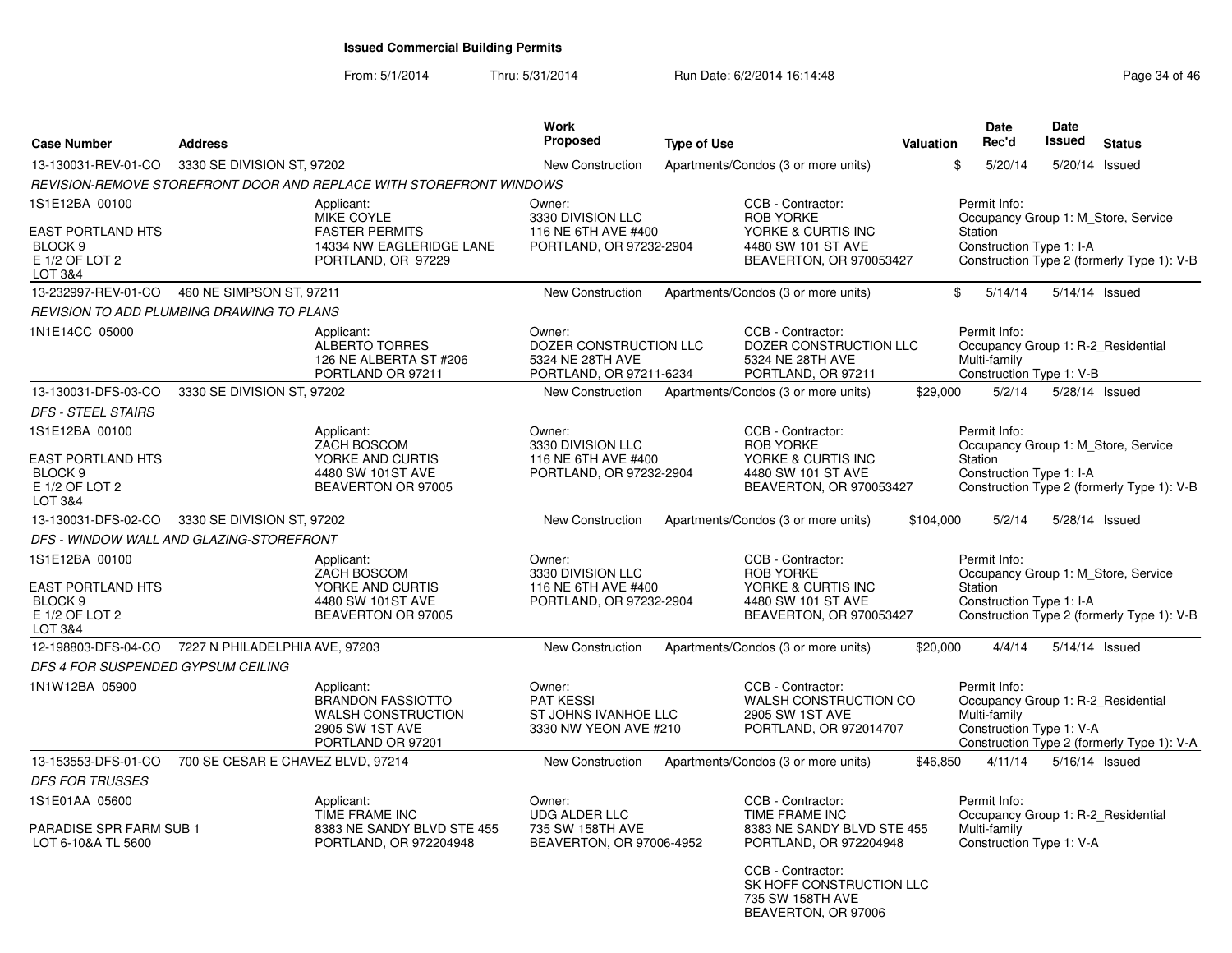From: 5/1/2014Thru: 5/31/2014 Run Date: 6/2/2014 16:14:48 Run Date: 6/2/2014 16:14:48

BEAVERTON, OR 97006

| <b>Case Number</b>                                                                     | <b>Address</b>                            |                                                                                                             | Work<br><b>Proposed</b>                                                         | <b>Type of Use</b> |                                                                                                              | Valuation | <b>Date</b><br>Rec'd                                                                           | Date<br><b>Issued</b> | <b>Status</b>                                                                     |
|----------------------------------------------------------------------------------------|-------------------------------------------|-------------------------------------------------------------------------------------------------------------|---------------------------------------------------------------------------------|--------------------|--------------------------------------------------------------------------------------------------------------|-----------|------------------------------------------------------------------------------------------------|-----------------------|-----------------------------------------------------------------------------------|
| 13-130031-REV-01-CO                                                                    | 3330 SE DIVISION ST, 97202                |                                                                                                             | <b>New Construction</b>                                                         |                    | Apartments/Condos (3 or more units)                                                                          |           | \$<br>5/20/14                                                                                  | 5/20/14               | Issued                                                                            |
|                                                                                        |                                           | REVISION-REMOVE STOREFRONT DOOR AND REPLACE WITH STOREFRONT WINDOWS                                         |                                                                                 |                    |                                                                                                              |           |                                                                                                |                       |                                                                                   |
| 1S1E12BA 00100<br>EAST PORTLAND HTS<br>BLOCK <sub>9</sub><br>E 1/2 OF LOT 2<br>LOT 3&4 |                                           | Applicant:<br>MIKE COYLE<br><b>FASTER PERMITS</b><br>14334 NW EAGLERIDGE LANE<br>PORTLAND, OR 97229         | Owner:<br>3330 DIVISION LLC<br>116 NE 6TH AVE #400<br>PORTLAND, OR 97232-2904   |                    | CCB - Contractor:<br><b>ROB YORKE</b><br>YORKE & CURTIS INC<br>4480 SW 101 ST AVE<br>BEAVERTON, OR 970053427 |           | Permit Info:<br><b>Station</b><br>Construction Type 1: I-A                                     |                       | Occupancy Group 1: M Store, Service<br>Construction Type 2 (formerly Type 1): V-B |
| 13-232997-REV-01-CO                                                                    | 460 NE SIMPSON ST, 97211                  |                                                                                                             | <b>New Construction</b>                                                         |                    | Apartments/Condos (3 or more units)                                                                          |           | \$<br>5/14/14                                                                                  |                       | 5/14/14 Issued                                                                    |
|                                                                                        | REVISION TO ADD PLUMBING DRAWING TO PLANS |                                                                                                             |                                                                                 |                    |                                                                                                              |           |                                                                                                |                       |                                                                                   |
| 1N1E14CC 05000                                                                         |                                           | Applicant:<br><b>ALBERTO TORRES</b><br>126 NE ALBERTA ST #206<br>PORTLAND OR 97211                          | Owner:<br>DOZER CONSTRUCTION LLC<br>5324 NE 28TH AVE<br>PORTLAND, OR 97211-6234 |                    | CCB - Contractor:<br>DOZER CONSTRUCTION LLC<br>5324 NE 28TH AVE<br>PORTLAND, OR 97211                        |           | Permit Info:<br>Occupancy Group 1: R-2 Residential<br>Multi-family<br>Construction Type 1: V-B |                       |                                                                                   |
| 13-130031-DFS-03-CO                                                                    | 3330 SE DIVISION ST, 97202                |                                                                                                             | <b>New Construction</b>                                                         |                    | Apartments/Condos (3 or more units)                                                                          | \$29,000  | 5/2/14                                                                                         |                       | 5/28/14 Issued                                                                    |
| <b>DFS - STEEL STAIRS</b>                                                              |                                           |                                                                                                             |                                                                                 |                    |                                                                                                              |           |                                                                                                |                       |                                                                                   |
| 1S1E12BA 00100                                                                         |                                           | Applicant:<br><b>ZACH BOSCOM</b>                                                                            | Owner:<br>3330 DIVISION LLC                                                     |                    | CCB - Contractor:<br><b>ROB YORKE</b>                                                                        |           | Permit Info:                                                                                   |                       | Occupancy Group 1: M Store, Service                                               |
| <b>EAST PORTLAND HTS</b><br>BLOCK 9<br>E 1/2 OF LOT 2<br>LOT 3&4                       |                                           | YORKE AND CURTIS<br>4480 SW 101ST AVE<br>BEAVERTON OR 97005                                                 | 116 NE 6TH AVE #400<br>PORTLAND, OR 97232-2904                                  |                    | YORKE & CURTIS INC<br>4480 SW 101 ST AVE<br>BEAVERTON, OR 970053427                                          |           | <b>Station</b><br>Construction Type 1: I-A                                                     |                       | Construction Type 2 (formerly Type 1): V-B                                        |
| 13-130031-DFS-02-CO                                                                    | 3330 SE DIVISION ST, 97202                |                                                                                                             | <b>New Construction</b>                                                         |                    | Apartments/Condos (3 or more units)                                                                          | \$104,000 | 5/2/14                                                                                         |                       | 5/28/14 Issued                                                                    |
|                                                                                        | DFS - WINDOW WALL AND GLAZING-STOREFRONT  |                                                                                                             |                                                                                 |                    |                                                                                                              |           |                                                                                                |                       |                                                                                   |
| 1S1E12BA 00100<br>EAST PORTLAND HTS<br>BLOCK <sub>9</sub><br>E 1/2 OF LOT 2<br>LOT 3&4 |                                           | Applicant:<br>ZACH BOSCOM<br>YORKE AND CURTIS<br>4480 SW 101ST AVE<br>BEAVERTON OR 97005                    | Owner:<br>3330 DIVISION LLC<br>116 NE 6TH AVE #400<br>PORTLAND, OR 97232-2904   |                    | CCB - Contractor:<br><b>ROB YORKE</b><br>YORKE & CURTIS INC<br>4480 SW 101 ST AVE<br>BEAVERTON, OR 970053427 |           | Permit Info:<br>Station<br>Construction Type 1: I-A                                            |                       | Occupancy Group 1: M_Store, Service<br>Construction Type 2 (formerly Type 1): V-B |
| 12-198803-DFS-04-CO                                                                    | 7227 N PHILADELPHIA AVE, 97203            |                                                                                                             | <b>New Construction</b>                                                         |                    | Apartments/Condos (3 or more units)                                                                          | \$20,000  | 4/4/14                                                                                         |                       | 5/14/14 Issued                                                                    |
| DFS 4 FOR SUSPENDED GYPSUM CEILING                                                     |                                           |                                                                                                             |                                                                                 |                    |                                                                                                              |           |                                                                                                |                       |                                                                                   |
| 1N1W12BA 05900                                                                         |                                           | Applicant:<br><b>BRANDON FASSIOTTO</b><br><b>WALSH CONSTRUCTION</b><br>2905 SW 1ST AVE<br>PORTLAND OR 97201 | Owner:<br><b>PAT KESSI</b><br>ST JOHNS IVANHOE LLC<br>3330 NW YEON AVE #210     |                    | CCB - Contractor:<br><b>WALSH CONSTRUCTION CO</b><br>2905 SW 1ST AVE<br>PORTLAND, OR 972014707               |           | Permit Info:<br>Occupancy Group 1: R-2_Residential<br>Multi-family<br>Construction Type 1: V-A |                       | Construction Type 2 (formerly Type 1): V-A                                        |
| 13-153553-DFS-01-CO                                                                    | 700 SE CESAR E CHAVEZ BLVD, 97214         |                                                                                                             | <b>New Construction</b>                                                         |                    | Apartments/Condos (3 or more units)                                                                          | \$46,850  | 4/11/14                                                                                        |                       | 5/16/14 Issued                                                                    |
| <b>DFS FOR TRUSSES</b>                                                                 |                                           |                                                                                                             |                                                                                 |                    |                                                                                                              |           |                                                                                                |                       |                                                                                   |
| 1S1E01AA 05600                                                                         |                                           | Applicant:<br>TIME FRAME INC                                                                                | Owner:<br><b>UDG ALDER LLC</b>                                                  |                    | CCB - Contractor:<br>TIME FRAME INC                                                                          |           | Permit Info:<br>Occupancy Group 1: R-2 Residential                                             |                       |                                                                                   |
| PARADISE SPR FARM SUB 1<br>LOT 6-10&A TL 5600                                          |                                           | 8383 NE SANDY BLVD STE 455<br>PORTLAND, OR 972204948                                                        | 735 SW 158TH AVE<br>BEAVERTON, OR 97006-4952                                    |                    | 8383 NE SANDY BLVD STE 455<br>PORTLAND, OR 972204948                                                         |           | Multi-family<br>Construction Type 1: V-A                                                       |                       |                                                                                   |
|                                                                                        |                                           |                                                                                                             |                                                                                 |                    | CCB - Contractor:<br>SK HOFF CONSTRUCTION LLC<br>735 SW 158TH AVE                                            |           |                                                                                                |                       |                                                                                   |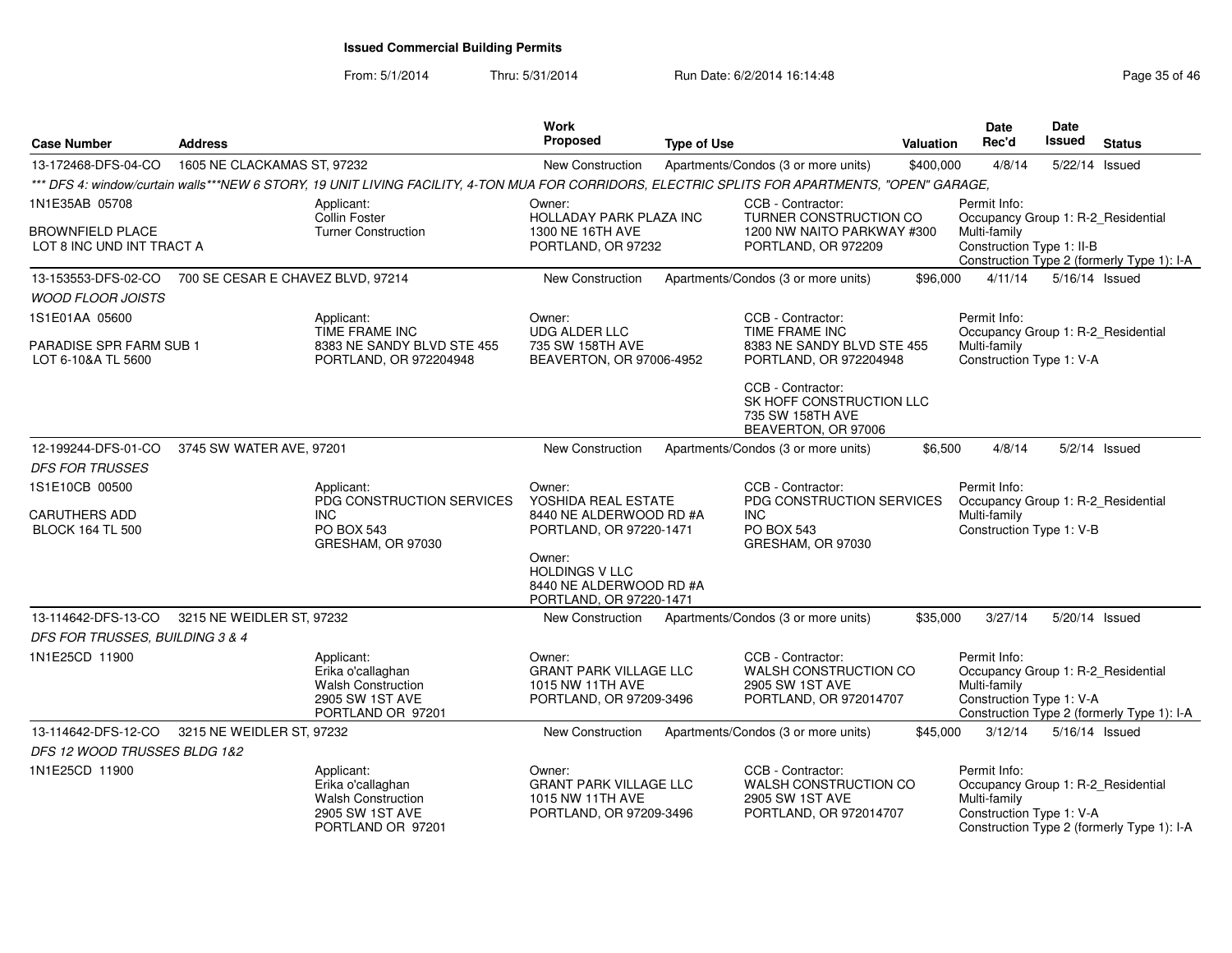| <b>Case Number</b>                                   | <b>Address</b>                    |                                                                                                                                                 | Work<br><b>Proposed</b>                                                                | <b>Type of Use</b> |                                                                                                | <b>Valuation</b> | <b>Date</b><br>Rec'd                                                                           | Date<br>Issued | <b>Status</b>                              |
|------------------------------------------------------|-----------------------------------|-------------------------------------------------------------------------------------------------------------------------------------------------|----------------------------------------------------------------------------------------|--------------------|------------------------------------------------------------------------------------------------|------------------|------------------------------------------------------------------------------------------------|----------------|--------------------------------------------|
| 13-172468-DFS-04-CO                                  | 1605 NE CLACKAMAS ST, 97232       |                                                                                                                                                 | New Construction                                                                       |                    | Apartments/Condos (3 or more units)                                                            | \$400,000        | 4/8/14                                                                                         |                | 5/22/14 Issued                             |
|                                                      |                                   | *** DFS 4: window/curtain walls***NEW 6 STORY, 19 UNIT LIVING FACILITY, 4-TON MUA FOR CORRIDORS. ELECTRIC SPLITS FOR APARTMENTS. "OPEN" GARAGE. |                                                                                        |                    |                                                                                                |                  |                                                                                                |                |                                            |
| 1N1E35AB 05708                                       |                                   | Applicant:<br>Collin Foster                                                                                                                     | Owner:<br><b>HOLLADAY PARK PLAZA INC</b>                                               |                    | CCB - Contractor:<br>TURNER CONSTRUCTION CO                                                    |                  | Permit Info:<br>Occupancy Group 1: R-2_Residential                                             |                |                                            |
| <b>BROWNFIELD PLACE</b><br>LOT 8 INC UND INT TRACT A |                                   | <b>Turner Construction</b>                                                                                                                      | 1300 NE 16TH AVE<br>PORTLAND, OR 97232                                                 |                    | 1200 NW NAITO PARKWAY #300<br>PORTLAND, OR 972209                                              |                  | Multi-family<br>Construction Type 1: II-B                                                      |                | Construction Type 2 (formerly Type 1): I-A |
| 13-153553-DFS-02-CO                                  | 700 SE CESAR E CHAVEZ BLVD, 97214 |                                                                                                                                                 | <b>New Construction</b>                                                                |                    | Apartments/Condos (3 or more units)                                                            | \$96,000         | 4/11/14                                                                                        |                | 5/16/14 Issued                             |
| <b>WOOD FLOOR JOISTS</b>                             |                                   |                                                                                                                                                 |                                                                                        |                    |                                                                                                |                  |                                                                                                |                |                                            |
| 1S1E01AA 05600                                       |                                   | Applicant:                                                                                                                                      | Owner:                                                                                 |                    | CCB - Contractor:                                                                              |                  | Permit Info:                                                                                   |                |                                            |
| PARADISE SPR FARM SUB 1<br>LOT 6-10&A TL 5600        |                                   | TIME FRAME INC<br>8383 NE SANDY BLVD STE 455<br>PORTLAND, OR 972204948                                                                          | <b>UDG ALDER LLC</b><br>735 SW 158TH AVE<br>BEAVERTON, OR 97006-4952                   |                    | TIME FRAME INC<br>8383 NE SANDY BLVD STE 455<br>PORTLAND, OR 972204948                         |                  | Occupancy Group 1: R-2 Residential<br>Multi-family<br>Construction Type 1: V-A                 |                |                                            |
|                                                      |                                   |                                                                                                                                                 |                                                                                        |                    | CCB - Contractor:<br>SK HOFF CONSTRUCTION LLC<br>735 SW 158TH AVE<br>BEAVERTON, OR 97006       |                  |                                                                                                |                |                                            |
| 12-199244-DFS-01-CO                                  | 3745 SW WATER AVE, 97201          |                                                                                                                                                 | <b>New Construction</b>                                                                |                    | Apartments/Condos (3 or more units)                                                            | \$6,500          | 4/8/14                                                                                         |                | $5/2/14$ Issued                            |
| <b>DFS FOR TRUSSES</b>                               |                                   |                                                                                                                                                 |                                                                                        |                    |                                                                                                |                  |                                                                                                |                |                                            |
| 1S1E10CB 00500                                       |                                   | Applicant:                                                                                                                                      | Owner:                                                                                 |                    | CCB - Contractor:                                                                              |                  | Permit Info:                                                                                   |                |                                            |
| <b>CARUTHERS ADD</b><br><b>BLOCK 164 TL 500</b>      |                                   | PDG CONSTRUCTION SERVICES<br><b>INC</b><br><b>PO BOX 543</b><br>GRESHAM, OR 97030                                                               | YOSHIDA REAL ESTATE<br>8440 NE ALDERWOOD RD #A<br>PORTLAND, OR 97220-1471              |                    | PDG CONSTRUCTION SERVICES<br><b>INC</b><br><b>PO BOX 543</b><br>GRESHAM, OR 97030              |                  | Occupancy Group 1: R-2_Residential<br>Multi-family<br>Construction Type 1: V-B                 |                |                                            |
|                                                      |                                   |                                                                                                                                                 | Owner:<br><b>HOLDINGS V LLC</b><br>8440 NE ALDERWOOD RD #A<br>PORTLAND, OR 97220-1471  |                    |                                                                                                |                  |                                                                                                |                |                                            |
| 13-114642-DFS-13-CO                                  | 3215 NE WEIDLER ST, 97232         |                                                                                                                                                 | New Construction                                                                       |                    | Apartments/Condos (3 or more units)                                                            | \$35,000         | 3/27/14                                                                                        |                | 5/20/14 Issued                             |
| DFS FOR TRUSSES, BUILDING 3 & 4                      |                                   |                                                                                                                                                 |                                                                                        |                    |                                                                                                |                  |                                                                                                |                |                                            |
| 1N1E25CD 11900                                       |                                   | Applicant:<br>Erika o'callaghan<br><b>Walsh Construction</b><br>2905 SW 1ST AVE<br>PORTLAND OR 97201                                            | Owner:<br><b>GRANT PARK VILLAGE LLC</b><br>1015 NW 11TH AVE<br>PORTLAND, OR 97209-3496 |                    | CCB - Contractor:<br><b>WALSH CONSTRUCTION CO</b><br>2905 SW 1ST AVE<br>PORTLAND, OR 972014707 |                  | Permit Info:<br>Occupancy Group 1: R-2_Residential<br>Multi-family<br>Construction Type 1: V-A |                | Construction Type 2 (formerly Type 1): I-A |
| 13-114642-DFS-12-CO                                  | 3215 NE WEIDLER ST, 97232         |                                                                                                                                                 | <b>New Construction</b>                                                                |                    | Apartments/Condos (3 or more units)                                                            | \$45,000         | 3/12/14                                                                                        |                | 5/16/14 Issued                             |
| DFS 12 WOOD TRUSSES BLDG 1&2                         |                                   |                                                                                                                                                 |                                                                                        |                    |                                                                                                |                  |                                                                                                |                |                                            |
| 1N1E25CD 11900                                       |                                   | Applicant:<br>Erika o'callaghan<br><b>Walsh Construction</b><br>2905 SW 1ST AVE<br>PORTLAND OR 97201                                            | Owner:<br><b>GRANT PARK VILLAGE LLC</b><br>1015 NW 11TH AVE<br>PORTLAND, OR 97209-3496 |                    | CCB - Contractor:<br>WALSH CONSTRUCTION CO<br>2905 SW 1ST AVE<br>PORTLAND, OR 972014707        |                  | Permit Info:<br>Occupancy Group 1: R-2_Residential<br>Multi-family<br>Construction Type 1: V-A |                | Construction Type 2 (formerly Type 1): I-A |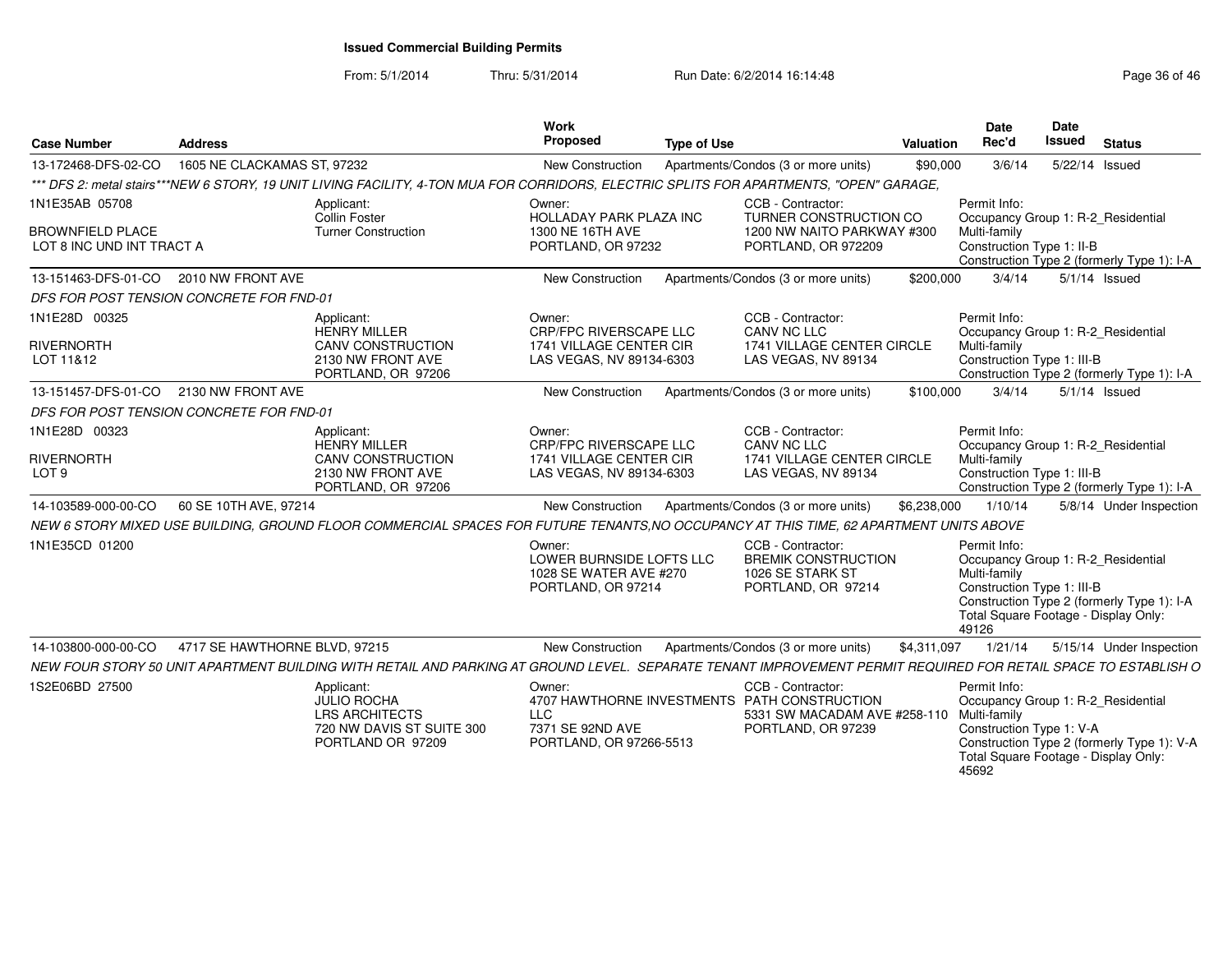| <b>Case Number</b>                                                     | <b>Address</b>                                                                                                                                                 |                           | Work<br>Proposed                                                                        | <b>Type of Use</b> |                                                                                                                                      | Valuation   | Date<br>Rec'd                                                                                                                                     | <b>Date</b><br><b>Issued</b> | <b>Status</b>                                                 |
|------------------------------------------------------------------------|----------------------------------------------------------------------------------------------------------------------------------------------------------------|---------------------------|-----------------------------------------------------------------------------------------|--------------------|--------------------------------------------------------------------------------------------------------------------------------------|-------------|---------------------------------------------------------------------------------------------------------------------------------------------------|------------------------------|---------------------------------------------------------------|
| 13-172468-DFS-02-CO                                                    | 1605 NE CLACKAMAS ST, 97232                                                                                                                                    |                           | New Construction                                                                        |                    | Apartments/Condos (3 or more units)                                                                                                  | \$90,000    | 3/6/14                                                                                                                                            | 5/22/14 Issued               |                                                               |
|                                                                        | *** DFS 2: metal stairs***NEW 6 STORY, 19 UNIT LIVING FACILITY, 4-TON MUA FOR CORRIDORS, ELECTRIC SPLITS FOR APARTMENTS, "OPEN" GARAGE,                        |                           |                                                                                         |                    |                                                                                                                                      |             |                                                                                                                                                   |                              |                                                               |
| 1N1E35AB 05708<br><b>BROWNFIELD PLACE</b><br>LOT 8 INC UND INT TRACT A | Applicant:<br>Collin Foster<br><b>Turner Construction</b>                                                                                                      |                           | Owner:<br><b>HOLLADAY PARK PLAZA INC</b><br>1300 NE 16TH AVE<br>PORTLAND, OR 97232      |                    | CCB - Contractor:<br><b>TURNER CONSTRUCTION CO</b><br>1200 NW NAITO PARKWAY #300<br>PORTLAND, OR 972209                              |             | Permit Info:<br>Occupancy Group 1: R-2 Residential<br>Multi-family<br>Construction Type 1: II-B                                                   |                              |                                                               |
| 13-151463-DFS-01-CO                                                    | 2010 NW FRONT AVE                                                                                                                                              |                           | New Construction                                                                        |                    | Apartments/Condos (3 or more units)                                                                                                  | \$200,000   | 3/4/14                                                                                                                                            |                              | Construction Type 2 (formerly Type 1): I-A<br>$5/1/14$ Issued |
|                                                                        | DFS FOR POST TENSION CONCRETE FOR FND-01                                                                                                                       |                           |                                                                                         |                    |                                                                                                                                      |             |                                                                                                                                                   |                              |                                                               |
| 1N1E28D 00325                                                          | Applicant:<br><b>HENRY MILLER</b>                                                                                                                              |                           | Owner:<br>CRP/FPC RIVERSCAPE LLC                                                        |                    | CCB - Contractor:<br>CANV NC LLC                                                                                                     |             | Permit Info:<br>Occupancy Group 1: R-2 Residential                                                                                                |                              |                                                               |
| RIVERNORTH<br>LOT 11&12                                                | 2130 NW FRONT AVE<br>PORTLAND, OR 97206                                                                                                                        | <b>CANV CONSTRUCTION</b>  | 1741 VILLAGE CENTER CIR<br>LAS VEGAS, NV 89134-6303                                     |                    | 1741 VILLAGE CENTER CIRCLE<br>LAS VEGAS, NV 89134                                                                                    |             | Multi-family<br>Construction Type 1: III-B                                                                                                        |                              | Construction Type 2 (formerly Type 1): I-A                    |
| 13-151457-DFS-01-CO                                                    | 2130 NW FRONT AVE                                                                                                                                              |                           | New Construction                                                                        |                    | Apartments/Condos (3 or more units)                                                                                                  | \$100,000   | 3/4/14                                                                                                                                            |                              | $5/1/14$ Issued                                               |
|                                                                        | DFS FOR POST TENSION CONCRETE FOR FND-01                                                                                                                       |                           |                                                                                         |                    |                                                                                                                                      |             |                                                                                                                                                   |                              |                                                               |
| 1N1E28D 00323<br><b>RIVERNORTH</b><br>LOT <sub>9</sub>                 | Applicant:<br><b>HENRY MILLER</b><br>2130 NW FRONT AVE<br>PORTLAND, OR 97206                                                                                   | <b>CANV CONSTRUCTION</b>  | Owner:<br>CRP/FPC RIVERSCAPE LLC<br>1741 VILLAGE CENTER CIR<br>LAS VEGAS, NV 89134-6303 |                    | CCB - Contractor:<br>CANV NC LLC<br>1741 VILLAGE CENTER CIRCLE<br>LAS VEGAS, NV 89134                                                |             | Permit Info:<br>Occupancy Group 1: R-2_Residential<br>Multi-family<br>Construction Type 1: III-B                                                  |                              | Construction Type 2 (formerly Type 1): I-A                    |
| 14-103589-000-00-CO                                                    | 60 SE 10TH AVE, 97214                                                                                                                                          |                           | New Construction                                                                        |                    | Apartments/Condos (3 or more units)                                                                                                  | \$6,238,000 | 1/10/14                                                                                                                                           |                              | 5/8/14 Under Inspection                                       |
|                                                                        | NEW 6 STORY MIXED USE BUILDING, GROUND FLOOR COMMERCIAL SPACES FOR FUTURE TENANTS,NO OCCUPANCY AT THIS TIME, 62 APARTMENT UNITS ABOVE                          |                           |                                                                                         |                    |                                                                                                                                      |             |                                                                                                                                                   |                              |                                                               |
| 1N1E35CD 01200                                                         |                                                                                                                                                                |                           | Owner:<br>LOWER BURNSIDE LOFTS LLC<br>1028 SE WATER AVE #270<br>PORTLAND, OR 97214      |                    | CCB - Contractor:<br><b>BREMIK CONSTRUCTION</b><br>1026 SE STARK ST<br>PORTLAND, OR 97214                                            |             | Permit Info:<br>Occupancy Group 1: R-2_Residential<br>Multi-family<br>Construction Type 1: III-B<br>Total Square Footage - Display Only:<br>49126 |                              | Construction Type 2 (formerly Type 1): I-A                    |
| 14-103800-000-00-CO                                                    | 4717 SE HAWTHORNE BLVD, 97215                                                                                                                                  |                           | New Construction                                                                        |                    | Apartments/Condos (3 or more units)                                                                                                  | \$4,311,097 | 1/21/14                                                                                                                                           |                              | 5/15/14 Under Inspection                                      |
|                                                                        | NEW FOUR STORY 50 UNIT APARTMENT BUILDING WITH RETAIL AND PARKING AT GROUND LEVEL. SEPARATE TENANT IMPROVEMENT PERMIT REQUIRED FOR RETAIL SPACE TO ESTABLISH O |                           |                                                                                         |                    |                                                                                                                                      |             |                                                                                                                                                   |                              |                                                               |
| 1S2E06BD 27500                                                         | Applicant:<br><b>JULIO ROCHA</b><br><b>LRS ARCHITECTS</b><br>PORTLAND OR 97209                                                                                 | 720 NW DAVIS ST SUITE 300 | Owner:<br><b>LLC</b><br>7371 SE 92ND AVE<br>PORTLAND, OR 97266-5513                     |                    | CCB - Contractor:<br>4707 HAWTHORNE INVESTMENTS PATH CONSTRUCTION<br>5331 SW MACADAM AVE #258-110 Multi-family<br>PORTLAND, OR 97239 |             | Permit Info:<br>Occupancy Group 1: R-2_Residential<br>Construction Type 1: V-A<br>Total Square Footage - Display Only:<br>45692                   |                              | Construction Type 2 (formerly Type 1): V-A                    |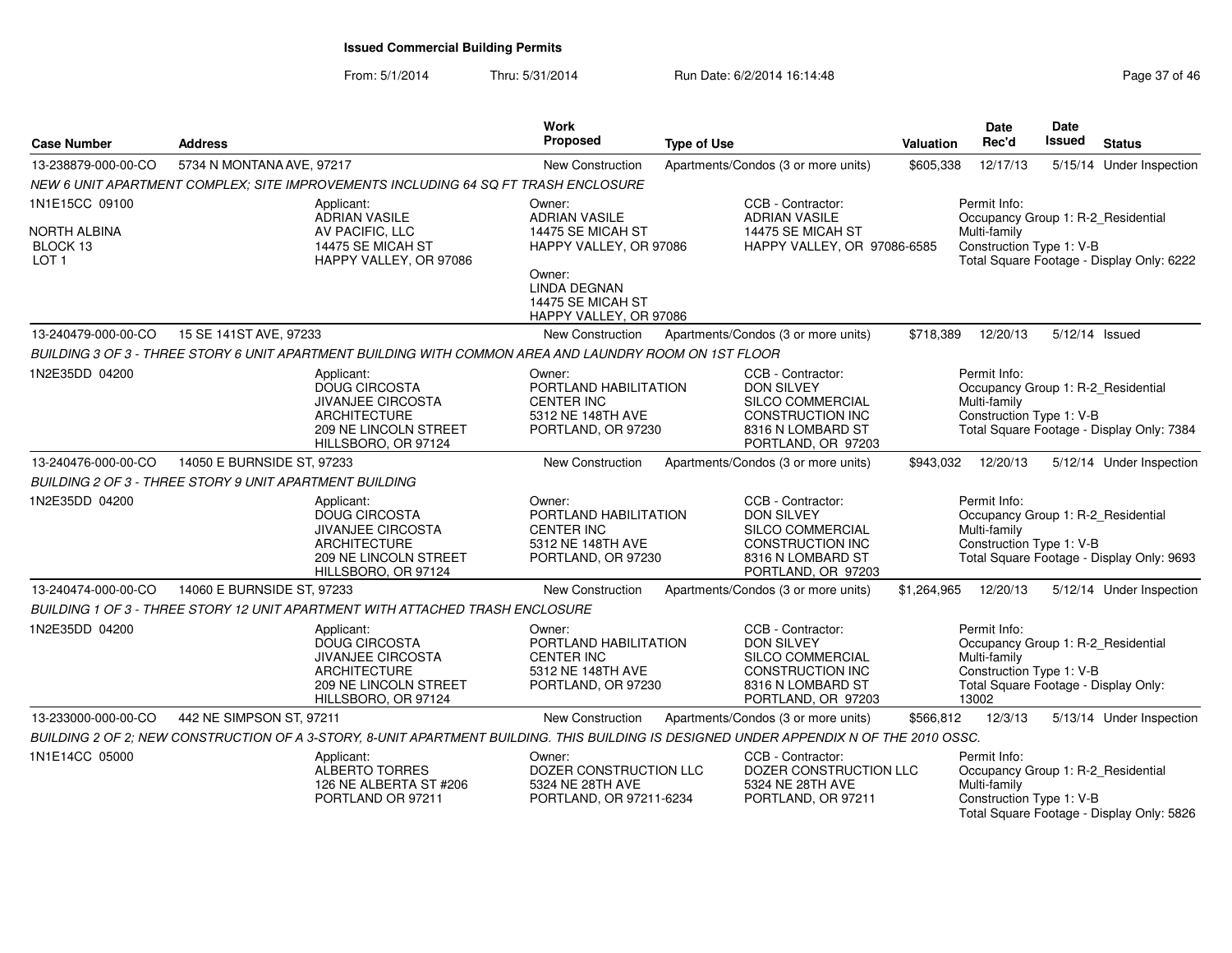| <b>Case Number</b>                           | <b>Address</b>                                                                                                                          | <b>Work</b><br>Proposed                                                                         | <b>Type of Use</b>                                                                                                        | <b>Valuation</b> | Date<br>Rec'd                                                                                                                                   | <b>Date</b><br>Issued | <b>Status</b>                             |
|----------------------------------------------|-----------------------------------------------------------------------------------------------------------------------------------------|-------------------------------------------------------------------------------------------------|---------------------------------------------------------------------------------------------------------------------------|------------------|-------------------------------------------------------------------------------------------------------------------------------------------------|-----------------------|-------------------------------------------|
| 13-238879-000-00-CO                          | 5734 N MONTANA AVE, 97217                                                                                                               | <b>New Construction</b>                                                                         | Apartments/Condos (3 or more units)                                                                                       | \$605,338        | 12/17/13                                                                                                                                        |                       | 5/15/14 Under Inspection                  |
|                                              | NEW 6 UNIT APARTMENT COMPLEX: SITE IMPROVEMENTS INCLUDING 64 SQ FT TRASH ENCLOSURE                                                      |                                                                                                 |                                                                                                                           |                  |                                                                                                                                                 |                       |                                           |
| 1N1E15CC 09100                               | Applicant:<br><b>ADRIAN VASILE</b>                                                                                                      | Owner:<br><b>ADRIAN VASILE</b>                                                                  | CCB - Contractor:<br><b>ADRIAN VASILE</b>                                                                                 |                  | Permit Info:<br>Occupancy Group 1: R-2 Residential                                                                                              |                       |                                           |
| NORTH ALBINA<br>BLOCK 13<br>LOT <sub>1</sub> | AV PACIFIC, LLC<br>14475 SE MICAH ST<br>HAPPY VALLEY, OR 97086                                                                          | 14475 SE MICAH ST<br>HAPPY VALLEY, OR 97086                                                     | 14475 SE MICAH ST<br>HAPPY VALLEY, OR 97086-6585                                                                          |                  | Multi-family<br>Construction Type 1: V-B                                                                                                        |                       | Total Square Footage - Display Only: 6222 |
|                                              |                                                                                                                                         | Owner:<br><b>LINDA DEGNAN</b><br>14475 SE MICAH ST<br>HAPPY VALLEY, OR 97086                    |                                                                                                                           |                  |                                                                                                                                                 |                       |                                           |
| 13-240479-000-00-CO                          | 15 SE 141ST AVE, 97233                                                                                                                  | New Construction                                                                                | Apartments/Condos (3 or more units)                                                                                       | \$718,389        | 12/20/13                                                                                                                                        | 5/12/14 Issued        |                                           |
|                                              | BUILDING 3 OF 3 - THREE STORY 6 UNIT APARTMENT BUILDING WITH COMMON AREA AND LAUNDRY ROOM ON 1ST FLOOR                                  |                                                                                                 |                                                                                                                           |                  |                                                                                                                                                 |                       |                                           |
| 1N2E35DD 04200                               | Applicant:<br><b>DOUG CIRCOSTA</b><br><b>JIVANJEE CIRCOSTA</b><br>ARCHITECTURE<br>209 NE LINCOLN STREET<br>HILLSBORO, OR 97124          | Owner:<br>PORTLAND HABILITATION<br><b>CENTER INC</b><br>5312 NE 148TH AVE<br>PORTLAND, OR 97230 | CCB - Contractor:<br>DON SILVEY<br>SILCO COMMERCIAL<br>CONSTRUCTION INC<br>8316 N LOMBARD ST<br>PORTLAND, OR 97203        |                  | Permit Info:<br>Occupancy Group 1: R-2 Residential<br>Multi-family<br>Construction Type 1: V-B                                                  |                       | Total Square Footage - Display Only: 7384 |
| 13-240476-000-00-CO                          | 14050 E BURNSIDE ST, 97233                                                                                                              | New Construction                                                                                | Apartments/Condos (3 or more units)                                                                                       | \$943,032        | 12/20/13                                                                                                                                        |                       | 5/12/14 Under Inspection                  |
|                                              | BUILDING 2 OF 3 - THREE STORY 9 UNIT APARTMENT BUILDING                                                                                 |                                                                                                 |                                                                                                                           |                  |                                                                                                                                                 |                       |                                           |
| 1N2E35DD 04200                               | Applicant:<br><b>DOUG CIRCOSTA</b><br><b>JIVANJEE CIRCOSTA</b><br><b>ARCHITECTURE</b><br>209 NE LINCOLN STREET<br>HILLSBORO, OR 97124   | Owner:<br>PORTLAND HABILITATION<br><b>CENTER INC</b><br>5312 NE 148TH AVE<br>PORTLAND, OR 97230 | CCB - Contractor:<br><b>DON SILVEY</b><br>SILCO COMMERCIAL<br>CONSTRUCTION INC<br>8316 N LOMBARD ST<br>PORTLAND, OR 97203 |                  | Permit Info:<br>Occupancy Group 1: R-2_Residential<br>Multi-family<br>Construction Type 1: V-B                                                  |                       | Total Square Footage - Display Only: 9693 |
| 13-240474-000-00-CO                          | 14060 E BURNSIDE ST, 97233                                                                                                              | <b>New Construction</b>                                                                         | Apartments/Condos (3 or more units)                                                                                       | \$1,264,965      | 12/20/13                                                                                                                                        |                       | 5/12/14 Under Inspection                  |
|                                              | BUILDING 1 OF 3 - THREE STORY 12 UNIT APARTMENT WITH ATTACHED TRASH ENCLOSURE                                                           |                                                                                                 |                                                                                                                           |                  |                                                                                                                                                 |                       |                                           |
| 1N2E35DD 04200                               | Applicant:<br><b>DOUG CIRCOSTA</b><br><b>JIVANJEE CIRCOSTA</b><br><b>ARCHITECTURE</b><br>209 NE LINCOLN STREET<br>HILLSBORO, OR 97124   | Owner:<br>PORTLAND HABILITATION<br><b>CENTER INC</b><br>5312 NE 148TH AVE<br>PORTLAND, OR 97230 | CCB - Contractor:<br><b>DON SILVEY</b><br>SILCO COMMERCIAL<br>CONSTRUCTION INC<br>8316 N LOMBARD ST<br>PORTLAND, OR 97203 |                  | Permit Info:<br>Occupancy Group 1: R-2_Residential<br>Multi-family<br>Construction Type 1: V-B<br>Total Square Footage - Display Only:<br>13002 |                       |                                           |
| 13-233000-000-00-CO                          | 442 NE SIMPSON ST, 97211                                                                                                                | New Construction                                                                                | Apartments/Condos (3 or more units)                                                                                       | \$566,812        | 12/3/13                                                                                                                                         |                       | 5/13/14 Under Inspection                  |
|                                              | BUILDING 2 OF 2; NEW CONSTRUCTION OF A 3-STORY, 8-UNIT APARTMENT BUILDING. THIS BUILDING IS DESIGNED UNDER APPENDIX N OF THE 2010 OSSC. |                                                                                                 |                                                                                                                           |                  |                                                                                                                                                 |                       |                                           |
| 1N1E14CC 05000                               | Applicant:<br>ALBERTO TORRES<br>126 NE ALBERTA ST #206<br>PORTLAND OR 97211                                                             | Owner:<br>DOZER CONSTRUCTION LLC<br>5324 NE 28TH AVE<br>PORTLAND, OR 97211-6234                 | CCB - Contractor:<br>DOZER CONSTRUCTION LLC<br>5324 NE 28TH AVE<br>PORTLAND, OR 97211                                     |                  | Permit Info:<br>Occupancy Group 1: R-2_Residential<br>Multi-family<br>Construction Type 1: V-B                                                  |                       | Total Square Footage - Display Only: 5826 |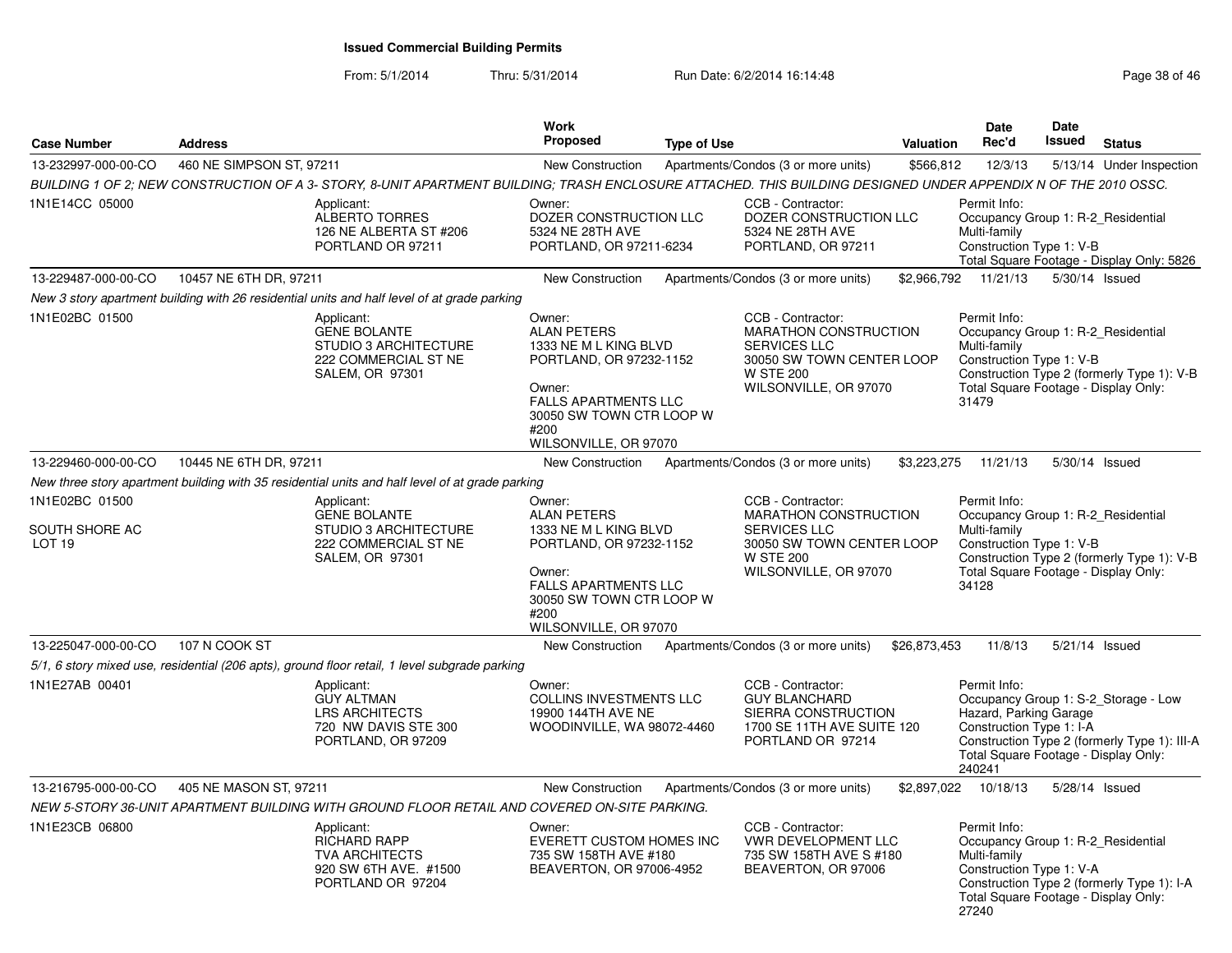| <b>Case Number</b>                                | <b>Address</b>                                                                                                                                                  | Work<br>Proposed                                                                                                                                                                       | <b>Type of Use</b>                                                                                                                                 | <b>Valuation</b>     | Date<br>Rec'd                                                                                                                                                                                 | Date<br><b>Issued</b> | <b>Status</b>                                                                                                                |
|---------------------------------------------------|-----------------------------------------------------------------------------------------------------------------------------------------------------------------|----------------------------------------------------------------------------------------------------------------------------------------------------------------------------------------|----------------------------------------------------------------------------------------------------------------------------------------------------|----------------------|-----------------------------------------------------------------------------------------------------------------------------------------------------------------------------------------------|-----------------------|------------------------------------------------------------------------------------------------------------------------------|
| 13-232997-000-00-CO                               | 460 NE SIMPSON ST, 97211                                                                                                                                        | New Construction                                                                                                                                                                       | Apartments/Condos (3 or more units)                                                                                                                | \$566,812            | 12/3/13                                                                                                                                                                                       |                       | 5/13/14 Under Inspection                                                                                                     |
|                                                   | BUILDING 1 OF 2; NEW CONSTRUCTION OF A 3- STORY, 8-UNIT APARTMENT BUILDING; TRASH ENCLOSURE ATTACHED. THIS BUILDING DESIGNED UNDER APPENDIX N OF THE 2010 OSSC. |                                                                                                                                                                                        |                                                                                                                                                    |                      |                                                                                                                                                                                               |                       |                                                                                                                              |
| 1N1E14CC 05000                                    | Applicant:<br><b>ALBERTO TORRES</b><br>126 NE ALBERTA ST #206<br>PORTLAND OR 97211                                                                              | Owner:<br>DOZER CONSTRUCTION LLC<br>5324 NE 28TH AVE<br>PORTLAND, OR 97211-6234                                                                                                        | CCB - Contractor:<br>DOZER CONSTRUCTION LLC<br>5324 NE 28TH AVE<br>PORTLAND, OR 97211                                                              |                      | Permit Info:<br>Multi-family<br>Construction Type 1: V-B                                                                                                                                      |                       | Occupancy Group 1: R-2 Residential<br>Total Square Footage - Display Only: 5826                                              |
| 13-229487-000-00-CO                               | 10457 NE 6TH DR, 97211                                                                                                                                          | New Construction                                                                                                                                                                       | Apartments/Condos (3 or more units)                                                                                                                | \$2,966,792          | 11/21/13                                                                                                                                                                                      |                       | 5/30/14 Issued                                                                                                               |
|                                                   | New 3 story apartment building with 26 residential units and half level of at grade parking                                                                     |                                                                                                                                                                                        |                                                                                                                                                    |                      |                                                                                                                                                                                               |                       |                                                                                                                              |
| 1N1E02BC 01500                                    | Applicant:<br><b>GENE BOLANTE</b><br><b>STUDIO 3 ARCHITECTURE</b><br>222 COMMERCIAL ST NE<br>SALEM, OR 97301                                                    | Owner:<br><b>ALAN PETERS</b><br>1333 NE M L KING BLVD<br>PORTLAND, OR 97232-1152<br>Owner:<br><b>FALLS APARTMENTS LLC</b><br>30050 SW TOWN CTR LOOP W<br>#200<br>WILSONVILLE, OR 97070 | CCB - Contractor:<br><b>MARATHON CONSTRUCTION</b><br><b>SERVICES LLC</b><br>30050 SW TOWN CENTER LOOP<br><b>W STE 200</b><br>WILSONVILLE, OR 97070 |                      | Permit Info:<br>Multi-family<br>Construction Type 1: V-B<br>Total Square Footage - Display Only:<br>31479                                                                                     |                       | Occupancy Group 1: R-2_Residential<br>Construction Type 2 (formerly Type 1): V-B                                             |
| 13-229460-000-00-CO                               | 10445 NE 6TH DR, 97211                                                                                                                                          | <b>New Construction</b>                                                                                                                                                                | Apartments/Condos (3 or more units)                                                                                                                | \$3,223,275          | 11/21/13                                                                                                                                                                                      |                       | 5/30/14 Issued                                                                                                               |
|                                                   | New three story apartment building with 35 residential units and half level of at grade parking                                                                 |                                                                                                                                                                                        |                                                                                                                                                    |                      |                                                                                                                                                                                               |                       |                                                                                                                              |
| 1N1E02BC 01500<br>SOUTH SHORE AC<br><b>LOT 19</b> | Applicant:<br><b>GENE BOLANTE</b><br><b>STUDIO 3 ARCHITECTURE</b><br>222 COMMERCIAL ST NE<br>SALEM, OR 97301                                                    | Owner:<br><b>ALAN PETERS</b><br>1333 NE M L KING BLVD<br>PORTLAND, OR 97232-1152<br>Owner:<br>FALLS APARTMENTS LLC                                                                     | CCB - Contractor:<br>MARATHON CONSTRUCTION<br><b>SERVICES LLC</b><br>30050 SW TOWN CENTER LOOP<br><b>W STE 200</b><br>WILSONVILLE, OR 97070        |                      | Permit Info:<br>Occupancy Group 1: R-2 Residential<br>Multi-family<br>Construction Type 1: V-B<br>Construction Type 2 (formerly Type 1): V-B<br>Total Square Footage - Display Only:<br>34128 |                       |                                                                                                                              |
|                                                   |                                                                                                                                                                 | 30050 SW TOWN CTR LOOP W<br>#200<br>WILSONVILLE, OR 97070                                                                                                                              |                                                                                                                                                    |                      |                                                                                                                                                                                               |                       |                                                                                                                              |
| 13-225047-000-00-CO                               | 107 N COOK ST                                                                                                                                                   | <b>New Construction</b>                                                                                                                                                                | Apartments/Condos (3 or more units)                                                                                                                | \$26,873,453         | 11/8/13                                                                                                                                                                                       |                       | 5/21/14 Issued                                                                                                               |
|                                                   | 5/1, 6 story mixed use, residential (206 apts), ground floor retail, 1 level subgrade parking                                                                   |                                                                                                                                                                                        |                                                                                                                                                    |                      |                                                                                                                                                                                               |                       |                                                                                                                              |
| 1N1E27AB 00401                                    | Applicant:<br><b>GUY ALTMAN</b><br><b>LRS ARCHITECTS</b><br>720 NW DAVIS STE 300<br>PORTLAND, OR 97209                                                          | Owner:<br><b>COLLINS INVESTMENTS LLC</b><br>19900 144TH AVE NE<br>WOODINVILLE, WA 98072-4460                                                                                           | CCB - Contractor:<br><b>GUY BLANCHARD</b><br>SIERRA CONSTRUCTION<br>1700 SE 11TH AVE SUITE 120<br>PORTLAND OR 97214                                |                      | Permit Info:<br>Hazard, Parking Garage<br>Construction Type 1: I-A<br>240241                                                                                                                  |                       | Occupancy Group 1: S-2_Storage - Low<br>Construction Type 2 (formerly Type 1): III-A<br>Total Square Footage - Display Only: |
| 13-216795-000-00-CO                               | 405 NE MASON ST, 97211                                                                                                                                          | New Construction                                                                                                                                                                       | Apartments/Condos (3 or more units)                                                                                                                | \$2,897,022 10/18/13 |                                                                                                                                                                                               |                       | 5/28/14 Issued                                                                                                               |
|                                                   | NEW 5-STORY 36-UNIT APARTMENT BUILDING WITH GROUND FLOOR RETAIL AND COVERED ON-SITE PARKING.                                                                    |                                                                                                                                                                                        |                                                                                                                                                    |                      |                                                                                                                                                                                               |                       |                                                                                                                              |
| 1N1E23CB 06800                                    | Applicant:<br><b>RICHARD RAPP</b><br><b>TVA ARCHITECTS</b><br>920 SW 6TH AVE. #1500<br>PORTLAND OR 97204                                                        | Owner:<br><b>EVERETT CUSTOM HOMES INC</b><br>735 SW 158TH AVE #180<br>BEAVERTON, OR 97006-4952                                                                                         | CCB - Contractor:<br>VWR DEVELOPMENT LLC<br>735 SW 158TH AVE S #180<br>BEAVERTON, OR 97006                                                         |                      | Permit Info:<br>Multi-family<br>Construction Type 1: V-A<br>Total Square Footage - Display Only:<br>27240                                                                                     |                       | Occupancy Group 1: R-2 Residential<br>Construction Type 2 (formerly Type 1): I-A                                             |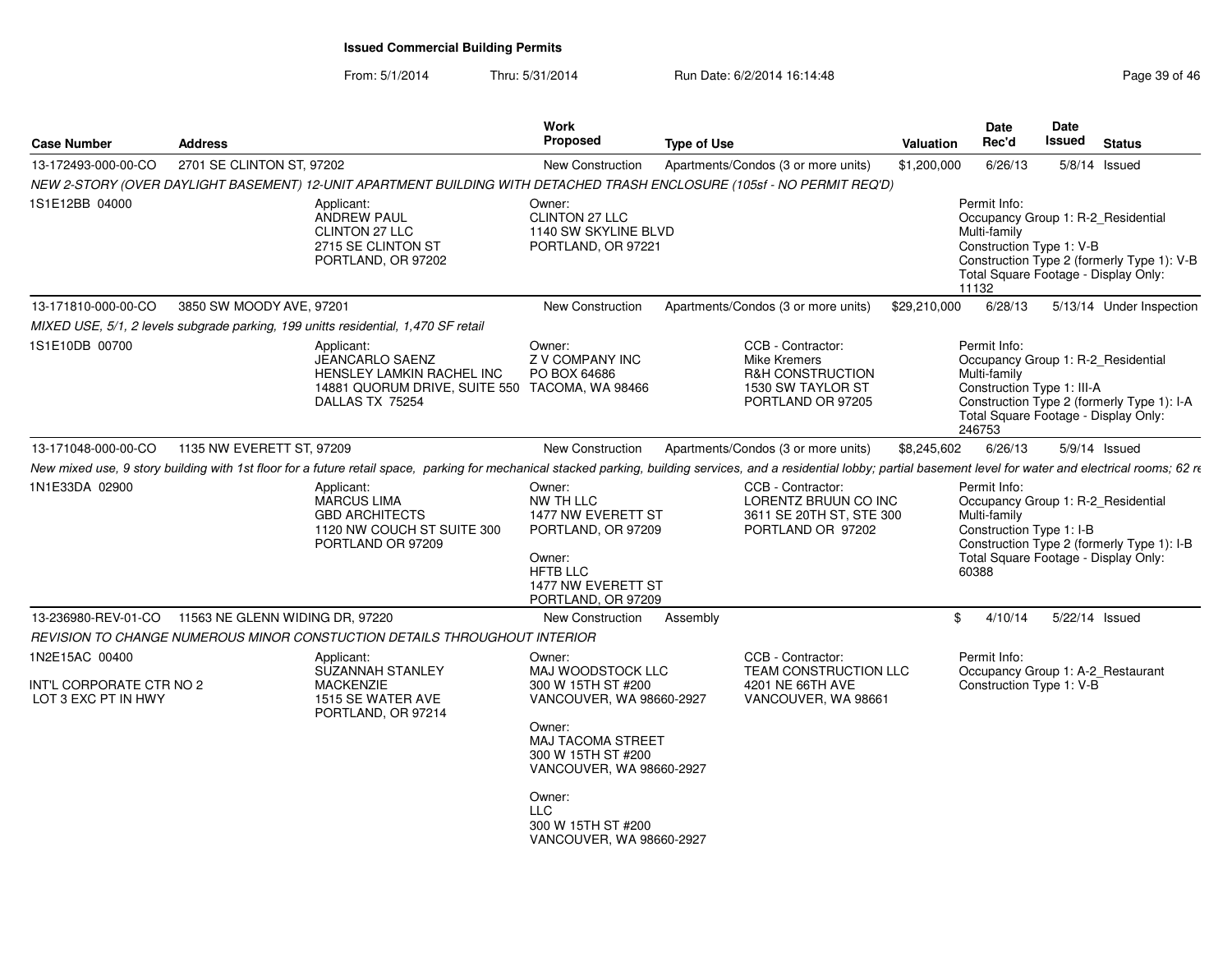| 2701 SE CLINTON ST, 97202<br>13-172493-000-00-CO<br>New Construction<br>Apartments/Condos (3 or more units)<br>\$1,200,000<br>6/26/13<br>$5/8/14$ Issued<br>NEW 2-STORY (OVER DAYLIGHT BASEMENT) 12-UNIT APARTMENT BUILDING WITH DETACHED TRASH ENCLOSURE (105sf - NO PERMIT REQ'D)<br>1S1E12BB 04000<br>Permit Info:<br>Applicant:<br>Owner:<br>ANDREW PAUL<br>CLINTON 27 LLC<br>Occupancy Group 1: R-2_Residential<br><b>CLINTON 27 LLC</b><br>1140 SW SKYLINE BLVD<br>Multi-family<br>PORTLAND, OR 97221<br>Construction Type 1: V-B<br>2715 SE CLINTON ST<br>Construction Type 2 (formerly Type 1): V-B<br>PORTLAND, OR 97202<br>Total Square Footage - Display Only:<br>11132<br>13-171810-000-00-CO<br>3850 SW MOODY AVE, 97201<br>5/13/14 Under Inspection<br>New Construction<br>Apartments/Condos (3 or more units)<br>\$29,210,000<br>6/28/13<br>MIXED USE, 5/1, 2 levels subgrade parking, 199 unitts residential, 1,470 SF retail<br>CCB - Contractor:<br>1S1E10DB 00700<br>Owner:<br>Permit Info:<br>Applicant:<br><b>JEANCARLO SAENZ</b><br>Z V COMPANY INC<br>Occupancy Group 1: R-2_Residential<br>Mike Kremers<br>HENSLEY LAMKIN RACHEL INC<br><b>R&amp;H CONSTRUCTION</b><br>Multi-family<br>PO BOX 64686<br>14881 QUORUM DRIVE, SUITE 550 TACOMA, WA 98466<br>1530 SW TAYLOR ST<br>Construction Type 1: III-A<br>DALLAS TX 75254<br>PORTLAND OR 97205<br>Construction Type 2 (formerly Type 1): I-A<br>Total Square Footage - Display Only:<br>246753<br>1135 NW EVERETT ST. 97209<br>\$8,245,602<br>6/26/13<br>13-171048-000-00-CO<br>New Construction<br>Apartments/Condos (3 or more units)<br>5/9/14 Issued<br>New mixed use, 9 story building with 1st floor for a future retail space, parking for mechanical stacked parking, building services, and a residential lobby; partial basement level for water and electrical rooms; 62 re<br>1N1E33DA 02900<br>CCB - Contractor:<br>Permit Info:<br>Applicant:<br>Owner:<br>MARCUS LIMA<br>NW TH LLC<br>LORENTZ BRUUN CO INC<br>Occupancy Group 1: R-2_Residential<br><b>GBD ARCHITECTS</b><br>Multi-family<br>1477 NW EVERETT ST<br>3611 SE 20TH ST, STE 300<br>1120 NW COUCH ST SUITE 300<br>PORTLAND, OR 97209<br>PORTLAND OR 97202<br>Construction Type 1: I-B<br>PORTLAND OR 97209<br>Construction Type 2 (formerly Type 1): I-B<br>Total Square Footage - Display Only:<br>Owner:<br><b>HFTB LLC</b><br>60388 |
|--------------------------------------------------------------------------------------------------------------------------------------------------------------------------------------------------------------------------------------------------------------------------------------------------------------------------------------------------------------------------------------------------------------------------------------------------------------------------------------------------------------------------------------------------------------------------------------------------------------------------------------------------------------------------------------------------------------------------------------------------------------------------------------------------------------------------------------------------------------------------------------------------------------------------------------------------------------------------------------------------------------------------------------------------------------------------------------------------------------------------------------------------------------------------------------------------------------------------------------------------------------------------------------------------------------------------------------------------------------------------------------------------------------------------------------------------------------------------------------------------------------------------------------------------------------------------------------------------------------------------------------------------------------------------------------------------------------------------------------------------------------------------------------------------------------------------------------------------------------------------------------------------------------------------------------------------------------------------------------------------------------------------------------------------------------------------------------------------------------------------------------------------------------------------------------------------------------------------------------------------------------------------------------------------------------------------------------------------------------------------------------------|
|                                                                                                                                                                                                                                                                                                                                                                                                                                                                                                                                                                                                                                                                                                                                                                                                                                                                                                                                                                                                                                                                                                                                                                                                                                                                                                                                                                                                                                                                                                                                                                                                                                                                                                                                                                                                                                                                                                                                                                                                                                                                                                                                                                                                                                                                                                                                                                                            |
|                                                                                                                                                                                                                                                                                                                                                                                                                                                                                                                                                                                                                                                                                                                                                                                                                                                                                                                                                                                                                                                                                                                                                                                                                                                                                                                                                                                                                                                                                                                                                                                                                                                                                                                                                                                                                                                                                                                                                                                                                                                                                                                                                                                                                                                                                                                                                                                            |
|                                                                                                                                                                                                                                                                                                                                                                                                                                                                                                                                                                                                                                                                                                                                                                                                                                                                                                                                                                                                                                                                                                                                                                                                                                                                                                                                                                                                                                                                                                                                                                                                                                                                                                                                                                                                                                                                                                                                                                                                                                                                                                                                                                                                                                                                                                                                                                                            |
|                                                                                                                                                                                                                                                                                                                                                                                                                                                                                                                                                                                                                                                                                                                                                                                                                                                                                                                                                                                                                                                                                                                                                                                                                                                                                                                                                                                                                                                                                                                                                                                                                                                                                                                                                                                                                                                                                                                                                                                                                                                                                                                                                                                                                                                                                                                                                                                            |
|                                                                                                                                                                                                                                                                                                                                                                                                                                                                                                                                                                                                                                                                                                                                                                                                                                                                                                                                                                                                                                                                                                                                                                                                                                                                                                                                                                                                                                                                                                                                                                                                                                                                                                                                                                                                                                                                                                                                                                                                                                                                                                                                                                                                                                                                                                                                                                                            |
|                                                                                                                                                                                                                                                                                                                                                                                                                                                                                                                                                                                                                                                                                                                                                                                                                                                                                                                                                                                                                                                                                                                                                                                                                                                                                                                                                                                                                                                                                                                                                                                                                                                                                                                                                                                                                                                                                                                                                                                                                                                                                                                                                                                                                                                                                                                                                                                            |
|                                                                                                                                                                                                                                                                                                                                                                                                                                                                                                                                                                                                                                                                                                                                                                                                                                                                                                                                                                                                                                                                                                                                                                                                                                                                                                                                                                                                                                                                                                                                                                                                                                                                                                                                                                                                                                                                                                                                                                                                                                                                                                                                                                                                                                                                                                                                                                                            |
|                                                                                                                                                                                                                                                                                                                                                                                                                                                                                                                                                                                                                                                                                                                                                                                                                                                                                                                                                                                                                                                                                                                                                                                                                                                                                                                                                                                                                                                                                                                                                                                                                                                                                                                                                                                                                                                                                                                                                                                                                                                                                                                                                                                                                                                                                                                                                                                            |
| 1477 NW EVERETT ST<br>PORTLAND, OR 97209                                                                                                                                                                                                                                                                                                                                                                                                                                                                                                                                                                                                                                                                                                                                                                                                                                                                                                                                                                                                                                                                                                                                                                                                                                                                                                                                                                                                                                                                                                                                                                                                                                                                                                                                                                                                                                                                                                                                                                                                                                                                                                                                                                                                                                                                                                                                                   |
| 13-236980-REV-01-CO<br>11563 NE GLENN WIDING DR, 97220<br>5/22/14 Issued<br>New Construction<br>Assembly<br>\$<br>4/10/14                                                                                                                                                                                                                                                                                                                                                                                                                                                                                                                                                                                                                                                                                                                                                                                                                                                                                                                                                                                                                                                                                                                                                                                                                                                                                                                                                                                                                                                                                                                                                                                                                                                                                                                                                                                                                                                                                                                                                                                                                                                                                                                                                                                                                                                                  |
| REVISION TO CHANGE NUMEROUS MINOR CONSTUCTION DETAILS THROUGHOUT INTERIOR                                                                                                                                                                                                                                                                                                                                                                                                                                                                                                                                                                                                                                                                                                                                                                                                                                                                                                                                                                                                                                                                                                                                                                                                                                                                                                                                                                                                                                                                                                                                                                                                                                                                                                                                                                                                                                                                                                                                                                                                                                                                                                                                                                                                                                                                                                                  |
| 1N2E15AC 00400<br>CCB - Contractor:<br>Permit Info:<br>Applicant:<br>Owner:<br>TEAM CONSTRUCTION LLC<br><b>SUZANNAH STANLEY</b><br>MAJ WOODSTOCK LLC<br>Occupancy Group 1: A-2_Restaurant                                                                                                                                                                                                                                                                                                                                                                                                                                                                                                                                                                                                                                                                                                                                                                                                                                                                                                                                                                                                                                                                                                                                                                                                                                                                                                                                                                                                                                                                                                                                                                                                                                                                                                                                                                                                                                                                                                                                                                                                                                                                                                                                                                                                  |
| Construction Type 1: V-B<br>INT'L CORPORATE CTR NO 2<br><b>MACKENZIE</b><br>300 W 15TH ST #200<br>4201 NE 66TH AVE<br>LOT 3 EXC PT IN HWY<br>1515 SE WATER AVE<br>VANCOUVER, WA 98660-2927<br>VANCOUVER, WA 98661<br>PORTLAND, OR 97214<br>Owner:<br><b>MAJ TACOMA STREET</b>                                                                                                                                                                                                                                                                                                                                                                                                                                                                                                                                                                                                                                                                                                                                                                                                                                                                                                                                                                                                                                                                                                                                                                                                                                                                                                                                                                                                                                                                                                                                                                                                                                                                                                                                                                                                                                                                                                                                                                                                                                                                                                              |
| 300 W 15TH ST #200<br>VANCOUVER, WA 98660-2927                                                                                                                                                                                                                                                                                                                                                                                                                                                                                                                                                                                                                                                                                                                                                                                                                                                                                                                                                                                                                                                                                                                                                                                                                                                                                                                                                                                                                                                                                                                                                                                                                                                                                                                                                                                                                                                                                                                                                                                                                                                                                                                                                                                                                                                                                                                                             |
| Owner:<br><b>LLC</b><br>300 W 15TH ST #200<br>VANCOUVER, WA 98660-2927                                                                                                                                                                                                                                                                                                                                                                                                                                                                                                                                                                                                                                                                                                                                                                                                                                                                                                                                                                                                                                                                                                                                                                                                                                                                                                                                                                                                                                                                                                                                                                                                                                                                                                                                                                                                                                                                                                                                                                                                                                                                                                                                                                                                                                                                                                                     |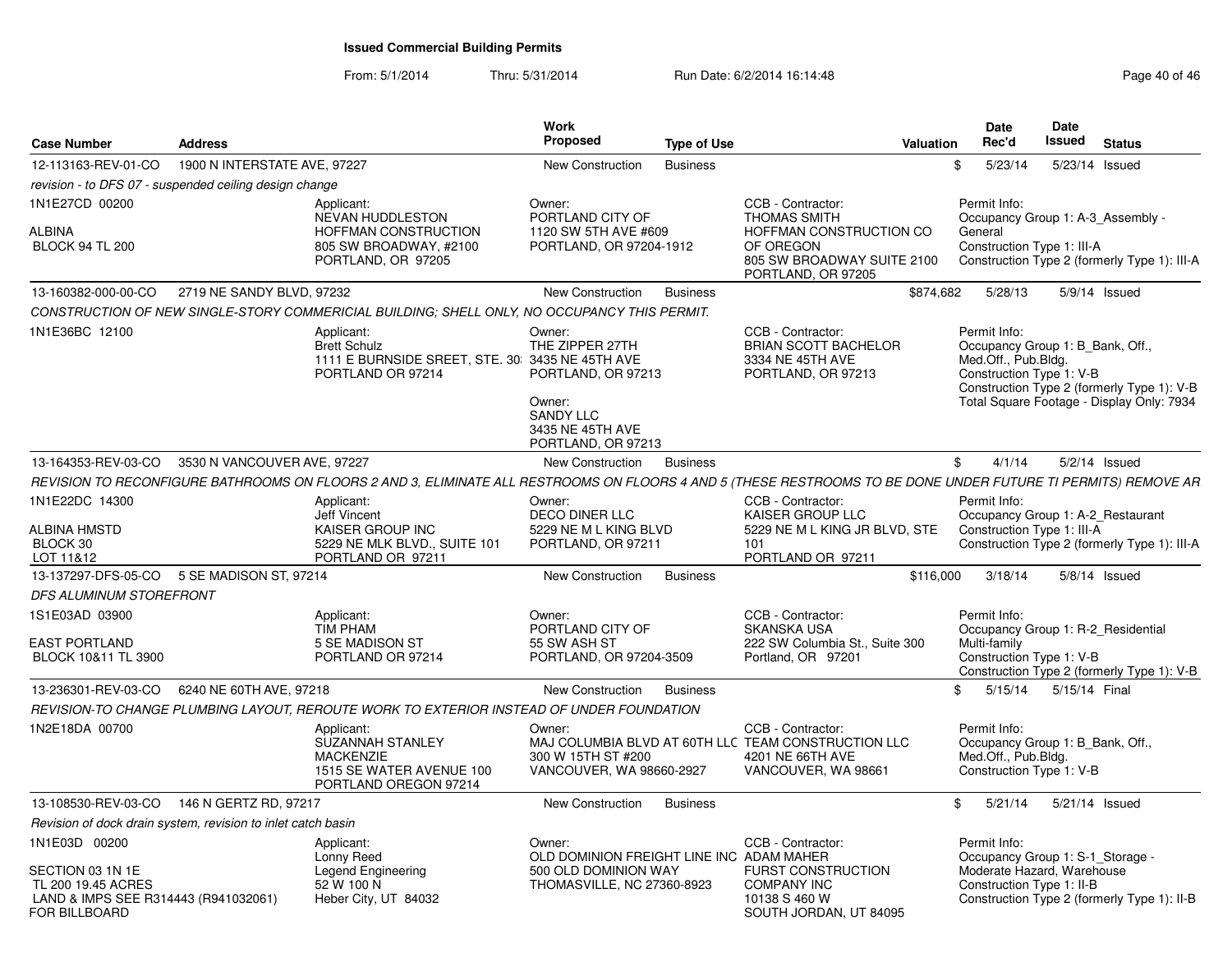| <b>Case Number</b>                                                                                               | <b>Address</b>               |                                                                                                                                                               | <b>Work</b><br>Proposed                                                                                                 | <b>Type of Use</b> | Valuation                                                                                                           |                              | Date<br>Rec'd       | <b>Date</b><br>Issued                                   | <b>Status</b>                                                                                                               |
|------------------------------------------------------------------------------------------------------------------|------------------------------|---------------------------------------------------------------------------------------------------------------------------------------------------------------|-------------------------------------------------------------------------------------------------------------------------|--------------------|---------------------------------------------------------------------------------------------------------------------|------------------------------|---------------------|---------------------------------------------------------|-----------------------------------------------------------------------------------------------------------------------------|
| 12-113163-REV-01-CO                                                                                              | 1900 N INTERSTATE AVE, 97227 |                                                                                                                                                               | <b>New Construction</b>                                                                                                 | <b>Business</b>    |                                                                                                                     | \$                           | 5/23/14             |                                                         | 5/23/14 Issued                                                                                                              |
| revision - to DFS 07 - suspended ceiling design change                                                           |                              |                                                                                                                                                               |                                                                                                                         |                    |                                                                                                                     |                              |                     |                                                         |                                                                                                                             |
| 1N1E27CD 00200<br>ALBINA<br><b>BLOCK 94 TL 200</b>                                                               |                              | Applicant:<br>NEVAN HUDDLESTON<br><b>HOFFMAN CONSTRUCTION</b><br>805 SW BROADWAY, #2100<br>PORTLAND, OR 97205                                                 | Owner:<br>PORTLAND CITY OF<br>1120 SW 5TH AVE #609<br>PORTLAND, OR 97204-1912                                           |                    | CCB - Contractor:<br><b>THOMAS SMITH</b><br>HOFFMAN CONSTRUCTION CO<br>OF OREGON<br>805 SW BROADWAY SUITE 2100      | Permit Info:<br>General      |                     | Construction Type 1: III-A                              | Occupancy Group 1: A-3 Assembly -<br>Construction Type 2 (formerly Type 1): III-A                                           |
|                                                                                                                  |                              |                                                                                                                                                               |                                                                                                                         |                    | PORTLAND, OR 97205                                                                                                  |                              |                     |                                                         |                                                                                                                             |
| 13-160382-000-00-CO                                                                                              | 2719 NE SANDY BLVD, 97232    |                                                                                                                                                               | New Construction                                                                                                        | <b>Business</b>    |                                                                                                                     | \$874,682                    | 5/28/13             |                                                         | $5/9/14$ Issued                                                                                                             |
|                                                                                                                  |                              | CONSTRUCTION OF NEW SINGLE-STORY COMMERICIAL BUILDING: SHELL ONLY, NO OCCUPANCY THIS PERMIT.                                                                  |                                                                                                                         |                    |                                                                                                                     |                              |                     |                                                         |                                                                                                                             |
| 1N1E36BC 12100                                                                                                   |                              | Applicant:<br><b>Brett Schulz</b><br>1111 E BURNSIDE SREET, STE. 30: 3435 NE 45TH AVE<br>PORTLAND OR 97214                                                    | Owner:<br>THE ZIPPER 27TH<br>PORTLAND, OR 97213<br>Owner:<br><b>SANDY LLC</b><br>3435 NE 45TH AVE<br>PORTLAND, OR 97213 |                    | CCB - Contractor:<br><b>BRIAN SCOTT BACHELOR</b><br>3334 NE 45TH AVE<br>PORTLAND, OR 97213                          | Permit Info:                 | Med.Off., Pub.Bldg. | Construction Type 1: V-B                                | Occupancy Group 1: B Bank, Off.,<br>Construction Type 2 (formerly Type 1): V-B<br>Total Square Footage - Display Only: 7934 |
| 13-164353-REV-03-CO 3530 N VANCOUVER AVE, 97227                                                                  |                              |                                                                                                                                                               | New Construction                                                                                                        | <b>Business</b>    |                                                                                                                     | $\mathbb{S}$                 | 4/1/14              |                                                         | $5/2/14$ Issued                                                                                                             |
|                                                                                                                  |                              | REVISION TO RECONFIGURE BATHROOMS ON FLOORS 2 AND 3. ELIMINATE ALL RESTROOMS ON FLOORS 4 AND 5 (THESE RESTROOMS TO BE DONE UNDER FUTURE TI PERMITS) REMOVE AR |                                                                                                                         |                    |                                                                                                                     |                              |                     |                                                         |                                                                                                                             |
| 1N1E22DC 14300<br>ALBINA HMSTD<br>BLOCK 30<br>LOT 11&12                                                          |                              | Applicant:<br><b>Jeff Vincent</b><br>KAISER GROUP INC<br>5229 NE MLK BLVD., SUITE 101<br>PORTLAND OR 97211                                                    | Owner:<br>DECO DINER LLC<br>5229 NE M L KING BLVD<br>PORTLAND, OR 97211                                                 |                    | CCB - Contractor:<br>KAISER GROUP LLC<br>5229 NE M L KING JR BLVD, STE<br>101<br>PORTLAND OR 97211                  | Permit Info:                 |                     | Construction Type 1: III-A                              | Occupancy Group 1: A-2_Restaurant<br>Construction Type 2 (formerly Type 1): III-A                                           |
| 13-137297-DFS-05-CO 5 SE MADISON ST. 97214                                                                       |                              |                                                                                                                                                               | New Construction                                                                                                        | <b>Business</b>    |                                                                                                                     | \$116,000                    | 3/18/14             |                                                         | $5/8/14$ Issued                                                                                                             |
| DFS ALUMINUM STOREFRONT                                                                                          |                              |                                                                                                                                                               |                                                                                                                         |                    |                                                                                                                     |                              |                     |                                                         |                                                                                                                             |
| 1S1E03AD 03900<br><b>EAST PORTLAND</b><br>BLOCK 10&11 TL 3900                                                    |                              | Applicant:<br>TIM PHAM<br>5 SE MADISON ST<br>PORTLAND OR 97214                                                                                                | Owner:<br>PORTLAND CITY OF<br>55 SW ASH ST<br>PORTLAND, OR 97204-3509                                                   |                    | CCB - Contractor:<br><b>SKANSKA USA</b><br>222 SW Columbia St., Suite 300<br>Portland, OR 97201                     | Permit Info:<br>Multi-family |                     | Construction Type 1: V-B                                | Occupancy Group 1: R-2 Residential<br>Construction Type 2 (formerly Type 1): V-B                                            |
| 13-236301-REV-03-CO                                                                                              | 6240 NE 60TH AVE, 97218      |                                                                                                                                                               | New Construction                                                                                                        | <b>Business</b>    |                                                                                                                     | \$5/15/14                    |                     | 5/15/14 Final                                           |                                                                                                                             |
|                                                                                                                  |                              | REVISION-TO CHANGE PLUMBING LAYOUT, REROUTE WORK TO EXTERIOR INSTEAD OF UNDER FOUNDATION                                                                      |                                                                                                                         |                    |                                                                                                                     |                              |                     |                                                         |                                                                                                                             |
| 1N2E18DA 00700                                                                                                   |                              | Applicant:<br>SUZANNAH STANLEY<br><b>MACKENZIE</b><br>1515 SE WATER AVENUE 100<br>PORTLAND OREGON 97214                                                       | Owner:<br>300 W 15TH ST #200<br>VANCOUVER, WA 98660-2927                                                                |                    | CCB - Contractor:<br>MAJ COLUMBIA BLVD AT 60TH LLC TEAM CONSTRUCTION LLC<br>4201 NE 66TH AVE<br>VANCOUVER, WA 98661 | Permit Info:                 | Med.Off., Pub.Bldg. | Construction Type 1: V-B                                | Occupancy Group 1: B Bank, Off.,                                                                                            |
| 13-108530-REV-03-CO                                                                                              | 146 N GERTZ RD, 97217        |                                                                                                                                                               | New Construction                                                                                                        | <b>Business</b>    |                                                                                                                     | $\mathbb{S}$                 | 5/21/14             |                                                         | 5/21/14 Issued                                                                                                              |
| Revision of dock drain system, revision to inlet catch basin                                                     |                              |                                                                                                                                                               |                                                                                                                         |                    |                                                                                                                     |                              |                     |                                                         |                                                                                                                             |
| 1N1E03D 00200<br>SECTION 03 1N 1E<br>TL 200 19.45 ACRES<br>LAND & IMPS SEE R314443 (R941032061)<br>FOR BILLBOARD |                              | Applicant:<br>Lonny Reed<br>Legend Engineering<br>52 W 100 N<br>Heber City, UT 84032                                                                          | Owner:<br>OLD DOMINION FREIGHT LINE INC ADAM MAHER<br>500 OLD DOMINION WAY<br>THOMASVILLE, NC 27360-8923                |                    | CCB - Contractor:<br><b>FURST CONSTRUCTION</b><br><b>COMPANY INC</b><br>10138 S 460 W<br>SOUTH JORDAN, UT 84095     | Permit Info:                 |                     | Moderate Hazard, Warehouse<br>Construction Type 1: II-B | Occupancy Group 1: S-1_Storage -<br>Construction Type 2 (formerly Type 1): II-B                                             |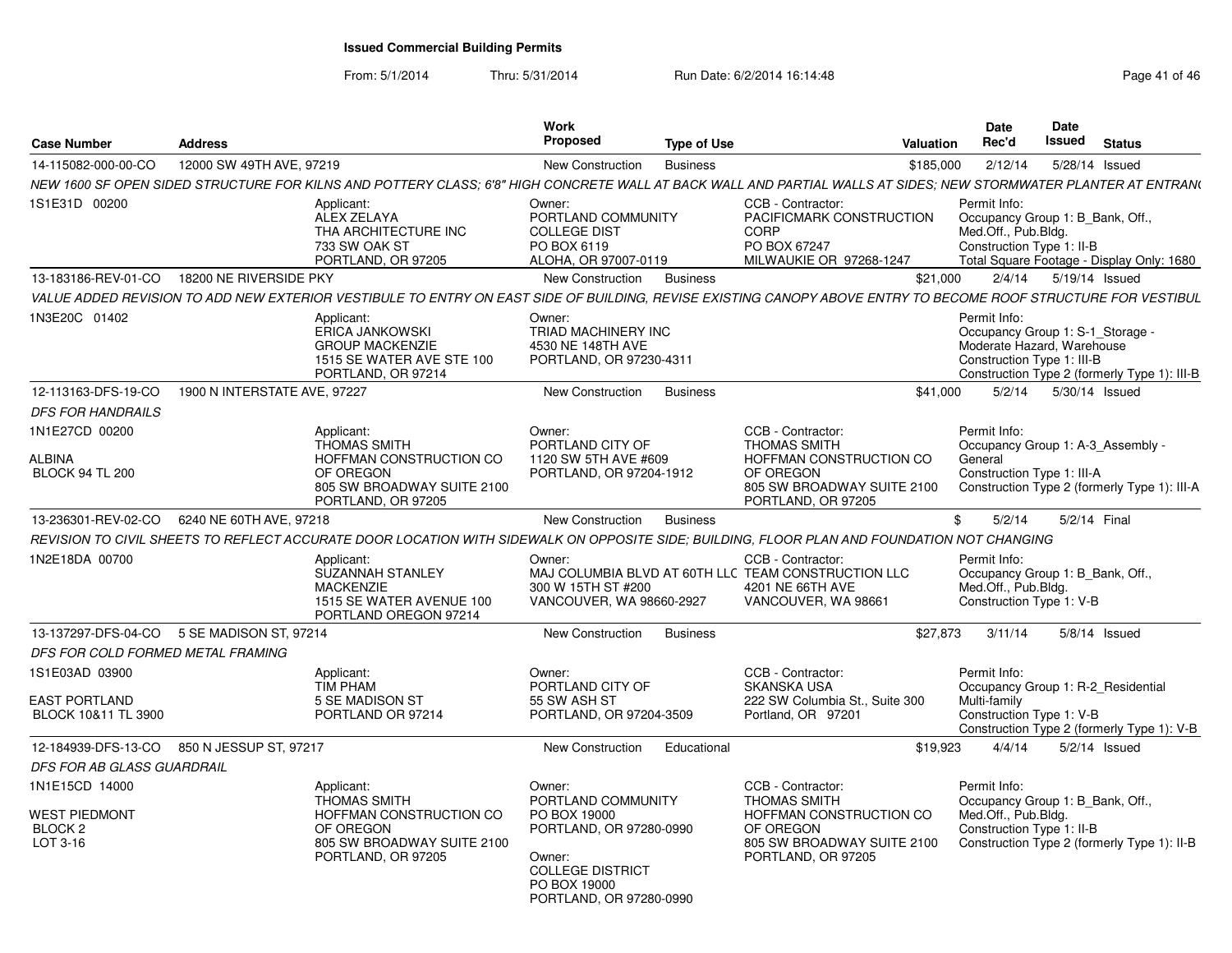| <b>Case Number</b>                                     | <b>Address</b>               |                                                                                                                                                                  | Work<br><b>Proposed</b>                                                                                                 | <b>Type of Use</b> |                                                                                                                     | <b>Valuation</b> | <b>Date</b><br>Rec'd                                                                                         | <b>Date</b><br>Issued | <b>Status</b>                                |
|--------------------------------------------------------|------------------------------|------------------------------------------------------------------------------------------------------------------------------------------------------------------|-------------------------------------------------------------------------------------------------------------------------|--------------------|---------------------------------------------------------------------------------------------------------------------|------------------|--------------------------------------------------------------------------------------------------------------|-----------------------|----------------------------------------------|
| 14-115082-000-00-CO                                    | 12000 SW 49TH AVE, 97219     |                                                                                                                                                                  | New Construction                                                                                                        | <b>Business</b>    |                                                                                                                     | \$185.000        | 2/12/14                                                                                                      |                       | 5/28/14 Issued                               |
|                                                        |                              | NEW 1600 SF OPEN SIDED STRUCTURE FOR KILNS AND POTTERY CLASS; 6'8" HIGH CONCRETE WALL AT BACK WALL AND PARTIAL WALLS AT SIDES; NEW STORMWATER PLANTER AT ENTRAN( |                                                                                                                         |                    |                                                                                                                     |                  |                                                                                                              |                       |                                              |
| 1S1E31D 00200                                          |                              | Applicant:<br>ALEX ZELAYA<br>THA ARCHITECTURE INC<br>733 SW OAK ST<br>PORTLAND, OR 97205                                                                         | Owner:<br>PORTLAND COMMUNITY<br><b>COLLEGE DIST</b><br>PO BOX 6119<br>ALOHA, OR 97007-0119                              |                    | CCB - Contractor:<br>PACIFICMARK CONSTRUCTION<br><b>CORP</b><br>PO BOX 67247<br>MILWAUKIE OR 97268-1247             |                  | Permit Info:<br>Occupancy Group 1: B Bank, Off.,<br>Med.Off., Pub.Bldg.<br>Construction Type 1: II-B         |                       | Total Square Footage - Display Only: 1680    |
| 13-183186-REV-01-CO                                    | 18200 NE RIVERSIDE PKY       |                                                                                                                                                                  | New Construction                                                                                                        | <b>Business</b>    |                                                                                                                     | \$21.000         | 2/4/14                                                                                                       |                       | 5/19/14 Issued                               |
|                                                        |                              | VALUE ADDED REVISION TO ADD NEW EXTERIOR VESTIBULE TO ENTRY ON EAST SIDE OF BUILDING, REVISE EXISTING CANOPY ABOVE ENTRY TO BECOME ROOF STRUCTURE FOR VESTIBUL   |                                                                                                                         |                    |                                                                                                                     |                  |                                                                                                              |                       |                                              |
| 1N3E20C 01402                                          |                              | Applicant:<br>ERICA JANKOWSKI<br><b>GROUP MACKENZIE</b><br>1515 SE WATER AVE STE 100<br>PORTLAND, OR 97214                                                       | Owner:<br>TRIAD MACHINERY INC<br>4530 NE 148TH AVE<br>PORTLAND, OR 97230-4311                                           |                    |                                                                                                                     |                  | Permit Info:<br>Occupancy Group 1: S-1_Storage -<br>Moderate Hazard, Warehouse<br>Construction Type 1: III-B |                       | Construction Type 2 (formerly Type 1): III-B |
| 12-113163-DFS-19-CO                                    | 1900 N INTERSTATE AVE, 97227 |                                                                                                                                                                  | New Construction                                                                                                        | <b>Business</b>    |                                                                                                                     | \$41,000         | 5/2/14                                                                                                       |                       | 5/30/14 Issued                               |
| <b>DFS FOR HANDRAILS</b>                               |                              |                                                                                                                                                                  |                                                                                                                         |                    |                                                                                                                     |                  |                                                                                                              |                       |                                              |
| 1N1E27CD 00200                                         |                              | Applicant:<br><b>THOMAS SMITH</b>                                                                                                                                | Owner:<br>PORTLAND CITY OF                                                                                              |                    | CCB - Contractor:<br>THOMAS SMITH                                                                                   |                  | Permit Info:<br>Occupancy Group 1: A-3 Assembly -                                                            |                       |                                              |
| ALBINA<br><b>BLOCK 94 TL 200</b>                       |                              | HOFFMAN CONSTRUCTION CO<br>OF OREGON<br>805 SW BROADWAY SUITE 2100<br>PORTLAND, OR 97205                                                                         | 1120 SW 5TH AVE #609<br>PORTLAND, OR 97204-1912                                                                         |                    | HOFFMAN CONSTRUCTION CO<br>OF OREGON<br>805 SW BROADWAY SUITE 2100<br>PORTLAND, OR 97205                            |                  | General<br>Construction Type 1: III-A                                                                        |                       | Construction Type 2 (formerly Type 1): III-A |
| 13-236301-REV-02-CO                                    | 6240 NE 60TH AVE, 97218      |                                                                                                                                                                  | New Construction                                                                                                        | <b>Business</b>    |                                                                                                                     |                  | \$<br>5/2/14                                                                                                 |                       | 5/2/14 Final                                 |
|                                                        |                              | REVISION TO CIVIL SHEETS TO REFLECT ACCURATE DOOR LOCATION WITH SIDEWALK ON OPPOSITE SIDE; BUILDING, FLOOR PLAN AND FOUNDATION NOT CHANGING                      |                                                                                                                         |                    |                                                                                                                     |                  |                                                                                                              |                       |                                              |
| 1N2E18DA 00700                                         |                              | Applicant:<br>SUZANNAH STANLEY<br><b>MACKENZIE</b><br>1515 SE WATER AVENUE 100<br>PORTLAND OREGON 97214                                                          | Owner:<br>300 W 15TH ST #200<br>VANCOUVER, WA 98660-2927                                                                |                    | CCB - Contractor:<br>MAJ COLUMBIA BLVD AT 60TH LLC TEAM CONSTRUCTION LLC<br>4201 NE 66TH AVE<br>VANCOUVER, WA 98661 |                  | Permit Info:<br>Occupancy Group 1: B Bank, Off.,<br>Med.Off., Pub.Bldg.<br>Construction Type 1: V-B          |                       |                                              |
| 13-137297-DFS-04-CO 5 SE MADISON ST, 97214             |                              |                                                                                                                                                                  | New Construction                                                                                                        | <b>Business</b>    |                                                                                                                     | \$27,873         | 3/11/14                                                                                                      |                       | $5/8/14$ Issued                              |
| DFS FOR COLD FORMED METAL FRAMING                      |                              |                                                                                                                                                                  |                                                                                                                         |                    |                                                                                                                     |                  |                                                                                                              |                       |                                              |
| 1S1E03AD 03900                                         |                              | Applicant:<br><b>TIM PHAM</b>                                                                                                                                    | Owner:<br>PORTLAND CITY OF                                                                                              |                    | CCB - Contractor:<br>SKANSKA USA                                                                                    |                  | Permit Info:<br>Occupancy Group 1: R-2 Residential                                                           |                       |                                              |
| <b>EAST PORTLAND</b><br>BLOCK 10&11 TL 3900            |                              | 5 SE MADISON ST<br>PORTLAND OR 97214                                                                                                                             | 55 SW ASH ST<br>PORTLAND, OR 97204-3509                                                                                 |                    | 222 SW Columbia St., Suite 300<br>Portland, OR 97201                                                                |                  | Multi-family<br>Construction Type 1: V-B                                                                     |                       | Construction Type 2 (formerly Type 1): V-B   |
| 12-184939-DFS-13-CO                                    | 850 N JESSUP ST, 97217       |                                                                                                                                                                  | New Construction                                                                                                        | Educational        |                                                                                                                     | \$19,923         | 4/4/14                                                                                                       |                       | $5/2/14$ Issued                              |
| DFS FOR AB GLASS GUARDRAIL                             |                              |                                                                                                                                                                  |                                                                                                                         |                    |                                                                                                                     |                  |                                                                                                              |                       |                                              |
| 1N1E15CD 14000                                         |                              | Applicant:<br><b>THOMAS SMITH</b>                                                                                                                                | Owner:<br>PORTLAND COMMUNITY                                                                                            |                    | CCB - Contractor:<br><b>THOMAS SMITH</b>                                                                            |                  | Permit Info:<br>Occupancy Group 1: B_Bank, Off.,                                                             |                       |                                              |
| <b>WEST PIEDMONT</b><br>BLOCK <sub>2</sub><br>LOT 3-16 |                              | HOFFMAN CONSTRUCTION CO<br>OF OREGON<br>805 SW BROADWAY SUITE 2100<br>PORTLAND, OR 97205                                                                         | PO BOX 19000<br>PORTLAND, OR 97280-0990<br>Owner:<br><b>COLLEGE DISTRICT</b><br>PO BOX 19000<br>PORTLAND, OR 97280-0990 |                    | HOFFMAN CONSTRUCTION CO<br>OF OREGON<br>805 SW BROADWAY SUITE 2100<br>PORTLAND, OR 97205                            |                  | Med.Off., Pub.Bldg.<br>Construction Type 1: II-B                                                             |                       | Construction Type 2 (formerly Type 1): II-B  |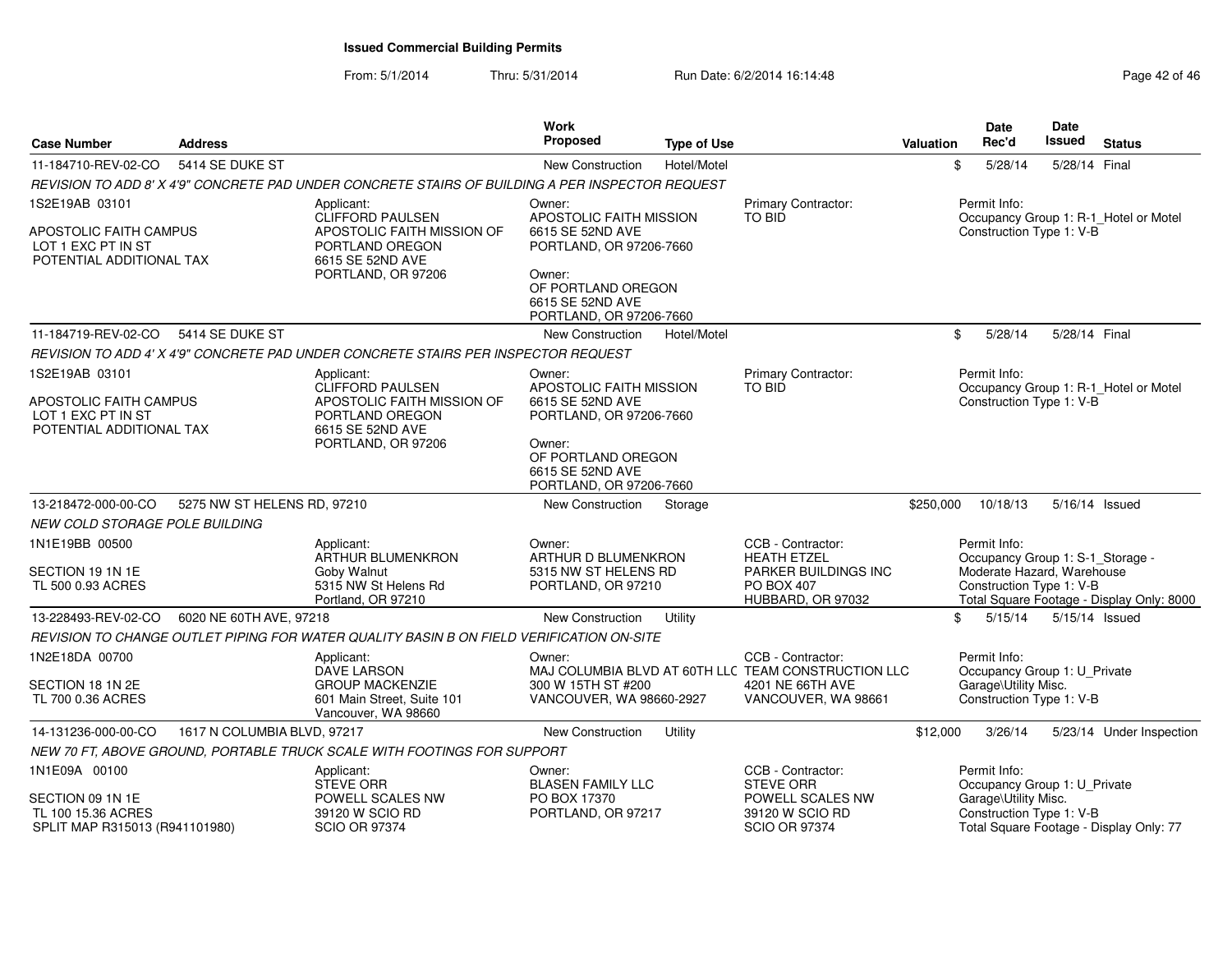| <b>Case Number</b>                                                       | <b>Address</b>              |                                                                                                  | <b>Work</b><br><b>Proposed</b>                                              | <b>Type of Use</b> |                                                                                 | <b>Valuation</b> | <b>Date</b><br>Rec'd                                                             | <b>Date</b><br>Issued | <b>Status</b>                             |
|--------------------------------------------------------------------------|-----------------------------|--------------------------------------------------------------------------------------------------|-----------------------------------------------------------------------------|--------------------|---------------------------------------------------------------------------------|------------------|----------------------------------------------------------------------------------|-----------------------|-------------------------------------------|
| 11-184710-REV-02-CO                                                      | 5414 SE DUKE ST             |                                                                                                  | <b>New Construction</b>                                                     | Hotel/Motel        |                                                                                 | \$               | 5/28/14                                                                          | 5/28/14 Final         |                                           |
|                                                                          |                             | REVISION TO ADD 8' X 4'9" CONCRETE PAD UNDER CONCRETE STAIRS OF BUILDING A PER INSPECTOR REQUEST |                                                                             |                    |                                                                                 |                  |                                                                                  |                       |                                           |
| 1S2E19AB 03101                                                           |                             | Applicant:                                                                                       | Owner:                                                                      |                    | Primary Contractor:                                                             |                  | Permit Info:                                                                     |                       |                                           |
| APOSTOLIC FAITH CAMPUS<br>LOT 1 EXC PT IN ST<br>POTENTIAL ADDITIONAL TAX |                             | CLIFFORD PAULSEN<br>APOSTOLIC FAITH MISSION OF<br>PORTLAND OREGON<br>6615 SE 52ND AVE            | APOSTOLIC FAITH MISSION<br>6615 SE 52ND AVE<br>PORTLAND, OR 97206-7660      |                    | <b>TO BID</b>                                                                   |                  | Construction Type 1: V-B                                                         |                       | Occupancy Group 1: R-1_Hotel or Motel     |
|                                                                          |                             | PORTLAND, OR 97206                                                                               | Owner:<br>OF PORTLAND OREGON<br>6615 SE 52ND AVE<br>PORTLAND, OR 97206-7660 |                    |                                                                                 |                  |                                                                                  |                       |                                           |
| 11-184719-REV-02-CO                                                      | 5414 SE DUKE ST             |                                                                                                  | <b>New Construction</b>                                                     | Hotel/Motel        |                                                                                 | \$               | 5/28/14                                                                          | 5/28/14 Final         |                                           |
|                                                                          |                             | REVISION TO ADD 4' X 4'9" CONCRETE PAD UNDER CONCRETE STAIRS PER INSPECTOR REQUEST               |                                                                             |                    |                                                                                 |                  |                                                                                  |                       |                                           |
| 1S2E19AB 03101<br>APOSTOLIC FAITH CAMPUS                                 |                             | Applicant:<br><b>CLIFFORD PAULSEN</b><br>APOSTOLIC FAITH MISSION OF                              | Owner:<br>APOSTOLIC FAITH MISSION<br>6615 SE 52ND AVE                       |                    | Primary Contractor:<br>TO BID                                                   |                  | Permit Info:<br>Construction Type 1: V-B                                         |                       | Occupancy Group 1: R-1_Hotel or Motel     |
| LOT 1 EXC PT IN ST<br>POTENTIAL ADDITIONAL TAX                           |                             | PORTLAND OREGON<br>6615 SE 52ND AVE<br>PORTLAND, OR 97206                                        | PORTLAND, OR 97206-7660<br>Owner:                                           |                    |                                                                                 |                  |                                                                                  |                       |                                           |
|                                                                          |                             |                                                                                                  | OF PORTLAND OREGON<br>6615 SE 52ND AVE<br>PORTLAND, OR 97206-7660           |                    |                                                                                 |                  |                                                                                  |                       |                                           |
| 13-218472-000-00-CO                                                      | 5275 NW ST HELENS RD, 97210 |                                                                                                  | New Construction                                                            | Storage            |                                                                                 | \$250,000        | 10/18/13                                                                         | 5/16/14 Issued        |                                           |
| NEW COLD STORAGE POLE BUILDING                                           |                             |                                                                                                  |                                                                             |                    |                                                                                 |                  |                                                                                  |                       |                                           |
| 1N1E19BB 00500                                                           |                             | Applicant:<br><b>ARTHUR BLUMENKRON</b>                                                           | Owner:<br>ARTHUR D BLUMENKRON                                               |                    | CCB - Contractor:<br><b>HEATH ETZEL</b>                                         |                  | Permit Info:<br>Occupancy Group 1: S-1_Storage -                                 |                       |                                           |
| SECTION 19 1N 1E<br>TL 500 0.93 ACRES                                    |                             | Goby Walnut<br>5315 NW St Helens Rd<br>Portland, OR 97210                                        | 5315 NW ST HELENS RD<br>PORTLAND, OR 97210                                  |                    | <b>PARKER BUILDINGS INC</b><br>PO BOX 407<br>HUBBARD, OR 97032                  |                  | Moderate Hazard, Warehouse<br>Construction Type 1: V-B                           |                       | Total Square Footage - Display Only: 8000 |
| 13-228493-REV-02-CO                                                      | 6020 NE 60TH AVE, 97218     |                                                                                                  | <b>New Construction</b>                                                     | Utility            |                                                                                 | \$               | 5/15/14                                                                          | 5/15/14 Issued        |                                           |
|                                                                          |                             | REVISION TO CHANGE OUTLET PIPING FOR WATER QUALITY BASIN B ON FIELD VERIFICATION ON-SITE         |                                                                             |                    |                                                                                 |                  |                                                                                  |                       |                                           |
| 1N2E18DA 00700                                                           |                             | Applicant:<br>DAVE LARSON                                                                        | Owner:                                                                      |                    | CCB - Contractor:<br>MAJ COLUMBIA BLVD AT 60TH LLC TEAM CONSTRUCTION LLC        |                  | Permit Info:<br>Occupancy Group 1: U_Private                                     |                       |                                           |
| SECTION 18 1N 2E<br>TL 700 0.36 ACRES                                    |                             | <b>GROUP MACKENZIE</b><br>601 Main Street, Suite 101<br>Vancouver, WA 98660                      | 300 W 15TH ST #200<br>VANCOUVER, WA 98660-2927                              |                    | 4201 NE 66TH AVE<br>VANCOUVER, WA 98661                                         |                  | Garage\Utility Misc.<br>Construction Type 1: V-B                                 |                       |                                           |
| 14-131236-000-00-CO                                                      | 1617 N COLUMBIA BLVD, 97217 |                                                                                                  | <b>New Construction</b>                                                     | Utility            |                                                                                 | \$12,000         | 3/26/14                                                                          |                       | 5/23/14 Under Inspection                  |
|                                                                          |                             | NEW 70 FT, ABOVE GROUND, PORTABLE TRUCK SCALE WITH FOOTINGS FOR SUPPORT                          |                                                                             |                    |                                                                                 |                  |                                                                                  |                       |                                           |
| 1N1E09A 00100                                                            |                             | Applicant:                                                                                       | Owner:                                                                      |                    | CCB - Contractor:                                                               |                  | Permit Info:                                                                     |                       |                                           |
| SECTION 09 1N 1E<br>TL 100 15.36 ACRES<br>SPLIT MAP R315013 (R941101980) |                             | <b>STEVE ORR</b><br>POWELL SCALES NW<br>39120 W SCIO RD<br><b>SCIO OR 97374</b>                  | <b>BLASEN FAMILY LLC</b><br>PO BOX 17370<br>PORTLAND, OR 97217              |                    | <b>STEVE ORR</b><br>POWELL SCALES NW<br>39120 W SCIO RD<br><b>SCIO OR 97374</b> |                  | Occupancy Group 1: U_Private<br>Garage\Utility Misc.<br>Construction Type 1: V-B |                       | Total Square Footage - Display Only: 77   |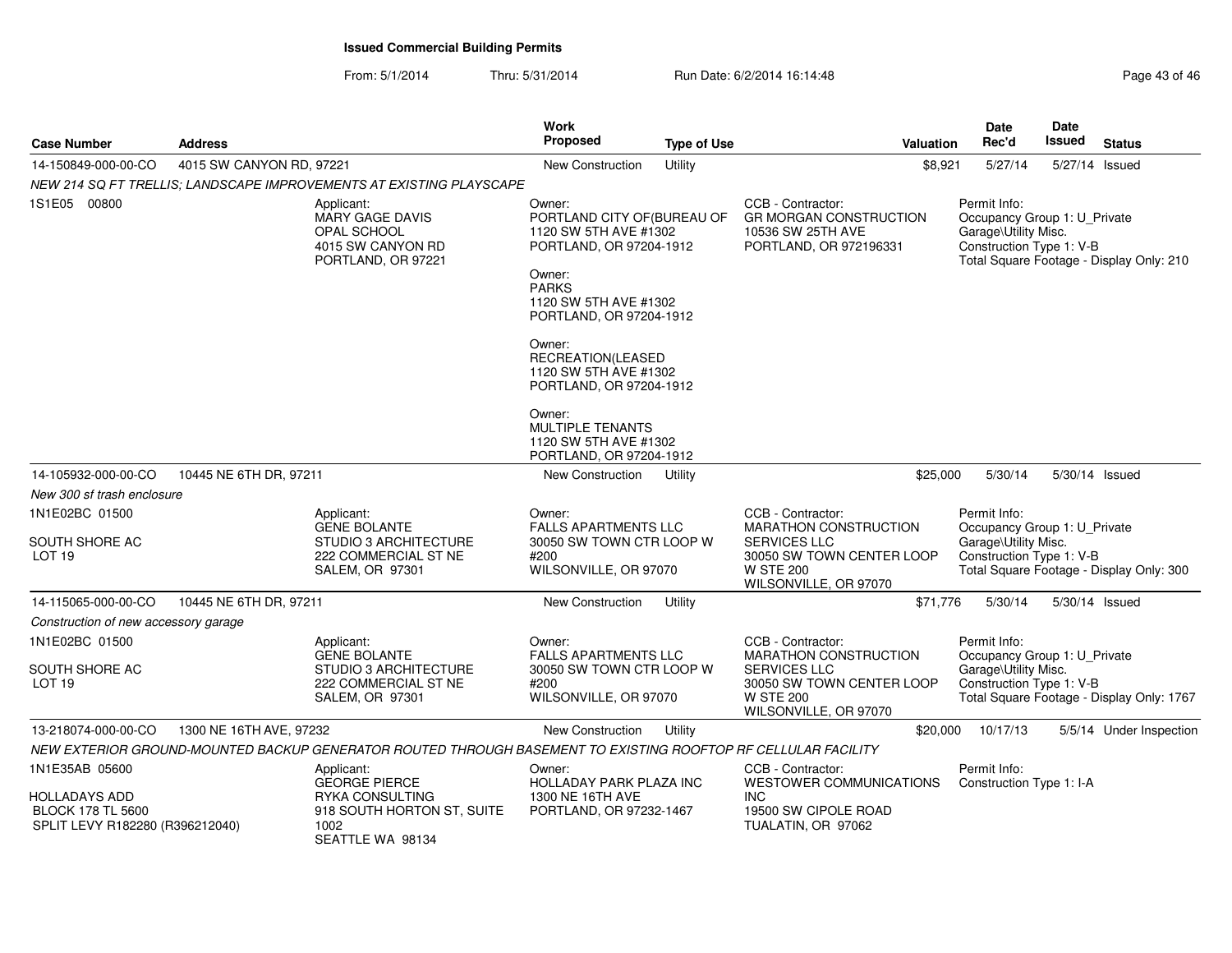| <b>Case Number</b>                                          | <b>Address</b>           |                                                                                                               | Work<br><b>Proposed</b>                                                                                                                                                 | <b>Type of Use</b> | Valuation                                                                                                                            | Date<br>Rec'd                                                                                                                 | <b>Date</b><br>Issued                    | <b>Status</b>                            |
|-------------------------------------------------------------|--------------------------|---------------------------------------------------------------------------------------------------------------|-------------------------------------------------------------------------------------------------------------------------------------------------------------------------|--------------------|--------------------------------------------------------------------------------------------------------------------------------------|-------------------------------------------------------------------------------------------------------------------------------|------------------------------------------|------------------------------------------|
| 14-150849-000-00-CO                                         | 4015 SW CANYON RD, 97221 |                                                                                                               | New Construction                                                                                                                                                        | Utility            | \$8,921                                                                                                                              | 5/27/14                                                                                                                       | 5/27/14 Issued                           |                                          |
|                                                             |                          | NEW 214 SQ FT TRELLIS; LANDSCAPE IMPROVEMENTS AT EXISTING PLAYSCAPE                                           |                                                                                                                                                                         |                    |                                                                                                                                      |                                                                                                                               |                                          |                                          |
| 1S1E05 00800                                                |                          | Applicant:<br><b>MARY GAGE DAVIS</b><br><b>OPAL SCHOOL</b><br>4015 SW CANYON RD<br>PORTLAND, OR 97221         | Owner:<br>PORTLAND CITY OF (BUREAU OF<br>1120 SW 5TH AVE #1302<br>PORTLAND, OR 97204-1912<br>Owner:<br><b>PARKS</b><br>1120 SW 5TH AVE #1302<br>PORTLAND, OR 97204-1912 |                    | CCB - Contractor:<br><b>GR MORGAN CONSTRUCTION</b><br>10536 SW 25TH AVE<br>PORTLAND, OR 972196331                                    | Permit Info:<br>Occupancy Group 1: U_Private<br>Garage\Utility Misc.<br>Construction Type 1: V-B                              |                                          | Total Square Footage - Display Only: 210 |
|                                                             |                          |                                                                                                               | Owner:<br>RECREATION(LEASED<br>1120 SW 5TH AVE #1302<br>PORTLAND, OR 97204-1912                                                                                         |                    |                                                                                                                                      |                                                                                                                               |                                          |                                          |
|                                                             |                          |                                                                                                               | Owner:<br><b>MULTIPLE TENANTS</b><br>1120 SW 5TH AVE #1302<br>PORTLAND, OR 97204-1912                                                                                   |                    |                                                                                                                                      |                                                                                                                               |                                          |                                          |
| 14-105932-000-00-CO                                         | 10445 NE 6TH DR, 97211   |                                                                                                               | New Construction                                                                                                                                                        | Utility            | \$25,000                                                                                                                             | 5/30/14                                                                                                                       |                                          | 5/30/14 Issued                           |
| New 300 sf trash enclosure                                  |                          |                                                                                                               |                                                                                                                                                                         |                    |                                                                                                                                      |                                                                                                                               |                                          |                                          |
| 1N1E02BC 01500<br>SOUTH SHORE AC<br>LOT <sub>19</sub>       |                          | Applicant:<br><b>GENE BOLANTE</b><br><b>STUDIO 3 ARCHITECTURE</b><br>222 COMMERCIAL ST NE<br>SALEM, OR 97301  | Owner:<br><b>FALLS APARTMENTS LLC</b><br>30050 SW TOWN CTR LOOP W<br>#200<br>WILSONVILLE, OR 97070                                                                      |                    | CCB - Contractor:<br>MARATHON CONSTRUCTION<br>SERVICES LLC<br>30050 SW TOWN CENTER LOOP<br><b>W STE 200</b><br>WILSONVILLE, OR 97070 | Permit Info:<br>Occupancy Group 1: U_Private<br>Garage\Utility Misc.<br>Construction Type 1: V-B                              | Total Square Footage - Display Only: 300 |                                          |
| 14-115065-000-00-CO                                         | 10445 NE 6TH DR, 97211   |                                                                                                               | <b>New Construction</b>                                                                                                                                                 | Utility            | \$71,776                                                                                                                             | 5/30/14                                                                                                                       | 5/30/14 Issued                           |                                          |
| Construction of new accessory garage                        |                          |                                                                                                               |                                                                                                                                                                         |                    |                                                                                                                                      |                                                                                                                               |                                          |                                          |
| 1N1E02BC 01500                                              |                          | Applicant:                                                                                                    | Owner:                                                                                                                                                                  |                    | CCB - Contractor:                                                                                                                    | Permit Info:                                                                                                                  |                                          |                                          |
| SOUTH SHORE AC<br>LOT <sub>19</sub>                         |                          | <b>GENE BOLANTE</b><br><b>STUDIO 3 ARCHITECTURE</b><br>222 COMMERCIAL ST NE<br>SALEM, OR 97301                | <b>FALLS APARTMENTS LLC</b><br>30050 SW TOWN CTR LOOP W<br>#200<br>WILSONVILLE, OR 97070                                                                                |                    | <b>MARATHON CONSTRUCTION</b><br><b>SERVICES LLC</b><br>30050 SW TOWN CENTER LOOP<br><b>W STE 200</b><br>WILSONVILLE, OR 97070        | Occupancy Group 1: U_Private<br>Garage\Utility Misc.<br>Construction Type 1: V-B<br>Total Square Footage - Display Only: 1767 |                                          |                                          |
| 13-218074-000-00-CO                                         | 1300 NE 16TH AVE, 97232  |                                                                                                               | New Construction                                                                                                                                                        | Utility            | \$20,000                                                                                                                             | 10/17/13                                                                                                                      |                                          | 5/5/14 Under Inspection                  |
|                                                             |                          | NEW EXTERIOR GROUND-MOUNTED BACKUP GENERATOR ROUTED THROUGH BASEMENT TO EXISTING ROOFTOP RF CELLULAR FACILITY |                                                                                                                                                                         |                    |                                                                                                                                      |                                                                                                                               |                                          |                                          |
| 1N1E35AB 05600<br>HOLLADAYS ADD                             |                          | Applicant:<br><b>GEORGE PIERCE</b><br><b>RYKA CONSULTING</b>                                                  | Owner:<br>HOLLADAY PARK PLAZA INC<br>1300 NE 16TH AVE                                                                                                                   |                    | CCB - Contractor:<br><b>WESTOWER COMMUNICATIONS</b><br><b>INC</b>                                                                    | Permit Info:<br>Construction Type 1: I-A                                                                                      |                                          |                                          |
| <b>BLOCK 178 TL 5600</b><br>SPLIT LEVY R182280 (R396212040) |                          | 918 SOUTH HORTON ST, SUITE<br>1002<br>SEATTLE WA 98134                                                        | PORTLAND, OR 97232-1467                                                                                                                                                 |                    | 19500 SW CIPOLE ROAD<br>TUALATIN, OR 97062                                                                                           |                                                                                                                               |                                          |                                          |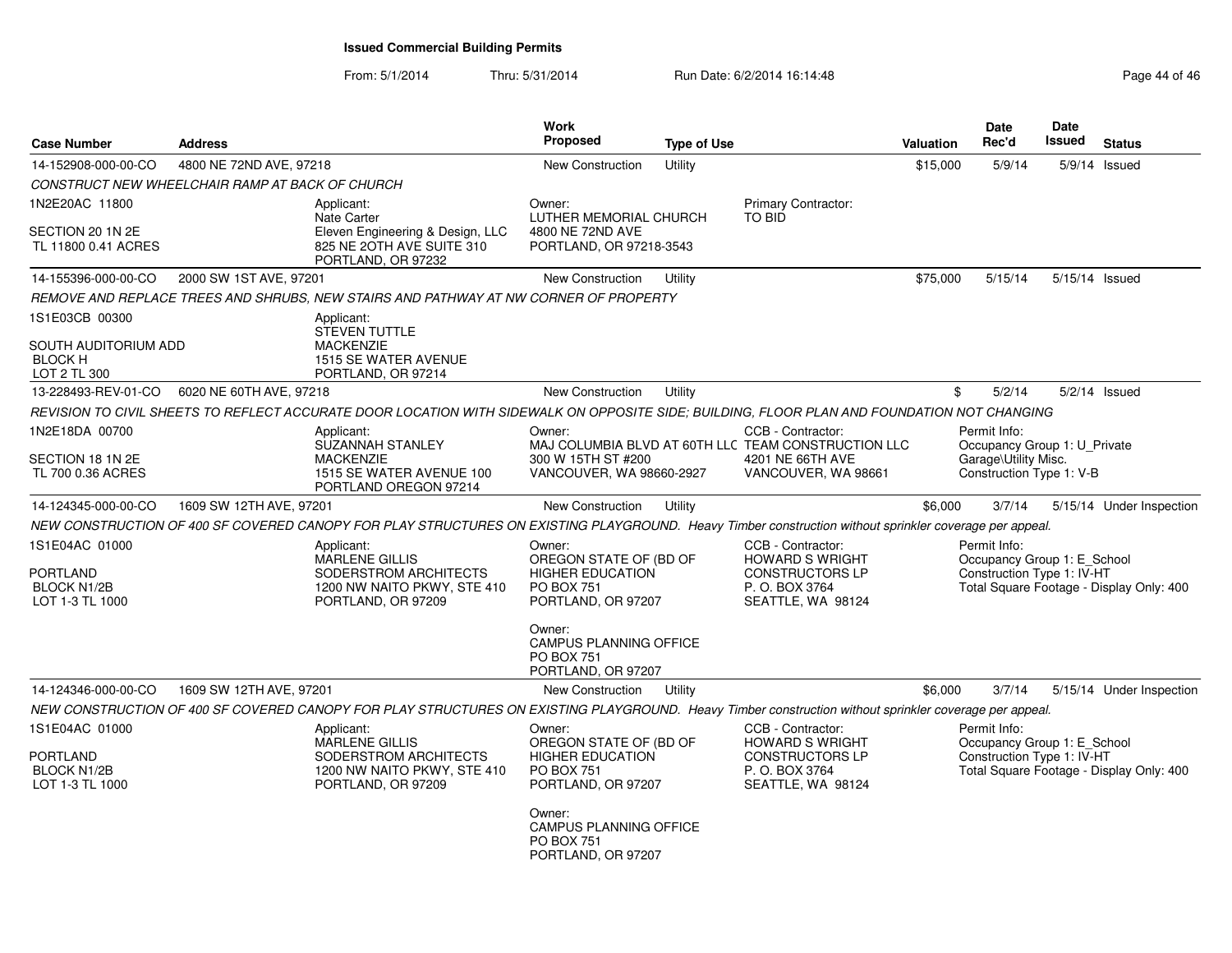| <b>Case Number</b>                                                  | <b>Address</b>                                  |                                                                                                                                                        | <b>Work</b><br><b>Proposed</b>                                                                         | <b>Type of Use</b> |                                                                                                              | <b>Valuation</b> | <b>Date</b><br>Rec'd                                                      | Date | Issued | <b>Status</b>                            |
|---------------------------------------------------------------------|-------------------------------------------------|--------------------------------------------------------------------------------------------------------------------------------------------------------|--------------------------------------------------------------------------------------------------------|--------------------|--------------------------------------------------------------------------------------------------------------|------------------|---------------------------------------------------------------------------|------|--------|------------------------------------------|
| 14-152908-000-00-CO                                                 | 4800 NE 72ND AVE, 97218                         |                                                                                                                                                        | <b>New Construction</b>                                                                                | Utility            |                                                                                                              | \$15,000         | 5/9/14                                                                    |      |        | $5/9/14$ Issued                          |
|                                                                     | CONSTRUCT NEW WHEELCHAIR RAMP AT BACK OF CHURCH |                                                                                                                                                        |                                                                                                        |                    |                                                                                                              |                  |                                                                           |      |        |                                          |
| 1N2E20AC 11800                                                      |                                                 | Applicant:                                                                                                                                             | Owner:                                                                                                 |                    | <b>Primary Contractor:</b>                                                                                   |                  |                                                                           |      |        |                                          |
| SECTION 20 1N 2E<br>TL 11800 0.41 ACRES                             |                                                 | <b>Nate Carter</b><br>Eleven Engineering & Design, LLC<br>825 NE 2OTH AVE SUITE 310<br>PORTLAND, OR 97232                                              | LUTHER MEMORIAL CHURCH<br>4800 NE 72ND AVE<br>PORTLAND, OR 97218-3543                                  |                    | TO BID                                                                                                       |                  |                                                                           |      |        |                                          |
| 14-155396-000-00-CO                                                 | 2000 SW 1ST AVE, 97201                          |                                                                                                                                                        | New Construction                                                                                       | Utility            |                                                                                                              | \$75,000         | 5/15/14                                                                   |      |        | 5/15/14 Issued                           |
|                                                                     |                                                 | REMOVE AND REPLACE TREES AND SHRUBS, NEW STAIRS AND PATHWAY AT NW CORNER OF PROPERTY                                                                   |                                                                                                        |                    |                                                                                                              |                  |                                                                           |      |        |                                          |
| 1S1E03CB 00300                                                      |                                                 | Applicant:                                                                                                                                             |                                                                                                        |                    |                                                                                                              |                  |                                                                           |      |        |                                          |
| SOUTH AUDITORIUM ADD<br><b>BLOCK H</b><br>LOT 2 TL 300              |                                                 | <b>STEVEN TUTTLE</b><br><b>MACKENZIE</b><br>1515 SE WATER AVENUE<br>PORTLAND, OR 97214                                                                 |                                                                                                        |                    |                                                                                                              |                  |                                                                           |      |        |                                          |
| 13-228493-REV-01-CO                                                 | 6020 NE 60TH AVE, 97218                         |                                                                                                                                                        | <b>New Construction</b>                                                                                | Utility            |                                                                                                              |                  | 5/2/14<br>\$                                                              |      |        | 5/2/14 Issued                            |
|                                                                     |                                                 | REVISION TO CIVIL SHEETS TO REFLECT ACCURATE DOOR LOCATION WITH SIDEWALK ON OPPOSITE SIDE; BUILDING, FLOOR PLAN AND FOUNDATION NOT CHANGING            |                                                                                                        |                    |                                                                                                              |                  |                                                                           |      |        |                                          |
| 1N2E18DA 00700                                                      |                                                 | Applicant:<br>SUZANNAH STANLEY                                                                                                                         | Owner:                                                                                                 |                    | CCB - Contractor:<br>MAJ COLUMBIA BLVD AT 60TH LLC TEAM CONSTRUCTION LLC                                     |                  | Permit Info:<br>Occupancy Group 1: U Private                              |      |        |                                          |
| SECTION 18 1N 2E<br>TL 700 0.36 ACRES                               |                                                 | <b>MACKENZIE</b><br>1515 SE WATER AVENUE 100<br>PORTLAND OREGON 97214                                                                                  | 300 W 15TH ST #200<br>VANCOUVER, WA 98660-2927                                                         |                    | 4201 NE 66TH AVE<br>VANCOUVER, WA 98661                                                                      |                  | Garage\Utility Misc.<br>Construction Type 1: V-B                          |      |        |                                          |
| 14-124345-000-00-CO                                                 | 1609 SW 12TH AVE, 97201                         |                                                                                                                                                        | <b>New Construction</b>                                                                                | Utility            |                                                                                                              | \$6,000          | 3/7/14                                                                    |      |        | 5/15/14 Under Inspection                 |
|                                                                     |                                                 | NEW CONSTRUCTION OF 400 SF COVERED CANOPY FOR PLAY STRUCTURES ON EXISTING PLAYGROUND. Heavy Timber construction without sprinkler coverage per appeal. |                                                                                                        |                    |                                                                                                              |                  |                                                                           |      |        |                                          |
| 1S1E04AC 01000<br>PORTLAND<br><b>BLOCK N1/2B</b><br>LOT 1-3 TL 1000 |                                                 | Applicant:<br><b>MARLENE GILLIS</b><br>SODERSTROM ARCHITECTS<br>1200 NW NAITO PKWY, STE 410<br>PORTLAND, OR 97209                                      | Owner:<br>OREGON STATE OF (BD OF<br><b>HIGHER EDUCATION</b><br><b>PO BOX 751</b><br>PORTLAND, OR 97207 |                    | CCB - Contractor:<br><b>HOWARD S WRIGHT</b><br><b>CONSTRUCTORS LP</b><br>P. O. BOX 3764<br>SEATTLE, WA 98124 |                  | Permit Info:<br>Occupancy Group 1: E School<br>Construction Type 1: IV-HT |      |        | Total Square Footage - Display Only: 400 |
|                                                                     |                                                 |                                                                                                                                                        | Owner:<br><b>CAMPUS PLANNING OFFICE</b><br><b>PO BOX 751</b><br>PORTLAND, OR 97207                     |                    |                                                                                                              |                  |                                                                           |      |        |                                          |
| 14-124346-000-00-CO                                                 | 1609 SW 12TH AVE, 97201                         |                                                                                                                                                        | New Construction                                                                                       | Utility            |                                                                                                              | \$6,000          | 3/7/14                                                                    |      |        | 5/15/14 Under Inspection                 |
|                                                                     |                                                 | NEW CONSTRUCTION OF 400 SF COVERED CANOPY FOR PLAY STRUCTURES ON EXISTING PLAYGROUND. Heavy Timber construction without sprinkler coverage per appeal. |                                                                                                        |                    |                                                                                                              |                  |                                                                           |      |        |                                          |
| 1S1E04AC 01000                                                      |                                                 | Applicant:<br><b>MARLENE GILLIS</b>                                                                                                                    | Owner:<br>OREGON STATE OF (BD OF                                                                       |                    | CCB - Contractor:<br><b>HOWARD S WRIGHT</b>                                                                  |                  | Permit Info:<br>Occupancy Group 1: E School                               |      |        |                                          |
| PORTLAND<br><b>BLOCK N1/2B</b><br>LOT 1-3 TL 1000                   |                                                 | SODERSTROM ARCHITECTS<br>1200 NW NAITO PKWY, STE 410<br>PORTLAND, OR 97209                                                                             | <b>HIGHER EDUCATION</b><br><b>PO BOX 751</b><br>PORTLAND, OR 97207                                     |                    | <b>CONSTRUCTORS LP</b><br>P. O. BOX 3764<br>SEATTLE, WA 98124                                                |                  | Construction Type 1: IV-HT                                                |      |        | Total Square Footage - Display Only: 400 |
|                                                                     |                                                 |                                                                                                                                                        | Owner:<br><b>CAMPUS PLANNING OFFICE</b><br><b>PO BOX 751</b><br>PORTLAND, OR 97207                     |                    |                                                                                                              |                  |                                                                           |      |        |                                          |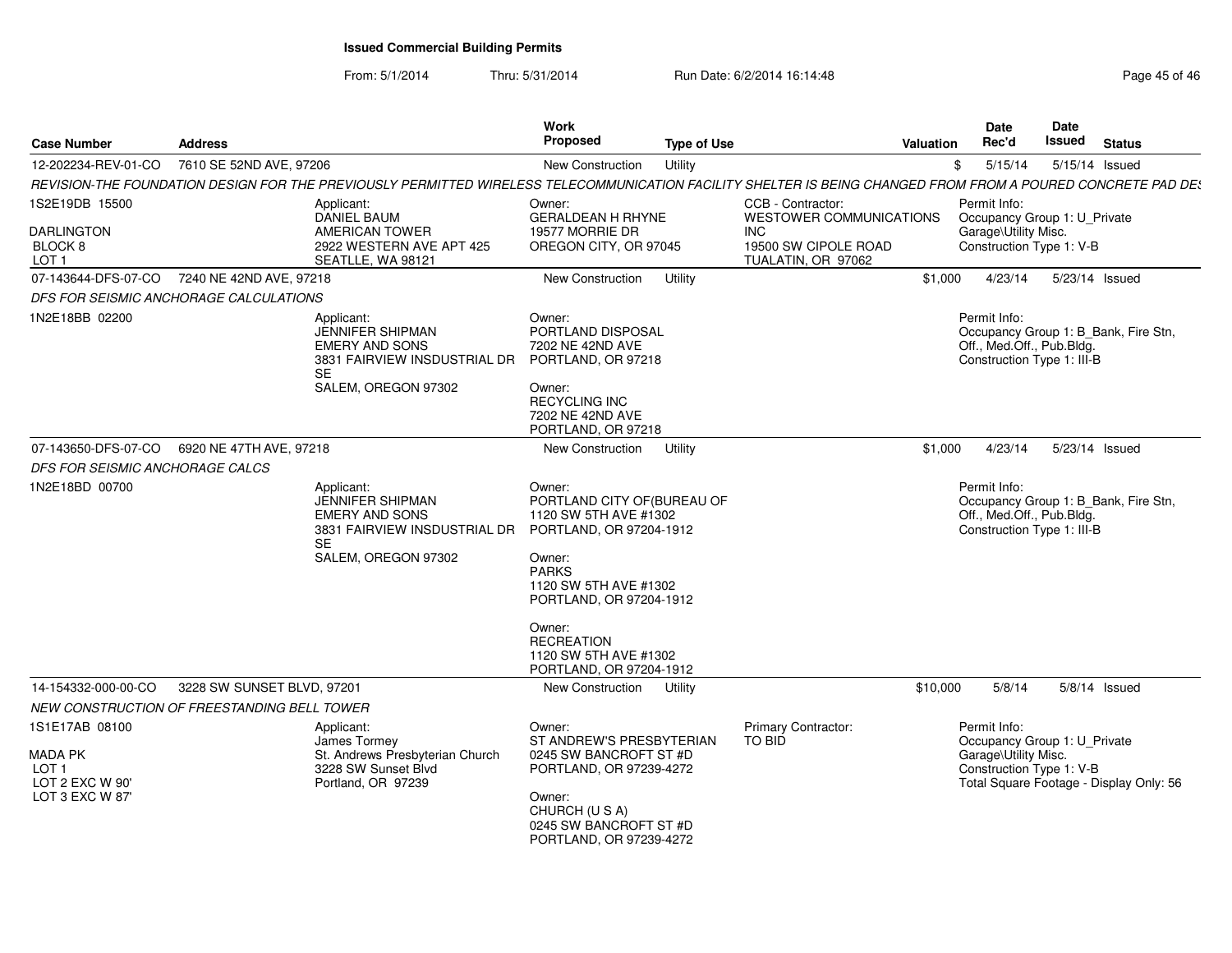| <b>Case Number</b>                                                             | <b>Address</b>                                                                                                                                               | <b>Work</b><br>Proposed                                                                                                                                                                                                                                    | <b>Type of Use</b> |                                                          | <b>Valuation</b> | Date<br>Rec'd                                                                                    | Date<br>Issued | <b>Status</b>                           |
|--------------------------------------------------------------------------------|--------------------------------------------------------------------------------------------------------------------------------------------------------------|------------------------------------------------------------------------------------------------------------------------------------------------------------------------------------------------------------------------------------------------------------|--------------------|----------------------------------------------------------|------------------|--------------------------------------------------------------------------------------------------|----------------|-----------------------------------------|
| 12-202234-REV-01-CO                                                            | 7610 SE 52ND AVE, 97206                                                                                                                                      | New Construction                                                                                                                                                                                                                                           | Utility            |                                                          | \$               | 5/15/14                                                                                          |                | 5/15/14 Issued                          |
|                                                                                | REVISION-THE FOUNDATION DESIGN FOR THE PREVIOUSLY PERMITTED WIRELESS TELECOMMUNICATION FACILITY SHELTER IS BEING CHANGED FROM FROM A POURED CONCRETE PAD DE: |                                                                                                                                                                                                                                                            |                    |                                                          |                  |                                                                                                  |                |                                         |
| 1S2E19DB 15500                                                                 | Applicant:<br><b>DANIEL BAUM</b>                                                                                                                             | Owner:<br><b>GERALDEAN H RHYNE</b>                                                                                                                                                                                                                         |                    | CCB - Contractor:<br>WESTOWER COMMUNICATIONS             |                  | Permit Info:<br>Occupancy Group 1: U_Private                                                     |                |                                         |
| <b>DARLINGTON</b><br>BLOCK 8<br>LOT <sub>1</sub>                               | AMERICAN TOWER<br>2922 WESTERN AVE APT 425<br>SEATLLE, WA 98121                                                                                              | 19577 MORRIE DR<br>OREGON CITY, OR 97045                                                                                                                                                                                                                   |                    | <b>INC</b><br>19500 SW CIPOLE ROAD<br>TUALATIN, OR 97062 |                  | Garage\Utility Misc.<br>Construction Type 1: V-B                                                 |                |                                         |
| 07-143644-DFS-07-CO                                                            | 7240 NE 42ND AVE, 97218                                                                                                                                      | New Construction                                                                                                                                                                                                                                           | Utility            |                                                          | \$1,000          | 4/23/14                                                                                          |                | 5/23/14 Issued                          |
|                                                                                | DFS FOR SEISMIC ANCHORAGE CALCULATIONS                                                                                                                       |                                                                                                                                                                                                                                                            |                    |                                                          |                  |                                                                                                  |                |                                         |
| 1N2E18BB 02200                                                                 | Applicant:<br><b>JENNIFER SHIPMAN</b><br><b>EMERY AND SONS</b><br>3831 FAIRVIEW INSDUSTRIAL DR<br><b>SE</b><br>SALEM. OREGON 97302                           | Owner:<br>PORTLAND DISPOSAL<br>7202 NE 42ND AVE<br>PORTLAND, OR 97218<br>Owner:<br><b>RECYCLING INC</b><br>7202 NE 42ND AVE<br>PORTLAND, OR 97218                                                                                                          |                    |                                                          |                  | Permit Info:<br>Off., Med.Off., Pub.Bldg.<br>Construction Type 1: III-B                          |                | Occupancy Group 1: B_Bank, Fire Stn,    |
| 07-143650-DFS-07-CO                                                            | 6920 NE 47TH AVE, 97218                                                                                                                                      | New Construction                                                                                                                                                                                                                                           | Utility            |                                                          | \$1,000          | 4/23/14                                                                                          |                | 5/23/14 Issued                          |
| DFS FOR SEISMIC ANCHORAGE CALCS                                                |                                                                                                                                                              |                                                                                                                                                                                                                                                            |                    |                                                          |                  |                                                                                                  |                |                                         |
| 1N2E18BD 00700                                                                 | Applicant:<br><b>JENNIFER SHIPMAN</b><br><b>EMERY AND SONS</b><br>3831 FAIRVIEW INSDUSTRIAL DR<br><b>SE</b><br>SALEM, OREGON 97302                           | Owner:<br>PORTLAND CITY OF (BUREAU OF<br>1120 SW 5TH AVE #1302<br>PORTLAND, OR 97204-1912<br>Owner:<br><b>PARKS</b><br>1120 SW 5TH AVE #1302<br>PORTLAND, OR 97204-1912<br>Owner:<br><b>RECREATION</b><br>1120 SW 5TH AVE #1302<br>PORTLAND, OR 97204-1912 |                    |                                                          |                  | Permit Info:<br>Off., Med.Off., Pub.Bldg.<br>Construction Type 1: III-B                          |                | Occupancy Group 1: B Bank, Fire Stn,    |
| 14-154332-000-00-CO                                                            | 3228 SW SUNSET BLVD, 97201                                                                                                                                   | New Construction                                                                                                                                                                                                                                           | Utility            |                                                          | \$10,000         | 5/8/14                                                                                           |                | $5/8/14$ Issued                         |
|                                                                                | NEW CONSTRUCTION OF FREESTANDING BELL TOWER                                                                                                                  |                                                                                                                                                                                                                                                            |                    |                                                          |                  |                                                                                                  |                |                                         |
| 1S1E17AB 08100<br><b>MADA PK</b><br>LOT 1<br>LOT 2 EXC W 90'<br>LOT 3 EXC W 87 | Applicant:<br>James Tormey<br>St. Andrews Presbyterian Church<br>3228 SW Sunset Blvd<br>Portland, OR 97239                                                   | Owner:<br>ST ANDREW'S PRESBYTERIAN<br>0245 SW BANCROFT ST #D<br>PORTLAND, OR 97239-4272<br>Owner:                                                                                                                                                          |                    | Primary Contractor:<br>TO BID                            |                  | Permit Info:<br>Occupancy Group 1: U_Private<br>Garage\Utility Misc.<br>Construction Type 1: V-B |                | Total Square Footage - Display Only: 56 |
|                                                                                |                                                                                                                                                              | CHURCH (U S A)<br>0245 SW BANCROFT ST #D<br>PORTLAND, OR 97239-4272                                                                                                                                                                                        |                    |                                                          |                  |                                                                                                  |                |                                         |